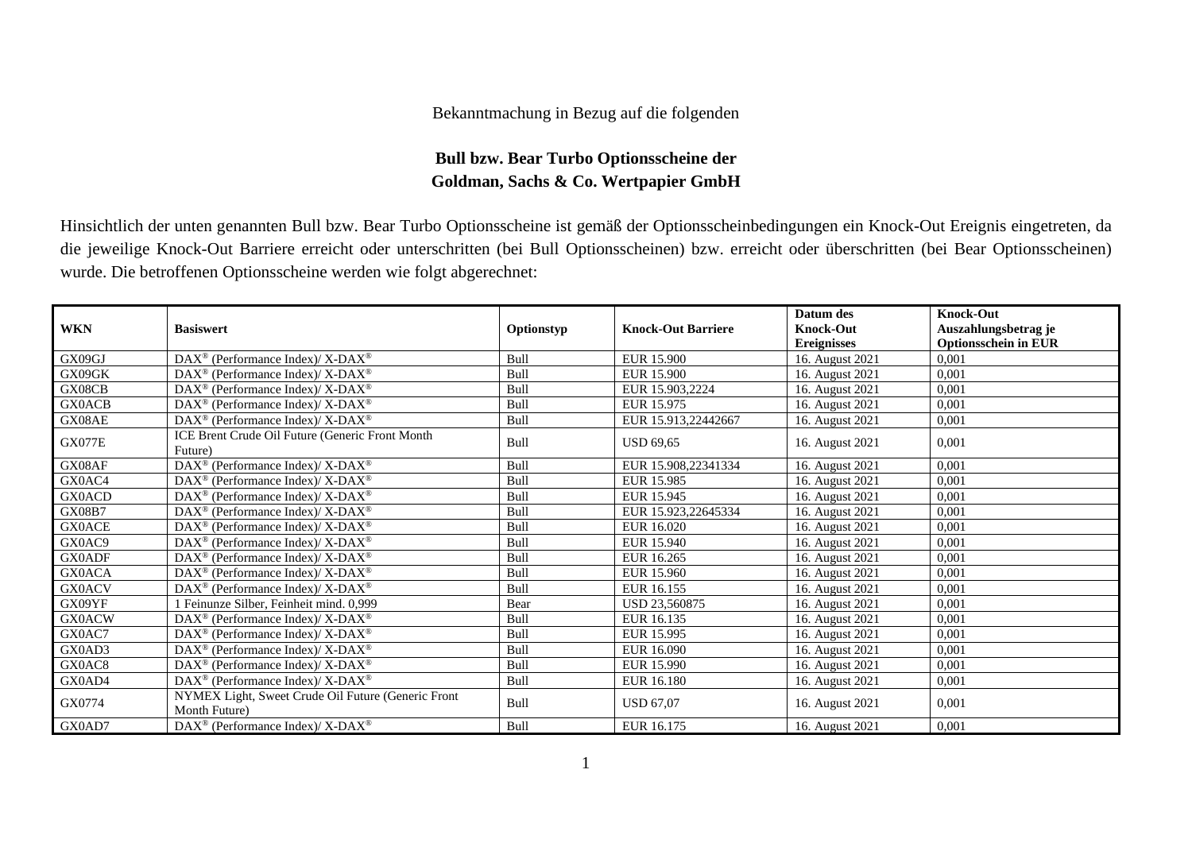## Bekanntmachung in Bezug auf die folgenden

## **Bull bzw. Bear Turbo Optionsscheine der Goldman, Sachs & Co. Wertpapier GmbH**

Hinsichtlich der unten genannten Bull bzw. Bear Turbo Optionsscheine ist gemäß der Optionsscheinbedingungen ein Knock-Out Ereignis eingetreten, da die jeweilige Knock-Out Barriere erreicht oder unterschritten (bei Bull Optionsscheinen) bzw. erreicht oder überschritten (bei Bear Optionsscheinen) wurde. Die betroffenen Optionsscheine werden wie folgt abgerechnet:

|               |                                                                    |             |                           | Datum des          | <b>Knock-Out</b>            |
|---------------|--------------------------------------------------------------------|-------------|---------------------------|--------------------|-----------------------------|
| <b>WKN</b>    | <b>Basiswert</b>                                                   | Optionstyp  | <b>Knock-Out Barriere</b> | <b>Knock-Out</b>   | Auszahlungsbetrag je        |
|               |                                                                    |             |                           | <b>Ereignisses</b> | <b>Optionsschein in EUR</b> |
| GX09GJ        | DAX <sup>®</sup> (Performance Index)/ X-DAX <sup>®</sup>           | Bull        | EUR 15.900                | 16. August 2021    | 0.001                       |
| GX09GK        | $DAX^{\circledast}$ (Performance Index)/ X-DAX <sup>®</sup>        | Bull        | <b>EUR 15.900</b>         | 16. August 2021    | 0,001                       |
| GX08CB        | $DAX^{\circledast}$ (Performance Index)/ X-DAX <sup>®</sup>        | Bull        | EUR 15.903.2224           | 16. August 2021    | 0,001                       |
| <b>GX0ACB</b> | $DAX^{\circledcirc}$ (Performance Index)/ X-DAX <sup>®</sup>       | Bull        | EUR 15.975                | 16. August 2021    | 0,001                       |
| GX08AE        | $DAX^{\circledast}$ (Performance Index)/ X-DAX <sup>®</sup>        | Bull        | EUR 15.913,22442667       | 16. August 2021    | 0,001                       |
|               | ICE Brent Crude Oil Future (Generic Front Month                    | Bull        | <b>USD 69,65</b>          |                    | 0,001                       |
| <b>GX077E</b> | Future)                                                            |             |                           | 16. August 2021    |                             |
| GX08AF        | DAX <sup>®</sup> (Performance Index)/ X-DAX <sup>®</sup>           | Bull        | EUR 15.908,22341334       | 16. August 2021    | 0.001                       |
| GX0AC4        | DAX <sup>®</sup> (Performance Index)/ X-DAX <sup>®</sup>           | Bull        | EUR 15.985                | 16. August 2021    | 0,001                       |
| <b>GX0ACD</b> | DAX <sup>®</sup> (Performance Index)/ X-DAX <sup>®</sup>           | Bull        | EUR 15.945                | 16. August 2021    | 0.001                       |
| <b>GX08B7</b> | DAX <sup>®</sup> (Performance Index)/ X-DAX <sup>®</sup>           | Bull        | EUR 15.923,22645334       | 16. August 2021    | 0,001                       |
| <b>GX0ACE</b> | $DAX^{\circledast}$ (Performance Index)/ X-DAX <sup>®</sup>        | <b>Bull</b> | EUR 16.020                | 16. August 2021    | 0,001                       |
| GX0AC9        | DAX <sup>®</sup> (Performance Index)/ X-DAX <sup>®</sup>           | <b>Bull</b> | EUR 15.940                | 16. August 2021    | 0,001                       |
| <b>GX0ADF</b> | DAX <sup>®</sup> (Performance Index)/ X-DAX <sup>®</sup>           | Bull        | EUR 16.265                | 16. August 2021    | 0,001                       |
| <b>GX0ACA</b> | DAX <sup>®</sup> (Performance Index)/ X-DAX <sup>®</sup>           | <b>Bull</b> | EUR 15.960                | 16. August 2021    | 0.001                       |
| <b>GX0ACV</b> | $DAX^{\circledast}$ (Performance Index)/ X-DAX <sup>®</sup>        | Bull        | EUR 16.155                | 16. August 2021    | 0,001                       |
| GX09YF        | 1 Feinunze Silber, Feinheit mind. 0,999                            | Bear        | USD 23,560875             | 16. August 2021    | 0,001                       |
| <b>GX0ACW</b> | $\text{DAX}^{\circledast}$ (Performance Index)/ X-DAX <sup>®</sup> | Bull        | EUR 16.135                | 16. August 2021    | 0,001                       |
| GX0AC7        | $DAX^{\circledcirc}$ (Performance Index)/ X-DAX <sup>®</sup>       | Bull        | EUR 15.995                | 16. August 2021    | 0,001                       |
| GX0AD3        | DAX <sup>®</sup> (Performance Index)/ X-DAX <sup>®</sup>           | <b>Bull</b> | EUR 16.090                | 16. August 2021    | 0,001                       |
| GX0AC8        | DAX <sup>®</sup> (Performance Index)/ X-DAX <sup>®</sup>           | <b>Bull</b> | EUR 15.990                | 16. August 2021    | 0,001                       |
| GX0AD4        | DAX <sup>®</sup> (Performance Index)/ X-DAX <sup>®</sup>           | Bull        | EUR 16.180                | 16. August 2021    | 0,001                       |
| GX0774        | NYMEX Light, Sweet Crude Oil Future (Generic Front                 | Bull        | <b>USD 67,07</b>          |                    | 0,001                       |
|               | Month Future)                                                      |             |                           | 16. August 2021    |                             |
| GX0AD7        | DAX <sup>®</sup> (Performance Index)/ X-DAX <sup>®</sup>           | Bull        | EUR 16.175                | 16. August 2021    | 0,001                       |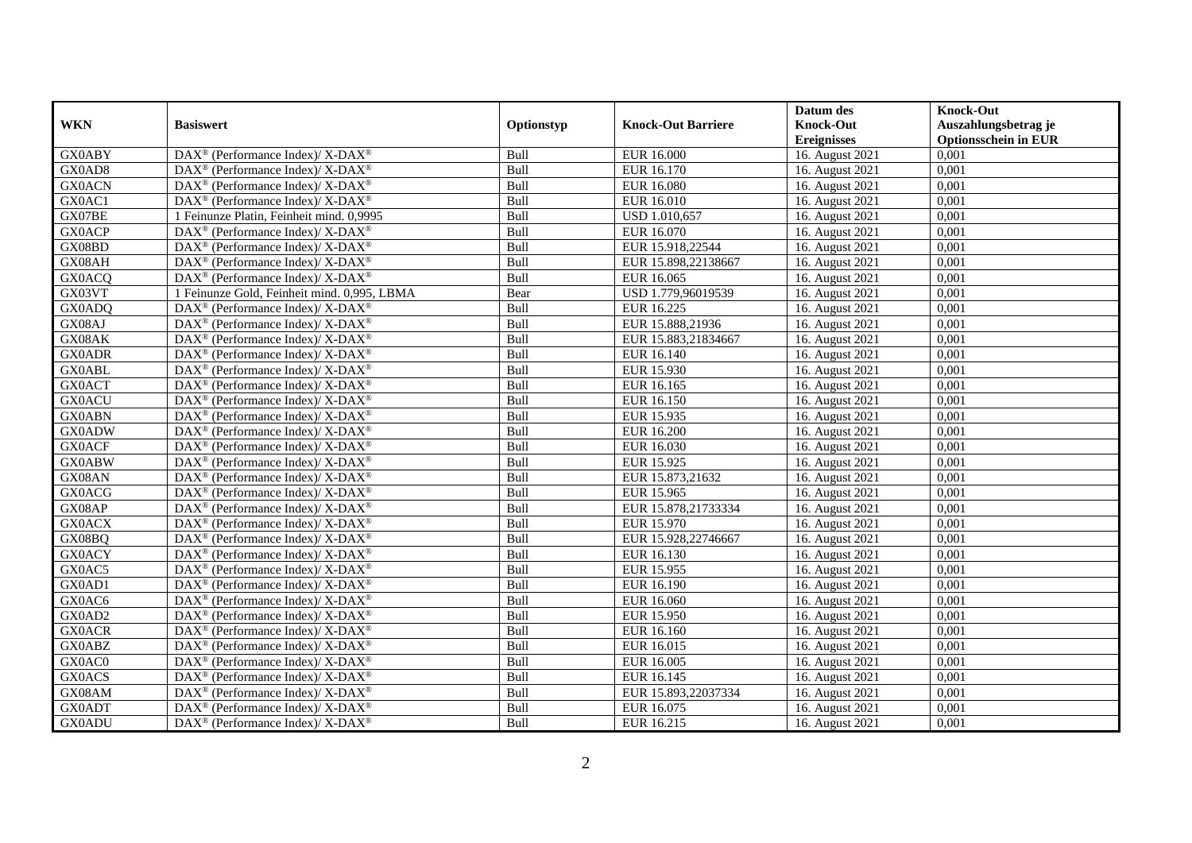|               |                                                              |            |                           | Datum des          | <b>Knock-Out</b>            |
|---------------|--------------------------------------------------------------|------------|---------------------------|--------------------|-----------------------------|
| <b>WKN</b>    | <b>Basiswert</b>                                             | Optionstyp | <b>Knock-Out Barriere</b> | <b>Knock-Out</b>   | Auszahlungsbetrag je        |
|               |                                                              |            |                           | <b>Ereignisses</b> | <b>Optionsschein in EUR</b> |
| <b>GX0ABY</b> | DAX <sup>®</sup> (Performance Index)/ X-DAX <sup>®</sup>     | Bull       | <b>EUR 16.000</b>         | 16. August 2021    | 0,001                       |
| GX0AD8        | $DAX^{\circledast}$ (Performance Index)/ X-DAX <sup>®</sup>  | Bull       | EUR 16.170                | 16. August 2021    | 0,001                       |
| <b>GX0ACN</b> | $DAX^{\circledast}$ (Performance Index)/ X-DAX <sup>®</sup>  | Bull       | EUR 16.080                | 16. August 2021    | 0,001                       |
| GX0AC1        | $DAX^{\circledast}$ (Performance Index)/ X-DAX <sup>®</sup>  | Bull       | EUR 16.010                | 16. August 2021    | 0,001                       |
| GX07BE        | 1 Feinunze Platin, Feinheit mind. 0,9995                     | Bull       | USD 1.010,657             | 16. August 2021    | 0,001                       |
| <b>GX0ACP</b> | DAX <sup>®</sup> (Performance Index)/ X-DAX <sup>®</sup>     | Bull       | EUR 16.070                | 16. August 2021    | 0,001                       |
| GX08BD        | $DAX^{\circledcirc}$ (Performance Index)/ X-DAX <sup>®</sup> | Bull       | EUR 15.918,22544          | 16. August 2021    | 0,001                       |
| GX08AH        | $DAX^{\circledast}$ (Performance Index)/ X-DAX <sup>®</sup>  | Bull       | EUR 15.898,22138667       | 16. August 2021    | 0,001                       |
| <b>GX0ACQ</b> | $DAX^{\circledast}$ (Performance Index)/ X-DAX <sup>®</sup>  | Bull       | EUR 16.065                | 16. August 2021    | 0,001                       |
| GX03VT        | 1 Feinunze Gold, Feinheit mind. 0,995, LBMA                  | Bear       | USD 1.779,96019539        | 16. August 2021    | 0,001                       |
| GX0ADQ        | DAX <sup>®</sup> (Performance Index)/ X-DAX <sup>®</sup>     | Bull       | EUR 16.225                | 16. August 2021    | 0,001                       |
| GX08AJ        | DAX <sup>®</sup> (Performance Index)/ X-DAX <sup>®</sup>     | Bull       | EUR 15.888,21936          | 16. August 2021    | 0,001                       |
| GX08AK        | $DAX^{\circledast}$ (Performance Index)/ X-DAX <sup>®</sup>  | Bull       | EUR 15.883,21834667       | 16. August 2021    | 0,001                       |
| <b>GX0ADR</b> | $DAX^{\circledast}$ (Performance Index)/ X-DAX <sup>®</sup>  | Bull       | EUR 16.140                | 16. August 2021    | 0,001                       |
| <b>GX0ABL</b> | DAX <sup>®</sup> (Performance Index)/ X-DAX <sup>®</sup>     | Bull       | EUR 15.930                | 16. August 2021    | 0,001                       |
| <b>GX0ACT</b> | DAX <sup>®</sup> (Performance Index)/ X-DAX <sup>®</sup>     | Bull       | EUR 16.165                | 16. August 2021    | 0,001                       |
| <b>GX0ACU</b> | $DAX^{\circledast}$ (Performance Index)/ X-DAX <sup>®</sup>  | Bull       | EUR 16.150                | 16. August 2021    | 0,001                       |
| <b>GX0ABN</b> | $DAX^{\circledcirc}$ (Performance Index)/ X-DAX <sup>®</sup> | Bull       | EUR 15.935                | 16. August 2021    | 0.001                       |
| <b>GX0ADW</b> | $DAX^{\circledast}$ (Performance Index)/ X-DAX <sup>®</sup>  | Bull       | <b>EUR 16.200</b>         | 16. August 2021    | 0,001                       |
| <b>GX0ACF</b> | DAX <sup>®</sup> (Performance Index)/ X-DAX <sup>®</sup>     | Bull       | EUR 16.030                | 16. August 2021    | 0,001                       |
| <b>GX0ABW</b> | $DAX^{\circledast}$ (Performance Index)/ X-DAX <sup>®</sup>  | Bull       | EUR 15.925                | 16. August 2021    | 0,001                       |
| GX08AN        | $DAX^{\circledast}$ (Performance Index)/ X-DAX <sup>®</sup>  | Bull       | EUR 15.873,21632          | 16. August 2021    | 0,001                       |
| <b>GX0ACG</b> | DAX <sup>®</sup> (Performance Index)/ X-DAX <sup>®</sup>     | Bull       | EUR 15.965                | 16. August 2021    | 0,001                       |
| GX08AP        | $DAX^{\circledast}$ (Performance Index)/ X-DAX <sup>®</sup>  | Bull       | EUR 15.878,21733334       | 16. August 2021    | 0,001                       |
| <b>GX0ACX</b> | $DAX^{\circledcirc}$ (Performance Index)/ X-DAX <sup>®</sup> | Bull       | EUR 15.970                | 16. August 2021    | 0,001                       |
| GX08BQ        | $DAX^{\circledast}$ (Performance Index)/ X-DAX <sup>®</sup>  | Bull       | EUR 15.928,22746667       | 16. August 2021    | 0,001                       |
| <b>GX0ACY</b> | DAX <sup>®</sup> (Performance Index)/ X-DAX <sup>®</sup>     | Bull       | EUR 16.130                | 16. August 2021    | 0,001                       |
| GX0AC5        | DAX <sup>®</sup> (Performance Index)/ X-DAX <sup>®</sup>     | Bull       | EUR 15.955                | 16. August 2021    | 0,001                       |
| GX0AD1        | $DAX^{\circledast}$ (Performance Index)/ X-DAX <sup>®</sup>  | Bull       | EUR 16.190                | 16. August 2021    | 0,001                       |
| GX0AC6        | $DAX^{\circledast}$ (Performance Index)/ X-DAX <sup>®</sup>  | Bull       | EUR 16.060                | 16. August 2021    | 0,001                       |
| GX0AD2        | $DAX^{\circledast}$ (Performance Index)/ X-DAX <sup>®</sup>  | Bull       | EUR 15.950                | 16. August 2021    | 0,001                       |
| <b>GX0ACR</b> | $DAX^{\circledast}$ (Performance Index)/ X-DAX <sup>®</sup>  | Bull       | EUR 16.160                | 16. August 2021    | 0,001                       |
| <b>GX0ABZ</b> | $DAX^{\circledast}$ (Performance Index)/ X-DAX <sup>®</sup>  | Bull       | EUR 16.015                | 16. August 2021    | 0,001                       |
| GX0AC0        | DAX <sup>®</sup> (Performance Index)/ X-DAX <sup>®</sup>     | Bull       | EUR 16.005                | 16. August 2021    | 0,001                       |
| <b>GX0ACS</b> | DAX <sup>®</sup> (Performance Index)/ X-DAX <sup>®</sup>     | Bull       | EUR 16.145                | 16. August 2021    | 0,001                       |
| GX08AM        | $DAX^{\circledast}$ (Performance Index)/ X-DAX <sup>®</sup>  | Bull       | EUR 15.893,22037334       | 16. August 2021    | 0,001                       |
| <b>GX0ADT</b> | DAX <sup>®</sup> (Performance Index)/ X-DAX <sup>®</sup>     | Bull       | EUR 16.075                | 16. August 2021    | 0,001                       |
| <b>GX0ADU</b> | DAX <sup>®</sup> (Performance Index)/ X-DAX <sup>®</sup>     | Bull       | EUR 16.215                | 16. August 2021    | 0,001                       |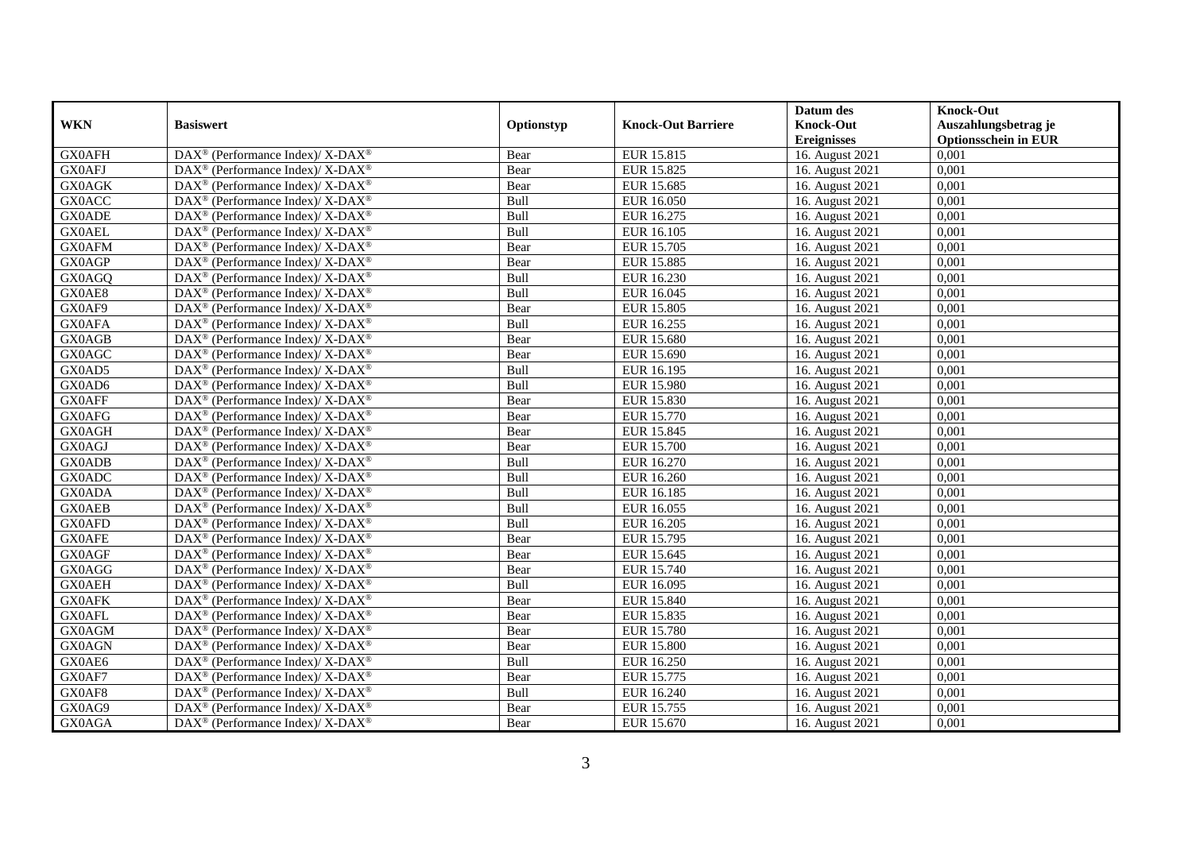|               |                                                              |            |                           | Datum des          | <b>Knock-Out</b>            |
|---------------|--------------------------------------------------------------|------------|---------------------------|--------------------|-----------------------------|
| <b>WKN</b>    | <b>Basiswert</b>                                             | Optionstyp | <b>Knock-Out Barriere</b> | <b>Knock-Out</b>   | Auszahlungsbetrag je        |
|               |                                                              |            |                           | <b>Ereignisses</b> | <b>Optionsschein in EUR</b> |
| <b>GX0AFH</b> | DAX <sup>®</sup> (Performance Index)/ X-DAX <sup>®</sup>     | Bear       | EUR 15.815                | 16. August 2021    | 0,001                       |
| <b>GX0AFJ</b> | $DAX^{\circledast}$ (Performance Index)/ X-DAX <sup>®</sup>  | Bear       | EUR 15.825                | 16. August 2021    | 0,001                       |
| GX0AGK        | $DAX^{\circledast}$ (Performance Index)/ X-DAX <sup>®</sup>  | Bear       | EUR 15.685                | 16. August 2021    | 0,001                       |
| <b>GX0ACC</b> | $DAX^{\circledast}$ (Performance Index)/ X-DAX <sup>®</sup>  | Bull       | EUR 16.050                | 16. August 2021    | 0,001                       |
| <b>GX0ADE</b> | $DAX^{\circledast}$ (Performance Index)/ X-DAX <sup>®</sup>  | Bull       | EUR 16.275                | 16. August 2021    | 0,001                       |
| <b>GX0AEL</b> | DAX <sup>®</sup> (Performance Index)/ X-DAX <sup>®</sup>     | Bull       | EUR 16.105                | 16. August 2021    | 0,001                       |
| <b>GX0AFM</b> | $DAX^{\circledast}$ (Performance Index)/ X-DAX <sup>®</sup>  | Bear       | EUR 15.705                | 16. August 2021    | 0,001                       |
| GX0AGP        | $DAX^{\circledast}$ (Performance Index)/ X-DAX <sup>®</sup>  | Bear       | EUR 15.885                | 16. August 2021    | 0,001                       |
| GX0AGQ        | $DAX^{\circledast}$ (Performance Index)/ X-DAX <sup>®</sup>  | Bull       | EUR 16.230                | 16. August 2021    | 0,001                       |
| GX0AE8        | $DAX^{\circledast}$ (Performance Index)/ X-DAX <sup>®</sup>  | Bull       | EUR 16.045                | 16. August 2021    | 0,001                       |
| GX0AF9        | $DAX^{\circledcirc}$ (Performance Index)/ X-DAX <sup>®</sup> | Bear       | EUR 15.805                | 16. August 2021    | 0,001                       |
| <b>GX0AFA</b> | DAX <sup>®</sup> (Performance Index)/ X-DAX <sup>®</sup>     | Bull       | EUR 16.255                | 16. August 2021    | 0,001                       |
| GX0AGB        | $DAX^{\circledast}$ (Performance Index)/ X-DAX <sup>®</sup>  | Bear       | EUR 15.680                | 16. August 2021    | 0,001                       |
| <b>GX0AGC</b> | $DAX^{\circledast}$ (Performance Index)/ X-DAX <sup>®</sup>  | Bear       | EUR 15.690                | 16. August 2021    | 0,001                       |
| GX0AD5        | DAX <sup>®</sup> (Performance Index)/ X-DAX <sup>®</sup>     | Bull       | EUR 16.195                | 16. August 2021    | 0,001                       |
| GX0AD6        | DAX <sup>®</sup> (Performance Index)/ X-DAX <sup>®</sup>     | Bull       | <b>EUR 15.980</b>         | 16. August 2021    | 0,001                       |
| <b>GX0AFF</b> | $DAX^{\circledast}$ (Performance Index)/ X-DAX <sup>®</sup>  | Bear       | EUR 15.830                | 16. August 2021    | 0,001                       |
| <b>GX0AFG</b> | DAX <sup>®</sup> (Performance Index)/ X-DAX <sup>®</sup>     | Bear       | EUR 15.770                | 16. August 2021    | 0.001                       |
| GX0AGH        | $DAX^{\circledast}$ (Performance Index)/ X-DAX <sup>®</sup>  | Bear       | EUR 15.845                | 16. August 2021    | 0,001                       |
| GX0AGJ        | DAX <sup>®</sup> (Performance Index)/ X-DAX <sup>®</sup>     | Bear       | <b>EUR 15.700</b>         | 16. August 2021    | 0,001                       |
| <b>GX0ADB</b> | $DAX^{\circledast}$ (Performance Index)/ X-DAX <sup>®</sup>  | Bull       | EUR 16.270                | 16. August 2021    | 0,001                       |
| <b>GX0ADC</b> | $DAX^{\circledast}$ (Performance Index)/ X-DAX <sup>®</sup>  | Bull       | EUR 16.260                | 16. August 2021    | 0,001                       |
| GX0ADA        | DAX <sup>®</sup> (Performance Index)/ X-DAX <sup>®</sup>     | Bull       | EUR 16.185                | 16. August 2021    | 0,001                       |
| <b>GX0AEB</b> | $DAX^{\circledast}$ (Performance Index)/ X-DAX <sup>®</sup>  | Bull       | EUR 16.055                | 16. August 2021    | 0,001                       |
| <b>GX0AFD</b> | $DAX^{\circledcirc}$ (Performance Index)/ X-DAX <sup>®</sup> | Bull       | EUR 16.205                | 16. August 2021    | 0,001                       |
| <b>GX0AFE</b> | $DAX^{\circledast}$ (Performance Index)/ X-DAX <sup>®</sup>  | Bear       | EUR 15.795                | 16. August 2021    | 0,001                       |
| <b>GX0AGF</b> | DAX <sup>®</sup> (Performance Index)/ X-DAX <sup>®</sup>     | Bear       | EUR 15.645                | 16. August 2021    | 0,001                       |
| GX0AGG        | DAX <sup>®</sup> (Performance Index)/ X-DAX <sup>®</sup>     | Bear       | EUR 15.740                | 16. August 2021    | 0,001                       |
| <b>GX0AEH</b> | $DAX^{\circledast}$ (Performance Index)/ X-DAX <sup>®</sup>  | Bull       | EUR 16.095                | 16. August 2021    | 0,001                       |
| <b>GX0AFK</b> | $DAX^{\circledast}$ (Performance Index)/ X-DAX <sup>®</sup>  | Bear       | EUR 15.840                | 16. August 2021    | 0,001                       |
| <b>GX0AFL</b> | $DAX^{\circledast}$ (Performance Index)/ X-DAX <sup>®</sup>  | Bear       | EUR 15.835                | 16. August 2021    | 0,001                       |
| GX0AGM        | $DAX^{\circledast}$ (Performance Index)/ X-DAX <sup>®</sup>  | Bear       | EUR 15.780                | 16. August 2021    | 0,001                       |
| <b>GX0AGN</b> | $DAX^{\circledast}$ (Performance Index)/ X-DAX <sup>®</sup>  | Bear       | <b>EUR 15.800</b>         | 16. August 2021    | 0,001                       |
| GX0AE6        | DAX <sup>®</sup> (Performance Index)/ X-DAX <sup>®</sup>     | Bull       | EUR 16.250                | 16. August 2021    | 0,001                       |
| GX0AF7        | DAX <sup>®</sup> (Performance Index)/ X-DAX <sup>®</sup>     | Bear       | EUR 15.775                | 16. August 2021    | 0,001                       |
| GX0AF8        | $DAX^{\circledast}$ (Performance Index)/ X-DAX <sup>®</sup>  | Bull       | EUR 16.240                | 16. August 2021    | 0,001                       |
| GX0AG9        | $DAX^{\circledast}$ (Performance Index)/ X-DAX <sup>®</sup>  | Bear       | EUR 15.755                | 16. August 2021    | 0,001                       |
| GX0AGA        | DAX <sup>®</sup> (Performance Index)/ X-DAX <sup>®</sup>     | Bear       | EUR 15.670                | 16. August 2021    | 0,001                       |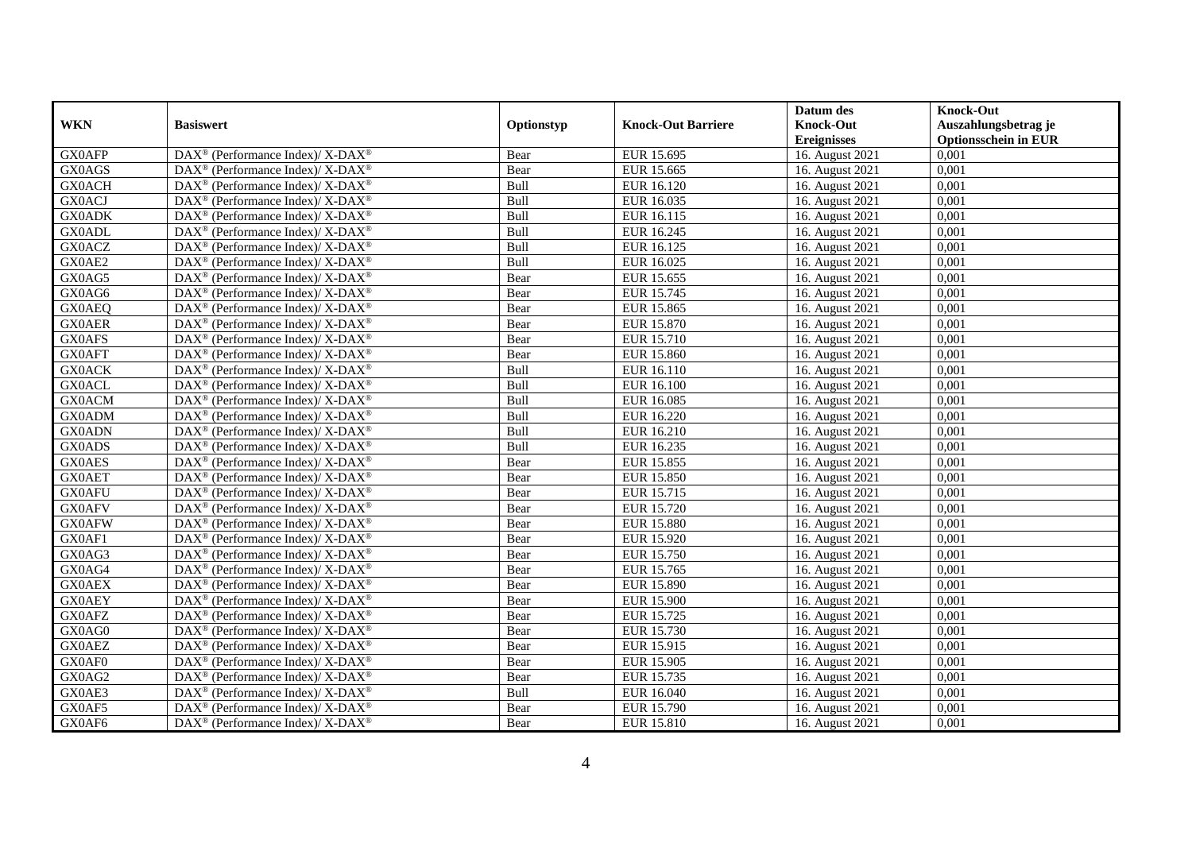|               |                                                              |             |                           | Datum des          | <b>Knock-Out</b>            |
|---------------|--------------------------------------------------------------|-------------|---------------------------|--------------------|-----------------------------|
| <b>WKN</b>    | <b>Basiswert</b>                                             | Optionstyp  | <b>Knock-Out Barriere</b> | <b>Knock-Out</b>   | Auszahlungsbetrag je        |
|               |                                                              |             |                           | <b>Ereignisses</b> | <b>Optionsschein in EUR</b> |
| <b>GX0AFP</b> | DAX <sup>®</sup> (Performance Index)/ X-DAX <sup>®</sup>     | Bear        | EUR 15.695                | 16. August 2021    | 0,001                       |
| GX0AGS        | $DAX^{\circledast}$ (Performance Index)/ X-DAX <sup>®</sup>  | Bear        | EUR 15.665                | 16. August 2021    | 0,001                       |
| <b>GX0ACH</b> | $DAX^{\circledast}$ (Performance Index)/ X-DAX <sup>®</sup>  | Bull        | EUR 16.120                | 16. August 2021    | 0,001                       |
| <b>GX0ACJ</b> | $DAX^{\circledast}$ (Performance Index)/ X-DAX <sup>®</sup>  | Bull        | EUR 16.035                | 16. August 2021    | 0,001                       |
| <b>GX0ADK</b> | DAX <sup>®</sup> (Performance Index)/ X-DAX <sup>®</sup>     | Bull        | EUR 16.115                | 16. August 2021    | 0,001                       |
| <b>GX0ADL</b> | DAX <sup>®</sup> (Performance Index)/ X-DAX <sup>®</sup>     | Bull        | EUR 16.245                | 16. August 2021    | 0,001                       |
| <b>GX0ACZ</b> | $DAX^{\circledcirc}$ (Performance Index)/ X-DAX <sup>®</sup> | Bull        | EUR 16.125                | 16. August 2021    | 0,001                       |
| GX0AE2        | $DAX^{\circledast}$ (Performance Index)/ X-DAX <sup>®</sup>  | <b>Bull</b> | EUR 16.025                | 16. August 2021    | 0,001                       |
| GX0AG5        | $DAX^{\circledast}$ (Performance Index)/ X-DAX <sup>®</sup>  | Bear        | EUR 15.655                | 16. August 2021    | 0,001                       |
| GX0AG6        | DAX <sup>®</sup> (Performance Index)/ X-DAX <sup>®</sup>     | Bear        | EUR 15.745                | 16. August 2021    | 0,001                       |
| <b>GX0AEQ</b> | DAX <sup>®</sup> (Performance Index)/ $X$ -DAX <sup>®</sup>  | Bear        | EUR 15.865                | 16. August 2021    | 0,001                       |
| <b>GX0AER</b> | DAX <sup>®</sup> (Performance Index)/ X-DAX <sup>®</sup>     | Bear        | EUR 15.870                | 16. August 2021    | 0,001                       |
| <b>GX0AFS</b> | $DAX^{\circledast}$ (Performance Index)/ X-DAX <sup>®</sup>  | Bear        | EUR 15.710                | 16. August 2021    | 0,001                       |
| <b>GX0AFT</b> | $DAX^{\circledast}$ (Performance Index)/ X-DAX <sup>®</sup>  | Bear        | EUR 15.860                | 16. August 2021    | 0,001                       |
| <b>GX0ACK</b> | DAX <sup>®</sup> (Performance Index)/ X-DAX <sup>®</sup>     | Bull        | EUR 16.110                | 16. August 2021    | 0,001                       |
| <b>GX0ACL</b> | DAX <sup>®</sup> (Performance Index)/ X-DAX <sup>®</sup>     | <b>Bull</b> | EUR 16.100                | 16. August 2021    | 0,001                       |
| <b>GX0ACM</b> | $DAX^{\circledast}$ (Performance Index)/ X-DAX <sup>®</sup>  | Bull        | EUR 16.085                | 16. August 2021    | 0,001                       |
| <b>GX0ADM</b> | $DAX^{\circledast}$ (Performance Index)/ X-DAX <sup>®</sup>  | Bull        | EUR 16.220                | 16. August 2021    | 0.001                       |
| <b>GX0ADN</b> | $DAX^{\circledast}$ (Performance Index)/ X-DAX <sup>®</sup>  | Bull        | EUR 16.210                | 16. August 2021    | 0,001                       |
| <b>GX0ADS</b> | $DAX^{\circledast}$ (Performance Index)/ X-DAX <sup>®</sup>  | Bull        | EUR 16.235                | 16. August 2021    | 0,001                       |
| <b>GX0AES</b> | DAX <sup>®</sup> (Performance Index)/ X-DAX <sup>®</sup>     | Bear        | EUR 15.855                | 16. August 2021    | 0,001                       |
| <b>GX0AET</b> | $DAX^{\circledast}$ (Performance Index)/ X-DAX <sup>®</sup>  | Bear        | EUR 15.850                | 16. August 2021    | 0,001                       |
| <b>GX0AFU</b> | DAX <sup>®</sup> (Performance Index)/ X-DAX <sup>®</sup>     | Bear        | EUR 15.715                | 16. August 2021    | 0,001                       |
| <b>GX0AFV</b> | $DAX^{\circledast}$ (Performance Index)/ X-DAX <sup>®</sup>  | Bear        | EUR 15.720                | 16. August 2021    | 0,001                       |
| <b>GX0AFW</b> | DAX <sup>®</sup> (Performance Index)/ X-DAX <sup>®</sup>     | Bear        | EUR 15.880                | 16. August 2021    | 0,001                       |
| GX0AF1        | DAX <sup>®</sup> (Performance Index)/ X-DAX <sup>®</sup>     | Bear        | EUR 15.920                | 16. August 2021    | 0,001                       |
| GX0AG3        | DAX <sup>®</sup> (Performance Index)/ X-DAX <sup>®</sup>     | Bear        | <b>EUR 15.750</b>         | 16. August 2021    | 0,001                       |
| GX0AG4        | DAX <sup>®</sup> (Performance Index)/ X-DAX <sup>®</sup>     | Bear        | EUR 15.765                | 16. August 2021    | 0,001                       |
| <b>GX0AEX</b> | $DAX^{\circledast}$ (Performance Index)/ X-DAX <sup>®</sup>  | Bear        | <b>EUR 15.890</b>         | 16. August 2021    | 0,001                       |
| <b>GX0AEY</b> | $DAX^{\circledast}$ (Performance Index)/ X-DAX <sup>®</sup>  | Bear        | EUR 15.900                | 16. August 2021    | 0,001                       |
| <b>GX0AFZ</b> | DAX <sup>®</sup> (Performance Index)/ X-DAX <sup>®</sup>     | Bear        | EUR 15.725                | 16. August 2021    | 0,001                       |
| GX0AG0        | $DAX^{\circledast}$ (Performance Index)/ X-DAX <sup>®</sup>  | Bear        | EUR 15.730                | 16. August 2021    | 0,001                       |
| <b>GX0AEZ</b> | $DAX^{\circledast}$ (Performance Index)/ X-DAX <sup>®</sup>  | Bear        | EUR 15.915                | 16. August 2021    | 0,001                       |
| GX0AF0        | DAX <sup>®</sup> (Performance Index)/ X-DAX <sup>®</sup>     | Bear        | <b>EUR 15.905</b>         | 16. August 2021    | 0,001                       |
| GX0AG2        | DAX <sup>®</sup> (Performance Index)/ X-DAX <sup>®</sup>     | Bear        | EUR 15.735                | 16. August 2021    | 0,001                       |
| GX0AE3        | $DAX^{\circledast}$ (Performance Index)/ X-DAX <sup>®</sup>  | Bull        | EUR 16.040                | 16. August 2021    | 0,001                       |
| GX0AF5        | DAX <sup>®</sup> (Performance Index)/ X-DAX <sup>®</sup>     | Bear        | EUR 15.790                | 16. August 2021    | 0,001                       |
| GX0AF6        | DAX <sup>®</sup> (Performance Index)/ X-DAX <sup>®</sup>     | Bear        | EUR 15.810                | 16. August 2021    | 0,001                       |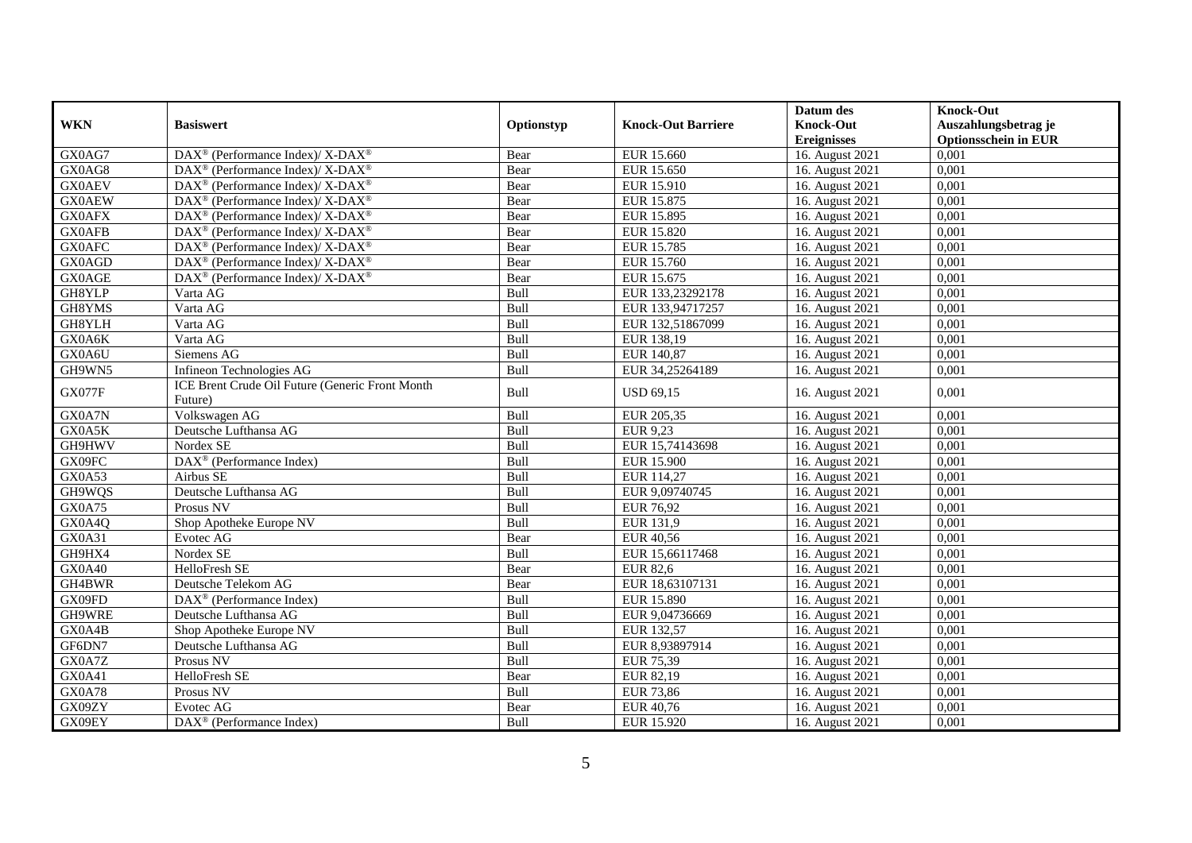|               |                                                             |            |                           | Datum des          | <b>Knock-Out</b>            |
|---------------|-------------------------------------------------------------|------------|---------------------------|--------------------|-----------------------------|
| <b>WKN</b>    | <b>Basiswert</b>                                            | Optionstyp | <b>Knock-Out Barriere</b> | <b>Knock-Out</b>   | Auszahlungsbetrag je        |
|               |                                                             |            |                           | <b>Ereignisses</b> | <b>Optionsschein in EUR</b> |
| GX0AG7        | DAX <sup>®</sup> (Performance Index)/ X-DAX <sup>®</sup>    | Bear       | EUR 15.660                | 16. August 2021    | 0,001                       |
| GX0AG8        | $DAX^{\circledast}$ (Performance Index)/ X-DAX <sup>®</sup> | Bear       | EUR 15.650                | 16. August 2021    | 0,001                       |
| <b>GX0AEV</b> | $DAX^{\circledast}$ (Performance Index)/ X-DAX <sup>®</sup> | Bear       | EUR 15.910                | 16. August 2021    | 0,001                       |
| <b>GX0AEW</b> | $DAX^{\circledast}$ (Performance Index)/ X-DAX <sup>®</sup> | Bear       | EUR 15.875                | 16. August 2021    | 0,001                       |
| <b>GX0AFX</b> | $DAX^{\circledast}$ (Performance Index)/ X-DAX <sup>®</sup> | Bear       | EUR 15.895                | 16. August 2021    | 0,001                       |
| <b>GX0AFB</b> | $DAX^{\circledast}$ (Performance Index)/ X-DAX <sup>®</sup> | Bear       | <b>EUR 15.820</b>         | 16. August 2021    | 0,001                       |
| <b>GX0AFC</b> | $DAX^{\circledast}$ (Performance Index)/ X-DAX <sup>®</sup> | Bear       | EUR 15.785                | 16. August 2021    | 0,001                       |
| GX0AGD        | DAX <sup>®</sup> (Performance Index)/ X-DAX <sup>®</sup>    | Bear       | EUR 15.760                | 16. August 2021    | 0,001                       |
| <b>GX0AGE</b> | DAX <sup>®</sup> (Performance Index)/ X-DAX <sup>®</sup>    | Bear       | EUR 15.675                | 16. August 2021    | 0,001                       |
| GH8YLP        | Varta AG                                                    | Bull       | EUR 133,23292178          | 16. August 2021    | 0,001                       |
| GH8YMS        | Varta AG                                                    | Bull       | EUR 133,94717257          | 16. August 2021    | 0,001                       |
| GH8YLH        | Varta AG                                                    | Bull       | EUR 132,51867099          | 16. August 2021    | 0,001                       |
| GX0A6K        | Varta AG                                                    | Bull       | EUR 138.19                | 16. August 2021    | 0.001                       |
| GX0A6U        | Siemens AG                                                  | Bull       | EUR 140,87                | 16. August 2021    | 0,001                       |
| GH9WN5        | Infineon Technologies AG                                    | Bull       | EUR 34,25264189           | 16. August 2021    | 0,001                       |
| GX077F        | ICE Brent Crude Oil Future (Generic Front Month<br>Future)  | Bull       | <b>USD 69,15</b>          | 16. August 2021    | 0,001                       |
| GX0A7N        | Volkswagen AG                                               | Bull       | EUR 205.35                | 16. August 2021    | 0.001                       |
| GX0A5K        | Deutsche Lufthansa AG                                       | Bull       | EUR 9,23                  | 16. August 2021    | 0,001                       |
| GH9HWV        | Nordex SE                                                   | Bull       | EUR 15,74143698           | 16. August 2021    | 0,001                       |
| GX09FC        | DAX <sup>®</sup> (Performance Index)                        | Bull       | <b>EUR 15.900</b>         | 16. August 2021    | 0,001                       |
| GX0A53        | Airbus SE                                                   | Bull       | EUR 114,27                | 16. August 2021    | 0,001                       |
| GH9WQS        | Deutsche Lufthansa AG                                       | Bull       | EUR 9,09740745            | 16. August 2021    | 0.001                       |
| GX0A75        | Prosus NV                                                   | Bull       | <b>EUR 76,92</b>          | 16. August 2021    | 0,001                       |
| GX0A4Q        | Shop Apotheke Europe NV                                     | Bull       | EUR 131,9                 | 16. August 2021    | 0,001                       |
| GX0A31        | Evotec AG                                                   | Bear       | <b>EUR 40,56</b>          | 16. August 2021    | 0,001                       |
| GH9HX4        | Nordex SE                                                   | Bull       | EUR 15,66117468           | 16. August 2021    | 0,001                       |
| <b>GX0A40</b> | HelloFresh SE                                               | Bear       | <b>EUR 82,6</b>           | 16. August 2021    | 0,001                       |
| GH4BWR        | Deutsche Telekom AG                                         | Bear       | EUR 18,63107131           | 16. August 2021    | 0,001                       |
| GX09FD        | DAX <sup>®</sup> (Performance Index)                        | Bull       | EUR 15.890                | 16. August 2021    | 0,001                       |
| GH9WRE        | Deutsche Lufthansa AG                                       | Bull       | EUR 9,04736669            | 16. August 2021    | 0,001                       |
| GX0A4B        | Shop Apotheke Europe NV                                     | Bull       | EUR 132,57                | 16. August 2021    | 0,001                       |
| GF6DN7        | Deutsche Lufthansa AG                                       | Bull       | EUR 8,93897914            | 16. August 2021    | 0,001                       |
| GX0A7Z        | Prosus NV                                                   | Bull       | <b>EUR 75,39</b>          | 16. August 2021    | 0,001                       |
| GX0A41        | HelloFresh SE                                               | Bear       | EUR 82,19                 | 16. August 2021    | 0,001                       |
| GX0A78        | Prosus NV                                                   | Bull       | <b>EUR 73,86</b>          | 16. August 2021    | 0,001                       |
| GX09ZY        | Evotec AG                                                   | Bear       | EUR 40,76                 | 16. August 2021    | 0,001                       |
| GX09EY        | DAX <sup>®</sup> (Performance Index)                        | Bull       | EUR 15.920                | 16. August 2021    | 0,001                       |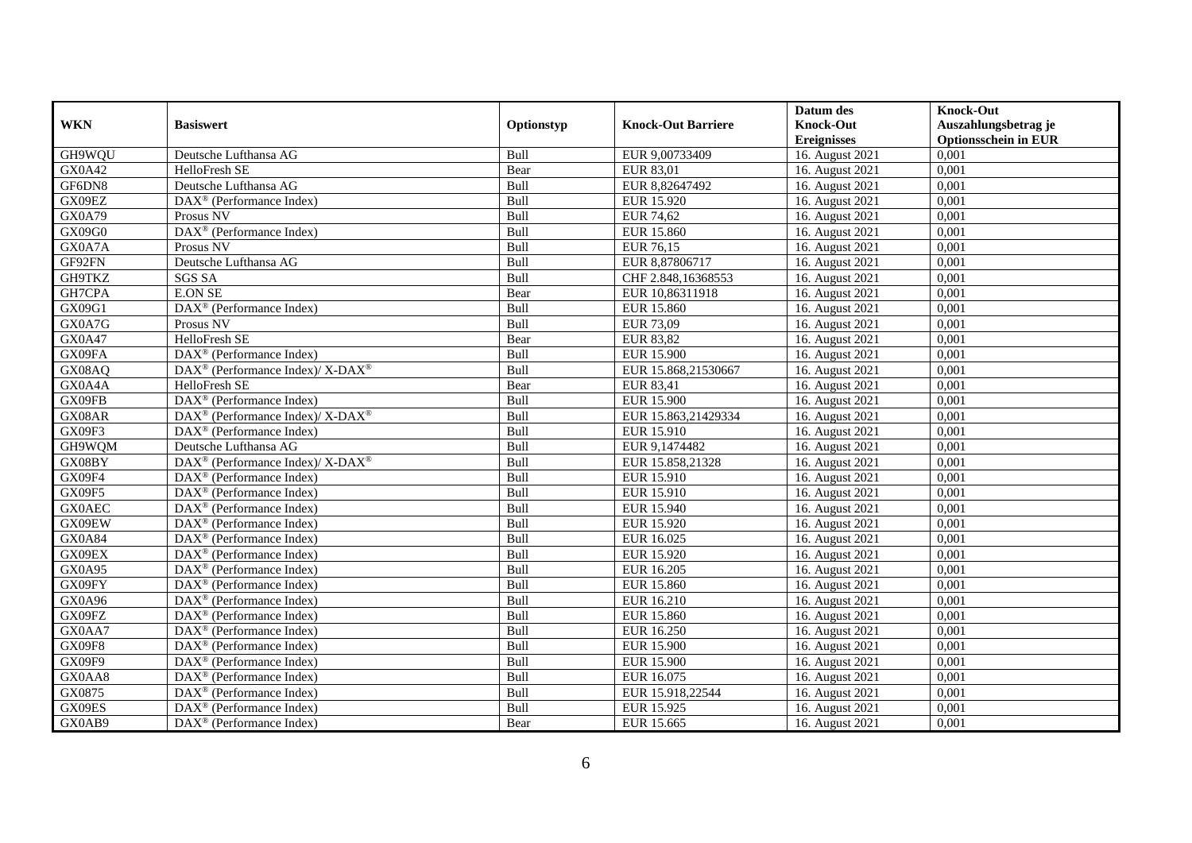|               |                                                                           |             |                           | Datum des          | <b>Knock-Out</b>            |
|---------------|---------------------------------------------------------------------------|-------------|---------------------------|--------------------|-----------------------------|
| <b>WKN</b>    | <b>Basiswert</b>                                                          | Optionstyp  | <b>Knock-Out Barriere</b> | <b>Knock-Out</b>   | Auszahlungsbetrag je        |
|               |                                                                           |             |                           | <b>Ereignisses</b> | <b>Optionsschein in EUR</b> |
| GH9WQU        | Deutsche Lufthansa AG                                                     | Bull        | EUR 9,00733409            | 16. August 2021    | 0,001                       |
| <b>GX0A42</b> | HelloFresh SE                                                             | Bear        | EUR 83,01                 | 16. August 2021    | 0,001                       |
| GF6DN8        | Deutsche Lufthansa AG                                                     | Bull        | EUR 8,82647492            | 16. August 2021    | 0,001                       |
| GX09EZ        | DAX <sup>®</sup> (Performance Index)                                      | Bull        | EUR 15.920                | 16. August 2021    | 0,001                       |
| GX0A79        | Prosus NV                                                                 | <b>Bull</b> | <b>EUR 74,62</b>          | 16. August 2021    | 0,001                       |
| GX09G0        | DAX <sup>®</sup> (Performance Index)                                      | Bull        | <b>EUR 15.860</b>         | 16. August 2021    | 0,001                       |
| GX0A7A        | Prosus NV                                                                 | <b>Bull</b> | EUR 76,15                 | 16. August 2021    | 0,001                       |
| GF92FN        | Deutsche Lufthansa AG                                                     | Bull        | EUR 8,87806717            | 16. August 2021    | 0,001                       |
| GH9TKZ        | <b>SGS SA</b>                                                             | Bull        | CHF 2.848,16368553        | 16. August 2021    | 0,001                       |
| GH7CPA        | <b>E.ON SE</b>                                                            | Bear        | EUR 10,86311918           | 16. August 2021    | 0,001                       |
| GX09G1        | DAX <sup>®</sup> (Performance Index)                                      | Bull        | EUR 15.860                | 16. August 2021    | 0,001                       |
| GX0A7G        | Prosus NV                                                                 | <b>Bull</b> | EUR 73,09                 | 16. August 2021    | 0,001                       |
| GX0A47        | HelloFresh SE                                                             | Bear        | <b>EUR 83,82</b>          | 16. August 2021    | 0,001                       |
| GX09FA        | $DAX^{\circledcirc}$ (Performance Index)                                  | <b>Bull</b> | <b>EUR 15.900</b>         | 16. August 2021    | 0.001                       |
| GX08AQ        | DAX <sup>®</sup> (Performance Index)/ X-DAX <sup>®</sup>                  | Bull        | EUR 15.868,21530667       | 16. August 2021    | 0,001                       |
| GX0A4A        | HelloFresh SE                                                             | Bear        | EUR 83,41                 | 16. August 2021    | 0,001                       |
| GX09FB        | DAX <sup>®</sup> (Performance Index)                                      | Bull        | <b>EUR 15.900</b>         | 16. August 2021    | 0,001                       |
| GX08AR        | $DAX^{\circledast}$ (Performance Index)/ $\overline{X-DAX^{\circledast}}$ | Bull        | EUR 15.863,21429334       | 16. August 2021    | 0,001                       |
| GX09F3        | $DAX^{\circledcirc}$ (Performance Index)                                  | Bull        | EUR 15.910                | 16. August 2021    | 0,001                       |
| GH9WQM        | Deutsche Lufthansa AG                                                     | Bull        | EUR 9,1474482             | 16. August 2021    | 0,001                       |
| GX08BY        | $DAX^{\circledast}$ (Performance Index)/ $\overline{X-DAX^{\circledast}}$ | Bull        | EUR 15.858,21328          | 16. August 2021    | 0,001                       |
| <b>GX09F4</b> | $DAX^{\circledcirc}$ (Performance Index)                                  | Bull        | EUR 15.910                | 16. August 2021    | 0,001                       |
| GX09F5        | $DAX^{\circledR}$ (Performance Index)                                     | Bull        | EUR 15.910                | 16. August 2021    | 0,001                       |
| <b>GX0AEC</b> | $DAX^{\circledR}$ (Performance Index)                                     | Bull        | EUR 15.940                | 16. August 2021    | 0,001                       |
| GX09EW        | $DAX^{\circledcirc}$ (Performance Index)                                  | Bull        | EUR 15.920                | 16. August 2021    | 0,001                       |
| GX0A84        | $DAX^{\circledast}$ (Performance Index)                                   | Bull        | EUR 16.025                | 16. August 2021    | 0,001                       |
| GX09EX        | $\overline{\text{DAX}^{\otimes}}$ (Performance Index)                     | Bull        | EUR 15.920                | 16. August 2021    | 0,001                       |
| GX0A95        | DAX <sup>®</sup> (Performance Index)                                      | Bull        | EUR 16.205                | 16. August 2021    | 0,001                       |
| GX09FY        | $DAX^{\circledast}$ (Performance Index)                                   | Bull        | EUR 15.860                | 16. August 2021    | 0,001                       |
| GX0A96        | $\text{DAX}^{\textcircled{}}$ (Performance Index)                         | <b>Bull</b> | EUR 16.210                | 16. August 2021    | 0,001                       |
| GX09FZ        | $DAX^{\circledR}$ (Performance Index)                                     | Bull        | EUR 15.860                | 16. August 2021    | 0,001                       |
| GX0AA7        | DAX <sup>®</sup> (Performance Index)                                      | Bull        | EUR 16.250                | 16. August 2021    | 0,001                       |
| GX09F8        | $DAX^{\circledR}$ (Performance Index)                                     | Bull        | <b>EUR 15.900</b>         | 16. August 2021    | 0,001                       |
| GX09F9        | $\overline{\text{DAX}^{\otimes}}$ (Performance Index)                     | Bull        | <b>EUR 15.900</b>         | 16. August 2021    | 0,001                       |
| GX0AA8        | $\text{DAX}^{\circledast}$ (Performance Index)                            | <b>Bull</b> | EUR 16.075                | 16. August 2021    | 0,001                       |
| GX0875        | DAX <sup>®</sup> (Performance Index)                                      | Bull        | EUR 15.918,22544          | 16. August 2021    | 0,001                       |
| GX09ES        | $DAX^{\circledast}$ (Performance Index)                                   | Bull        | EUR 15.925                | 16. August 2021    | 0,001                       |
| GX0AB9        | $\text{DAX}^{\circledast}$ (Performance Index)                            | Bear        | EUR 15.665                | 16. August 2021    | 0,001                       |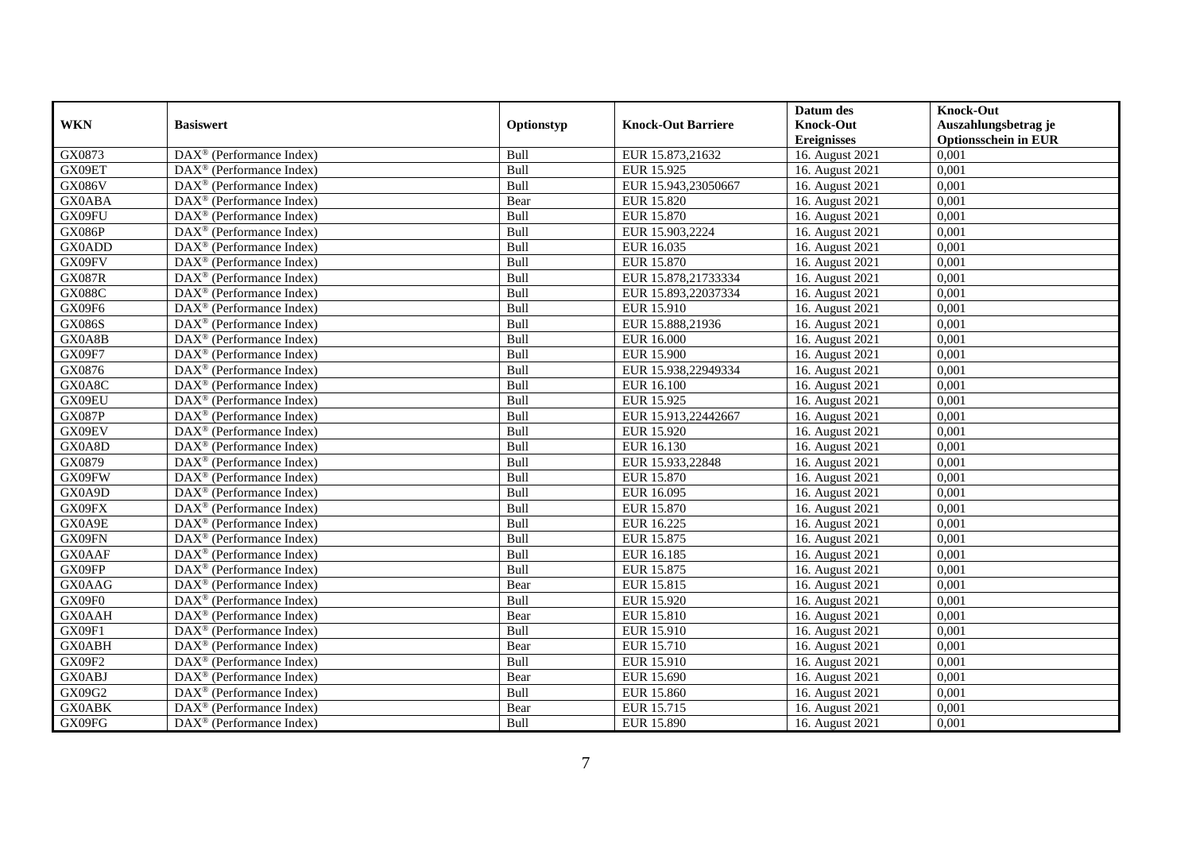|               |                                                         |             |                           | Datum des                     | <b>Knock-Out</b>            |
|---------------|---------------------------------------------------------|-------------|---------------------------|-------------------------------|-----------------------------|
| <b>WKN</b>    | <b>Basiswert</b>                                        | Optionstyp  | <b>Knock-Out Barriere</b> | <b>Knock-Out</b>              | Auszahlungsbetrag je        |
|               |                                                         |             |                           | <b>Ereignisses</b>            | <b>Optionsschein in EUR</b> |
| GX0873        | DAX <sup>®</sup> (Performance Index)                    | Bull        | EUR 15.873,21632          | 16. August 2021               | 0,001                       |
| GX09ET        | $DAX^{\circledast}$ (Performance Index)                 | Bull        | EUR 15.925                | 16. August 2021               | 0,001                       |
| <b>GX086V</b> | $DAX^{\circledcirc}$ (Performance Index)                | Bull        | EUR 15.943,23050667       | 16. August 2021               | 0,001                       |
| <b>GX0ABA</b> | $\text{DAX}^{\otimes}$ (Performance Index)              | Bear        | EUR 15.820                | 16. August 2021               | 0,001                       |
| GX09FU        | $\text{DAX}^{\circledast}$ (Performance Index)          | <b>Bull</b> | EUR 15.870                | 16. August 2021               | 0,001                       |
| <b>GX086P</b> | $DAX^{\circledR}$ (Performance Index)                   | Bull        | EUR 15.903,2224           | 16. August 2021               | 0,001                       |
| <b>GX0ADD</b> | $DAX^{\circledR}$ (Performance Index)                   | <b>Bull</b> | EUR 16.035                | 16. August 2021               | 0,001                       |
| GX09FV        | DAX <sup>®</sup> (Performance Index)                    | Bull        | EUR 15.870                | 16. August 2021               | 0,001                       |
| <b>GX087R</b> | $DAX^{\circledast}$ (Performance Index)                 | Bull        | EUR 15.878,21733334       | 16. August 2021               | 0,001                       |
| <b>GX088C</b> | DAX <sup>®</sup> (Performance Index)                    | Bull        | EUR 15.893,22037334       | 16. August 2021               | 0,001                       |
| GX09F6        | $\overline{\text{DAX}^{\otimes}}$ (Performance Index)   | Bull        | EUR 15.910                | 16. August 2021               | 0,001                       |
| <b>GX086S</b> | DAX <sup>®</sup> (Performance Index)                    | <b>Bull</b> | EUR 15.888,21936          | 16. August 2021               | 0,001                       |
| GX0A8B        | $\text{DAX}^{\otimes}$ (Performance Index)              | <b>Bull</b> | EUR 16.000                | 16. August 2021               | 0,001                       |
| GX09F7        | DAX <sup>®</sup> (Performance Index)                    | <b>Bull</b> | <b>EUR 15.900</b>         | 16. August 2021               | 0.001                       |
| GX0876        | DAX <sup>®</sup> (Performance Index)                    | Bull        | EUR 15.938,22949334       | 16. August 2021               | 0,001                       |
| GX0A8C        | $\overline{\text{DAX}}^{\textcirc}$ (Performance Index) | Bull        | EUR 16.100                | 16. August 2021               | 0,001                       |
| GX09EU        | DAX <sup>®</sup> (Performance Index)                    | Bull        | EUR 15.925                | 16. August 2021               | 0,001                       |
| <b>GX087P</b> | $DAX^{\circledast}$ (Performance Index)                 | Bull        | EUR 15.913,22442667       | 16. August 2021               | 0,001                       |
| GX09EV        | DAX <sup>®</sup> (Performance Index)                    | Bull        | EUR 15.920                | 16. August 2021               | 0,001                       |
| GX0A8D        | $\text{DAX}^{\otimes}$ (Performance Index)              | Bull        | EUR 16.130                | 16. August 2021               | 0,001                       |
| GX0879        | $\text{DAX}^{\otimes}$ (Performance Index)              | Bull        | EUR 15.933,22848          | 16. August 2021               | 0,001                       |
| GX09FW        | $DAX^{\circledcirc}$ (Performance Index)                | Bull        | EUR 15.870                | 16. August 2021               | 0,001                       |
| GX0A9D        | $\text{DAX}^{\otimes}$ (Performance Index)              | Bull        | EUR 16.095                | 16. August 2021               | 0,001                       |
| GX09FX        | DAX <sup>®</sup> (Performance Index)                    | Bull        | EUR 15.870                | 16. August 2021               | 0,001                       |
| GX0A9E        | $DAX^{\circledcirc}$ (Performance Index)                | Bull        | EUR 16.225                | 16. August 2021               | 0,001                       |
| GX09FN        | $DAX^{\circledast}$ (Performance Index)                 | Bull        | EUR 15.875                | 16. August 2021               | 0,001                       |
| <b>GX0AAF</b> | $\overline{\text{DAX}^{\otimes}}$ (Performance Index)   | Bull        | EUR 16.185                | 16. August 2021               | 0,001                       |
| GX09FP        | DAX <sup>®</sup> (Performance Index)                    | Bull        | EUR 15.875                | 16. August 2021               | 0,001                       |
| GX0AAG        | $DAX^{\circledast}$ (Performance Index)                 | Bear        | EUR 15.815                | $\overline{16}$ . August 2021 | 0,001                       |
| GX09F0        | $\text{DAX}^{\textcircled{}}$ (Performance Index)       | <b>Bull</b> | EUR 15.920                | 16. August 2021               | 0,001                       |
| <b>GX0AAH</b> | $DAX^{\circledR}$ (Performance Index)                   | Bear        | EUR 15.810                | 16. August 2021               | 0,001                       |
| GX09F1        | DAX <sup>®</sup> (Performance Index)                    | Bull        | EUR 15.910                | 16. August 2021               | 0,001                       |
| <b>GX0ABH</b> | $DAX^{\circledR}$ (Performance Index)                   | Bear        | EUR 15.710                | 16. August 2021               | 0,001                       |
| GX09F2        | DAX <sup>®</sup> (Performance Index)                    | Bull        | <b>EUR 15.910</b>         | 16. August 2021               | 0,001                       |
| <b>GX0ABJ</b> | $\text{DAX}^{\circledast}$ (Performance Index)          | Bear        | EUR 15.690                | 16. August 2021               | 0,001                       |
| GX09G2        | $DAX^{\circledast}$ (Performance Index)                 | Bull        | <b>EUR 15.860</b>         | 16. August 2021               | 0,001                       |
| <b>GX0ABK</b> | $DAX^{\circledast}$ (Performance Index)                 | Bear        | EUR 15.715                | 16. August 2021               | 0,001                       |
| GX09FG        | $\text{DAX}^{\circledast}$ (Performance Index)          | <b>Bull</b> | EUR 15.890                | 16. August 2021               | 0,001                       |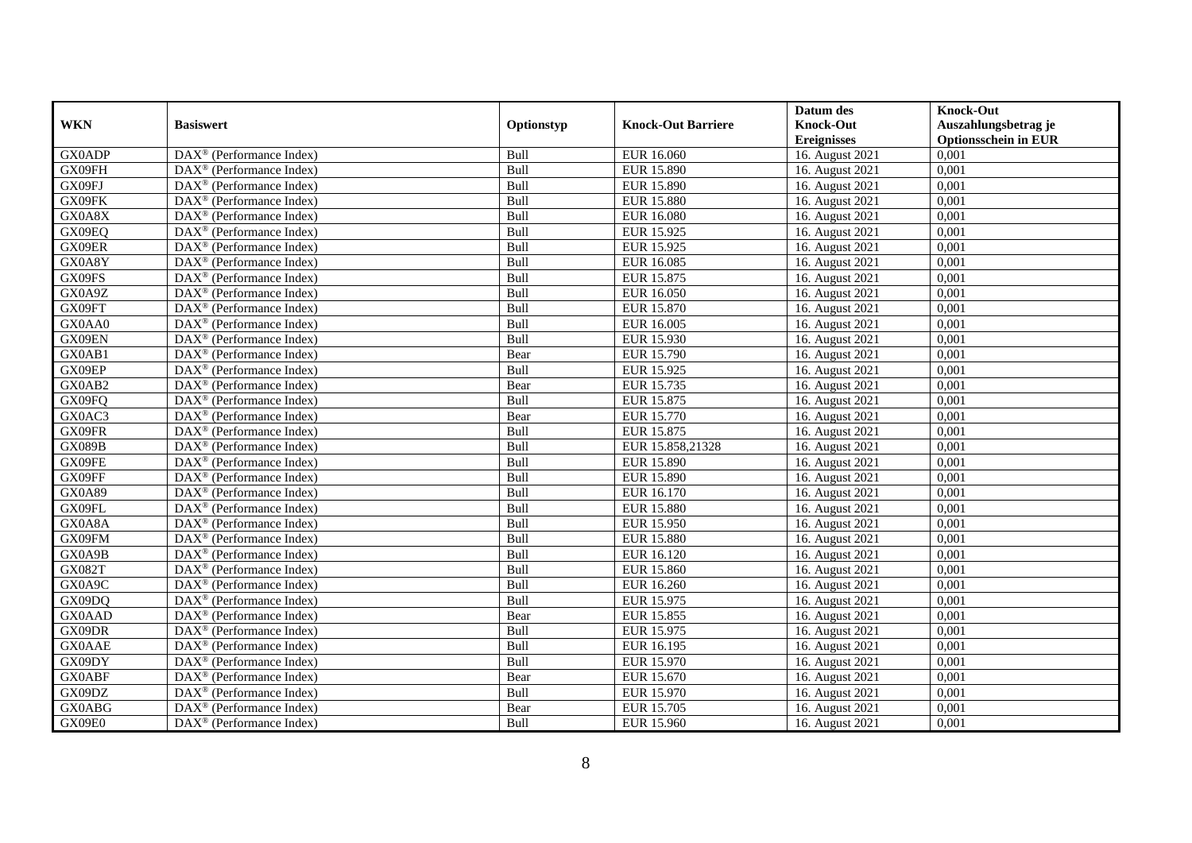|               |                                                              |             |                           | Datum des          | <b>Knock-Out</b>            |
|---------------|--------------------------------------------------------------|-------------|---------------------------|--------------------|-----------------------------|
| <b>WKN</b>    | <b>Basiswert</b>                                             | Optionstyp  | <b>Knock-Out Barriere</b> | <b>Knock-Out</b>   | Auszahlungsbetrag je        |
|               |                                                              |             |                           | <b>Ereignisses</b> | <b>Optionsschein in EUR</b> |
| <b>GX0ADP</b> | $\overline{\text{DAX}}^{\textcircled{}}$ (Performance Index) | Bull        | EUR 16.060                | 16. August 2021    | 0,001                       |
| GX09FH        | $DAX^{\circledast}$ (Performance Index)                      | Bull        | <b>EUR 15.890</b>         | 16. August 2021    | 0,001                       |
| GX09FJ        | $DAX^{\circledcirc}$ (Performance Index)                     | Bull        | <b>EUR 15.890</b>         | 16. August 2021    | 0,001                       |
| GX09FK        | $\text{DAX}^{\otimes}$ (Performance Index)                   | Bull        | <b>EUR 15.880</b>         | 16. August 2021    | 0,001                       |
| GX0A8X        | $\overline{\text{DAX}}^{\textcircled{}}$ (Performance Index) | <b>Bull</b> | <b>EUR 16.080</b>         | 16. August 2021    | 0,001                       |
| GX09EQ        | $DAX^{\circledR}$ (Performance Index)                        | Bull        | EUR 15.925                | 16. August 2021    | 0,001                       |
| GX09ER        | $DAX^{\circledR}$ (Performance Index)                        | <b>Bull</b> | EUR 15.925                | 16. August 2021    | 0,001                       |
| GX0A8Y        | DAX <sup>®</sup> (Performance Index)                         | Bull        | EUR 16.085                | 16. August 2021    | 0,001                       |
| GX09FS        | $DAX^{\circledast}$ (Performance Index)                      | Bull        | EUR 15.875                | 16. August 2021    | 0,001                       |
| GX0A9Z        | DAX <sup>®</sup> (Performance Index)                         | Bull        | EUR 16.050                | 16. August 2021    | 0,001                       |
| GX09FT        | $\overline{\text{DAX}^{\otimes}}$ (Performance Index)        | Bull        | EUR 15.870                | 16. August 2021    | 0,001                       |
| GX0AA0        | DAX <sup>®</sup> (Performance Index)                         | <b>Bull</b> | EUR 16.005                | 16. August 2021    | 0,001                       |
| GX09EN        | $DAX^{\circledast}$ (Performance Index)                      | <b>Bull</b> | EUR 15.930                | 16. August 2021    | 0,001                       |
| GX0AB1        | DAX <sup>®</sup> (Performance Index)                         | Bear        | EUR 15.790                | 16. August 2021    | 0.001                       |
| GX09EP        | DAX <sup>®</sup> (Performance Index)                         | Bull        | EUR 15.925                | 16. August 2021    | 0,001                       |
| GX0AB2        | $\overline{\text{DAX}^{\otimes}}$ (Performance Index)        | Bear        | EUR 15.735                | 16. August 2021    | 0,001                       |
| GX09FQ        | DAX <sup>®</sup> (Performance Index)                         | Bull        | EUR 15.875                | 16. August 2021    | 0,001                       |
| GX0AC3        | $DAX^{\circledast}$ (Performance Index)                      | Bear        | EUR 15.770                | 16. August 2021    | 0,001                       |
| GX09FR        | DAX <sup>®</sup> (Performance Index)                         | Bull        | EUR 15.875                | 16. August 2021    | 0,001                       |
| <b>GX089B</b> | $DAX^{\circledast}$ (Performance Index)                      | Bull        | EUR 15.858,21328          | 16. August 2021    | 0,001                       |
| GX09FE        | $DAX^{\circledast}$ (Performance Index)                      | Bull        | EUR 15.890                | 16. August 2021    | 0,001                       |
| GX09FF        | $DAX^{\circledcirc}$ (Performance Index)                     | Bull        | <b>EUR 15.890</b>         | 16. August 2021    | 0,001                       |
| GX0A89        | $DAX^{\circledR}$ (Performance Index)                        | Bull        | EUR 16.170                | 16. August 2021    | 0,001                       |
| GX09FL        | DAX <sup>®</sup> (Performance Index)                         | Bull        | <b>EUR 15.880</b>         | 16. August 2021    | 0,001                       |
| GX0A8A        | $DAX^{\circledcirc}$ (Performance Index)                     | Bull        | EUR 15.950                | 16. August 2021    | 0,001                       |
| GX09FM        | $DAX^{\circledast}$ (Performance Index)                      | Bull        | <b>EUR 15.880</b>         | 16. August 2021    | 0,001                       |
| GX0A9B        | $\overline{\text{DAX}^{\otimes}}$ (Performance Index)        | Bull        | EUR 16.120                | 16. August 2021    | 0,001                       |
| <b>GX082T</b> | DAX <sup>®</sup> (Performance Index)                         | Bull        | <b>EUR 15.860</b>         | 16. August 2021    | 0,001                       |
| GX0A9C        | $DAX^{\circledast}$ (Performance Index)                      | Bull        | EUR 16.260                | 16. August 2021    | 0,001                       |
| GX09DQ        | $DAX^{\circledast}$ (Performance Index)                      | <b>Bull</b> | EUR 15.975                | 16. August 2021    | 0,001                       |
| GX0AAD        | $DAX^{\circledR}$ (Performance Index)                        | Bear        | EUR 15.855                | 16. August 2021    | 0,001                       |
| GX09DR        | DAX <sup>®</sup> (Performance Index)                         | Bull        | EUR 15.975                | 16. August 2021    | 0,001                       |
| <b>GX0AAE</b> | $DAX^{\circledR}$ (Performance Index)                        | Bull        | EUR 16.195                | 16. August 2021    | 0,001                       |
| GX09DY        | $\overline{\text{DAX}^{\otimes}}$ (Performance Index)        | Bull        | EUR 15.970                | 16. August 2021    | 0,001                       |
| <b>GX0ABF</b> | $DAX^{\circledast}$ (Performance Index)                      | Bear        | EUR 15.670                | 16. August 2021    | 0,001                       |
| GX09DZ        | $DAX^{\circledast}$ (Performance Index)                      | Bull        | EUR 15.970                | 16. August 2021    | 0,001                       |
| GX0ABG        | $DAX^{\circledast}$ (Performance Index)                      | Bear        | EUR 15.705                | 16. August 2021    | 0,001                       |
| GX09E0        | $\text{DAX}^{\circledast}$ (Performance Index)               | <b>Bull</b> | EUR 15.960                | 16. August 2021    | 0,001                       |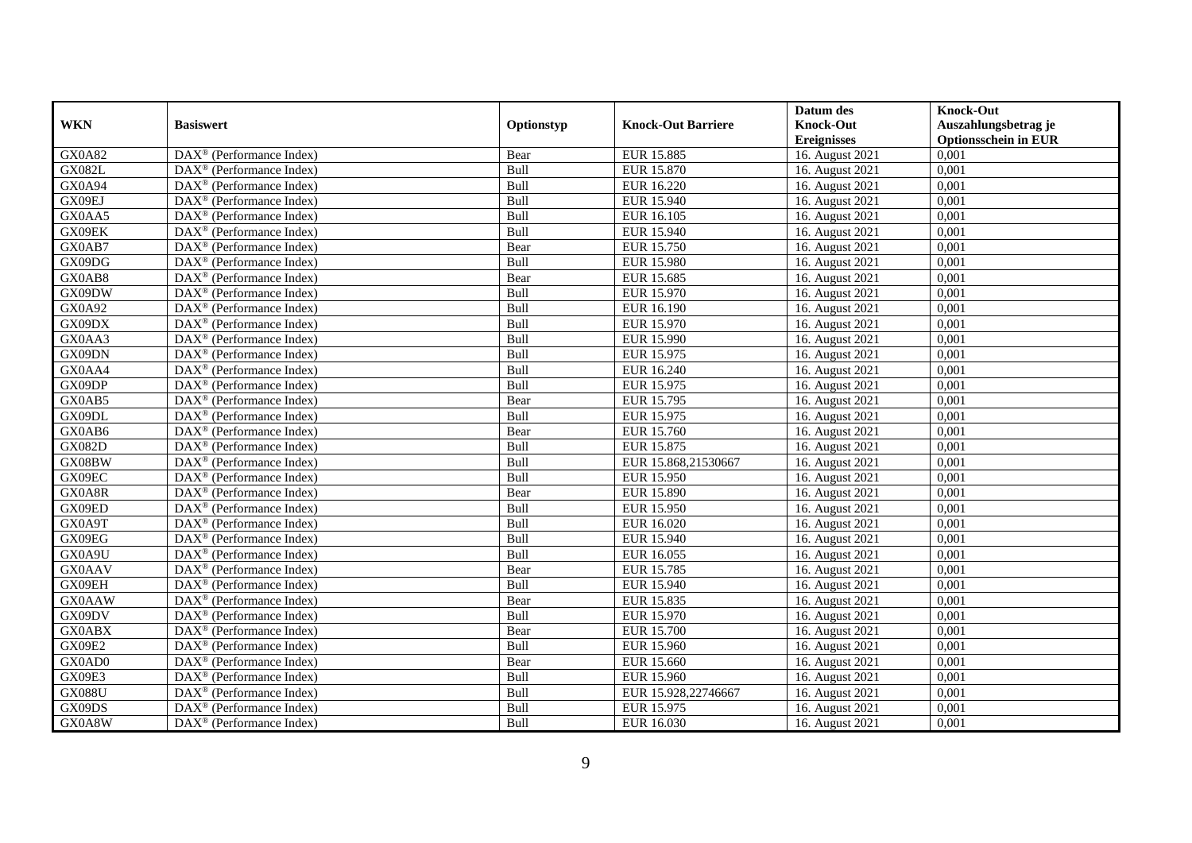|               |                                                         |             |                           | Datum des          | <b>Knock-Out</b>            |
|---------------|---------------------------------------------------------|-------------|---------------------------|--------------------|-----------------------------|
| <b>WKN</b>    | <b>Basiswert</b>                                        | Optionstyp  | <b>Knock-Out Barriere</b> | <b>Knock-Out</b>   | Auszahlungsbetrag je        |
|               |                                                         |             |                           | <b>Ereignisses</b> | <b>Optionsschein in EUR</b> |
| GX0A82        | $\overline{\text{DAX}^{\otimes}}$ (Performance Index)   | Bear        | <b>EUR 15.885</b>         | 16. August 2021    | 0,001                       |
| <b>GX082L</b> | DAX <sup>®</sup> (Performance Index)                    | Bull        | EUR 15.870                | 16. August 2021    | 0,001                       |
| GX0A94        | DAX <sup>®</sup> (Performance Index)                    | Bull        | EUR 16.220                | 16. August 2021    | 0,001                       |
| GX09EJ        | $\text{DAX}^{\otimes}$ (Performance Index)              | Bull        | EUR 15.940                | 16. August 2021    | 0,001                       |
| GX0AA5        | DAX <sup>®</sup> (Performance Index)                    | Bull        | EUR 16.105                | 16. August 2021    | 0,001                       |
| GX09EK        | $DAX^{\circledast}$ (Performance Index)                 | Bull        | EUR 15.940                | 16. August 2021    | 0,001                       |
| GX0AB7        | $\text{DAX}^{\otimes}$ (Performance Index)              | Bear        | EUR 15.750                | 16. August 2021    | 0,001                       |
| GX09DG        | $DAX^{\circledR}$ (Performance Index)                   | Bull        | <b>EUR 15.980</b>         | 16. August 2021    | 0,001                       |
| GX0AB8        | $DAX^{\circledR}$ (Performance Index)                   | Bear        | EUR 15.685                | 16. August 2021    | 0,001                       |
| GX09DW        | $DAX^{\circledR}$ (Performance Index)                   | Bull        | EUR 15.970                | 16. August 2021    | 0,001                       |
| GX0A92        | $\overline{\text{DAX}}^{\textcirc}$ (Performance Index) | Bull        | EUR 16.190                | 16. August 2021    | 0,001                       |
| GX09DX        | $\overline{\text{DAX}^{\otimes}}$ (Performance Index)   | Bull        | <b>EUR 15.970</b>         | 16. August 2021    | 0,001                       |
| GX0AA3        | $DAX^{\circledast}$ (Performance Index)                 | Bull        | <b>EUR 15.990</b>         | 16. August 2021    | 0,001                       |
| GX09DN        | DAX <sup>®</sup> (Performance Index)                    | Bull        | EUR 15.975                | 16. August 2021    | 0,001                       |
| GX0AA4        | $\text{DAX}^{\otimes}$ (Performance Index)              | Bull        | EUR 16.240                | 16. August 2021    | 0,001                       |
| GX09DP        | $DAX^{\circledast}$ (Performance Index)                 | <b>Bull</b> | EUR 15.975                | 16. August 2021    | 0,001                       |
| GX0AB5        | $DAX^{\circledast}$ (Performance Index)                 | Bear        | EUR 15.795                | 16. August 2021    | 0,001                       |
| GX09DL        | $DAX^{\circledcirc}$ (Performance Index)                | <b>Bull</b> | EUR 15.975                | 16. August 2021    | 0.001                       |
| GX0AB6        | $DAX^{\circledcirc}$ (Performance Index)                | Bear        | EUR 15.760                | 16. August 2021    | 0,001                       |
| <b>GX082D</b> | DAX <sup>®</sup> (Performance Index)                    | Bull        | EUR 15.875                | 16. August 2021    | 0,001                       |
| GX08BW        | DAX <sup>®</sup> (Performance Index)                    | Bull        | EUR 15.868,21530667       | 16. August 2021    | 0,001                       |
| GX09EC        | $\overline{\text{DAX}^{\otimes}}$ (Performance Index)   | Bull        | <b>EUR 15.950</b>         | 16. August 2021    | 0,001                       |
| GX0A8R        | $\text{DAX}^{\textcircled{}}$ (Performance Index)       | Bear        | <b>EUR 15.890</b>         | 16. August 2021    | 0,001                       |
| GX09ED        | DAX <sup>®</sup> (Performance Index)                    | Bull        | EUR 15.950                | 16. August 2021    | 0,001                       |
| GX0A9T        | $DAX^{\circledcirc}$ (Performance Index)                | Bull        | EUR 16.020                | 16. August 2021    | 0,001                       |
| GX09EG        | DAX <sup>®</sup> (Performance Index)                    | Bull        | EUR 15.940                | 16. August 2021    | 0,001                       |
| GX0A9U        | DAX <sup>®</sup> (Performance Index)                    | Bull        | EUR 16.055                | 16. August 2021    | 0,001                       |
| <b>GX0AAV</b> | $DAX^{\circledcirc}$ (Performance Index)                | Bear        | <b>EUR 15.785</b>         | 16. August 2021    | 0,001                       |
| GX09EH        | $DAX^{\circledR}$ (Performance Index)                   | Bull        | EUR 15.940                | 16. August 2021    | 0,001                       |
| <b>GX0AAW</b> | $\text{DAX}^{\textcircled{}}$ (Performance Index)       | Bear        | EUR 15.835                | 16. August 2021    | 0,001                       |
| GX09DV        | $DAX^{\circledR}$ (Performance Index)                   | Bull        | EUR 15.970                | 16. August 2021    | 0,001                       |
| <b>GX0ABX</b> | $DAX^{\circledast}$ (Performance Index)                 | Bear        | <b>EUR 15.700</b>         | 16. August 2021    | 0,001                       |
| GX09E2        | $\overline{\text{DAX}^{\otimes}}$ (Performance Index)   | Bull        | EUR 15.960                | 16. August 2021    | 0,001                       |
| GX0AD0        | $DAX^{\circledast}$ (Performance Index)                 | Bear        | EUR 15.660                | 16. August 2021    | 0,001                       |
| GX09E3        | $\text{DAX}^{\circledast}$ (Performance Index)          | <b>Bull</b> | EUR 15.960                | 16. August 2021    | 0,001                       |
| <b>GX088U</b> | $DAX^{\circledast}$ (Performance Index)                 | Bull        | EUR 15.928,22746667       | 16. August 2021    | 0,001                       |
| GX09DS        | $DAX^{\circledast}$ (Performance Index)                 | Bull        | EUR 15.975                | 16. August 2021    | 0,001                       |
| GX0A8W        | $\text{DAX}^{\circledast}$ (Performance Index)          | Bull        | EUR 16.030                | 16. August 2021    | 0,001                       |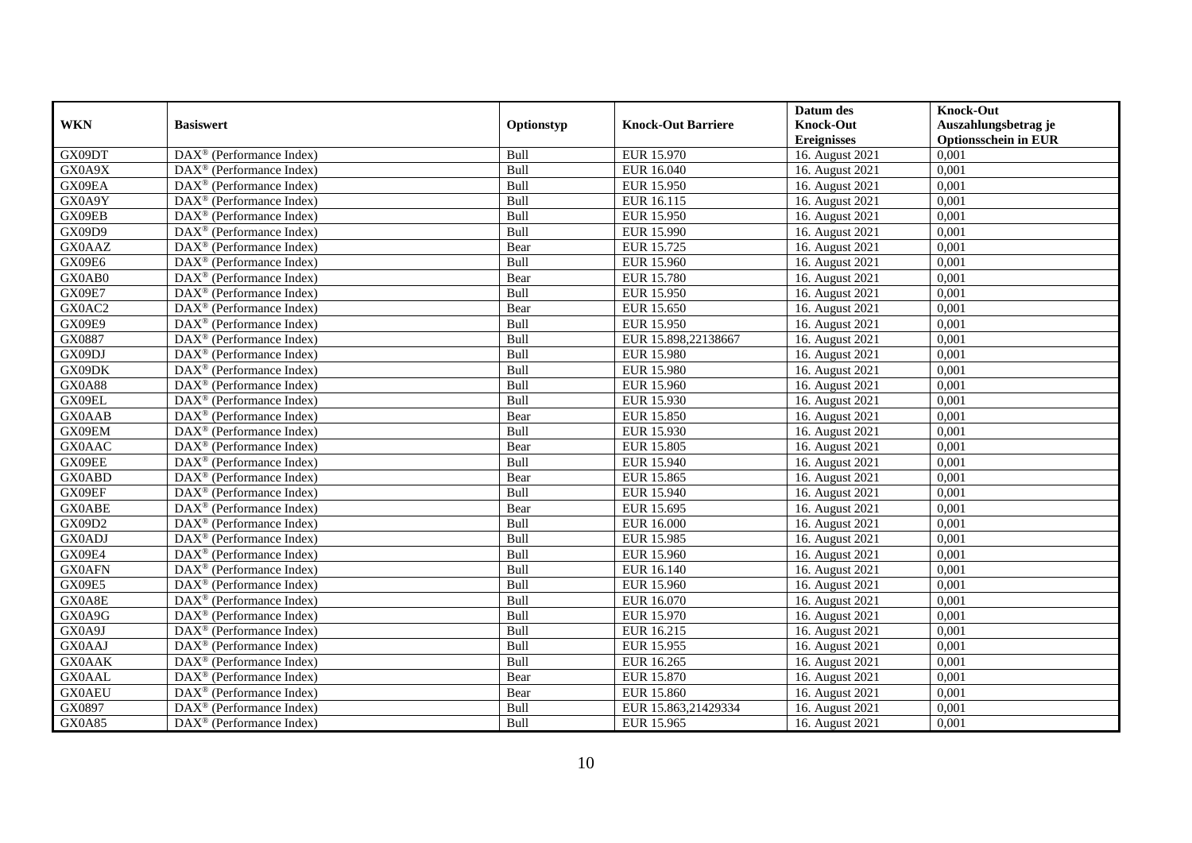|               |                                                              |             |                           | Datum des                     | <b>Knock-Out</b>            |
|---------------|--------------------------------------------------------------|-------------|---------------------------|-------------------------------|-----------------------------|
| <b>WKN</b>    | <b>Basiswert</b>                                             | Optionstyp  | <b>Knock-Out Barriere</b> | <b>Knock-Out</b>              | Auszahlungsbetrag je        |
|               |                                                              |             |                           | <b>Ereignisses</b>            | <b>Optionsschein in EUR</b> |
| GX09DT        | $\overline{\text{DAX}}^{\textcircled{}}$ (Performance Index) | Bull        | <b>EUR 15.970</b>         | 16. August 2021               | 0,001                       |
| GX0A9X        | $DAX^{\circledast}$ (Performance Index)                      | Bull        | EUR 16.040                | 16. August 2021               | 0,001                       |
| GX09EA        | $DAX^{\circledcirc}$ (Performance Index)                     | Bull        | EUR 15.950                | 16. August 2021               | 0,001                       |
| GX0A9Y        | $DAX^{\circledast}$ (Performance Index)                      | Bull        | EUR 16.115                | 16. August 2021               | 0,001                       |
| GX09EB        | $\text{DAX}^{\circledast}$ (Performance Index)               | <b>Bull</b> | EUR 15.950                | 16. August 2021               | 0,001                       |
| <b>GX09D9</b> | $DAX^{\circledR}$ (Performance Index)                        | Bull        | <b>EUR 15.990</b>         | 16. August 2021               | 0,001                       |
| <b>GX0AAZ</b> | $DAX^{\circledR}$ (Performance Index)                        | Bear        | EUR 15.725                | 16. August 2021               | 0,001                       |
| GX09E6        | DAX <sup>®</sup> (Performance Index)                         | Bull        | <b>EUR 15.960</b>         | 16. August 2021               | 0,001                       |
| GX0AB0        | $DAX^{\circledast}$ (Performance Index)                      | Bear        | <b>EUR 15.780</b>         | 16. August 2021               | 0,001                       |
| GX09E7        | DAX <sup>®</sup> (Performance Index)                         | Bull        | EUR 15.950                | 16. August 2021               | 0,001                       |
| GX0AC2        | $\overline{\text{DAX}^{\otimes}}$ (Performance Index)        | Bear        | EUR 15.650                | 16. August 2021               | 0,001                       |
| GX09E9        | DAX <sup>®</sup> (Performance Index)                         | <b>Bull</b> | EUR 15.950                | 16. August 2021               | 0,001                       |
| GX0887        | $DAX^{\circledast}$ (Performance Index)                      | <b>Bull</b> | EUR 15.898,22138667       | 16. August 2021               | 0,001                       |
| GX09DJ        | DAX <sup>®</sup> (Performance Index)                         | <b>Bull</b> | EUR 15.980                | 16. August 2021               | 0.001                       |
| GX09DK        | DAX <sup>®</sup> (Performance Index)                         | Bull        | <b>EUR 15.980</b>         | 16. August 2021               | 0,001                       |
| <b>GX0A88</b> | $\overline{\text{DAX}}^{\textcirc}$ (Performance Index)      | Bull        | <b>EUR 15.960</b>         | 16. August 2021               | 0,001                       |
| GX09EL        | DAX <sup>®</sup> (Performance Index)                         | Bull        | EUR 15.930                | 16. August 2021               | 0,001                       |
| <b>GX0AAB</b> | $DAX^{\circledast}$ (Performance Index)                      | Bear        | EUR 15.850                | 16. August 2021               | 0,001                       |
| GX09EM        | DAX <sup>®</sup> (Performance Index)                         | Bull        | EUR 15.930                | 16. August 2021               | 0,001                       |
| <b>GX0AAC</b> | $DAX^{\circledast}$ (Performance Index)                      | Bear        | EUR 15.805                | 16. August 2021               | 0,001                       |
| GX09EE        | $DAX^{\circledast}$ (Performance Index)                      | Bull        | EUR 15.940                | 16. August 2021               | 0,001                       |
| <b>GX0ABD</b> | $DAX^{\circledcirc}$ (Performance Index)                     | Bear        | EUR 15.865                | 16. August 2021               | 0,001                       |
| GX09EF        | $\text{DAX}^{\otimes}$ (Performance Index)                   | Bull        | EUR 15.940                | 16. August 2021               | 0,001                       |
| <b>GX0ABE</b> | DAX <sup>®</sup> (Performance Index)                         | Bear        | EUR 15.695                | 16. August 2021               | 0,001                       |
| GX09D2        | $DAX^{\circledcirc}$ (Performance Index)                     | Bull        | <b>EUR 16.000</b>         | 16. August 2021               | 0,001                       |
| <b>GX0ADJ</b> | $DAX^{\circledast}$ (Performance Index)                      | Bull        | EUR 15.985                | 16. August 2021               | 0,001                       |
| GX09E4        | $\overline{\text{DAX}^{\otimes}}$ (Performance Index)        | Bull        | EUR 15.960                | 16. August 2021               | 0,001                       |
| <b>GX0AFN</b> | DAX <sup>®</sup> (Performance Index)                         | Bull        | EUR 16.140                | 16. August 2021               | 0,001                       |
| GX09E5        | $DAX^{\circledast}$ (Performance Index)                      | Bull        | EUR 15.960                | $\overline{16}$ . August 2021 | 0,001                       |
| GX0A8E        | $\text{DAX}^{\textcircled{}}$ (Performance Index)            | <b>Bull</b> | EUR 16.070                | 16. August 2021               | 0,001                       |
| GX0A9G        | $DAX^{\circledR}$ (Performance Index)                        | Bull        | EUR 15.970                | 16. August 2021               | 0,001                       |
| GX0A9J        | DAX <sup>®</sup> (Performance Index)                         | Bull        | EUR 16.215                | 16. August 2021               | 0,001                       |
| <b>GX0AAJ</b> | $DAX^{\circledR}$ (Performance Index)                        | Bull        | EUR 15.955                | 16. August 2021               | 0,001                       |
| <b>GX0AAK</b> | $\overline{\text{DAX}^{\otimes}}$ (Performance Index)        | Bull        | EUR 16.265                | 16. August 2021               | 0,001                       |
| <b>GX0AAL</b> | $DAX^{\circledast}$ (Performance Index)                      | Bear        | EUR 15.870                | 16. August 2021               | 0,001                       |
| <b>GX0AEU</b> | $DAX^{\circledast}$ (Performance Index)                      | Bear        | EUR 15.860                | 16. August 2021               | 0,001                       |
| GX0897        | $DAX^{\circledast}$ (Performance Index)                      | Bull        | EUR 15.863,21429334       | 16. August 2021               | 0,001                       |
| <b>GX0A85</b> | $\text{DAX}^{\circledast}$ (Performance Index)               | <b>Bull</b> | EUR 15.965                | 16. August 2021               | 0,001                       |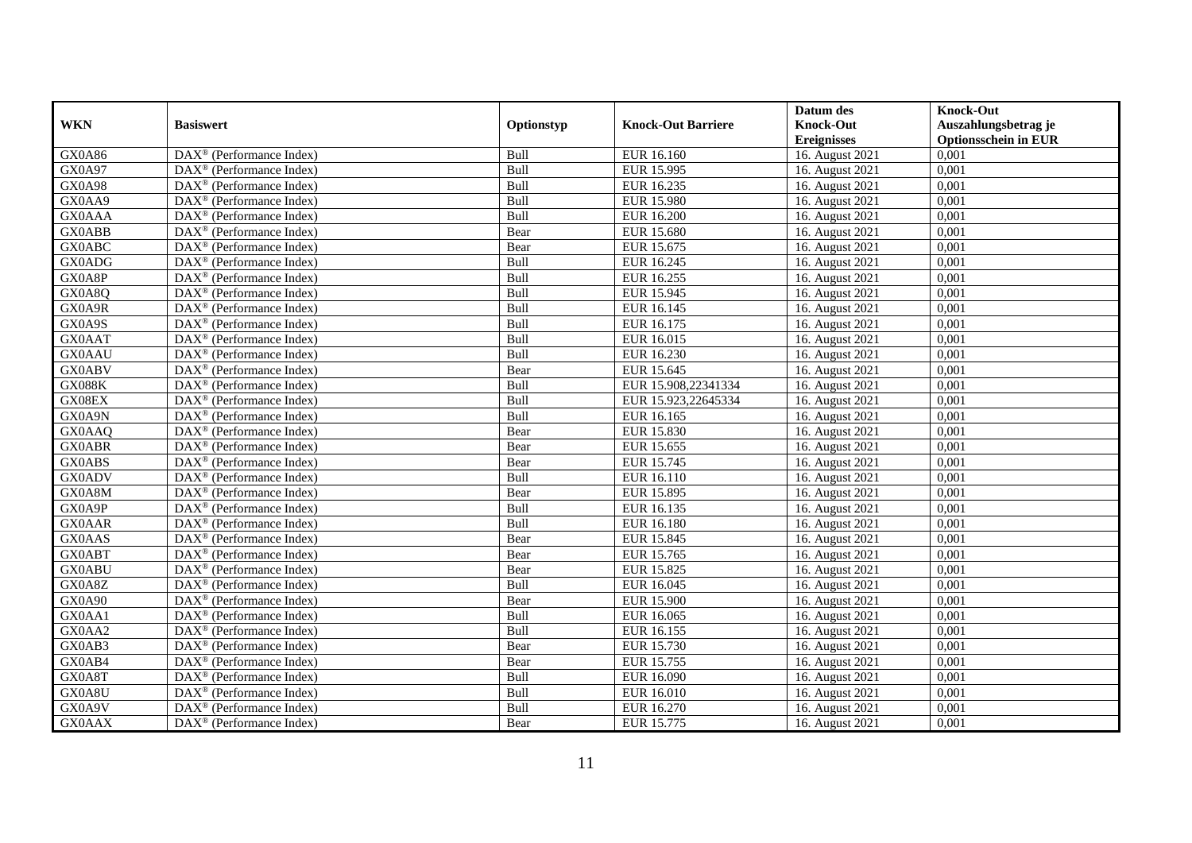|               |                                                         |             |                           | Datum des          | <b>Knock-Out</b>            |
|---------------|---------------------------------------------------------|-------------|---------------------------|--------------------|-----------------------------|
| <b>WKN</b>    | <b>Basiswert</b>                                        | Optionstyp  | <b>Knock-Out Barriere</b> | <b>Knock-Out</b>   | Auszahlungsbetrag je        |
|               |                                                         |             |                           | <b>Ereignisses</b> | <b>Optionsschein in EUR</b> |
| GX0A86        | $\overline{\text{DAX}^{\otimes}}$ (Performance Index)   | Bull        | EUR 16.160                | 16. August 2021    | 0,001                       |
| GX0A97        | DAX <sup>®</sup> (Performance Index)                    | Bull        | EUR 15.995                | 16. August 2021    | 0,001                       |
| GX0A98        | DAX <sup>®</sup> (Performance Index)                    | Bull        | EUR 16.235                | 16. August 2021    | 0,001                       |
| GX0AA9        | $DAX^{\circledast}$ (Performance Index)                 | Bull        | EUR 15.980                | 16. August 2021    | 0,001                       |
| <b>GX0AAA</b> | DAX <sup>®</sup> (Performance Index)                    | Bull        | <b>EUR 16.200</b>         | 16. August 2021    | 0,001                       |
| <b>GX0ABB</b> | $DAX^{\circledast}$ (Performance Index)                 | Bear        | EUR 15.680                | 16. August 2021    | 0,001                       |
| <b>GX0ABC</b> | $DAX^{\circledast}$ (Performance Index)                 | Bear        | EUR 15.675                | 16. August 2021    | 0,001                       |
| GX0ADG        | $DAX^{\circledR}$ (Performance Index)                   | Bull        | EUR 16.245                | 16. August 2021    | 0,001                       |
| GX0A8P        | $DAX^{\circledR}$ (Performance Index)                   | Bull        | EUR 16.255                | 16. August 2021    | 0,001                       |
| GX0A8Q        | $DAX^{\circledR}$ (Performance Index)                   | Bull        | EUR 15.945                | 16. August 2021    | 0,001                       |
| GX0A9R        | $\overline{\text{DAX}}^{\textcirc}$ (Performance Index) | Bull        | EUR 16.145                | 16. August 2021    | 0,001                       |
| GX0A9S        | $\overline{\text{DAX}^{\otimes}}$ (Performance Index)   | Bull        | EUR 16.175                | 16. August 2021    | 0,001                       |
| <b>GX0AAT</b> | $DAX^{\circledast}$ (Performance Index)                 | Bull        | EUR 16.015                | 16. August 2021    | 0,001                       |
| <b>GX0AAU</b> | DAX <sup>®</sup> (Performance Index)                    | Bull        | EUR 16.230                | 16. August 2021    | 0,001                       |
| <b>GX0ABV</b> | $DAX^{\circledast}$ (Performance Index)                 | Bear        | EUR 15.645                | 16. August 2021    | 0,001                       |
| <b>GX088K</b> | $DAX^{\circledast}$ (Performance Index)                 | <b>Bull</b> | EUR 15.908,22341334       | 16. August 2021    | 0,001                       |
| GX08EX        | DAX <sup>®</sup> (Performance Index)                    | Bull        | EUR 15.923,22645334       | 16. August 2021    | 0,001                       |
| GX0A9N        | $DAX^{\circledcirc}$ (Performance Index)                | <b>Bull</b> | EUR 16.165                | 16. August 2021    | 0.001                       |
| GX0AAQ        | $DAX^{\circledast}$ (Performance Index)                 | Bear        | EUR 15.830                | 16. August 2021    | 0,001                       |
| <b>GX0ABR</b> | DAX <sup>®</sup> (Performance Index)                    | Bear        | EUR 15.655                | 16. August 2021    | 0,001                       |
| <b>GX0ABS</b> | DAX <sup>®</sup> (Performance Index)                    | Bear        | EUR 15.745                | 16. August 2021    | 0,001                       |
| <b>GX0ADV</b> | $\overline{\text{DAX}^{\otimes}}$ (Performance Index)   | Bull        | <b>EUR 16.110</b>         | 16. August 2021    | 0,001                       |
| GX0A8M        | $DAX^{\circledast}$ (Performance Index)                 | Bear        | EUR 15.895                | 16. August 2021    | 0,001                       |
| GX0A9P        | DAX <sup>®</sup> (Performance Index)                    | Bull        | EUR 16.135                | 16. August 2021    | 0,001                       |
| <b>GX0AAR</b> | $DAX^{\circledcirc}$ (Performance Index)                | Bull        | EUR 16.180                | 16. August 2021    | 0,001                       |
| <b>GX0AAS</b> | DAX <sup>®</sup> (Performance Index)                    | Bear        | EUR 15.845                | 16. August 2021    | 0,001                       |
| <b>GX0ABT</b> | DAX <sup>®</sup> (Performance Index)                    | Bear        | EUR 15.765                | 16. August 2021    | 0,001                       |
| <b>GX0ABU</b> | $DAX^{\circledcirc}$ (Performance Index)                | Bear        | EUR 15.825                | 16. August 2021    | 0,001                       |
| GX0A8Z        | $DAX^{\circledR}$ (Performance Index)                   | Bull        | EUR 16.045                | 16. August 2021    | 0,001                       |
| GX0A90        | $DAX^{\circledR}$ (Performance Index)                   | Bear        | <b>EUR 15.900</b>         | 16. August 2021    | 0,001                       |
| GX0AA1        | $DAX^{\circledR}$ (Performance Index)                   | Bull        | EUR 16.065                | 16. August 2021    | 0,001                       |
| GX0AA2        | $\text{DAX}^{\otimes}$ (Performance Index)              | Bull        | EUR 16.155                | 16. August 2021    | 0,001                       |
| GX0AB3        | $\overline{\text{DAX}^{\otimes}}$ (Performance Index)   | Bear        | EUR 15.730                | 16. August 2021    | 0,001                       |
| GX0AB4        | $DAX^{\circledast}$ (Performance Index)                 | Bear        | EUR 15.755                | 16. August 2021    | 0,001                       |
| GX0A8T        | $\text{DAX}^{\otimes}$ (Performance Index)              | <b>Bull</b> | EUR 16.090                | 16. August 2021    | 0,001                       |
| GX0A8U        | $\text{DAX}^{\otimes}$ (Performance Index)              | Bull        | EUR 16.010                | 16. August 2021    | 0,001                       |
| GX0A9V        | $DAX^{\circledast}$ (Performance Index)                 | Bull        | EUR 16.270                | 16. August 2021    | 0,001                       |
| <b>GX0AAX</b> | $\text{DAX}^{\circledast}$ (Performance Index)          | Bear        | EUR 15.775                | 16. August 2021    | 0,001                       |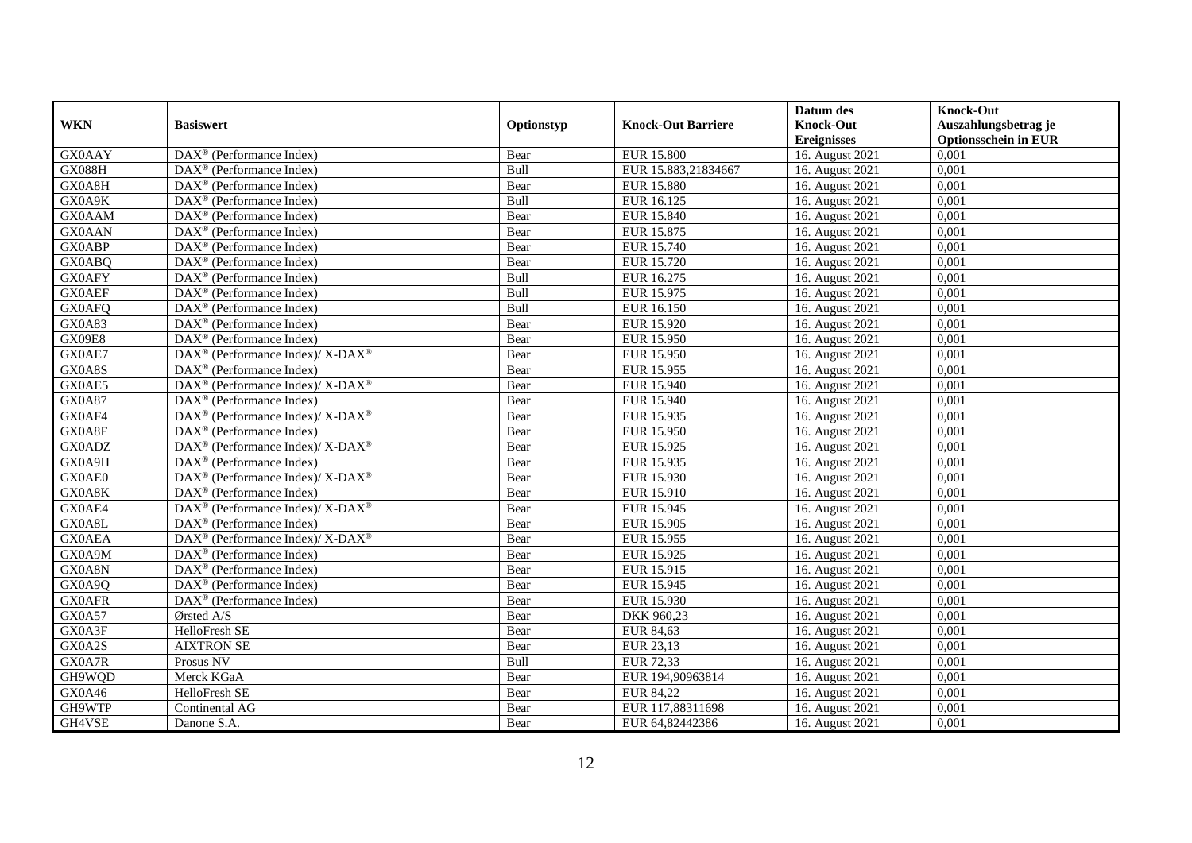|               |                                                                                         |            |                           | Datum des                     | <b>Knock-Out</b>            |
|---------------|-----------------------------------------------------------------------------------------|------------|---------------------------|-------------------------------|-----------------------------|
| <b>WKN</b>    | <b>Basiswert</b>                                                                        | Optionstyp | <b>Knock-Out Barriere</b> | <b>Knock-Out</b>              | Auszahlungsbetrag je        |
|               |                                                                                         |            |                           | <b>Ereignisses</b>            | <b>Optionsschein in EUR</b> |
| <b>GX0AAY</b> | $\overline{\text{DAX}}^{\textcircled{}}$ (Performance Index)                            | Bear       | <b>EUR 15.800</b>         | 16. August 2021               | 0,001                       |
| <b>GX088H</b> | $DAX^{\circledast}$ (Performance Index)                                                 | Bull       | EUR 15.883,21834667       | 16. August 2021               | 0,001                       |
| GX0A8H        | $DAX^{\circledcirc}$ (Performance Index)                                                | Bear       | <b>EUR 15.880</b>         | 16. August 2021               | 0,001                       |
| GX0A9K        | $\text{DAX}^{\otimes}$ (Performance Index)                                              | Bull       | EUR 16.125                | 16. August 2021               | 0,001                       |
| <b>GX0AAM</b> | $\text{DAX}^{\circledast}$ (Performance Index)                                          | Bear       | EUR 15.840                | 16. August 2021               | 0,001                       |
| <b>GX0AAN</b> | $DAX^{\circledR}$ (Performance Index)                                                   | Bear       | EUR 15.875                | 16. August 2021               | 0,001                       |
| <b>GX0ABP</b> | $DAX^{\circledR}$ (Performance Index)                                                   | Bear       | EUR 15.740                | 16. August 2021               | 0,001                       |
| GX0ABQ        | DAX <sup>®</sup> (Performance Index)                                                    | Bear       | EUR 15.720                | 16. August 2021               | 0,001                       |
| <b>GX0AFY</b> | $DAX^{\circledast}$ (Performance Index)                                                 | Bull       | EUR 16.275                | 16. August 2021               | 0,001                       |
| <b>GX0AEF</b> | $DAX^{\circledR}$ (Performance Index)                                                   | Bull       | EUR 15.975                | 16. August 2021               | 0,001                       |
| GX0AFQ        | $\overline{\text{DAX}^{\otimes}}$ (Performance Index)                                   | Bull       | EUR 16.150                | 16. August 2021               | 0,001                       |
| GX0A83        | DAX <sup>®</sup> (Performance Index)                                                    | Bear       | EUR 15.920                | 16. August 2021               | 0,001                       |
| <b>GX09E8</b> | $DAX^{\circledast}$ (Performance Index)                                                 | Bear       | EUR 15.950                | 16. August 2021               | 0,001                       |
| GX0AE7        | $DAX^{\circledcirc}$ (Performance Index)/ X-DAX <sup>®</sup>                            | Bear       | EUR 15.950                | 16. August 2021               | 0.001                       |
| GX0A8S        | $DAX^{\circledR}$ (Performance Index)                                                   | Bear       | EUR 15.955                | 16. August 2021               | 0,001                       |
| GX0AE5        | $\text{DAX}^{\circledast}$ (Performance Index)/ $\overline{\text{X-DAX}^{\circledast}}$ | Bear       | EUR 15.940                | 16. August 2021               | 0,001                       |
| <b>GX0A87</b> | $DAX^{\circledR}$ (Performance Index)                                                   | Bear       | EUR 15.940                | 16. August 2021               | 0,001                       |
| GX0AF4        | DAX <sup>®</sup> (Performance Index)/ X-DAX <sup>®</sup>                                | Bear       | EUR 15.935                | 16. August 2021               | 0,001                       |
| GX0A8F        | $DAX^{\circledcirc}$ (Performance Index)                                                | Bear       | EUR 15.950                | 16. August 2021               | 0,001                       |
| GX0ADZ        | DAX <sup>®</sup> (Performance Index)/ X-DAX <sup>®</sup>                                | Bear       | EUR 15.925                | 16. August 2021               | 0,001                       |
| GX0A9H        | $DAX^{\circledast}$ (Performance Index)                                                 | Bear       | EUR 15.935                | 16. August 2021               | 0,001                       |
| GX0AE0        | $DAX^{\circledast}$ (Performance Index)/ $\overline{X-DAX^{\circledast}}$               | Bear       | EUR 15.930                | 16. August 2021               | 0,001                       |
| GX0A8K        | $DAX^{\circledR}$ (Performance Index)                                                   | Bear       | EUR 15.910                | 16. August 2021               | 0,001                       |
| GX0AE4        | DAX <sup>®</sup> (Performance Index)/ X-DAX <sup>®</sup>                                | Bear       | EUR 15.945                | 16. August 2021               | 0,001                       |
| GX0A8L        | $DAX^{\circledcirc}$ (Performance Index)                                                | Bear       | EUR 15.905                | 16. August 2021               | 0,001                       |
| <b>GX0AEA</b> | DAX <sup>®</sup> (Performance Index)/ X-DAX <sup>®</sup>                                | Bear       | EUR 15.955                | 16. August 2021               | 0,001                       |
| GX0A9M        | DAX <sup>®</sup> (Performance Index)                                                    | Bear       | EUR 15.925                | 16. August 2021               | 0,001                       |
| GX0A8N        | DAX <sup>®</sup> (Performance Index)                                                    | Bear       | EUR 15.915                | 16. August 2021               | 0,001                       |
| GX0A9Q        | $\text{DAX}^{\otimes}$ (Performance Index)                                              | Bear       | EUR 15.945                | $\overline{16}$ . August 2021 | 0,001                       |
| <b>GX0AFR</b> | $\text{DAX}^{\textcircled{}}$ (Performance Index)                                       | Bear       | EUR 15.930                | 16. August 2021               | 0,001                       |
| GX0A57        | Ørsted A/S                                                                              | Bear       | DKK 960,23                | 16. August 2021               | 0,001                       |
| GX0A3F        | HelloFresh SE                                                                           | Bear       | EUR 84,63                 | 16. August 2021               | 0,001                       |
| GX0A2S        | <b>AIXTRON SE</b>                                                                       | Bear       | EUR 23,13                 | 16. August 2021               | 0,001                       |
| GX0A7R        | Prosus NV                                                                               | Bull       | <b>EUR 72,33</b>          | 16. August 2021               | 0,001                       |
| GH9WQD        | Merck KGaA                                                                              | Bear       | EUR 194,90963814          | 16. August 2021               | 0,001                       |
| GX0A46        | HelloFresh SE                                                                           | Bear       | EUR 84,22                 | 16. August 2021               | 0,001                       |
| GH9WTP        | Continental AG                                                                          | Bear       | EUR 117,88311698          | 16. August 2021               | 0,001                       |
| GH4VSE        | Danone S.A.                                                                             | Bear       | EUR 64,82442386           | 16. August 2021               | 0,001                       |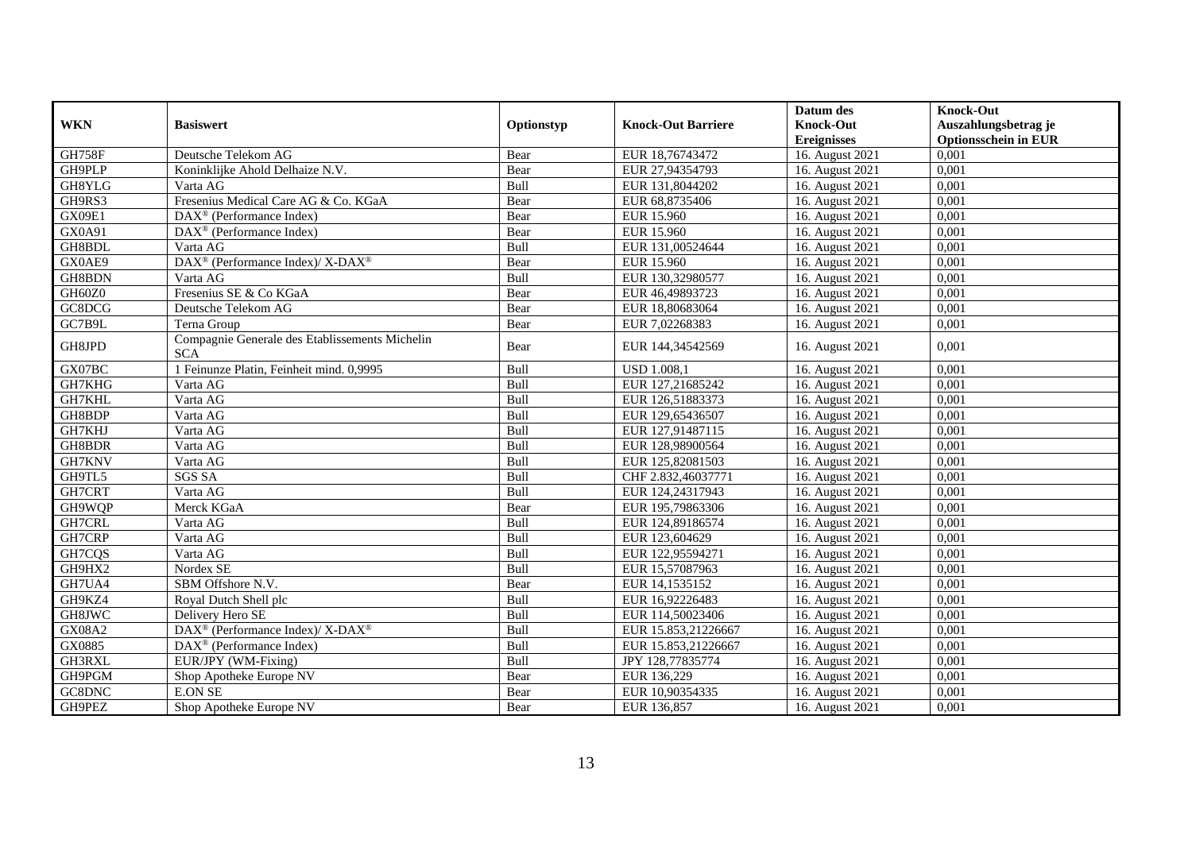|               |                                                              |             |                           | Datum des          | <b>Knock-Out</b>            |
|---------------|--------------------------------------------------------------|-------------|---------------------------|--------------------|-----------------------------|
| <b>WKN</b>    | <b>Basiswert</b>                                             | Optionstyp  | <b>Knock-Out Barriere</b> | <b>Knock-Out</b>   | Auszahlungsbetrag je        |
|               |                                                              |             |                           | <b>Ereignisses</b> | <b>Optionsschein in EUR</b> |
| <b>GH758F</b> | Deutsche Telekom AG                                          | Bear        | EUR 18,76743472           | 16. August 2021    | 0,001                       |
| GH9PLP        | Koninklijke Ahold Delhaize N.V.                              | Bear        | EUR 27,94354793           | 16. August 2021    | 0,001                       |
| GH8YLG        | Varta AG                                                     | Bull        | EUR 131,8044202           | 16. August 2021    | 0,001                       |
| GH9RS3        | Fresenius Medical Care AG & Co. KGaA                         | Bear        | EUR 68,8735406            | 16. August 2021    | 0,001                       |
| GX09E1        | $DAX^{\circledR}$ (Performance Index)                        | Bear        | EUR 15.960                | 16. August 2021    | 0,001                       |
| GX0A91        | DAX <sup>®</sup> (Performance Index)                         | Bear        | EUR 15.960                | 16. August 2021    | 0,001                       |
| GH8BDL        | Varta AG                                                     | <b>Bull</b> | EUR 131,00524644          | 16. August 2021    | 0.001                       |
| GX0AE9        | DAX <sup>®</sup> (Performance Index)/ X-DAX <sup>®</sup>     | Bear        | EUR 15.960                | 16. August 2021    | 0,001                       |
| GH8BDN        | Varta AG                                                     | Bull        | EUR 130,32980577          | 16. August 2021    | 0,001                       |
| GH60Z0        | Fresenius SE & Co KGaA                                       | Bear        | EUR 46,49893723           | 16. August 2021    | 0,001                       |
| GC8DCG        | Deutsche Telekom AG                                          | Bear        | EUR 18,80683064           | 16. August 2021    | 0,001                       |
| GC7B9L        | Terna Group                                                  | Bear        | EUR 7,02268383            | 16. August 2021    | 0,001                       |
| GH8JPD        | Compagnie Generale des Etablissements Michelin<br><b>SCA</b> | Bear        | EUR 144,34542569          | 16. August 2021    | 0,001                       |
| GX07BC        | 1 Feinunze Platin, Feinheit mind. 0,9995                     | Bull        | <b>USD 1.008,1</b>        | 16. August 2021    | 0,001                       |
| GH7KHG        | Varta AG                                                     | Bull        | EUR 127,21685242          | 16. August 2021    | 0,001                       |
| GH7KHL        | Varta AG                                                     | Bull        | EUR 126,51883373          | 16. August 2021    | 0,001                       |
| GH8BDP        | Varta AG                                                     | Bull        | EUR 129,65436507          | 16. August 2021    | 0,001                       |
| GH7KHJ        | Varta AG                                                     | Bull        | EUR 127,91487115          | 16. August 2021    | 0,001                       |
| GH8BDR        | Varta AG                                                     | Bull        | EUR 128,98900564          | 16. August 2021    | 0,001                       |
| GH7KNV        | Varta AG                                                     | Bull        | EUR 125,82081503          | 16. August 2021    | 0,001                       |
| GH9TL5        | <b>SGS SA</b>                                                | Bull        | CHF 2.832,46037771        | 16. August 2021    | 0,001                       |
| GH7CRT        | Varta AG                                                     | Bull        | EUR 124,24317943          | 16. August 2021    | 0,001                       |
| GH9WQP        | Merck KGaA                                                   | Bear        | EUR 195,79863306          | 16. August 2021    | 0,001                       |
| GH7CRL        | Varta AG                                                     | Bull        | EUR 124,89186574          | 16. August 2021    | 0,001                       |
| GH7CRP        | Varta AG                                                     | Bull        | EUR 123,604629            | 16. August 2021    | 0,001                       |
| GH7CQS        | Varta AG                                                     | Bull        | EUR 122,95594271          | 16. August 2021    | 0,001                       |
| GH9HX2        | Nordex SE                                                    | Bull        | EUR 15,57087963           | 16. August 2021    | 0,001                       |
| GH7UA4        | SBM Offshore N.V.                                            | Bear        | EUR 14,1535152            | 16. August 2021    | 0,001                       |
| GH9KZ4        | Royal Dutch Shell plc                                        | Bull        | EUR 16,92226483           | 16. August 2021    | 0,001                       |
| GH8JWC        | Delivery Hero SE                                             | Bull        | EUR 114,50023406          | 16. August 2021    | 0,001                       |
| <b>GX08A2</b> | DAX <sup>®</sup> (Performance Index)/ X-DAX <sup>®</sup>     | Bull        | EUR 15.853,21226667       | 16. August 2021    | 0,001                       |
| GX0885        | $DAX^{\otimes}$ (Performance Index)                          | Bull        | EUR 15.853,21226667       | 16. August 2021    | 0,001                       |
| <b>GH3RXL</b> | EUR/JPY (WM-Fixing)                                          | Bull        | JPY 128,77835774          | 16. August 2021    | 0,001                       |
| GH9PGM        | Shop Apotheke Europe NV                                      | Bear        | EUR 136,229               | 16. August 2021    | 0,001                       |
| GC8DNC        | <b>E.ON SE</b>                                               | Bear        | EUR 10,90354335           | 16. August 2021    | 0,001                       |
| GH9PEZ        | Shop Apotheke Europe NV                                      | Bear        | EUR 136,857               | 16. August 2021    | 0,001                       |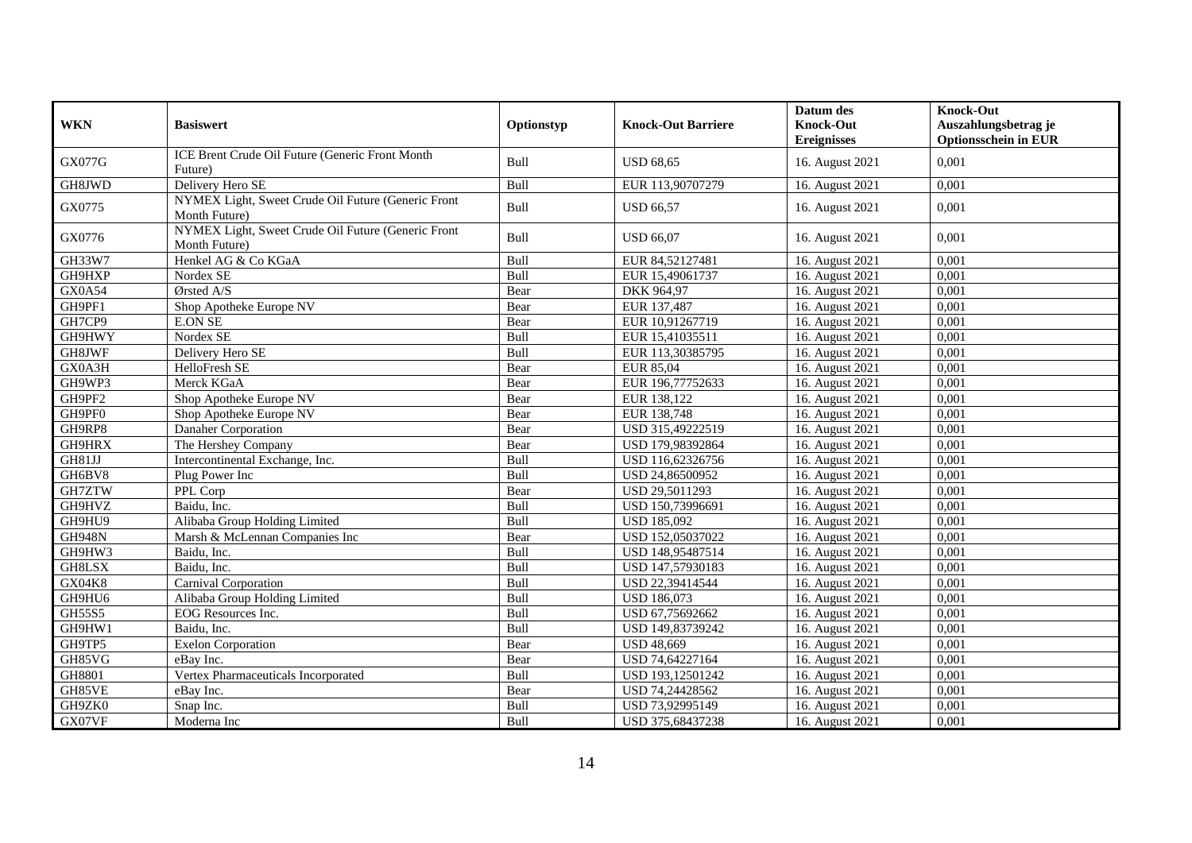| <b>WKN</b>    | <b>Basiswert</b>                                                    | Optionstyp  | <b>Knock-Out Barriere</b> | Datum des<br><b>Knock-Out</b><br><b>Ereignisses</b> | <b>Knock-Out</b><br>Auszahlungsbetrag je<br><b>Optionsschein in EUR</b> |
|---------------|---------------------------------------------------------------------|-------------|---------------------------|-----------------------------------------------------|-------------------------------------------------------------------------|
| <b>GX077G</b> | ICE Brent Crude Oil Future (Generic Front Month<br>Future)          | Bull        | <b>USD 68.65</b>          | 16. August 2021                                     | 0.001                                                                   |
| GH8JWD        | Delivery Hero SE                                                    | Bull        | EUR 113,90707279          | 16. August 2021                                     | 0,001                                                                   |
| GX0775        | NYMEX Light, Sweet Crude Oil Future (Generic Front<br>Month Future) | Bull        | <b>USD 66.57</b>          | 16. August 2021                                     | 0,001                                                                   |
| GX0776        | NYMEX Light, Sweet Crude Oil Future (Generic Front<br>Month Future) | Bull        | <b>USD 66.07</b>          | 16. August 2021                                     | 0.001                                                                   |
| GH33W7        | Henkel AG & Co KGaA                                                 | Bull        | EUR 84,52127481           | 16. August 2021                                     | 0,001                                                                   |
| GH9HXP        | Nordex SE                                                           | Bull        | EUR 15,49061737           | 16. August 2021                                     | 0,001                                                                   |
| <b>GX0A54</b> | $O$ rsted A/S                                                       | Bear        | DKK 964,97                | 16. August 2021                                     | 0,001                                                                   |
| GH9PF1        | Shop Apotheke Europe NV                                             | Bear        | EUR 137,487               | 16. August 2021                                     | 0,001                                                                   |
| GH7CP9        | <b>E.ON SE</b>                                                      | Bear        | EUR 10,91267719           | 16. August 2021                                     | 0,001                                                                   |
| GH9HWY        | Nordex SE                                                           | Bull        | EUR 15,41035511           | 16. August 2021                                     | 0,001                                                                   |
| GH8JWF        | Delivery Hero SE                                                    | Bull        | EUR 113,30385795          | 16. August 2021                                     | 0.001                                                                   |
| GX0A3H        | HelloFresh SE                                                       | Bear        | EUR 85,04                 | 16. August 2021                                     | 0,001                                                                   |
| GH9WP3        | Merck KGaA                                                          | Bear        | EUR 196,77752633          | 16. August 2021                                     | 0,001                                                                   |
| GH9PF2        | Shop Apotheke Europe NV                                             | Bear        | EUR 138,122               | 16. August 2021                                     | 0.001                                                                   |
| GH9PF0        | Shop Apotheke Europe NV                                             | Bear        | EUR 138,748               | 16. August 2021                                     | 0.001                                                                   |
| GH9RP8        | Danaher Corporation                                                 | Bear        | USD 315,49222519          | 16. August 2021                                     | 0,001                                                                   |
| GH9HRX        | The Hershey Company                                                 | Bear        | USD 179,98392864          | 16. August 2021                                     | 0,001                                                                   |
| GH81JJ        | Intercontinental Exchange, Inc.                                     | Bull        | USD 116,62326756          | 16. August 2021                                     | 0,001                                                                   |
| GH6BV8        | Plug Power Inc                                                      | Bull        | USD 24,86500952           | 16. August 2021                                     | 0.001                                                                   |
| GH7ZTW        | PPL Corp                                                            | Bear        | USD 29,5011293            | 16. August 2021                                     | 0,001                                                                   |
| GH9HVZ        | Baidu, Inc.                                                         | Bull        | USD 150,73996691          | 16. August 2021                                     | 0,001                                                                   |
| GH9HU9        | Alibaba Group Holding Limited                                       | Bull        | <b>USD 185,092</b>        | 16. August 2021                                     | 0,001                                                                   |
| <b>GH948N</b> | Marsh & McLennan Companies Inc                                      | Bear        | USD 152,05037022          | 16. August 2021                                     | 0,001                                                                   |
| GH9HW3        | Baidu, Inc.                                                         | Bull        | USD 148,95487514          | 16. August 2021                                     | 0,001                                                                   |
| GH8LSX        | Baidu, Inc.                                                         | Bull        | USD 147,57930183          | 16. August 2021                                     | 0,001                                                                   |
| GX04K8        | Carnival Corporation                                                | Bull        | USD 22,39414544           | 16. August 2021                                     | 0,001                                                                   |
| GH9HU6        | Alibaba Group Holding Limited                                       | Bull        | <b>USD 186,073</b>        | 16. August 2021                                     | 0,001                                                                   |
| GH55S5        | EOG Resources Inc.                                                  | Bull        | USD 67,75692662           | 16. August 2021                                     | 0,001                                                                   |
| GH9HW1        | Baidu, Inc.                                                         | Bull        | USD 149,83739242          | 16. August 2021                                     | 0,001                                                                   |
| GH9TP5        | <b>Exelon Corporation</b>                                           | Bear        | <b>USD 48,669</b>         | 16. August 2021                                     | 0,001                                                                   |
| GH85VG        | eBav Inc.                                                           | Bear        | USD 74,64227164           | 16. August 2021                                     | 0,001                                                                   |
| GH8801        | Vertex Pharmaceuticals Incorporated                                 | Bull        | USD 193,12501242          | 16. August 2021                                     | 0,001                                                                   |
| GH85VE        | eBay Inc.                                                           | Bear        | USD 74,24428562           | 16. August 2021                                     | 0,001                                                                   |
| GH9ZK0        | Snap Inc.                                                           | <b>Bull</b> | USD 73,92995149           | 16. August 2021                                     | 0,001                                                                   |
| GX07VF        | Moderna Inc                                                         | Bull        | USD 375,68437238          | 16. August 2021                                     | 0,001                                                                   |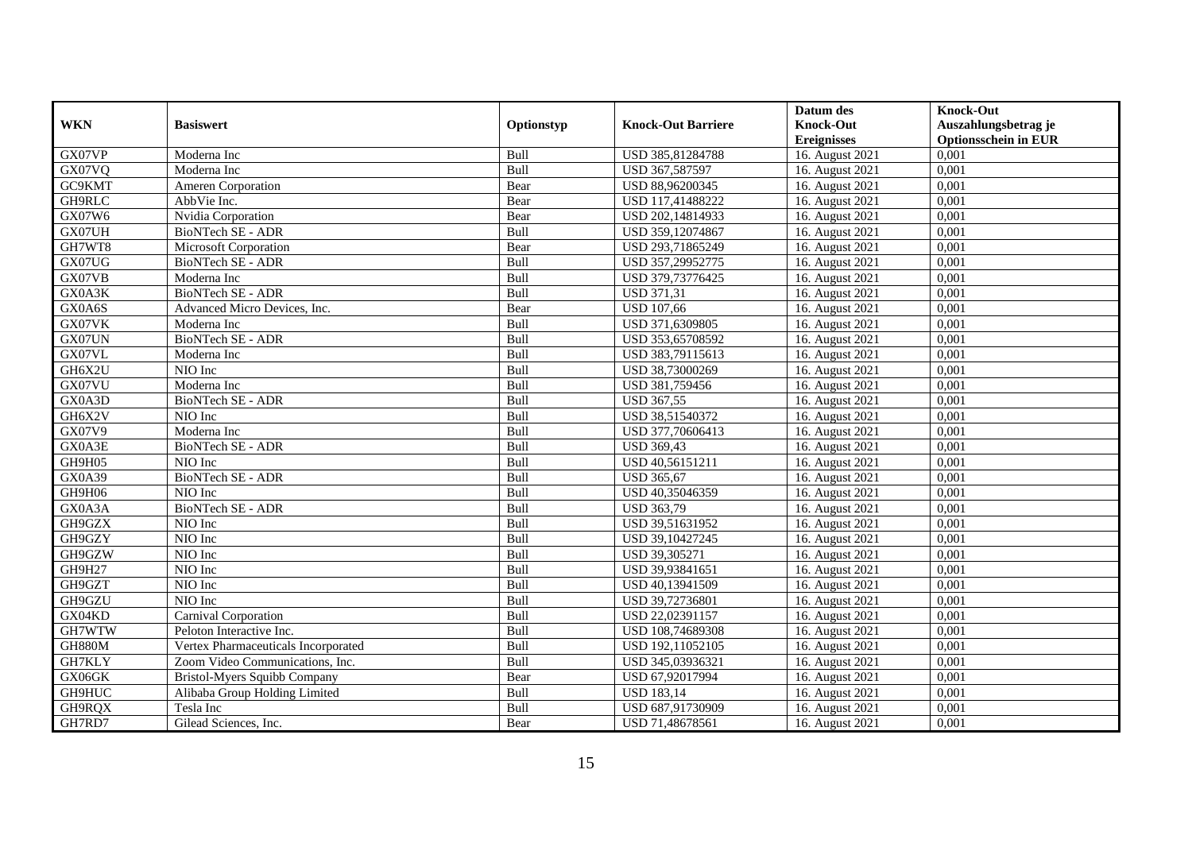|            |                                     |             |                           | Datum des          | <b>Knock-Out</b>            |
|------------|-------------------------------------|-------------|---------------------------|--------------------|-----------------------------|
| <b>WKN</b> | <b>Basiswert</b>                    | Optionstyp  | <b>Knock-Out Barriere</b> | <b>Knock-Out</b>   | Auszahlungsbetrag je        |
|            |                                     |             |                           | <b>Ereignisses</b> | <b>Optionsschein in EUR</b> |
| GX07VP     | Moderna Inc                         | Bull        | USD 385,81284788          | 16. August 2021    | 0,001                       |
| GX07VQ     | Moderna Inc                         | Bull        | USD 367,587597            | 16. August 2021    | 0,001                       |
| GC9KMT     | <b>Ameren Corporation</b>           | Bear        | USD 88,96200345           | 16. August 2021    | 0,001                       |
| GH9RLC     | AbbVie Inc.                         | Bear        | USD 117,41488222          | 16. August 2021    | 0,001                       |
| GX07W6     | Nvidia Corporation                  | Bear        | USD 202,14814933          | 16. August 2021    | 0,001                       |
| GX07UH     | BioNTech SE - ADR                   | Bull        | USD 359,12074867          | 16. August 2021    | 0,001                       |
| GH7WT8     | Microsoft Corporation               | Bear        | USD 293,71865249          | 16. August 2021    | 0,001                       |
| GX07UG     | BioNTech SE - ADR                   | Bull        | USD 357,29952775          | 16. August 2021    | 0,001                       |
| GX07VB     | Moderna Inc                         | Bull        | USD 379,73776425          | 16. August 2021    | 0,001                       |
| GX0A3K     | BioNTech SE - ADR                   | Bull        | <b>USD 371,31</b>         | 16. August 2021    | 0,001                       |
| GX0A6S     | Advanced Micro Devices, Inc.        | Bear        | <b>USD 107,66</b>         | 16. August 2021    | 0,001                       |
| GX07VK     | Moderna Inc                         | Bull        | USD 371,6309805           | 16. August 2021    | 0,001                       |
| GX07UN     | BioNTech SE - ADR                   | Bull        | USD 353,65708592          | 16. August 2021    | 0.001                       |
| GX07VL     | Moderna Inc                         | Bull        | USD 383,79115613          | 16. August 2021    | 0,001                       |
| GH6X2U     | NIO Inc                             | Bull        | USD 38,73000269           | 16. August 2021    | 0,001                       |
| GX07VU     | Moderna Inc                         | <b>Bull</b> | USD 381,759456            | 16. August 2021    | 0,001                       |
| GX0A3D     | BioNTech SE - ADR                   | Bull        | <b>USD 367,55</b>         | 16. August 2021    | 0,001                       |
| GH6X2V     | NIO Inc                             | <b>Bull</b> | USD 38.51540372           | 16. August 2021    | 0.001                       |
| GX07V9     | Moderna Inc                         | Bull        | USD 377,70606413          | 16. August 2021    | 0,001                       |
| GX0A3E     | BioNTech SE - ADR                   | Bull        | <b>USD 369,43</b>         | 16. August 2021    | 0,001                       |
| GH9H05     | NIO Inc                             | Bull        | USD 40,56151211           | 16. August 2021    | 0,001                       |
| GX0A39     | BioNTech SE - ADR                   | Bull        | <b>USD 365,67</b>         | 16. August 2021    | 0,001                       |
| GH9H06     | NIO Inc                             | Bull        | USD 40,35046359           | 16. August 2021    | 0,001                       |
| GX0A3A     | <b>BioNTech SE - ADR</b>            | Bull        | <b>USD 363,79</b>         | 16. August 2021    | 0,001                       |
| GH9GZX     | NIO Inc                             | Bull        | USD 39,51631952           | 16. August 2021    | 0,001                       |
| GH9GZY     | NIO Inc                             | Bull        | USD 39,10427245           | 16. August 2021    | 0,001                       |
| GH9GZW     | NIO Inc                             | Bull        | USD 39,305271             | 16. August 2021    | 0,001                       |
| GH9H27     | NIO Inc                             | Bull        | USD 39,93841651           | 16. August 2021    | 0,001                       |
| GH9GZT     | NIO Inc                             | Bull        | USD 40,13941509           | 16. August 2021    | 0,001                       |
| GH9GZU     | NIO Inc                             | Bull        | USD 39,72736801           | 16. August 2021    | 0,001                       |
| GX04KD     | Carnival Corporation                | Bull        | USD 22,02391157           | 16. August 2021    | 0,001                       |
| GH7WTW     | Peloton Interactive Inc.            | Bull        | USD 108,74689308          | 16. August 2021    | 0,001                       |
| GH880M     | Vertex Pharmaceuticals Incorporated | Bull        | USD 192,11052105          | 16. August 2021    | 0,001                       |
| GH7KLY     | Zoom Video Communications, Inc.     | Bull        | USD 345,03936321          | 16. August 2021    | 0,001                       |
| GX06GK     | Bristol-Myers Squibb Company        | Bear        | USD 67,92017994           | 16. August 2021    | 0,001                       |
| GH9HUC     | Alibaba Group Holding Limited       | Bull        | <b>USD 183,14</b>         | 16. August 2021    | 0,001                       |
| GH9RQX     | Tesla Inc                           | Bull        | USD 687,91730909          | 16. August 2021    | 0,001                       |
| GH7RD7     | Gilead Sciences, Inc.               | Bear        | USD 71,48678561           | 16. August 2021    | 0,001                       |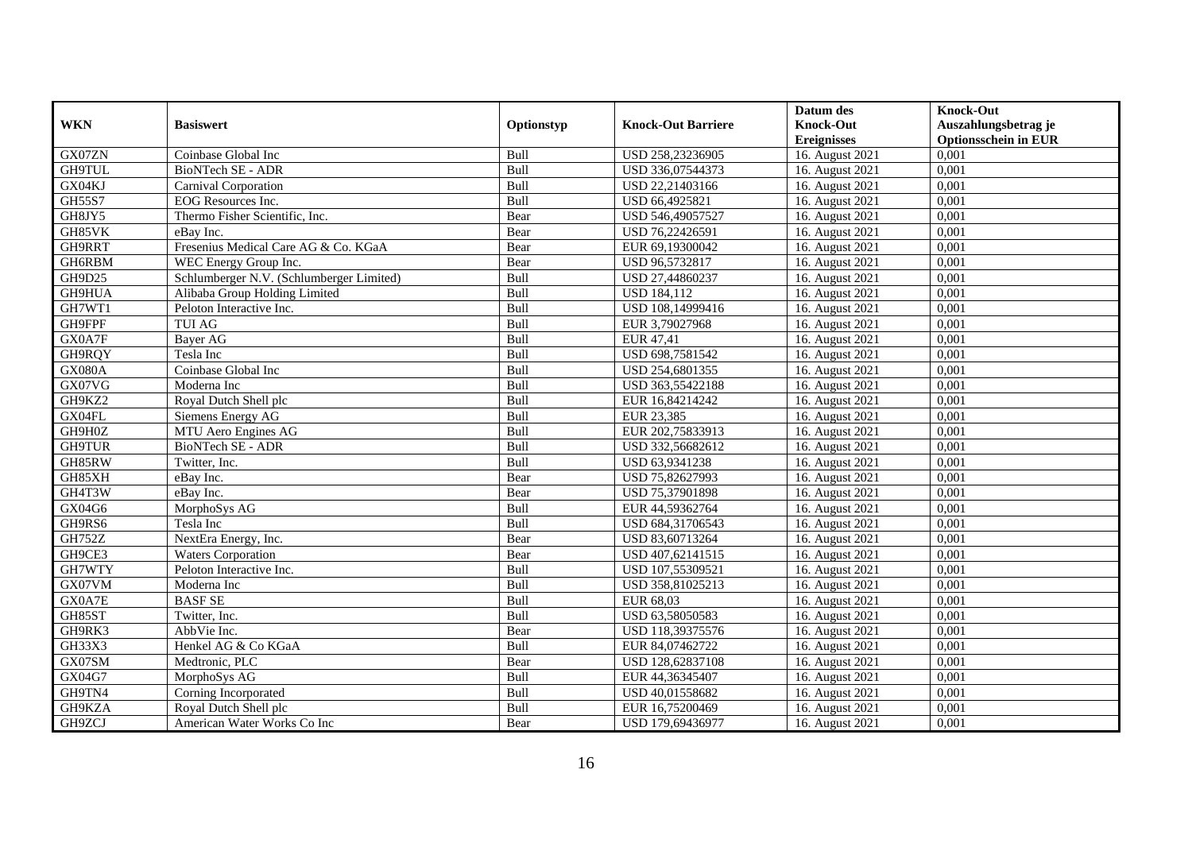|               |                                          |             |                           | Datum des          | <b>Knock-Out</b>            |
|---------------|------------------------------------------|-------------|---------------------------|--------------------|-----------------------------|
| <b>WKN</b>    | <b>Basiswert</b>                         | Optionstyp  | <b>Knock-Out Barriere</b> | <b>Knock-Out</b>   | Auszahlungsbetrag je        |
|               |                                          |             |                           | <b>Ereignisses</b> | <b>Optionsschein in EUR</b> |
| GX07ZN        | Coinbase Global Inc                      | Bull        | USD 258,23236905          | 16. August 2021    | 0,001                       |
| <b>GH9TUL</b> | BioNTech SE - ADR                        | Bull        | USD 336,07544373          | 16. August 2021    | 0,001                       |
| GX04KJ        | Carnival Corporation                     | <b>Bull</b> | USD 22,21403166           | 16. August 2021    | 0,001                       |
| GH55S7        | EOG Resources Inc.                       | Bull        | USD 66,4925821            | 16. August 2021    | 0,001                       |
| GH8JY5        | Thermo Fisher Scientific, Inc.           | Bear        | USD 546,49057527          | 16. August 2021    | 0,001                       |
| GH85VK        | eBay Inc.                                | Bear        | USD 76,22426591           | 16. August 2021    | 0,001                       |
| GH9RRT        | Fresenius Medical Care AG & Co. KGaA     | Bear        | EUR 69,19300042           | 16. August 2021    | 0,001                       |
| GH6RBM        | WEC Energy Group Inc.                    | Bear        | USD 96,5732817            | 16. August 2021    | 0,001                       |
| GH9D25        | Schlumberger N.V. (Schlumberger Limited) | Bull        | USD 27,44860237           | 16. August 2021    | 0,001                       |
| GH9HUA        | Alibaba Group Holding Limited            | Bull        | <b>USD 184,112</b>        | 16. August 2021    | 0,001                       |
| GH7WT1        | Peloton Interactive Inc.                 | Bull        | USD 108,14999416          | 16. August 2021    | 0,001                       |
| GH9FPF        | <b>TUI AG</b>                            | Bull        | EUR 3,79027968            | 16. August 2021    | 0,001                       |
| GX0A7F        | Bayer AG                                 | Bull        | EUR 47,41                 | 16. August 2021    | 0.001                       |
| GH9RQY        | Tesla Inc                                | Bull        | USD 698,7581542           | 16. August 2021    | 0,001                       |
| GX080A        | Coinbase Global Inc                      | Bull        | USD 254,6801355           | 16. August 2021    | 0,001                       |
| GX07VG        | Moderna Inc                              | <b>Bull</b> | USD 363,55422188          | 16. August 2021    | 0,001                       |
| GH9KZ2        | Royal Dutch Shell plc                    | Bull        | EUR 16,84214242           | 16. August 2021    | 0,001                       |
| GX04FL        | Siemens Energy AG                        | <b>Bull</b> | EUR 23.385                | 16. August 2021    | 0.001                       |
| GH9H0Z        | MTU Aero Engines AG                      | Bull        | EUR 202,75833913          | 16. August 2021    | 0,001                       |
| GH9TUR        | BioNTech SE - ADR                        | Bull        | USD 332,56682612          | 16. August 2021    | 0,001                       |
| GH85RW        | Twitter, Inc.                            | Bull        | USD 63,9341238            | 16. August 2021    | 0,001                       |
| GH85XH        | eBay Inc.                                | Bear        | USD 75,82627993           | 16. August 2021    | 0,001                       |
| GH4T3W        | eBay Inc.                                | Bear        | USD 75,37901898           | 16. August 2021    | 0,001                       |
| GX04G6        | MorphoSys AG                             | Bull        | EUR 44,59362764           | 16. August 2021    | 0,001                       |
| GH9RS6        | Tesla Inc                                | Bull        | USD 684,31706543          | 16. August 2021    | 0,001                       |
| GH752Z        | NextEra Energy, Inc.                     | Bear        | USD 83,60713264           | 16. August 2021    | 0,001                       |
| GH9CE3        | <b>Waters Corporation</b>                | Bear        | USD 407,62141515          | 16. August 2021    | 0,001                       |
| GH7WTY        | Peloton Interactive Inc.                 | Bull        | USD 107,55309521          | 16. August 2021    | 0,001                       |
| GX07VM        | Moderna Inc                              | Bull        | USD 358,81025213          | 16. August 2021    | 0,001                       |
| GX0A7E        | <b>BASFSE</b>                            | Bull        | EUR 68,03                 | 16. August 2021    | 0,001                       |
| GH85ST        | Twitter, Inc.                            | Bull        | USD 63,58050583           | 16. August 2021    | 0,001                       |
| GH9RK3        | AbbVie Inc.                              | Bear        | USD 118,39375576          | 16. August 2021    | 0,001                       |
| GH33X3        | Henkel AG & Co KGaA                      | Bull        | EUR 84,07462722           | 16. August 2021    | 0,001                       |
| GX07SM        | Medtronic, PLC                           | Bear        | USD 128,62837108          | 16. August 2021    | 0,001                       |
| GX04G7        | MorphoSys AG                             | <b>Bull</b> | EUR 44,36345407           | 16. August 2021    | 0,001                       |
| GH9TN4        | Corning Incorporated                     | Bull        | USD 40,01558682           | 16. August 2021    | 0,001                       |
| GH9KZA        | Royal Dutch Shell plc                    | Bull        | EUR 16,75200469           | 16. August 2021    | 0,001                       |
| GH9ZCJ        | American Water Works Co Inc              | Bear        | USD 179,69436977          | 16. August 2021    | 0,001                       |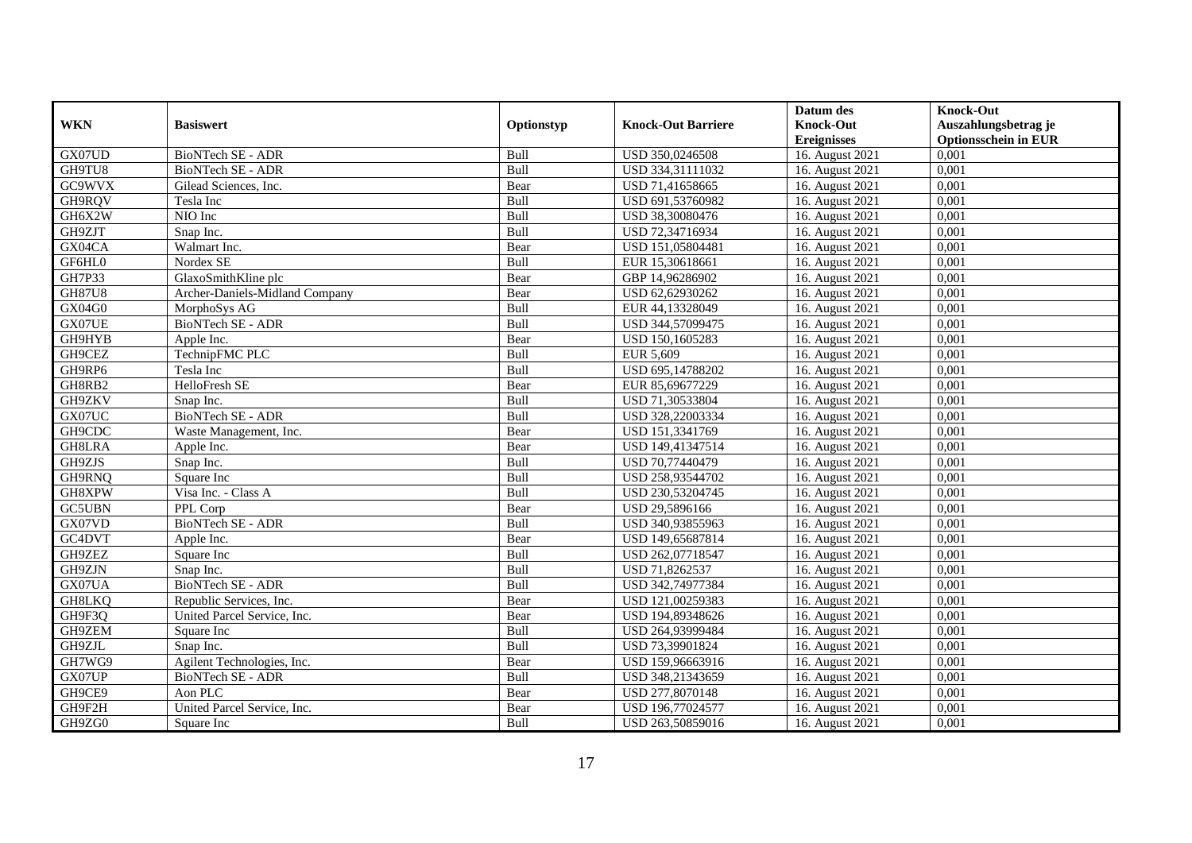|               |                                |             |                           | Datum des          | <b>Knock-Out</b>            |
|---------------|--------------------------------|-------------|---------------------------|--------------------|-----------------------------|
| <b>WKN</b>    | <b>Basiswert</b>               | Optionstyp  | <b>Knock-Out Barriere</b> | <b>Knock-Out</b>   | Auszahlungsbetrag je        |
|               |                                |             |                           | <b>Ereignisses</b> | <b>Optionsschein in EUR</b> |
| GX07UD        | BioNTech SE - ADR              | Bull        | USD 350,0246508           | 16. August 2021    | 0,001                       |
| GH9TU8        | BioNTech SE - ADR              | Bull        | USD 334,31111032          | 16. August 2021    | 0,001                       |
| GC9WVX        | Gilead Sciences, Inc.          | Bear        | USD 71,41658665           | 16. August 2021    | 0,001                       |
| GH9RQV        | Tesla Inc                      | Bull        | USD 691,53760982          | 16. August 2021    | 0,001                       |
| GH6X2W        | NIO Inc                        | Bull        | USD 38,30080476           | 16. August 2021    | 0,001                       |
| GH9ZJT        | Snap Inc.                      | Bull        | USD 72,34716934           | 16. August 2021    | 0,001                       |
| GX04CA        | Walmart Inc.                   | Bear        | USD 151,05804481          | 16. August 2021    | 0,001                       |
| GF6HL0        | Nordex SE                      | Bull        | EUR 15,30618661           | 16. August 2021    | 0,001                       |
| <b>GH7P33</b> | GlaxoSmithKline plc            | Bear        | GBP 14,96286902           | 16. August 2021    | 0,001                       |
| <b>GH87U8</b> | Archer-Daniels-Midland Company | Bear        | USD 62,62930262           | 16. August 2021    | 0,001                       |
| GX04G0        | MorphoSys AG                   | Bull        | EUR 44,13328049           | 16. August 2021    | 0,001                       |
| GX07UE        | BioNTech SE - ADR              | Bull        | USD 344,57099475          | 16. August 2021    | 0,001                       |
| GH9HYB        | Apple Inc.                     | Bear        | USD 150,1605283           | 16. August 2021    | 0.001                       |
| GH9CEZ        | TechnipFMC PLC                 | Bull        | EUR 5,609                 | 16. August 2021    | 0,001                       |
| GH9RP6        | Tesla Inc                      | Bull        | USD 695,14788202          | 16. August 2021    | 0,001                       |
| GH8RB2        | HelloFresh SE                  | Bear        | EUR 85,69677229           | 16. August 2021    | 0,001                       |
| GH9ZKV        | Snap Inc.                      | Bull        | USD 71,30533804           | 16. August 2021    | 0,001                       |
| GX07UC        | BioNTech SE - ADR              | <b>Bull</b> | USD 328,22003334          | 16. August 2021    | 0.001                       |
| GH9CDC        | Waste Management, Inc.         | Bear        | USD 151,3341769           | 16. August 2021    | 0,001                       |
| GH8LRA        | Apple Inc.                     | Bear        | USD 149,41347514          | 16. August 2021    | 0,001                       |
| GH9ZJS        | Snap Inc.                      | Bull        | USD 70,77440479           | 16. August 2021    | 0,001                       |
| GH9RNQ        | Square Inc                     | Bull        | USD 258,93544702          | 16. August 2021    | 0,001                       |
| GH8XPW        | Visa Inc. - Class A            | Bull        | USD 230,53204745          | 16. August 2021    | 0,001                       |
| <b>GC5UBN</b> | PPL Corp                       | Bear        | USD 29,5896166            | 16. August 2021    | 0,001                       |
| GX07VD        | BioNTech SE - ADR              | Bull        | USD 340,93855963          | 16. August 2021    | 0,001                       |
| GC4DVT        | Apple Inc.                     | Bear        | USD 149,65687814          | 16. August 2021    | 0,001                       |
| GH9ZEZ        | Square Inc                     | Bull        | USD 262,07718547          | 16. August 2021    | 0,001                       |
| GH9ZJN        | Snap Inc.                      | Bull        | USD 71,8262537            | 16. August 2021    | 0,001                       |
| GX07UA        | <b>BioNTech SE - ADR</b>       | Bull        | USD 342,74977384          | 16. August 2021    | 0,001                       |
| <b>GH8LKQ</b> | Republic Services, Inc.        | Bear        | USD 121,00259383          | 16. August 2021    | 0,001                       |
| GH9F3Q        | United Parcel Service, Inc.    | Bear        | USD 194,89348626          | 16. August 2021    | 0,001                       |
| GH9ZEM        | Square Inc                     | Bull        | USD 264,93999484          | 16. August 2021    | 0,001                       |
| GH9ZJL        | Snap Inc.                      | Bull        | USD 73,39901824           | 16. August 2021    | 0,001                       |
| GH7WG9        | Agilent Technologies, Inc.     | Bear        | USD 159,96663916          | 16. August 2021    | 0,001                       |
| GX07UP        | BioNTech SE - ADR              | <b>Bull</b> | USD 348,21343659          | 16. August 2021    | 0,001                       |
| GH9CE9        | Aon PLC                        | Bear        | USD 277,8070148           | 16. August 2021    | 0,001                       |
| GH9F2H        | United Parcel Service, Inc.    | Bear        | USD 196,77024577          | 16. August 2021    | 0,001                       |
| GH9ZG0        | Square Inc                     | <b>Bull</b> | USD 263,50859016          | 16. August 2021    | 0,001                       |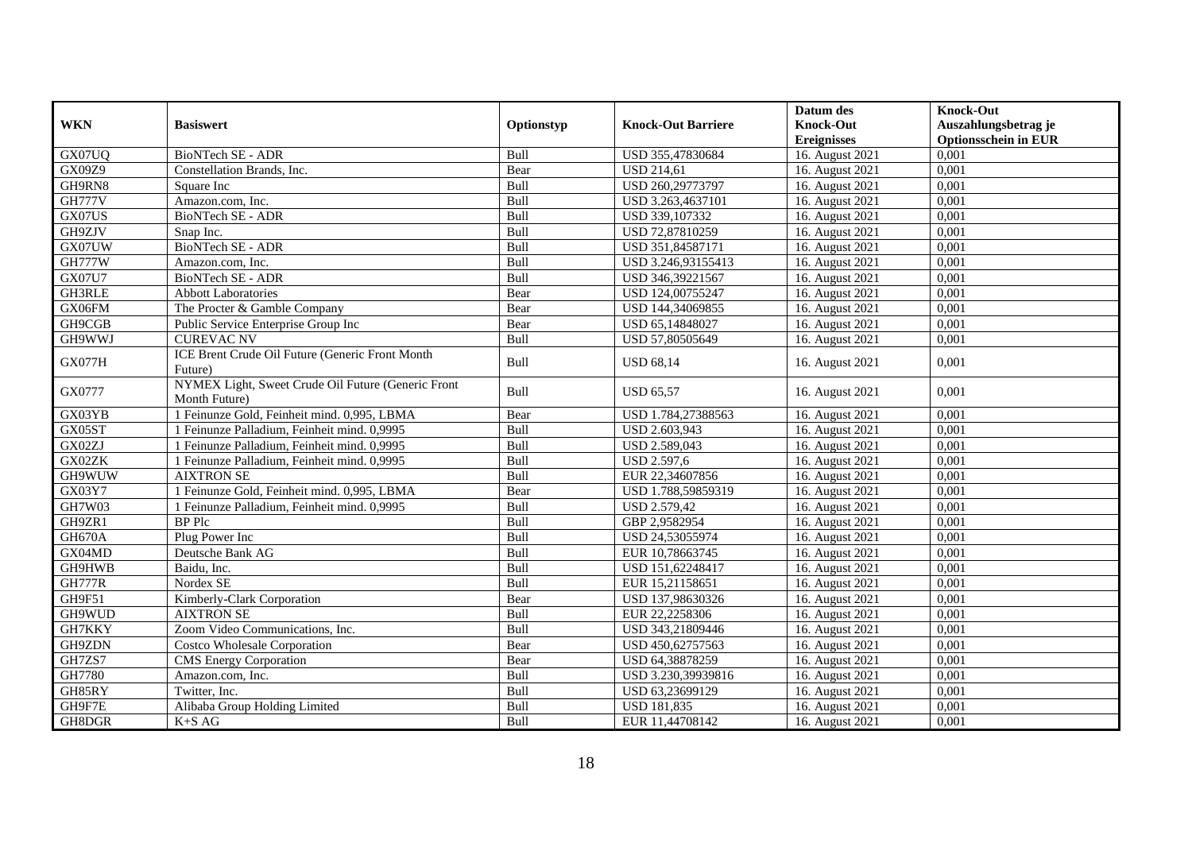|               |                                                               |             |                           | Datum des          | <b>Knock-Out</b>            |
|---------------|---------------------------------------------------------------|-------------|---------------------------|--------------------|-----------------------------|
| <b>WKN</b>    | <b>Basiswert</b>                                              | Optionstyp  | <b>Knock-Out Barriere</b> | <b>Knock-Out</b>   | Auszahlungsbetrag je        |
|               |                                                               |             |                           | <b>Ereignisses</b> | <b>Optionsschein in EUR</b> |
| GX07UQ        | BioNTech SE - ADR                                             | Bull        | USD 355,47830684          | 16. August 2021    | 0,001                       |
| GX09Z9        | Constellation Brands, Inc.                                    | Bear        | <b>USD 214,61</b>         | 16. August 2021    | 0,001                       |
| GH9RN8        | Square Inc                                                    | Bull        | USD 260,29773797          | 16. August 2021    | 0,001                       |
| <b>GH777V</b> | Amazon.com, Inc.                                              | Bull        | USD 3.263,4637101         | 16. August 2021    | 0,001                       |
| GX07US        | <b>BioNTech SE - ADR</b>                                      | Bull        | USD 339,107332            | 16. August 2021    | 0,001                       |
| GH9ZJV        | Snap Inc.                                                     | Bull        | USD 72,87810259           | 16. August 2021    | 0,001                       |
| GX07UW        | <b>BioNTech SE - ADR</b>                                      | <b>Bull</b> | USD 351,84587171          | 16. August 2021    | 0,001                       |
| <b>GH777W</b> | Amazon.com, Inc.                                              | Bull        | USD 3.246,93155413        | 16. August 2021    | 0,001                       |
| <b>GX07U7</b> | BioNTech SE - ADR                                             | Bull        | USD 346,39221567          | 16. August 2021    | 0,001                       |
| GH3RLE        | <b>Abbott Laboratories</b>                                    | Bear        | USD 124,00755247          | 16. August 2021    | 0,001                       |
| GX06FM        | The Procter & Gamble Company                                  | Bear        | USD 144,34069855          | 16. August 2021    | 0,001                       |
| GH9CGB        | Public Service Enterprise Group Inc                           | Bear        | USD 65,14848027           | 16. August 2021    | 0,001                       |
| GH9WWJ        | <b>CUREVAC NV</b>                                             | Bull        | USD 57,80505649           | 16. August 2021    | 0,001                       |
| <b>GX077H</b> | ICE Brent Crude Oil Future (Generic Front Month               | Bull        | <b>USD 68,14</b>          | 16. August 2021    | 0,001                       |
|               | Future)<br>NYMEX Light, Sweet Crude Oil Future (Generic Front |             |                           |                    |                             |
| GX0777        | Month Future)                                                 | Bull        | <b>USD 65.57</b>          | 16. August 2021    | 0,001                       |
| GX03YB        | 1 Feinunze Gold, Feinheit mind. 0.995, LBMA                   | Bear        | USD 1.784.27388563        | 16. August 2021    | 0.001                       |
| GX05ST        | 1 Feinunze Palladium, Feinheit mind. 0,9995                   | Bull        | USD 2.603,943             | 16. August 2021    | 0,001                       |
| GX02ZJ        | 1 Feinunze Palladium, Feinheit mind. 0,9995                   | Bull        | USD 2.589,043             | 16. August 2021    | 0,001                       |
| GX02ZK        | 1 Feinunze Palladium, Feinheit mind. 0,9995                   | Bull        | <b>USD 2.597,6</b>        | 16. August 2021    | 0,001                       |
| GH9WUW        | <b>AIXTRON SE</b>                                             | Bull        | EUR 22,34607856           | 16. August 2021    | 0,001                       |
| GX03Y7        | 1 Feinunze Gold, Feinheit mind. 0,995, LBMA                   | Bear        | USD 1.788.59859319        | 16. August 2021    | 0.001                       |
| GH7W03        | 1 Feinunze Palladium, Feinheit mind. 0,9995                   | Bull        | <b>USD 2.579,42</b>       | 16. August 2021    | 0,001                       |
| GH9ZR1        | <b>BP</b> Plc                                                 | Bull        | GBP 2,9582954             | 16. August 2021    | 0,001                       |
| GH670A        | Plug Power Inc                                                | Bull        | USD 24,53055974           | 16. August 2021    | 0,001                       |
| GX04MD        | Deutsche Bank AG                                              | Bull        | EUR 10,78663745           | 16. August 2021    | 0,001                       |
| GH9HWB        | Baidu, Inc.                                                   | Bull        | USD 151,62248417          | 16. August 2021    | 0,001                       |
| <b>GH777R</b> | Nordex SE                                                     | Bull        | EUR 15,21158651           | 16. August 2021    | 0,001                       |
| GH9F51        | Kimberly-Clark Corporation                                    | Bear        | USD 137,98630326          | 16. August 2021    | 0,001                       |
| GH9WUD        | <b>AIXTRON SE</b>                                             | Bull        | EUR 22,2258306            | 16. August 2021    | 0,001                       |
| GH7KKY        | Zoom Video Communications, Inc.                               | Bull        | USD 343,21809446          | 16. August 2021    | 0,001                       |
| GH9ZDN        | <b>Costco Wholesale Corporation</b>                           | Bear        | USD 450,62757563          | 16. August 2021    | 0,001                       |
| GH7ZS7        | <b>CMS</b> Energy Corporation                                 | Bear        | USD 64,38878259           | 16. August 2021    | 0,001                       |
| GH7780        | Amazon.com. Inc.                                              | Bull        | USD 3.230,39939816        | 16. August 2021    | 0,001                       |
| GH85RY        | Twitter, Inc.                                                 | Bull        | USD 63,23699129           | 16. August 2021    | 0,001                       |
| GH9F7E        | Alibaba Group Holding Limited                                 | Bull        | <b>USD 181,835</b>        | 16. August 2021    | 0,001                       |
| GH8DGR        | $K+SAG$                                                       | <b>Bull</b> | EUR 11,44708142           | 16. August 2021    | 0,001                       |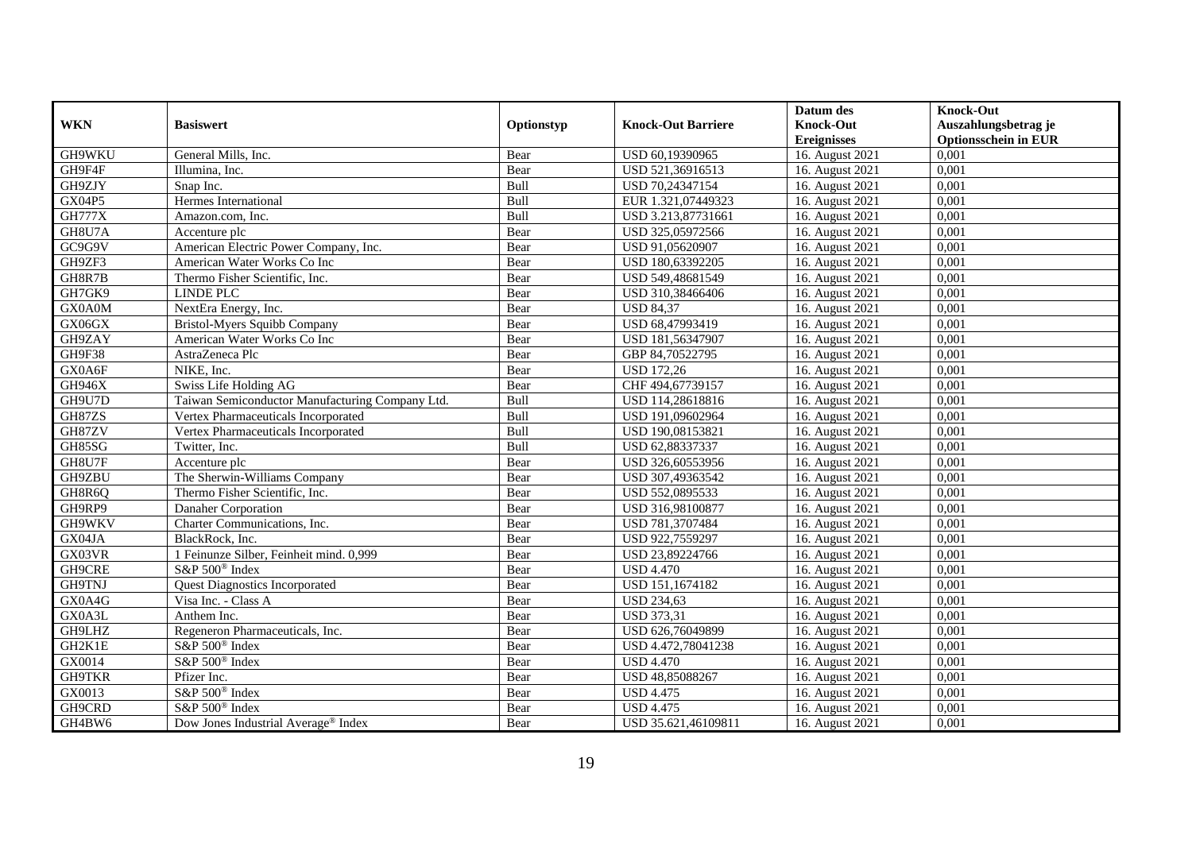|               |                                                 |             |                           | Datum des          | <b>Knock-Out</b>            |
|---------------|-------------------------------------------------|-------------|---------------------------|--------------------|-----------------------------|
| <b>WKN</b>    | <b>Basiswert</b>                                | Optionstyp  | <b>Knock-Out Barriere</b> | <b>Knock-Out</b>   | Auszahlungsbetrag je        |
|               |                                                 |             |                           | <b>Ereignisses</b> | <b>Optionsschein in EUR</b> |
| GH9WKU        | General Mills, Inc.                             | Bear        | USD 60,19390965           | 16. August 2021    | 0,001                       |
| GH9F4F        | Illumina, Inc.                                  | Bear        | USD 521,36916513          | 16. August 2021    | 0,001                       |
| GH9ZJY        | Snap Inc.                                       | Bull        | USD 70,24347154           | 16. August 2021    | 0,001                       |
| <b>GX04P5</b> | Hermes International                            | Bull        | EUR 1.321,07449323        | 16. August 2021    | 0.001                       |
| <b>GH777X</b> | Amazon.com, Inc.                                | Bull        | USD 3.213,87731661        | 16. August 2021    | 0,001                       |
| GH8U7A        | Accenture plc                                   | Bear        | USD 325,05972566          | 16. August 2021    | 0,001                       |
| GC9G9V        | American Electric Power Company, Inc.           | Bear        | USD 91,05620907           | 16. August 2021    | 0,001                       |
| GH9ZF3        | American Water Works Co Inc                     | Bear        | USD 180,63392205          | 16. August 2021    | 0,001                       |
| GH8R7B        | Thermo Fisher Scientific, Inc.                  | Bear        | USD 549,48681549          | 16. August 2021    | 0,001                       |
| GH7GK9        | LINDE PLC                                       | Bear        | USD 310,38466406          | 16. August 2021    | 0.001                       |
| GX0A0M        | NextEra Energy, Inc.                            | Bear        | <b>USD 84.37</b>          | 16. August 2021    | 0,001                       |
| GX06GX        | <b>Bristol-Myers Squibb Company</b>             | Bear        | USD 68,47993419           | 16. August 2021    | 0,001                       |
| GH9ZAY        | American Water Works Co Inc                     | Bear        | USD 181,56347907          | 16. August 2021    | 0,001                       |
| GH9F38        | AstraZeneca Plc                                 | Bear        | GBP 84,70522795           | 16. August 2021    | 0,001                       |
| GX0A6F        | NIKE, Inc.                                      | Bear        | <b>USD 172,26</b>         | 16. August 2021    | 0,001                       |
| GH946X        | Swiss Life Holding AG                           | Bear        | CHF 494,67739157          | 16. August 2021    | 0,001                       |
| GH9U7D        | Taiwan Semiconductor Manufacturing Company Ltd. | Bull        | USD 114,28618816          | 16. August 2021    | 0,001                       |
| GH87ZS        | Vertex Pharmaceuticals Incorporated             | <b>Bull</b> | USD 191,09602964          | 16. August 2021    | 0.001                       |
| GH87ZV        | Vertex Pharmaceuticals Incorporated             | Bull        | USD 190,08153821          | 16. August 2021    | 0,001                       |
| GH85SG        | Twitter, Inc.                                   | Bull        | USD 62,88337337           | 16. August 2021    | 0,001                       |
| GH8U7F        | Accenture plc                                   | Bear        | USD 326,60553956          | 16. August 2021    | 0,001                       |
| GH9ZBU        | The Sherwin-Williams Company                    | Bear        | USD 307,49363542          | 16. August 2021    | 0,001                       |
| GH8R6Q        | Thermo Fisher Scientific, Inc.                  | Bear        | USD 552,0895533           | 16. August 2021    | 0,001                       |
| GH9RP9        | Danaher Corporation                             | Bear        | USD 316,98100877          | 16. August 2021    | 0,001                       |
| GH9WKV        | Charter Communications, Inc.                    | Bear        | USD 781,3707484           | 16. August 2021    | 0.001                       |
| GX04JA        | BlackRock, Inc.                                 | Bear        | USD 922,7559297           | 16. August 2021    | 0,001                       |
| GX03VR        | 1 Feinunze Silber, Feinheit mind. 0,999         | Bear        | USD 23,89224766           | 16. August 2021    | 0,001                       |
| GH9CRE        | S&P 500 <sup>®</sup> Index                      | Bear        | <b>USD 4.470</b>          | 16. August 2021    | 0,001                       |
| <b>GH9TNJ</b> | <b>Quest Diagnostics Incorporated</b>           | Bear        | USD 151,1674182           | 16. August 2021    | 0,001                       |
| GX0A4G        | Visa Inc. - Class A                             | Bear        | <b>USD 234,63</b>         | 16. August 2021    | 0,001                       |
| GX0A3L        | Anthem Inc.                                     | Bear        | <b>USD 373,31</b>         | 16. August 2021    | 0,001                       |
| GH9LHZ        | Regeneron Pharmaceuticals, Inc.                 | Bear        | USD 626,76049899          | 16. August 2021    | 0.001                       |
| GH2K1E        | S&P 500 <sup>®</sup> Index                      | Bear        | USD 4.472,78041238        | 16. August 2021    | 0,001                       |
| GX0014        | S&P 500 <sup>®</sup> Index                      | Bear        | <b>USD 4.470</b>          | 16. August 2021    | 0,001                       |
| <b>GH9TKR</b> | Pfizer Inc.                                     | Bear        | USD 48,85088267           | 16. August 2021    | 0,001                       |
| GX0013        | S&P 500 <sup>®</sup> Index                      | Bear        | <b>USD 4.475</b>          | 16. August 2021    | 0,001                       |
| GH9CRD        | S&P 500 <sup>®</sup> Index                      | Bear        | <b>USD 4.475</b>          | 16. August 2021    | 0,001                       |
| GH4BW6        | Dow Jones Industrial Average <sup>®</sup> Index | Bear        | USD 35.621,46109811       | 16. August 2021    | 0,001                       |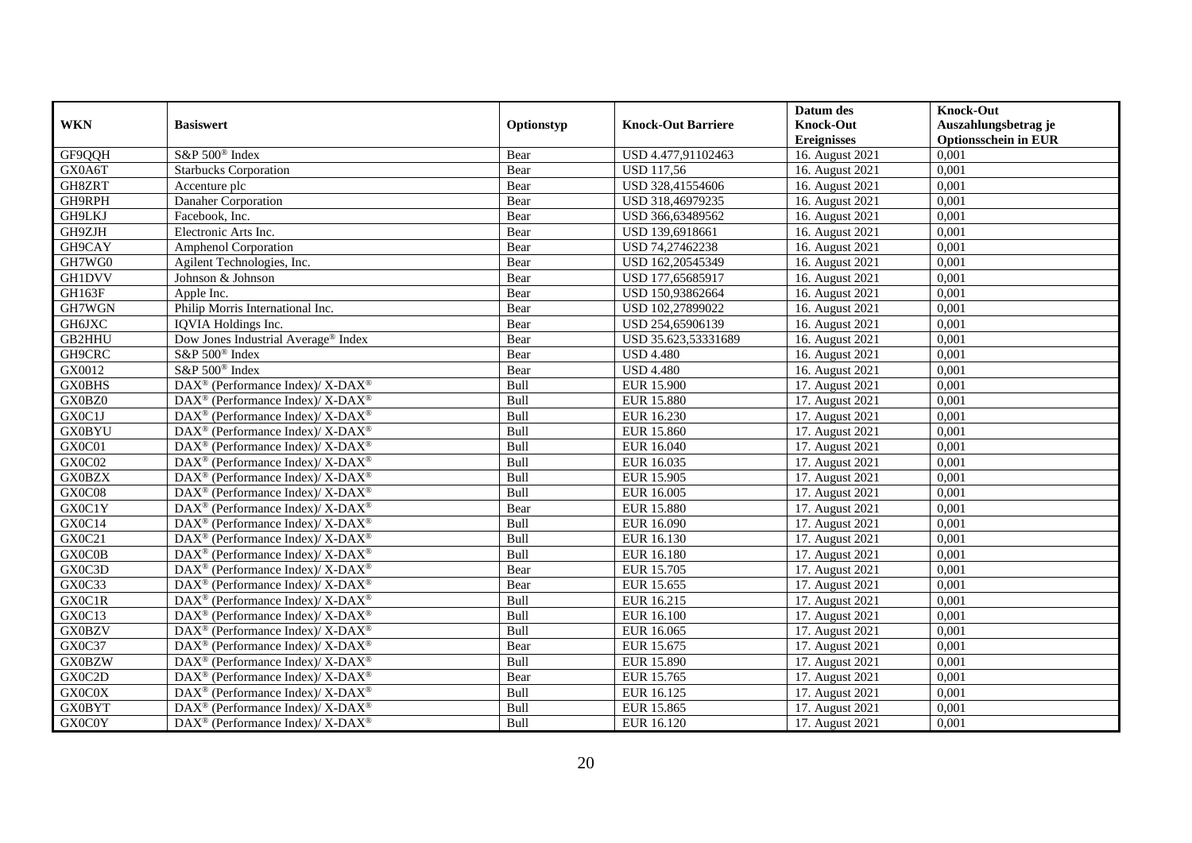|               |                                                              |            |                           | Datum des          | <b>Knock-Out</b>            |
|---------------|--------------------------------------------------------------|------------|---------------------------|--------------------|-----------------------------|
| <b>WKN</b>    | <b>Basiswert</b>                                             | Optionstyp | <b>Knock-Out Barriere</b> | <b>Knock-Out</b>   | Auszahlungsbetrag je        |
|               |                                                              |            |                           | <b>Ereignisses</b> | <b>Optionsschein in EUR</b> |
| GF9QQH        | S&P 500 <sup>®</sup> Index                                   | Bear       | USD 4.477,91102463        | 16. August 2021    | 0,001                       |
| GX0A6T        | <b>Starbucks Corporation</b>                                 | Bear       | <b>USD 117,56</b>         | 16. August 2021    | 0,001                       |
| GH8ZRT        | Accenture plc                                                | Bear       | USD 328,41554606          | 16. August 2021    | 0,001                       |
| GH9RPH        | Danaher Corporation                                          | Bear       | USD 318,46979235          | 16. August 2021    | 0,001                       |
| GH9LKJ        | Facebook, Inc.                                               | Bear       | USD 366,63489562          | 16. August 2021    | 0,001                       |
| GH9ZJH        | Electronic Arts Inc.                                         | Bear       | USD 139,6918661           | 16. August 2021    | 0,001                       |
| GH9CAY        | <b>Amphenol Corporation</b>                                  | Bear       | USD 74,27462238           | 16. August 2021    | 0,001                       |
| GH7WG0        | Agilent Technologies, Inc.                                   | Bear       | USD 162,20545349          | 16. August 2021    | 0,001                       |
| <b>GH1DVV</b> | Johnson & Johnson                                            | Bear       | USD 177,65685917          | 16. August 2021    | 0,001                       |
| GH163F        | Apple Inc.                                                   | Bear       | USD 150,93862664          | 16. August 2021    | 0,001                       |
| GH7WGN        | Philip Morris International Inc.                             | Bear       | USD 102,27899022          | 16. August 2021    | 0,001                       |
| GH6JXC        | <b>IQVIA</b> Holdings Inc.                                   | Bear       | USD 254,65906139          | 16. August 2021    | 0,001                       |
| GB2HHU        | Dow Jones Industrial Average® Index                          | Bear       | USD 35.623.53331689       | 16. August 2021    | 0,001                       |
| GH9CRC        | S&P 500 <sup>®</sup> Index                                   | Bear       | <b>USD 4.480</b>          | 16. August 2021    | 0,001                       |
| GX0012        | S&P 500 <sup>®</sup> Index                                   | Bear       | <b>USD 4.480</b>          | 16. August 2021    | 0,001                       |
| <b>GX0BHS</b> | DAX <sup>®</sup> (Performance Index)/ X-DAX <sup>®</sup>     | Bull       | <b>EUR 15.900</b>         | 17. August 2021    | 0,001                       |
| GX0BZ0        | DAX <sup>®</sup> (Performance Index)/ X-DAX <sup>®</sup>     | Bull       | <b>EUR 15.880</b>         | 17. August 2021    | 0,001                       |
| GX0C1J        | DAX <sup>®</sup> (Performance Index)/ X-DAX <sup>®</sup>     | Bull       | EUR 16.230                | 17. August 2021    | 0,001                       |
| <b>GX0BYU</b> | DAX <sup>®</sup> (Performance Index)/ X-DAX <sup>®</sup>     | Bull       | EUR 15.860                | 17. August 2021    | 0,001                       |
| GX0C01        | $DAX^{\circledcirc}$ (Performance Index)/ X-DAX <sup>®</sup> | Bull       | EUR 16.040                | 17. August 2021    | 0,001                       |
| GX0C02        | DAX <sup>®</sup> (Performance Index)/ X-DAX <sup>®</sup>     | Bull       | EUR 16.035                | 17. August 2021    | 0,001                       |
| <b>GX0BZX</b> | DAX <sup>®</sup> (Performance Index)/ X-DAX <sup>®</sup>     | Bull       | EUR 15.905                | 17. August 2021    | 0,001                       |
| GX0C08        | DAX <sup>®</sup> (Performance Index)/ X-DAX <sup>®</sup>     | Bull       | EUR 16.005                | 17. August 2021    | 0,001                       |
| GX0C1Y        | DAX <sup>®</sup> (Performance Index)/ X-DAX <sup>®</sup>     | Bear       | <b>EUR 15.880</b>         | 17. August 2021    | 0,001                       |
| GX0C14        | $DAX^{\circledast}$ (Performance Index)/ X-DAX <sup>®</sup>  | Bull       | EUR 16.090                | 17. August 2021    | 0,001                       |
| GX0C21        | DAX <sup>®</sup> (Performance Index)/ X-DAX <sup>®</sup>     | Bull       | EUR 16.130                | 17. August 2021    | 0,001                       |
| GX0C0B        | DAX <sup>®</sup> (Performance Index)/ X-DAX <sup>®</sup>     | Bull       | EUR 16.180                | 17. August 2021    | 0,001                       |
| GX0C3D        | $DAX^{\circledcirc}$ (Performance Index)/ X-DAX <sup>®</sup> | Bear       | EUR 15.705                | 17. August 2021    | 0,001                       |
| GX0C33        | DAX <sup>®</sup> (Performance Index)/ X-DAX <sup>®</sup>     | Bear       | EUR 15.655                | 17. August 2021    | 0,001                       |
| GX0C1R        | DAX <sup>®</sup> (Performance Index)/ X-DAX <sup>®</sup>     | Bull       | EUR 16.215                | 17. August 2021    | 0,001                       |
| GX0C13        | $DAX^{\circledcirc}$ (Performance Index)/ X-DAX <sup>®</sup> | Bull       | EUR 16.100                | 17. August 2021    | 0,001                       |
| <b>GX0BZV</b> | $DAX^{\circledast}$ (Performance Index)/ X-DAX <sup>®</sup>  | Bull       | EUR 16.065                | 17. August 2021    | 0,001                       |
| GX0C37        | $DAX^{\circledast}$ (Performance Index)/ X-DAX <sup>®</sup>  | Bear       | EUR 15.675                | 17. August 2021    | 0,001                       |
| <b>GX0BZW</b> | DAX <sup>®</sup> (Performance Index)/ X-DAX <sup>®</sup>     | Bull       | EUR 15.890                | 17. August 2021    | 0,001                       |
| GX0C2D        | $DAX^{\circledast}$ (Performance Index)/ X-DAX <sup>®</sup>  | Bear       | EUR 15.765                | 17. August 2021    | 0,001                       |
| GX0C0X        | $DAX^{\circledast}$ (Performance Index)/ X-DAX <sup>®</sup>  | Bull       | EUR 16.125                | 17. August 2021    | 0,001                       |
| <b>GX0BYT</b> | DAX <sup>®</sup> (Performance Index)/ X-DAX <sup>®</sup>     | Bull       | EUR 15.865                | 17. August 2021    | 0,001                       |
| GX0C0Y        | $DAX^{\circledast}$ (Performance Index)/ X-DAX <sup>®</sup>  | Bull       | EUR 16.120                | 17. August 2021    | 0,001                       |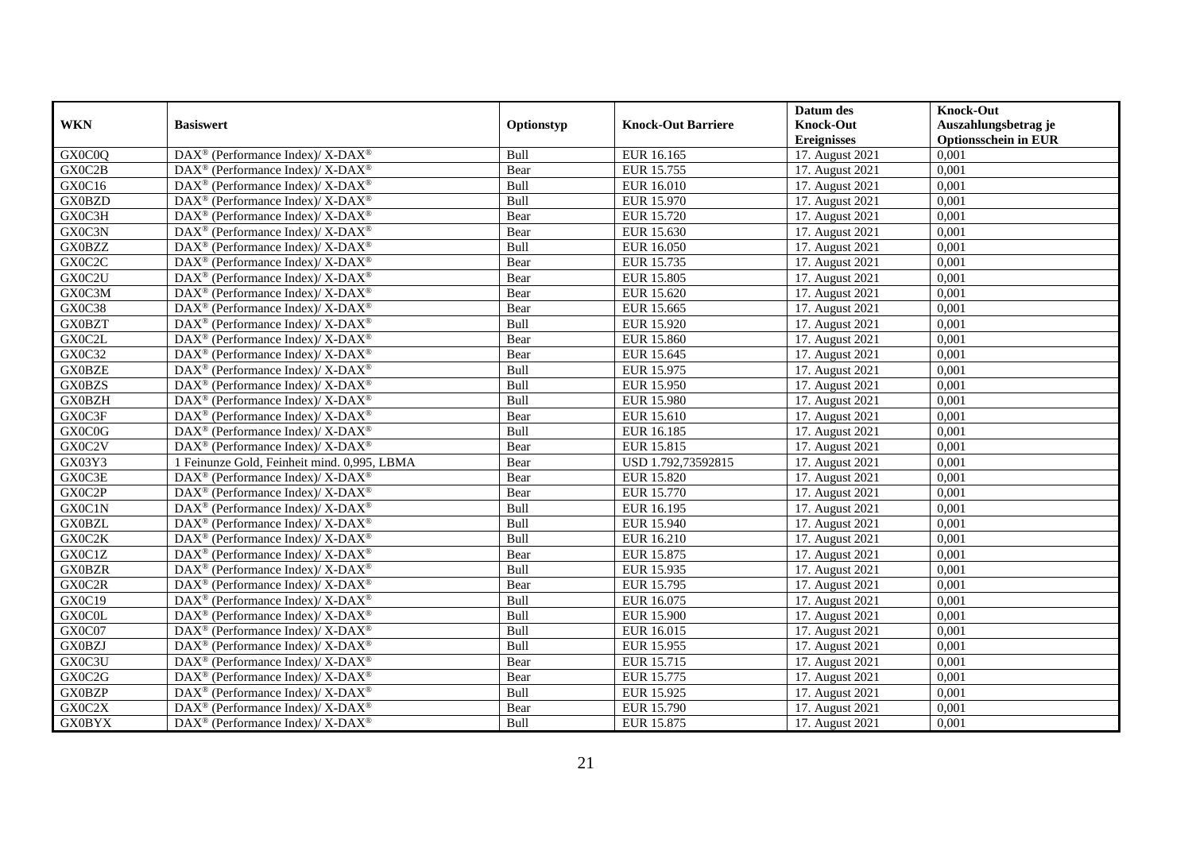|               |                                                                          |             |                           | Datum des          | <b>Knock-Out</b>            |
|---------------|--------------------------------------------------------------------------|-------------|---------------------------|--------------------|-----------------------------|
| <b>WKN</b>    | <b>Basiswert</b>                                                         | Optionstyp  | <b>Knock-Out Barriere</b> | <b>Knock-Out</b>   | Auszahlungsbetrag je        |
|               |                                                                          |             |                           | <b>Ereignisses</b> | <b>Optionsschein in EUR</b> |
| GX0C0Q        | DAX <sup>®</sup> (Performance Index)/ X-DAX <sup>®</sup>                 | Bull        | EUR 16.165                | 17. August 2021    | 0,001                       |
| GX0C2B        | $DAX^{\circledast}$ (Performance Index)/ X-DAX <sup>®</sup>              | Bear        | EUR 15.755                | 17. August 2021    | 0,001                       |
| GX0C16        | $DAX^{\circledast}$ (Performance Index)/ X-DAX <sup>®</sup>              | Bull        | EUR 16.010                | 17. August 2021    | 0,001                       |
| GX0BZD        | $DAX^{\circledast}$ (Performance Index)/ X-DAX <sup>®</sup>              | Bull        | EUR 15.970                | 17. August 2021    | 0,001                       |
| GX0C3H        | DAX <sup>®</sup> (Performance Index)/ X-DAX <sup>®</sup>                 | Bear        | EUR 15.720                | 17. August 2021    | 0,001                       |
| GX0C3N        | DAX <sup>®</sup> (Performance Index)/ X-DAX <sup>®</sup>                 | Bear        | EUR 15.630                | 17. August 2021    | 0,001                       |
| <b>GX0BZZ</b> | $DAX^{\circledcirc}$ (Performance Index)/ X-DAX <sup>®</sup>             | Bull        | EUR 16.050                | 17. August 2021    | 0,001                       |
| GX0C2C        | $DAX^{\circledast}$ (Performance Index)/ X-DAX <sup>®</sup>              | Bear        | EUR 15.735                | 17. August 2021    | 0,001                       |
| GX0C2U        | $DAX^{\circledast}$ (Performance Index)/ X-DAX <sup>®</sup>              | Bear        | <b>EUR 15.805</b>         | 17. August 2021    | 0,001                       |
| GX0C3M        | DAX <sup>®</sup> (Performance Index)/ X-DAX <sup>®</sup>                 | Bear        | EUR 15.620                | 17. August 2021    | 0,001                       |
| GX0C38        | DAX <sup>®</sup> (Performance Index)/ X-DAX <sup>®</sup>                 | Bear        | EUR 15.665                | 17. August 2021    | 0,001                       |
| <b>GX0BZT</b> | DAX <sup>®</sup> (Performance Index)/ X-DAX <sup>®</sup>                 | Bull        | EUR 15.920                | 17. August 2021    | 0,001                       |
| GX0C2L        | $DAX^{\circledast}$ (Performance Index)/ X-DAX <sup>®</sup>              | Bear        | EUR 15.860                | 17. August 2021    | 0,001                       |
| GX0C32        | $DAX^{\circledast}$ (Performance Index)/ X-DAX <sup>®</sup>              | Bear        | EUR 15.645                | 17. August 2021    | 0,001                       |
| <b>GX0BZE</b> | DAX <sup>®</sup> (Performance Index)/ X-DAX <sup>®</sup>                 | Bull        | EUR 15.975                | 17. August 2021    | 0,001                       |
| <b>GX0BZS</b> | DAX <sup>®</sup> (Performance Index)/ X-DAX <sup>®</sup>                 | <b>Bull</b> | EUR 15.950                | 17. August 2021    | 0,001                       |
| <b>GX0BZH</b> | $DAX^{\circledast}$ (Performance Index)/ X-DAX <sup>®</sup>              | Bull        | <b>EUR 15.980</b>         | 17. August 2021    | 0,001                       |
| GX0C3F        | $DAX^{\circledcirc}$ (Performance Index)/ X-DAX <sup>®</sup>             | Bear        | EUR 15.610                | 17. August 2021    | 0.001                       |
| GX0C0G        | $DAX^{\circledast}$ (Performance Index)/ X-DAX <sup>®</sup>              | Bull        | EUR 16.185                | 17. August 2021    | 0,001                       |
| GX0C2V        | $DAX^{\circledast}$ (Performance Index)/ X-DAX <sup>®</sup>              | Bear        | EUR 15.815                | 17. August 2021    | 0,001                       |
| GX03Y3        | 1 Feinunze Gold, Feinheit mind. 0,995, LBMA                              | Bear        | USD 1.792,73592815        | 17. August 2021    | 0,001                       |
| GX0C3E        | $DAX^{\circledast}$ (Performance Index)/ X-DAX <sup>®</sup>              | Bear        | <b>EUR 15.820</b>         | 17. August 2021    | 0,001                       |
| GX0C2P        | DAX <sup>®</sup> (Performance Index)/ X-DAX <sup>®</sup>                 | Bear        | EUR 15.770                | 17. August 2021    | 0,001                       |
| GX0C1N        | DAX <sup>®</sup> (Performance Index)/ X-DAX <sup>®</sup>                 | Bull        | EUR 16.195                | 17. August 2021    | 0,001                       |
| <b>GX0BZL</b> | $\overline{\text{DAX}^{\otimes}}$ (Performance Index)/X-DAX <sup>®</sup> | Bull        | EUR 15.940                | 17. August 2021    | 0,001                       |
| GX0C2K        | DAX <sup>®</sup> (Performance Index)/ X-DAX <sup>®</sup>                 | Bull        | EUR 16.210                | 17. August 2021    | 0,001                       |
| GX0C1Z        | DAX <sup>®</sup> (Performance Index)/ X-DAX <sup>®</sup>                 | Bear        | <b>EUR 15.875</b>         | 17. August 2021    | 0,001                       |
| <b>GX0BZR</b> | DAX <sup>®</sup> (Performance Index)/ X-DAX <sup>®</sup>                 | Bull        | EUR 15.935                | 17. August 2021    | 0,001                       |
| GX0C2R        | DAX <sup>®</sup> (Performance Index)/ X-DAX <sup>®</sup>                 | Bear        | EUR 15.795                | 17. August 2021    | 0,001                       |
| GX0C19        | $DAX^{\circledast}$ (Performance Index)/ X-DAX <sup>®</sup>              | <b>Bull</b> | EUR 16.075                | 17. August 2021    | 0,001                       |
| GX0C0L        | $DAX^{\circledast}$ (Performance Index)/ X-DAX <sup>®</sup>              | <b>Bull</b> | <b>EUR 15.900</b>         | 17. August 2021    | 0,001                       |
| GX0C07        | $DAX^{\circledast}$ (Performance Index)/ X-DAX <sup>®</sup>              | <b>Bull</b> | EUR 16.015                | 17. August 2021    | 0,001                       |
| <b>GX0BZJ</b> | $DAX^{\circledast}$ (Performance Index)/ X-DAX <sup>®</sup>              | Bull        | EUR 15.955                | 17. August 2021    | 0,001                       |
| GX0C3U        | DAX <sup>®</sup> (Performance Index)/ X-DAX <sup>®</sup>                 | Bear        | EUR 15.715                | 17. August 2021    | 0,001                       |
| GX0C2G        | DAX <sup>®</sup> (Performance Index)/ X-DAX <sup>®</sup>                 | Bear        | EUR 15.775                | 17. August 2021    | 0,001                       |
| <b>GX0BZP</b> | $DAX^{\circledast}$ (Performance Index)/ X-DAX <sup>®</sup>              | Bull        | EUR 15.925                | 17. August 2021    | 0,001                       |
| GX0C2X        | DAX <sup>®</sup> (Performance Index)/ X-DAX <sup>®</sup>                 | Bear        | EUR 15.790                | 17. August 2021    | 0,001                       |
| <b>GX0BYX</b> | $DAX^{\circledast}$ (Performance Index)/ X-DAX <sup>®</sup>              | <b>Bull</b> | EUR 15.875                | 17. August 2021    | 0,001                       |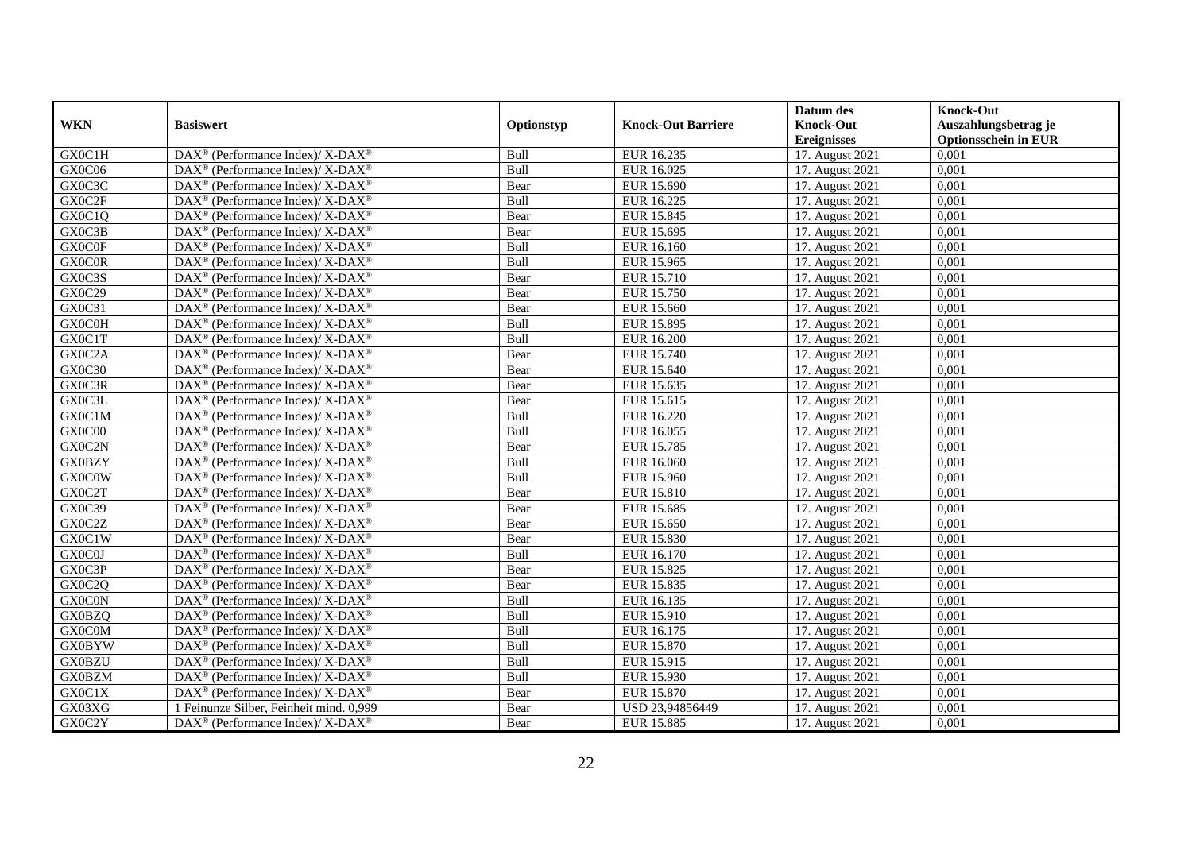|               |                                                              |            |                           | Datum des          | <b>Knock-Out</b>            |
|---------------|--------------------------------------------------------------|------------|---------------------------|--------------------|-----------------------------|
| <b>WKN</b>    | <b>Basiswert</b>                                             | Optionstyp | <b>Knock-Out Barriere</b> | <b>Knock-Out</b>   | Auszahlungsbetrag je        |
|               |                                                              |            |                           | <b>Ereignisses</b> | <b>Optionsschein in EUR</b> |
| GX0C1H        | DAX <sup>®</sup> (Performance Index)/ X-DAX <sup>®</sup>     | Bull       | EUR 16.235                | 17. August 2021    | 0,001                       |
| GX0C06        | $DAX^{\circledast}$ (Performance Index)/ X-DAX <sup>®</sup>  | Bull       | EUR 16.025                | 17. August 2021    | 0,001                       |
| GX0C3C        | $DAX^{\circledast}$ (Performance Index)/ X-DAX <sup>®</sup>  | Bear       | EUR 15.690                | 17. August 2021    | 0,001                       |
| GX0C2F        | $DAX^{\circledast}$ (Performance Index)/ X-DAX <sup>®</sup>  | Bull       | EUR 16.225                | 17. August 2021    | 0,001                       |
| GX0C1Q        | $DAX^{\circledast}$ (Performance Index)/ X-DAX <sup>®</sup>  | Bear       | EUR 15.845                | 17. August 2021    | 0,001                       |
| GX0C3B        | DAX <sup>®</sup> (Performance Index)/ X-DAX <sup>®</sup>     | Bear       | EUR 15.695                | 17. August 2021    | 0,001                       |
| <b>GX0C0F</b> | $DAX^{\circledcirc}$ (Performance Index)/ X-DAX <sup>®</sup> | Bull       | EUR 16.160                | 17. August 2021    | 0,001                       |
| <b>GXOCOR</b> | $DAX^{\circledast}$ (Performance Index)/ X-DAX <sup>®</sup>  | Bull       | EUR 15.965                | 17. August 2021    | 0,001                       |
| GX0C3S        | $DAX^{\circledast}$ (Performance Index)/ X-DAX <sup>®</sup>  | Bear       | EUR 15.710                | 17. August 2021    | 0,001                       |
| GX0C29        | DAX <sup>®</sup> (Performance Index)/ X-DAX <sup>®</sup>     | Bear       | EUR 15.750                | 17. August 2021    | 0,001                       |
| GX0C31        | DAX <sup>®</sup> (Performance Index)/ X-DAX <sup>®</sup>     | Bear       | EUR 15.660                | 17. August 2021    | 0,001                       |
| GX0C0H        | DAX <sup>®</sup> (Performance Index)/ X-DAX <sup>®</sup>     | Bull       | EUR 15.895                | 17. August 2021    | 0,001                       |
| GX0C1T        | $DAX^{\circledast}$ (Performance Index)/ X-DAX <sup>®</sup>  | Bull       | <b>EUR 16.200</b>         | 17. August 2021    | 0,001                       |
| GX0C2A        | $DAX^{\circledast}$ (Performance Index)/ X-DAX <sup>®</sup>  | Bear       | EUR 15.740                | 17. August 2021    | 0,001                       |
| GX0C30        | DAX <sup>®</sup> (Performance Index)/ X-DAX <sup>®</sup>     | Bear       | EUR 15.640                | 17. August 2021    | 0,001                       |
| GX0C3R        | DAX <sup>®</sup> (Performance Index)/ X-DAX <sup>®</sup>     | Bear       | EUR 15.635                | 17. August 2021    | 0,001                       |
| GX0C3L        | $DAX^{\circledast}$ (Performance Index)/ X-DAX <sup>®</sup>  | Bear       | EUR 15.615                | 17. August 2021    | 0,001                       |
| GX0C1M        | $DAX^{\circledcirc}$ (Performance Index)/ X-DAX <sup>®</sup> | Bull       | EUR 16.220                | 17. August 2021    | 0.001                       |
| GX0C00        | $DAX^{\circledast}$ (Performance Index)/ X-DAX <sup>®</sup>  | Bull       | EUR 16.055                | 17. August 2021    | 0,001                       |
| GX0C2N        | DAX <sup>®</sup> (Performance Index)/ X-DAX <sup>®</sup>     | Bear       | <b>EUR 15.785</b>         | 17. August 2021    | 0,001                       |
| <b>GX0BZY</b> | $DAX^{\circledast}$ (Performance Index)/ X-DAX <sup>®</sup>  | Bull       | EUR 16.060                | 17. August 2021    | 0,001                       |
| <b>GX0C0W</b> | $DAX^{\circledast}$ (Performance Index)/ X-DAX <sup>®</sup>  | Bull       | EUR 15.960                | 17. August 2021    | 0,001                       |
| GX0C2T        | DAX <sup>®</sup> (Performance Index)/ X-DAX <sup>®</sup>     | Bear       | EUR 15.810                | 17. August 2021    | 0,001                       |
| GX0C39        | $DAX^{\circledast}$ (Performance Index)/ X-DAX <sup>®</sup>  | Bear       | EUR 15.685                | 17. August 2021    | 0,001                       |
| GX0C2Z        | $DAX^{\circledcirc}$ (Performance Index)/ X-DAX <sup>®</sup> | Bear       | EUR 15.650                | 17. August 2021    | 0,001                       |
| GX0C1W        | $DAX^{\circledast}$ (Performance Index)/ X-DAX <sup>®</sup>  | Bear       | EUR 15.830                | 17. August 2021    | 0,001                       |
| GX0C0J        | DAX <sup>®</sup> (Performance Index)/ X-DAX <sup>®</sup>     | Bull       | EUR 16.170                | 17. August 2021    | 0,001                       |
| GX0C3P        | DAX <sup>®</sup> (Performance Index)/ X-DAX <sup>®</sup>     | Bear       | EUR 15.825                | 17. August 2021    | 0,001                       |
| GX0C2Q        | DAX <sup>®</sup> (Performance Index)/ X-DAX <sup>®</sup>     | Bear       | EUR 15.835                | 17. August 2021    | 0,001                       |
| <b>GX0C0N</b> | $DAX^{\circledast}$ (Performance Index)/ X-DAX <sup>®</sup>  | Bull       | EUR 16.135                | 17. August 2021    | 0,001                       |
| <b>GX0BZQ</b> | $DAX^{\circledast}$ (Performance Index)/ X-DAX <sup>®</sup>  | Bull       | EUR 15.910                | 17. August 2021    | 0,001                       |
| GX0C0M        | $DAX^{\circledast}$ (Performance Index)/ X-DAX <sup>®</sup>  | Bull       | EUR 16.175                | 17. August 2021    | 0,001                       |
| <b>GX0BYW</b> | $DAX^{\circledast}$ (Performance Index)/ X-DAX <sup>®</sup>  | Bull       | EUR 15.870                | 17. August 2021    | 0,001                       |
| <b>GX0BZU</b> | DAX <sup>®</sup> (Performance Index)/ X-DAX <sup>®</sup>     | Bull       | EUR 15.915                | 17. August 2021    | 0,001                       |
| <b>GX0BZM</b> | DAX <sup>®</sup> (Performance Index)/ X-DAX <sup>®</sup>     | Bull       | EUR 15.930                | 17. August 2021    | 0,001                       |
| GX0C1X        | $DAX^{\circledast}$ (Performance Index)/ X-DAX <sup>®</sup>  | Bear       | EUR 15.870                | 17. August 2021    | 0,001                       |
| GX03XG        | 1 Feinunze Silber, Feinheit mind. 0,999                      | Bear       | USD 23,94856449           | 17. August 2021    | 0,001                       |
| GX0C2Y        | $DAX^{\circledast}$ (Performance Index)/ X-DAX <sup>®</sup>  | Bear       | EUR 15.885                | 17. August 2021    | 0,001                       |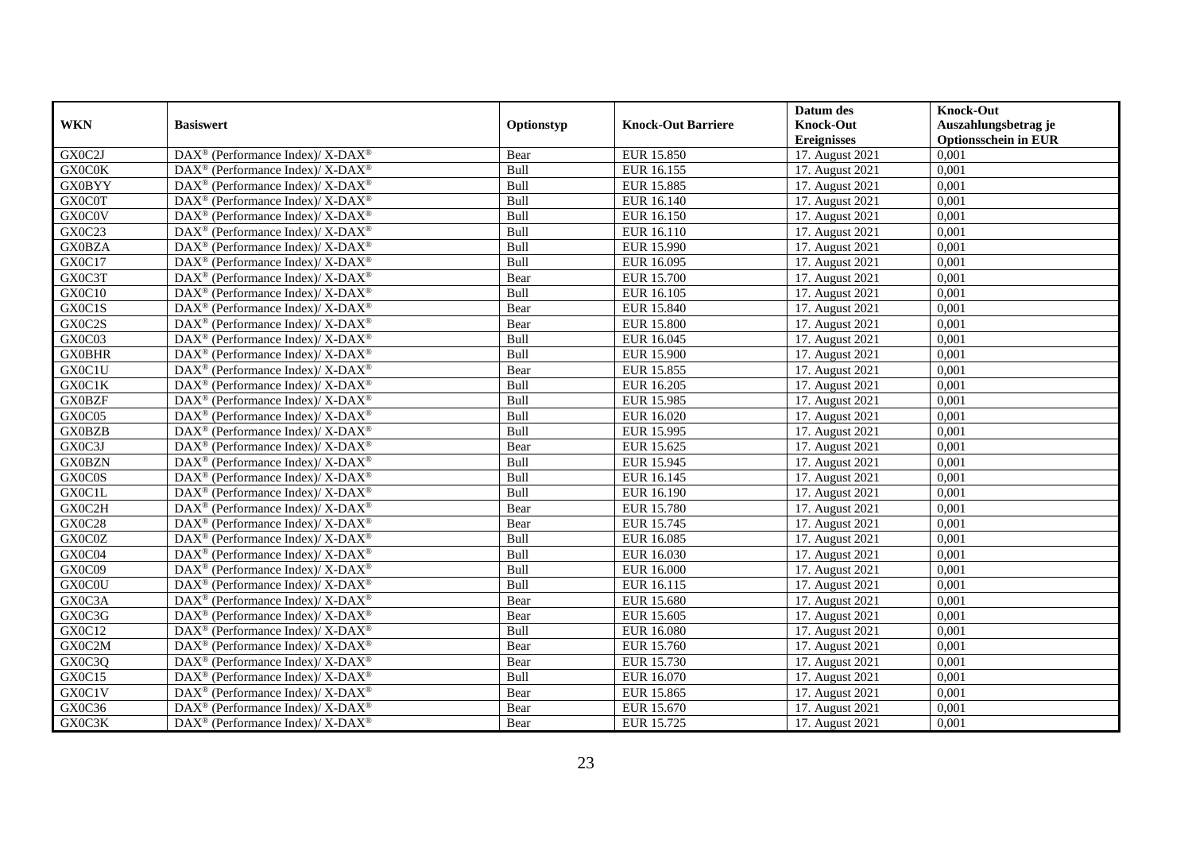|               |                                                              |            |                           | Datum des          | <b>Knock-Out</b>            |
|---------------|--------------------------------------------------------------|------------|---------------------------|--------------------|-----------------------------|
| <b>WKN</b>    | <b>Basiswert</b>                                             | Optionstyp | <b>Knock-Out Barriere</b> | <b>Knock-Out</b>   | Auszahlungsbetrag je        |
|               |                                                              |            |                           | <b>Ereignisses</b> | <b>Optionsschein in EUR</b> |
| GX0C2J        | DAX <sup>®</sup> (Performance Index)/ X-DAX <sup>®</sup>     | Bear       | EUR 15.850                | 17. August 2021    | 0,001                       |
| <b>GX0C0K</b> | $DAX^{\circledast}$ (Performance Index)/ X-DAX <sup>®</sup>  | Bull       | EUR 16.155                | 17. August 2021    | 0,001                       |
| <b>GX0BYY</b> | $DAX^{\circledast}$ (Performance Index)/ X-DAX <sup>®</sup>  | Bull       | <b>EUR 15.885</b>         | 17. August 2021    | 0,001                       |
| <b>GX0C0T</b> | $DAX^{\circledast}$ (Performance Index)/ X-DAX <sup>®</sup>  | Bull       | EUR 16.140                | 17. August 2021    | 0,001                       |
| GX0C0V        | $DAX^{\circledast}$ (Performance Index)/ X-DAX <sup>®</sup>  | Bull       | EUR 16.150                | 17. August 2021    | 0,001                       |
| GX0C23        | DAX <sup>®</sup> (Performance Index)/ X-DAX <sup>®</sup>     | Bull       | EUR 16.110                | 17. August 2021    | 0,001                       |
| <b>GX0BZA</b> | $DAX^{\circledast}$ (Performance Index)/ X-DAX <sup>®</sup>  | Bull       | EUR 15.990                | 17. August 2021    | 0,001                       |
| GX0C17        | $DAX^{\circledast}$ (Performance Index)/ X-DAX <sup>®</sup>  | Bull       | EUR 16.095                | 17. August 2021    | 0,001                       |
| GX0C3T        | $DAX^{\circledast}$ (Performance Index)/ X-DAX <sup>®</sup>  | Bear       | EUR 15.700                | 17. August 2021    | 0,001                       |
| GX0C10        | $DAX^{\circledast}$ (Performance Index)/ X-DAX <sup>®</sup>  | Bull       | EUR 16.105                | 17. August 2021    | 0,001                       |
| GX0C1S        | $DAX^{\circledcirc}$ (Performance Index)/ X-DAX <sup>®</sup> | Bear       | EUR 15.840                | 17. August 2021    | 0,001                       |
| GX0C2S        | DAX <sup>®</sup> (Performance Index)/ X-DAX <sup>®</sup>     | Bear       | <b>EUR 15.800</b>         | 17. August 2021    | 0,001                       |
| GX0C03        | $DAX^{\circledast}$ (Performance Index)/ X-DAX <sup>®</sup>  | Bull       | EUR 16.045                | 17. August 2021    | 0,001                       |
| <b>GX0BHR</b> | $DAX^{\circledast}$ (Performance Index)/ X-DAX <sup>®</sup>  | Bull       | EUR 15.900                | 17. August 2021    | 0,001                       |
| GX0C1U        | DAX <sup>®</sup> (Performance Index)/ X-DAX <sup>®</sup>     | Bear       | EUR 15.855                | 17. August 2021    | 0,001                       |
| GX0C1K        | DAX <sup>®</sup> (Performance Index)/ X-DAX <sup>®</sup>     | Bull       | EUR 16.205                | 17. August 2021    | 0,001                       |
| <b>GX0BZF</b> | $DAX^{\circledast}$ (Performance Index)/ X-DAX <sup>®</sup>  | Bull       | EUR 15.985                | 17. August 2021    | 0,001                       |
| GX0C05        | DAX <sup>®</sup> (Performance Index)/ X-DAX <sup>®</sup>     | Bull       | EUR 16.020                | 17. August 2021    | 0.001                       |
| <b>GX0BZB</b> | $DAX^{\circledast}$ (Performance Index)/ X-DAX <sup>®</sup>  | Bull       | EUR 15.995                | 17. August 2021    | 0,001                       |
| GX0C3J        | DAX <sup>®</sup> (Performance Index)/ X-DAX <sup>®</sup>     | Bear       | EUR 15.625                | 17. August 2021    | 0,001                       |
| <b>GX0BZN</b> | $DAX^{\circledast}$ (Performance Index)/ X-DAX <sup>®</sup>  | Bull       | EUR 15.945                | 17. August 2021    | 0,001                       |
| GX0C0S        | $DAX^{\circledast}$ (Performance Index)/ X-DAX <sup>®</sup>  | Bull       | EUR 16.145                | 17. August 2021    | 0,001                       |
| GX0C1L        | DAX <sup>®</sup> (Performance Index)/ X-DAX <sup>®</sup>     | Bull       | EUR 16.190                | 17. August 2021    | 0,001                       |
| GX0C2H        | $DAX^{\circledast}$ (Performance Index)/ X-DAX <sup>®</sup>  | Bear       | <b>EUR 15.780</b>         | 17. August 2021    | 0,001                       |
| <b>GX0C28</b> | $DAX^{\circledcirc}$ (Performance Index)/ X-DAX <sup>®</sup> | Bear       | EUR 15.745                | 17. August 2021    | 0,001                       |
| GX0C0Z        | $DAX^{\circledast}$ (Performance Index)/ X-DAX <sup>®</sup>  | Bull       | EUR 16.085                | 17. August 2021    | 0,001                       |
| GX0C04        | DAX <sup>®</sup> (Performance Index)/ X-DAX <sup>®</sup>     | Bull       | EUR 16.030                | 17. August 2021    | 0,001                       |
| GX0C09        | DAX <sup>®</sup> (Performance Index)/ X-DAX <sup>®</sup>     | Bull       | <b>EUR 16.000</b>         | 17. August 2021    | 0,001                       |
| <b>GX0C0U</b> | $DAX^{\circledast}$ (Performance Index)/ X-DAX <sup>®</sup>  | Bull       | EUR 16.115                | 17. August 2021    | 0,001                       |
| GX0C3A        | $DAX^{\circledast}$ (Performance Index)/ X-DAX <sup>®</sup>  | Bear       | EUR 15.680                | 17. August 2021    | 0,001                       |
| GX0C3G        | $DAX^{\circledast}$ (Performance Index)/ X-DAX <sup>®</sup>  | Bear       | EUR 15.605                | 17. August 2021    | 0,001                       |
| GX0C12        | $DAX^{\circledast}$ (Performance Index)/ X-DAX <sup>®</sup>  | Bull       | EUR 16.080                | 17. August 2021    | 0,001                       |
| GX0C2M        | $DAX^{\circledast}$ (Performance Index)/ X-DAX <sup>®</sup>  | Bear       | EUR 15.760                | 17. August 2021    | 0,001                       |
| GX0C3Q        | DAX <sup>®</sup> (Performance Index)/ X-DAX <sup>®</sup>     | Bear       | EUR 15.730                | 17. August 2021    | 0,001                       |
| GX0C15        | DAX <sup>®</sup> (Performance Index)/ X-DAX <sup>®</sup>     | Bull       | EUR 16.070                | 17. August 2021    | 0,001                       |
| GX0C1V        | $DAX^{\circledast}$ (Performance Index)/ X-DAX <sup>®</sup>  | Bear       | EUR 15.865                | 17. August 2021    | 0,001                       |
| GX0C36        | $DAX^{\circledast}$ (Performance Index)/ X-DAX <sup>®</sup>  | Bear       | EUR 15.670                | 17. August 2021    | 0,001                       |
| GX0C3K        | $DAX^{\circledast}$ (Performance Index)/ X-DAX <sup>®</sup>  | Bear       | EUR 15.725                | 17. August 2021    | 0,001                       |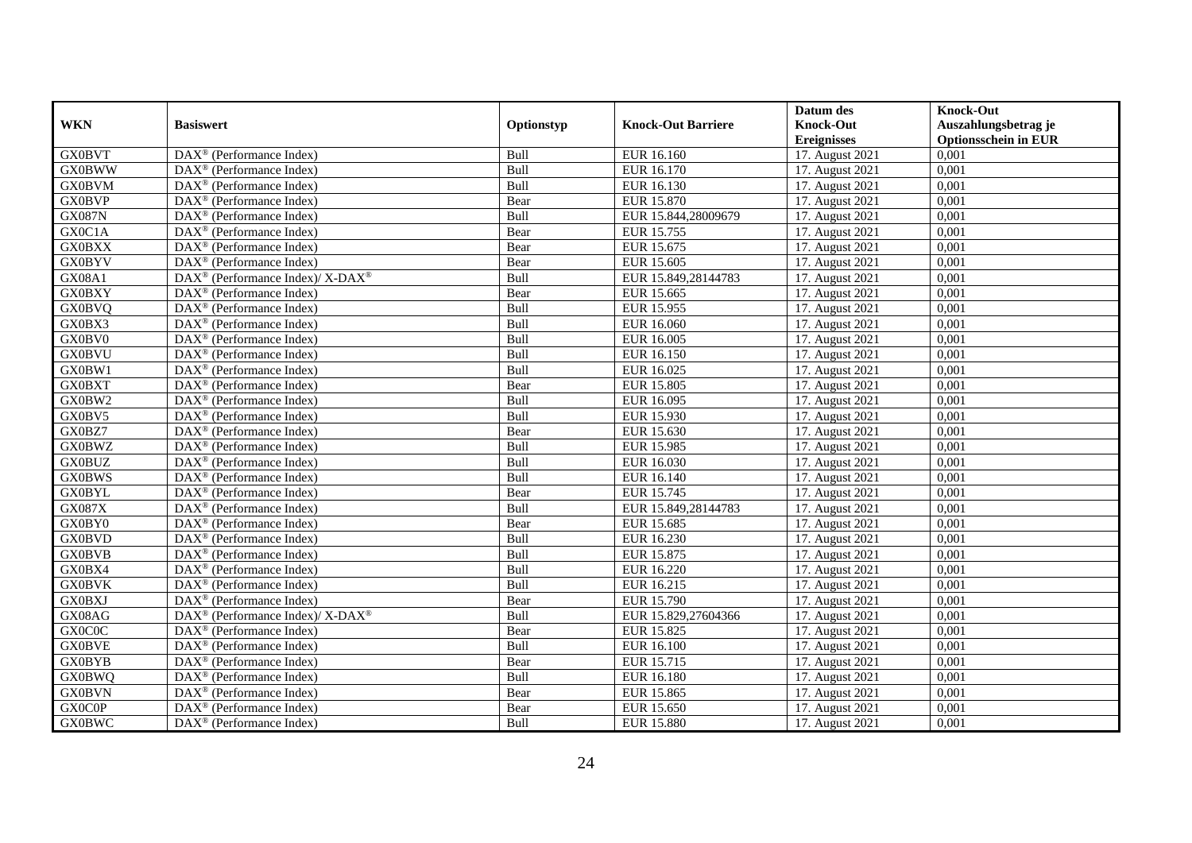|               |                                                          |             |                           | Datum des          | <b>Knock-Out</b>            |
|---------------|----------------------------------------------------------|-------------|---------------------------|--------------------|-----------------------------|
| <b>WKN</b>    | <b>Basiswert</b>                                         | Optionstyp  | <b>Knock-Out Barriere</b> | <b>Knock-Out</b>   | Auszahlungsbetrag je        |
|               |                                                          |             |                           | <b>Ereignisses</b> | <b>Optionsschein in EUR</b> |
| <b>GX0BVT</b> | DAX <sup>®</sup> (Performance Index)                     | Bull        | EUR 16.160                | 17. August 2021    | 0,001                       |
| <b>GX0BWW</b> | $DAX^{\circledast}$ (Performance Index)                  | Bull        | EUR 16.170                | 17. August 2021    | 0,001                       |
| <b>GX0BVM</b> | $DAX^{\circledcirc}$ (Performance Index)                 | Bull        | EUR 16.130                | 17. August 2021    | 0,001                       |
| <b>GX0BVP</b> | $\text{DAX}^{\otimes}$ (Performance Index)               | Bear        | EUR 15.870                | 17. August 2021    | 0.001                       |
| <b>GX087N</b> | DAX <sup>®</sup> (Performance Index)                     | Bull        | EUR 15.844,28009679       | 17. August 2021    | 0,001                       |
| GX0C1A        | $DAX^{\circledR}$ (Performance Index)                    | Bear        | EUR 15.755                | 17. August 2021    | 0,001                       |
| <b>GX0BXX</b> | $DAX^{\circledR}$ (Performance Index)                    | Bear        | EUR 15.675                | 17. August 2021    | 0,001                       |
| <b>GX0BYV</b> | $\text{DAX}^{\otimes}$ (Performance Index)               | Bear        | EUR 15.605                | 17. August 2021    | 0,001                       |
| GX08A1        | DAX <sup>®</sup> (Performance Index)/ X-DAX <sup>®</sup> | Bull        | EUR 15.849,28144783       | 17. August 2021    | 0,001                       |
| <b>GX0BXY</b> | $DAX^{\circledast}$ (Performance Index)                  | Bear        | EUR 15.665                | 17. August 2021    | 0,001                       |
| <b>GX0BVQ</b> | $\overline{\text{DAX}}^{\textcirc}$ (Performance Index)  | Bull        | EUR 15.955                | 17. August 2021    | 0,001                       |
| GX0BX3        | $\overline{\text{DAX}^{\otimes}}$ (Performance Index)    | Bull        | EUR 16.060                | 17. August 2021    | 0,001                       |
| GX0BV0        | $\text{DAX}^{\otimes}$ (Performance Index)               | Bull        | EUR 16.005                | 17. August 2021    | 0,001                       |
| <b>GX0BVU</b> | $DAX^{\circledR}$ (Performance Index)                    | Bull        | EUR 16.150                | 17. August 2021    | 0,001                       |
| GX0BW1        | $\text{DAX}^{\otimes}$ (Performance Index)               | Bull        | EUR 16.025                | 17. August 2021    | 0,001                       |
| <b>GX0BXT</b> | DAX <sup>®</sup> (Performance Index)                     | Bear        | <b>EUR 15.805</b>         | 17. August 2021    | 0,001                       |
| GX0BW2        | DAX <sup>®</sup> (Performance Index)                     | Bull        | EUR 16.095                | 17. August 2021    | 0,001                       |
| GX0BV5        | $DAX^{\circledcirc}$ (Performance Index)                 | <b>Bull</b> | EUR 15.930                | 17. August 2021    | 0.001                       |
| GX0BZ7        | $DAX^{\circledcirc}$ (Performance Index)                 | Bear        | EUR 15.630                | 17. August 2021    | 0,001                       |
| <b>GX0BWZ</b> | DAX <sup>®</sup> (Performance Index)                     | Bull        | EUR 15.985                | 17. August 2021    | 0,001                       |
| <b>GX0BUZ</b> | DAX <sup>®</sup> (Performance Index)                     | Bull        | EUR 16.030                | 17. August 2021    | 0,001                       |
| <b>GX0BWS</b> | $\overline{\text{DAX}^{\otimes}}$ (Performance Index)    | Bull        | EUR 16.140                | 17. August 2021    | 0,001                       |
| <b>GX0BYL</b> | DAX <sup>®</sup> (Performance Index)                     | Bear        | EUR 15.745                | 17. August 2021    | 0,001                       |
| GX087X        | DAX <sup>®</sup> (Performance Index)                     | Bull        | EUR 15.849,28144783       | 17. August 2021    | 0,001                       |
| GX0BY0        | DAX <sup>®</sup> (Performance Index)                     | Bear        | EUR 15.685                | 17. August 2021    | 0,001                       |
| <b>GX0BVD</b> | DAX <sup>®</sup> (Performance Index)                     | Bull        | EUR 16.230                | 17. August 2021    | 0,001                       |
| <b>GX0BVB</b> | DAX <sup>®</sup> (Performance Index)                     | Bull        | <b>EUR 15.875</b>         | 17. August 2021    | 0,001                       |
| GX0BX4        | $DAX^{\circledR}$ (Performance Index)                    | Bull        | EUR 16.220                | 17. August 2021    | 0,001                       |
| <b>GX0BVK</b> | DAX <sup>®</sup> (Performance Index)                     | Bull        | EUR 16.215                | 17. August 2021    | 0,001                       |
| <b>GX0BXJ</b> | DAX <sup>®</sup> (Performance Index)                     | Bear        | EUR 15.790                | 17. August 2021    | 0,001                       |
| GX08AG        | DAX <sup>®</sup> (Performance Index)/ X-DAX <sup>®</sup> | <b>Bull</b> | EUR 15.829,27604366       | 17. August 2021    | 0,001                       |
| GX0C0C        | $DAX^{\circledcirc}$ (Performance Index)                 | Bear        | EUR 15.825                | 17. August 2021    | 0.001                       |
| <b>GX0BVE</b> | $DAX^{\circledR}$ (Performance Index)                    | Bull        | EUR 16.100                | 17. August 2021    | 0,001                       |
| <b>GX0BYB</b> | $\overline{\text{DAX}}^{\textcirc}$ (Performance Index)  | Bear        | EUR 15.715                | 17. August 2021    | 0,001                       |
| <b>GX0BWQ</b> | DAX <sup>®</sup> (Performance Index)                     | Bull        | EUR 16.180                | 17. August 2021    | 0,001                       |
| <b>GX0BVN</b> | $DAX^{\circledR}$ (Performance Index)                    | Bear        | EUR 15.865                | 17. August 2021    | 0,001                       |
| <b>GX0C0P</b> | $DAX^{\circledast}$ (Performance Index)                  | Bear        | EUR 15.650                | 17. August 2021    | 0,001                       |
| <b>GX0BWC</b> | $\overline{\text{DAX}^{\otimes}}$ (Performance Index)    | <b>Bull</b> | <b>EUR 15.880</b>         | 17. August 2021    | 0,001                       |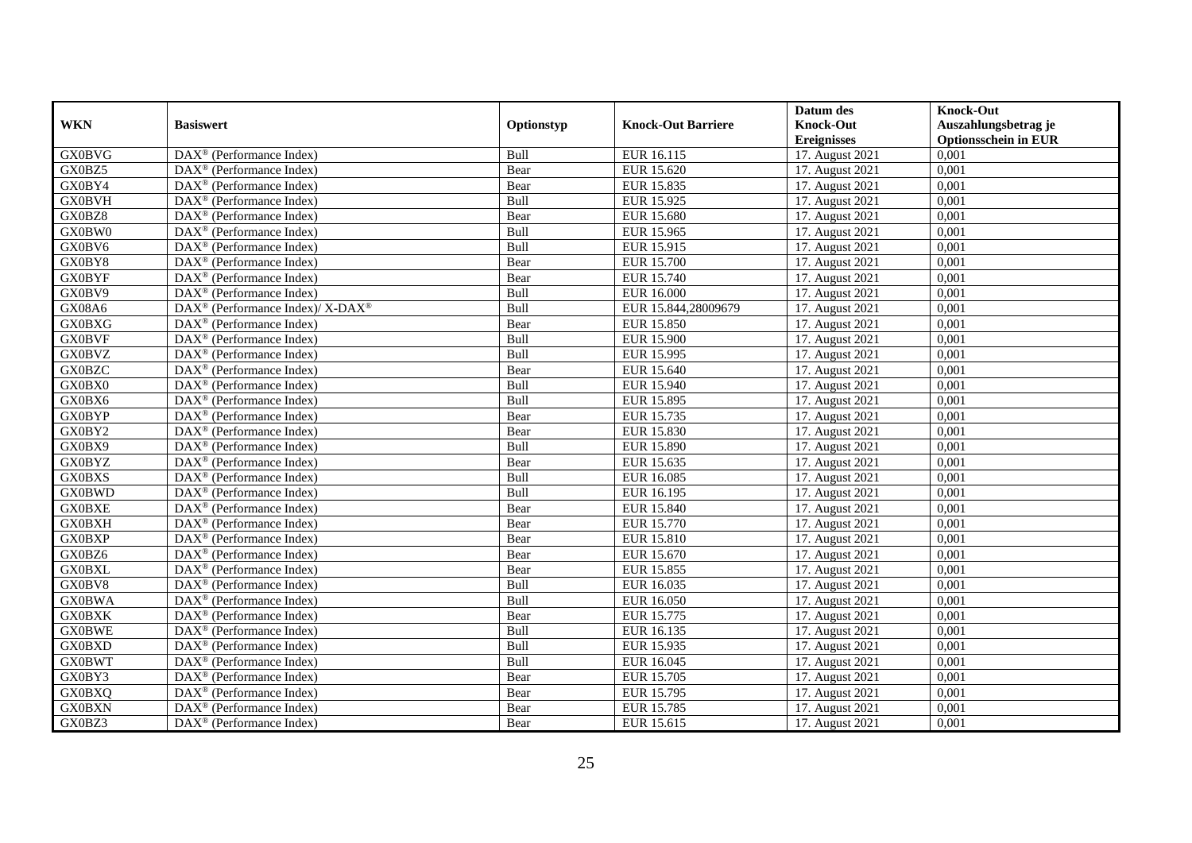|               |                                                                           |             |                           | Datum des          | <b>Knock-Out</b>            |
|---------------|---------------------------------------------------------------------------|-------------|---------------------------|--------------------|-----------------------------|
| <b>WKN</b>    | <b>Basiswert</b>                                                          | Optionstyp  | <b>Knock-Out Barriere</b> | <b>Knock-Out</b>   | Auszahlungsbetrag je        |
|               |                                                                           |             |                           | <b>Ereignisses</b> | <b>Optionsschein in EUR</b> |
| <b>GX0BVG</b> | DAX <sup>®</sup> (Performance Index)                                      | Bull        | EUR 16.115                | 17. August 2021    | 0,001                       |
| GX0BZ5        | $DAX^{\circledast}$ (Performance Index)                                   | Bear        | EUR 15.620                | 17. August 2021    | 0,001                       |
| GX0BY4        | $DAX^{\circledcirc}$ (Performance Index)                                  | Bear        | EUR 15.835                | 17. August 2021    | 0,001                       |
| <b>GX0BVH</b> | $DAX^{\circledcirc}$ (Performance Index)                                  | Bull        | EUR 15.925                | 17. August 2021    | 0,001                       |
| GX0BZ8        | DAX <sup>®</sup> (Performance Index)                                      | Bear        | <b>EUR 15.680</b>         | 17. August 2021    | 0,001                       |
| GX0BW0        | $DAX^{\circledR}$ (Performance Index)                                     | Bull        | EUR 15.965                | 17. August 2021    | 0,001                       |
| GX0BV6        | $DAX^{\circledR}$ (Performance Index)                                     | Bull        | EUR 15.915                | 17. August 2021    | 0,001                       |
| GX0BY8        | $\text{DAX}^{\otimes}$ (Performance Index)                                | Bear        | <b>EUR 15.700</b>         | 17. August 2021    | 0,001                       |
| <b>GX0BYF</b> | $\text{DAX}^{\otimes}$ (Performance Index)                                | Bear        | EUR 15.740                | 17. August 2021    | 0,001                       |
| GX0BV9        | $DAX^{\circledast}$ (Performance Index)                                   | Bull        | EUR 16.000                | 17. August 2021    | 0,001                       |
| GX08A6        | $DAX^{\circledast}$ (Performance Index)/ $\overline{X-DAX^{\circledast}}$ | Bull        | EUR 15.844,28009679       | 17. August 2021    | 0,001                       |
| <b>GX0BXG</b> | $\overline{\text{DAX}^{\otimes}}$ (Performance Index)                     | Bear        | <b>EUR 15.850</b>         | 17. August 2021    | 0,001                       |
| <b>GX0BVF</b> | $\text{DAX}^{\otimes}$ (Performance Index)                                | Bull        | <b>EUR 15.900</b>         | 17. August 2021    | 0,001                       |
| <b>GX0BVZ</b> | $DAX^{\circledR}$ (Performance Index)                                     | Bull        | EUR 15.995                | 17. August 2021    | 0,001                       |
| <b>GX0BZC</b> | $\text{DAX}^{\otimes}$ (Performance Index)                                | Bear        | EUR 15.640                | 17. August 2021    | 0,001                       |
| GX0BX0        | DAX <sup>®</sup> (Performance Index)                                      | <b>Bull</b> | EUR 15.940                | 17. August 2021    | 0,001                       |
| GX0BX6        | DAX <sup>®</sup> (Performance Index)                                      | Bull        | EUR 15.895                | 17. August 2021    | 0,001                       |
| <b>GX0BYP</b> | $DAX^{\circledcirc}$ (Performance Index)                                  | Bear        | EUR 15.735                | 17. August 2021    | 0.001                       |
| GX0BY2        | $DAX^{\circledR}$ (Performance Index)                                     | Bear        | EUR 15.830                | 17. August 2021    | 0,001                       |
| GX0BX9        | DAX <sup>®</sup> (Performance Index)                                      | Bull        | <b>EUR 15.890</b>         | 17. August 2021    | 0,001                       |
| <b>GX0BYZ</b> | DAX <sup>®</sup> (Performance Index)                                      | Bear        | EUR 15.635                | 17. August 2021    | 0,001                       |
| <b>GX0BXS</b> | $\overline{\text{DAX}^{\otimes}}$ (Performance Index)                     | Bull        | EUR 16.085                | 17. August 2021    | 0,001                       |
| <b>GX0BWD</b> | DAX <sup>®</sup> (Performance Index)                                      | <b>Bull</b> | EUR 16.195                | 17. August 2021    | 0,001                       |
| <b>GX0BXE</b> | DAX <sup>®</sup> (Performance Index)                                      | Bear        | <b>EUR 15.840</b>         | 17. August 2021    | 0,001                       |
| <b>GX0BXH</b> | DAX <sup>®</sup> (Performance Index)                                      | Bear        | EUR 15.770                | 17. August 2021    | 0,001                       |
| <b>GX0BXP</b> | DAX <sup>®</sup> (Performance Index)                                      | Bear        | EUR 15.810                | 17. August 2021    | 0,001                       |
| GX0BZ6        | DAX <sup>®</sup> (Performance Index)                                      | Bear        | <b>EUR 15.670</b>         | 17. August 2021    | 0,001                       |
| <b>GX0BXL</b> | $DAX^{\circledR}$ (Performance Index)                                     | Bear        | EUR 15.855                | 17. August 2021    | 0,001                       |
| GX0BV8        | $\overline{\text{DAX}^{\otimes}}$ (Performance Index)                     | Bull        | EUR 16.035                | 17. August 2021    | 0,001                       |
| <b>GX0BWA</b> | $\text{DAX}^{\textcircled{}}$ (Performance Index)                         | <b>Bull</b> | EUR 16.050                | 17. August 2021    | 0,001                       |
| <b>GX0BXK</b> | $\text{DAX}^{\otimes}$ (Performance Index)                                | Bear        | EUR 15.775                | 17. August 2021    | 0,001                       |
| <b>GX0BWE</b> | $DAX^{\circledcirc}$ (Performance Index)                                  | <b>Bull</b> | EUR 16.135                | 17. August 2021    | 0,001                       |
| <b>GX0BXD</b> | $DAX^{\circledR}$ (Performance Index)                                     | Bull        | EUR 15.935                | 17. August 2021    | 0,001                       |
| <b>GX0BWT</b> | $\overline{\text{DAX}}^{\textcirc}$ (Performance Index)                   | Bull        | EUR 16.045                | 17. August 2021    | 0,001                       |
| GX0BY3        | DAX <sup>®</sup> (Performance Index)                                      | Bear        | EUR 15.705                | 17. August 2021    | 0,001                       |
| <b>GX0BXQ</b> | $DAX^{\circledR}$ (Performance Index)                                     | Bear        | EUR 15.795                | 17. August 2021    | 0,001                       |
| <b>GX0BXN</b> | $DAX^{\circledast}$ (Performance Index)                                   | Bear        | EUR 15.785                | 17. August 2021    | 0,001                       |
| GX0BZ3        | $\overline{\text{DAX}^{\otimes}}$ (Performance Index)                     | Bear        | EUR 15.615                | 17. August 2021    | 0,001                       |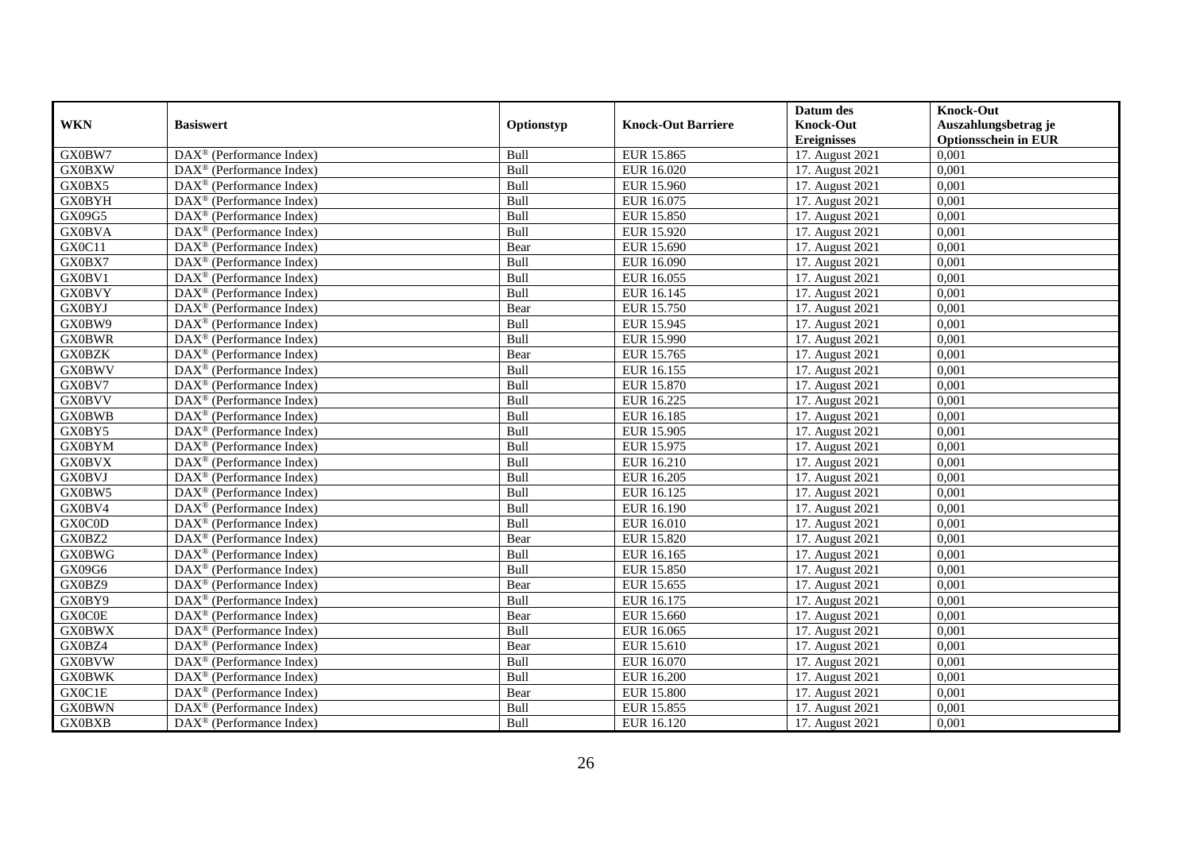|               |                                                         |             |                           | Datum des          | <b>Knock-Out</b>            |
|---------------|---------------------------------------------------------|-------------|---------------------------|--------------------|-----------------------------|
| <b>WKN</b>    | <b>Basiswert</b>                                        | Optionstyp  | <b>Knock-Out Barriere</b> | <b>Knock-Out</b>   | Auszahlungsbetrag je        |
|               |                                                         |             |                           | <b>Ereignisses</b> | <b>Optionsschein in EUR</b> |
| GX0BW7        | DAX <sup>®</sup> (Performance Index)                    | Bull        | EUR 15.865                | 17. August 2021    | 0,001                       |
| <b>GX0BXW</b> | $DAX^{\circledast}$ (Performance Index)                 | Bull        | EUR 16.020                | 17. August 2021    | 0,001                       |
| GX0BX5        | $DAX^{\circledcirc}$ (Performance Index)                | Bull        | EUR 15.960                | 17. August 2021    | 0,001                       |
| <b>GX0BYH</b> | $\text{DAX}^{\otimes}$ (Performance Index)              | Bull        | EUR 16.075                | 17. August 2021    | 0,001                       |
| GX09G5        | DAX <sup>®</sup> (Performance Index)                    | Bull        | EUR 15.850                | 17. August 2021    | 0,001                       |
| <b>GX0BVA</b> | $DAX^{\circledR}$ (Performance Index)                   | Bull        | <b>EUR 15.920</b>         | 17. August 2021    | 0,001                       |
| GX0C11        | $\overline{\text{DAX}^{\otimes}}$ (Performance Index)   | Bear        | EUR 15.690                | 17. August 2021    | 0,001                       |
| GX0BX7        | $\text{DAX}^{\otimes}$ (Performance Index)              | <b>Bull</b> | EUR 16.090                | 17. August 2021    | 0,001                       |
| GX0BV1        | $\text{DAX}^{\otimes}$ (Performance Index)              | Bull        | EUR 16.055                | 17. August 2021    | 0,001                       |
| <b>GX0BVY</b> | $DAX^{\circledast}$ (Performance Index)                 | Bull        | EUR 16.145                | 17. August 2021    | 0,001                       |
| <b>GX0BYJ</b> | $\overline{\text{DAX}}^{\textcirc}$ (Performance Index) | Bear        | EUR 15.750                | 17. August 2021    | 0,001                       |
| GX0BW9        | $\overline{\text{DAX}^{\otimes}}$ (Performance Index)   | Bull        | EUR 15.945                | 17. August 2021    | 0,001                       |
| <b>GX0BWR</b> | $\text{DAX}^{\otimes}$ (Performance Index)              | Bull        | EUR 15.990                | 17. August 2021    | 0,001                       |
| <b>GX0BZK</b> | $DAX^{\circledR}$ (Performance Index)                   | Bear        | EUR 15.765                | 17. August 2021    | 0,001                       |
| <b>GX0BWV</b> | $\text{DAX}^{\otimes}$ (Performance Index)              | Bull        | EUR 16.155                | 17. August 2021    | 0,001                       |
| GX0BV7        | $DAX^{\circledast}$ (Performance Index)                 | <b>Bull</b> | EUR 15.870                | 17. August 2021    | 0,001                       |
| <b>GX0BVV</b> | DAX <sup>®</sup> (Performance Index)                    | Bull        | EUR 16.225                | 17. August 2021    | 0,001                       |
| <b>GX0BWB</b> | $DAX^{\circledcirc}$ (Performance Index)                | <b>Bull</b> | EUR 16.185                | 17. August 2021    | 0.001                       |
| GX0BY5        | $\text{DAX}^{\otimes}$ (Performance Index)              | Bull        | <b>EUR 15.905</b>         | 17. August 2021    | 0,001                       |
| <b>GX0BYM</b> | DAX <sup>®</sup> (Performance Index)                    | Bull        | EUR 15.975                | 17. August 2021    | 0,001                       |
| <b>GX0BVX</b> | DAX <sup>®</sup> (Performance Index)                    | Bull        | EUR 16.210                | 17. August 2021    | 0,001                       |
| <b>GX0BVJ</b> | $\overline{\text{DAX}^{\otimes}}$ (Performance Index)   | Bull        | EUR 16.205                | 17. August 2021    | 0,001                       |
| GX0BW5        | DAX <sup>®</sup> (Performance Index)                    | Bull        | EUR 16.125                | 17. August 2021    | 0,001                       |
| GX0BV4        | DAX <sup>®</sup> (Performance Index)                    | Bull        | EUR 16.190                | 17. August 2021    | 0,001                       |
| GX0C0D        | DAX <sup>®</sup> (Performance Index)                    | <b>Bull</b> | EUR 16.010                | 17. August 2021    | 0,001                       |
| GX0BZ2        | DAX <sup>®</sup> (Performance Index)                    | Bear        | EUR 15.820                | 17. August 2021    | 0,001                       |
| <b>GX0BWG</b> | DAX <sup>®</sup> (Performance Index)                    | Bull        | EUR 16.165                | 17. August 2021    | 0,001                       |
| GX09G6        | $DAX^{\circledR}$ (Performance Index)                   | Bull        | EUR 15.850                | 17. August 2021    | 0,001                       |
| GX0BZ9        | $\overline{\text{DAX}^{\otimes}}$ (Performance Index)   | Bear        | EUR 15.655                | 17. August 2021    | 0,001                       |
| GX0BY9        | $DAX^{\circledast}$ (Performance Index)                 | <b>Bull</b> | EUR 16.175                | 17. August 2021    | 0,001                       |
| <b>GX0C0E</b> | $\text{DAX}^{\otimes}$ (Performance Index)              | Bear        | EUR 15.660                | 17. August 2021    | 0,001                       |
| <b>GX0BWX</b> | $DAX^{\circledcirc}$ (Performance Index)                | <b>Bull</b> | EUR 16.065                | 17. August 2021    | 0,001                       |
| GX0BZ4        | $DAX^{\circledR}$ (Performance Index)                   | Bear        | EUR 15.610                | 17. August 2021    | 0,001                       |
| <b>GX0BVW</b> | $\overline{\text{DAX}}^{\textcirc}$ (Performance Index) | Bull        | EUR 16.070                | 17. August 2021    | 0,001                       |
| <b>GX0BWK</b> | DAX <sup>®</sup> (Performance Index)                    | Bull        | <b>EUR 16.200</b>         | 17. August 2021    | 0,001                       |
| GX0C1E        | $DAX^{\circledR}$ (Performance Index)                   | Bear        | <b>EUR 15.800</b>         | 17. August 2021    | 0,001                       |
| <b>GX0BWN</b> | $DAX^{\circledast}$ (Performance Index)                 | Bull        | EUR 15.855                | 17. August 2021    | 0,001                       |
| <b>GX0BXB</b> | $\overline{\text{DAX}^{\otimes}}$ (Performance Index)   | <b>Bull</b> | EUR 16.120                | 17. August 2021    | 0,001                       |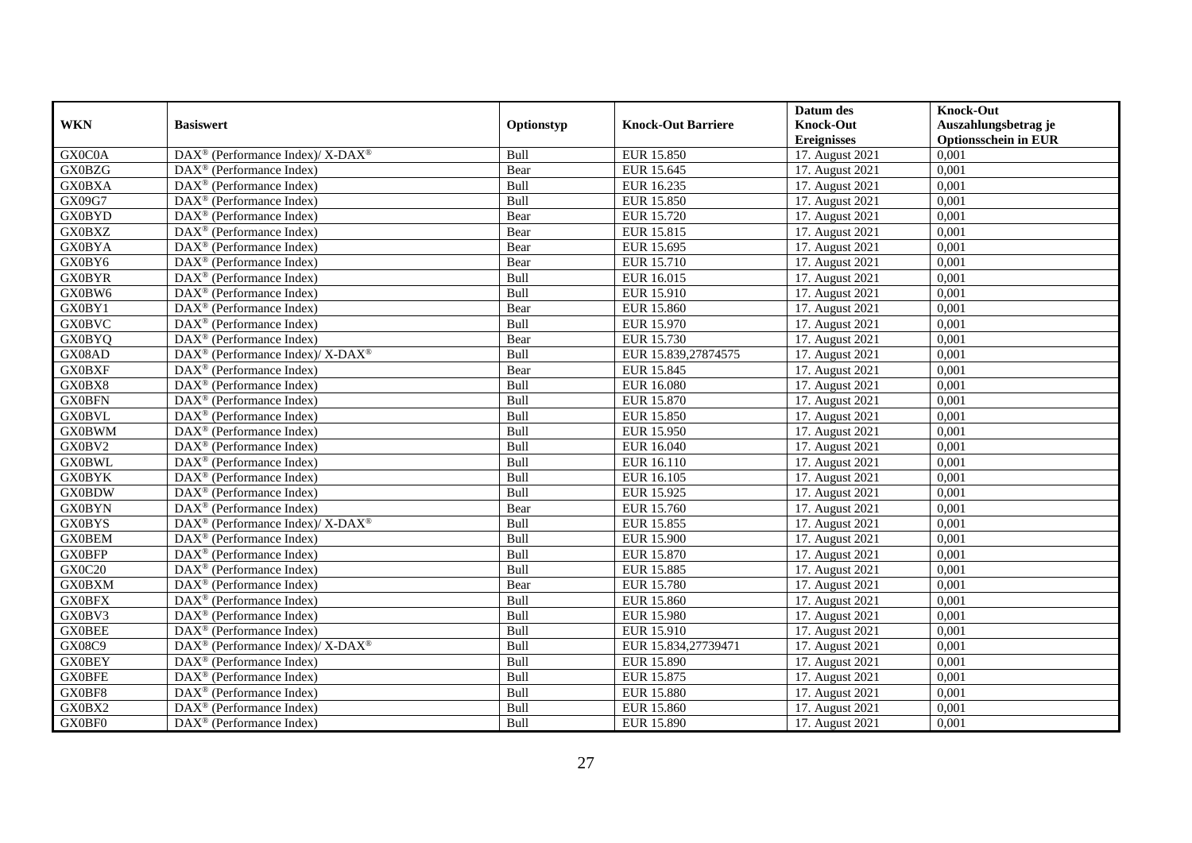|               |                                                                           |             |                           | Datum des          | <b>Knock-Out</b>            |
|---------------|---------------------------------------------------------------------------|-------------|---------------------------|--------------------|-----------------------------|
| <b>WKN</b>    | <b>Basiswert</b>                                                          | Optionstyp  | <b>Knock-Out Barriere</b> | <b>Knock-Out</b>   | Auszahlungsbetrag je        |
|               |                                                                           |             |                           | <b>Ereignisses</b> | <b>Optionsschein in EUR</b> |
| GX0C0A        | DAX <sup>®</sup> (Performance Index)/ X-DAX <sup>®</sup>                  | Bull        | <b>EUR 15.850</b>         | 17. August 2021    | 0,001                       |
| <b>GX0BZG</b> | $DAX^{\circledast}$ (Performance Index)                                   | Bear        | EUR 15.645                | 17. August 2021    | 0,001                       |
| <b>GX0BXA</b> | $DAX^{\circledcirc}$ (Performance Index)                                  | Bull        | EUR 16.235                | 17. August 2021    | 0,001                       |
| GX09G7        | $DAX^{\circledast}$ (Performance Index)                                   | Bull        | EUR 15.850                | 17. August 2021    | 0,001                       |
| <b>GX0BYD</b> | $\text{DAX}^{\circledast}$ (Performance Index)                            | Bear        | EUR 15.720                | 17. August 2021    | 0,001                       |
| <b>GX0BXZ</b> | $DAX^{\circledR}$ (Performance Index)                                     | Bear        | EUR 15.815                | 17. August 2021    | 0,001                       |
| <b>GX0BYA</b> | $DAX^{\circledR}$ (Performance Index)                                     | Bear        | EUR 15.695                | 17. August 2021    | 0,001                       |
| GX0BY6        | DAX <sup>®</sup> (Performance Index)                                      | Bear        | EUR 15.710                | 17. August 2021    | 0,001                       |
| <b>GX0BYR</b> | $DAX^{\circledast}$ (Performance Index)                                   | Bull        | EUR 16.015                | 17. August 2021    | 0,001                       |
| GX0BW6        | $DAX^{\circledR}$ (Performance Index)                                     | Bull        | EUR 15.910                | 17. August 2021    | 0,001                       |
| GX0BY1        | $\overline{\text{DAX}^{\otimes}}$ (Performance Index)                     | Bear        | <b>EUR 15.860</b>         | 17. August 2021    | 0,001                       |
| <b>GX0BVC</b> | DAX <sup>®</sup> (Performance Index)                                      | <b>Bull</b> | EUR 15.970                | 17. August 2021    | 0,001                       |
| <b>GX0BYQ</b> | $DAX^{\circledast}$ (Performance Index)                                   | Bear        | EUR 15.730                | 17. August 2021    | 0,001                       |
| GX08AD        | $DAX^{\circledcirc}$ (Performance Index)/ X-DAX <sup>®</sup>              | <b>Bull</b> | EUR 15.839.27874575       | 17. August 2021    | 0.001                       |
| <b>GX0BXF</b> | DAX <sup>®</sup> (Performance Index)                                      | Bear        | EUR 15.845                | 17. August 2021    | 0,001                       |
| GX0BX8        | $\overline{\text{DAX}^{\otimes}}$ (Performance Index)                     | Bull        | <b>EUR 16.080</b>         | 17. August 2021    | 0,001                       |
| <b>GX0BFN</b> | DAX <sup>®</sup> (Performance Index)                                      | Bull        | <b>EUR 15.870</b>         | 17. August 2021    | 0,001                       |
| <b>GX0BVL</b> | $DAX^{\circledast}$ (Performance Index)                                   | Bull        | EUR 15.850                | 17. August 2021    | 0,001                       |
| <b>GX0BWM</b> | DAX <sup>®</sup> (Performance Index)                                      | Bull        | EUR 15.950                | 17. August 2021    | 0,001                       |
| GX0BV2        | $DAX^{\circledast}$ (Performance Index)                                   | Bull        | EUR 16.040                | 17. August 2021    | 0,001                       |
| <b>GX0BWL</b> | $DAX^{\circledast}$ (Performance Index)                                   | Bull        | EUR 16.110                | 17. August 2021    | 0,001                       |
| <b>GX0BYK</b> | $DAX^{\circledcirc}$ (Performance Index)                                  | Bull        | EUR 16.105                | 17. August 2021    | 0,001                       |
| <b>GX0BDW</b> | $\text{DAX}^{\otimes}$ (Performance Index)                                | Bull        | EUR 15.925                | 17. August 2021    | 0,001                       |
| <b>GX0BYN</b> | $DAX^{\circledR}$ (Performance Index)                                     | Bear        | <b>EUR 15.760</b>         | 17. August 2021    | 0,001                       |
| <b>GX0BYS</b> | DAX <sup>®</sup> (Performance Index)/ X-DAX <sup>®</sup>                  | Bull        | EUR 15.855                | 17. August 2021    | 0,001                       |
| <b>GX0BEM</b> | $DAX^{\circledast}$ (Performance Index)                                   | Bull        | <b>EUR 15.900</b>         | 17. August 2021    | 0,001                       |
| <b>GX0BFP</b> | $\overline{\text{DAX}^{\otimes}}$ (Performance Index)                     | Bull        | EUR 15.870                | 17. August 2021    | 0,001                       |
| GX0C20        | DAX <sup>®</sup> (Performance Index)                                      | Bull        | <b>EUR 15.885</b>         | 17. August 2021    | 0,001                       |
| <b>GX0BXM</b> | $DAX^{\circledast}$ (Performance Index)                                   | Bear        | EUR 15.780                | 17. August 2021    | 0,001                       |
| <b>GX0BFX</b> | $\text{DAX}^{\textcircled{}}$ (Performance Index)                         | <b>Bull</b> | EUR 15.860                | 17. August 2021    | 0,001                       |
| GX0BV3        | $DAX^{\circledR}$ (Performance Index)                                     | Bull        | EUR 15.980                | 17. August 2021    | 0,001                       |
| <b>GX0BEE</b> | DAX <sup>®</sup> (Performance Index)                                      | Bull        | EUR 15.910                | 17. August 2021    | 0,001                       |
| GX08C9        | $DAX^{\circledast}$ (Performance Index)/ $\overline{X-DAX^{\circledast}}$ | Bull        | EUR 15.834,27739471       | 17. August 2021    | 0,001                       |
| <b>GX0BEY</b> | $\overline{\text{DAX}}^{\textcirc}$ (Performance Index)                   | Bull        | <b>EUR 15.890</b>         | 17. August 2021    | 0,001                       |
| <b>GX0BFE</b> | $\text{DAX}^{\circledast}$ (Performance Index)                            | <b>Bull</b> | EUR 15.875                | 17. August 2021    | 0,001                       |
| GX0BF8        | $DAX^{\circledast}$ (Performance Index)                                   | Bull        | <b>EUR 15.880</b>         | 17. August 2021    | 0,001                       |
| GX0BX2        | $DAX^{\circledast}$ (Performance Index)                                   | Bull        | EUR 15.860                | 17. August 2021    | 0,001                       |
| GX0BF0        | $\text{DAX}^{\circledast}$ (Performance Index)                            | <b>Bull</b> | EUR 15.890                | 17. August 2021    | 0,001                       |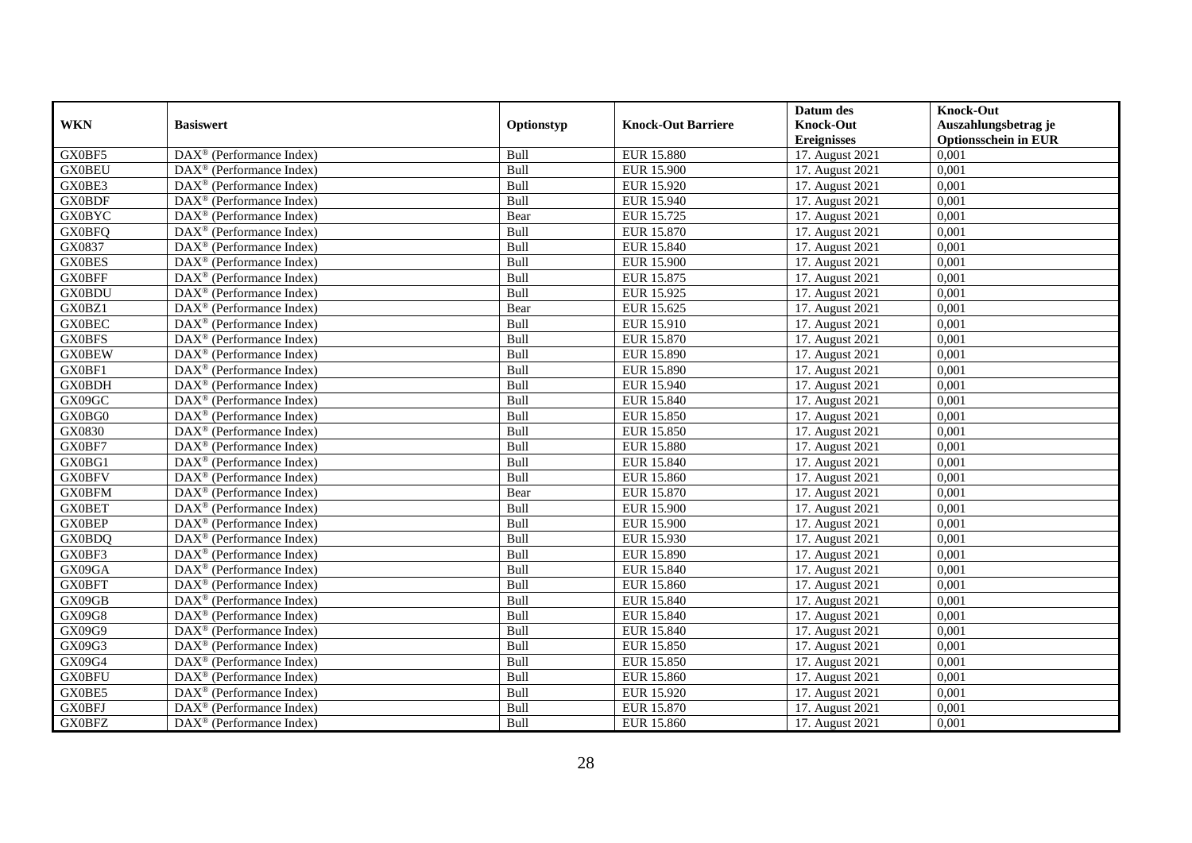|               |                                                         |             |                           | Datum des          | <b>Knock-Out</b>            |
|---------------|---------------------------------------------------------|-------------|---------------------------|--------------------|-----------------------------|
| <b>WKN</b>    | <b>Basiswert</b>                                        | Optionstyp  | <b>Knock-Out Barriere</b> | <b>Knock-Out</b>   | Auszahlungsbetrag je        |
|               |                                                         |             |                           | <b>Ereignisses</b> | <b>Optionsschein in EUR</b> |
| GX0BF5        | DAX <sup>®</sup> (Performance Index)                    | Bull        | <b>EUR 15.880</b>         | 17. August 2021    | 0,001                       |
| <b>GX0BEU</b> | $DAX^{\circledast}$ (Performance Index)                 | Bull        | <b>EUR 15.900</b>         | 17. August 2021    | 0,001                       |
| GX0BE3        | $DAX^{\circledcirc}$ (Performance Index)                | Bull        | EUR 15.920                | 17. August 2021    | 0,001                       |
| <b>GX0BDF</b> | $DAX^{\circledast}$ (Performance Index)                 | Bull        | EUR 15.940                | 17. August 2021    | 0,001                       |
| <b>GX0BYC</b> | DAX <sup>®</sup> (Performance Index)                    | Bear        | EUR 15.725                | 17. August 2021    | 0,001                       |
| <b>GX0BFQ</b> | $DAX^{\circledR}$ (Performance Index)                   | Bull        | <b>EUR 15.870</b>         | 17. August 2021    | 0,001                       |
| GX0837        | $\overline{\text{DAX}^{\otimes}}$ (Performance Index)   | Bull        | EUR 15.840                | 17. August 2021    | 0,001                       |
| <b>GX0BES</b> | $DAX^{\circledast}$ (Performance Index)                 | <b>Bull</b> | EUR 15.900                | 17. August 2021    | 0,001                       |
| <b>GX0BFF</b> | $DAX^{\circledast}$ (Performance Index)                 | Bull        | EUR 15.875                | 17. August 2021    | 0,001                       |
| <b>GX0BDU</b> | $DAX^{\circledast}$ (Performance Index)                 | Bull        | EUR 15.925                | 17. August 2021    | 0,001                       |
| GX0BZ1        | $\overline{\text{DAX}}^{\textcirc}$ (Performance Index) | Bear        | EUR 15.625                | 17. August 2021    | 0,001                       |
| <b>GX0BEC</b> | $\overline{\text{DAX}^{\otimes}}$ (Performance Index)   | Bull        | EUR 15.910                | 17. August 2021    | 0,001                       |
| <b>GX0BFS</b> | $DAX^{\circledast}$ (Performance Index)                 | Bull        | EUR 15.870                | 17. August 2021    | 0,001                       |
| <b>GX0BEW</b> | $DAX^{\circledR}$ (Performance Index)                   | Bull        | EUR 15.890                | 17. August 2021    | 0,001                       |
| GX0BF1        | $DAX^{\circledast}$ (Performance Index)                 | Bull        | EUR 15.890                | 17. August 2021    | 0,001                       |
| <b>GX0BDH</b> | $DAX^{\circledast}$ (Performance Index)                 | <b>Bull</b> | EUR 15.940                | 17. August 2021    | 0,001                       |
| GX09GC        | DAX <sup>®</sup> (Performance Index)                    | Bull        | <b>EUR 15.840</b>         | 17. August 2021    | 0,001                       |
| GX0BG0        | $\overline{\text{DAX}^{\otimes}}$ (Performance Index)   | <b>Bull</b> | EUR 15.850                | 17. August 2021    | 0.001                       |
| GX0830        | $\text{DAX}^{\otimes}$ (Performance Index)              | Bull        | EUR 15.850                | 17. August 2021    | 0,001                       |
| GX0BF7        | DAX <sup>®</sup> (Performance Index)                    | Bull        | <b>EUR 15.880</b>         | 17. August 2021    | 0,001                       |
| GX0BG1        | DAX <sup>®</sup> (Performance Index)                    | Bull        | <b>EUR 15.840</b>         | 17. August 2021    | 0,001                       |
| <b>GX0BFV</b> | $\overline{\text{DAX}^{\otimes}}$ (Performance Index)   | Bull        | <b>EUR 15.860</b>         | 17. August 2021    | 0,001                       |
| <b>GX0BFM</b> | DAX <sup>®</sup> (Performance Index)                    | Bear        | EUR 15.870                | 17. August 2021    | 0,001                       |
| <b>GX0BET</b> | DAX <sup>®</sup> (Performance Index)                    | Bull        | <b>EUR 15.900</b>         | 17. August 2021    | 0,001                       |
| <b>GX0BEP</b> | DAX <sup>®</sup> (Performance Index)                    | Bull        | <b>EUR 15.900</b>         | 17. August 2021    | 0,001                       |
| <b>GX0BDQ</b> | DAX <sup>®</sup> (Performance Index)                    | Bull        | EUR 15.930                | 17. August 2021    | 0,001                       |
| GX0BF3        | DAX <sup>®</sup> (Performance Index)                    | Bull        | <b>EUR 15.890</b>         | 17. August 2021    | 0,001                       |
| GX09GA        | $DAX^{\circledR}$ (Performance Index)                   | Bull        | EUR 15.840                | 17. August 2021    | 0,001                       |
| <b>GX0BFT</b> | $\overline{\text{DAX}^{\otimes}}$ (Performance Index)   | Bull        | <b>EUR 15.860</b>         | 17. August 2021    | 0,001                       |
| GX09GB        | $DAX^{\circledast}$ (Performance Index)                 | <b>Bull</b> | EUR 15.840                | 17. August 2021    | 0,001                       |
| GX09G8        | $\text{DAX}^{\otimes}$ (Performance Index)              | <b>Bull</b> | EUR 15.840                | 17. August 2021    | 0,001                       |
| GX09G9        | $DAX^{\circledcirc}$ (Performance Index)                | <b>Bull</b> | EUR 15.840                | 17. August 2021    | 0,001                       |
| GX09G3        | $DAX^{\circledR}$ (Performance Index)                   | Bull        | EUR 15.850                | 17. August 2021    | 0,001                       |
| GX09G4        | $\overline{\text{DAX}}^{\textcirc}$ (Performance Index) | Bull        | EUR 15.850                | 17. August 2021    | 0,001                       |
| <b>GX0BFU</b> | DAX <sup>®</sup> (Performance Index)                    | Bull        | EUR 15.860                | 17. August 2021    | 0,001                       |
| GX0BE5        | $DAX^{\circledcirc}$ (Performance Index)                | Bull        | EUR 15.920                | 17. August 2021    | 0,001                       |
| <b>GX0BFJ</b> | $DAX^{\circledast}$ (Performance Index)                 | Bull        | EUR 15.870                | 17. August 2021    | 0,001                       |
| <b>GX0BFZ</b> | DAX <sup>®</sup> (Performance Index)                    | <b>Bull</b> | EUR 15.860                | 17. August 2021    | 0,001                       |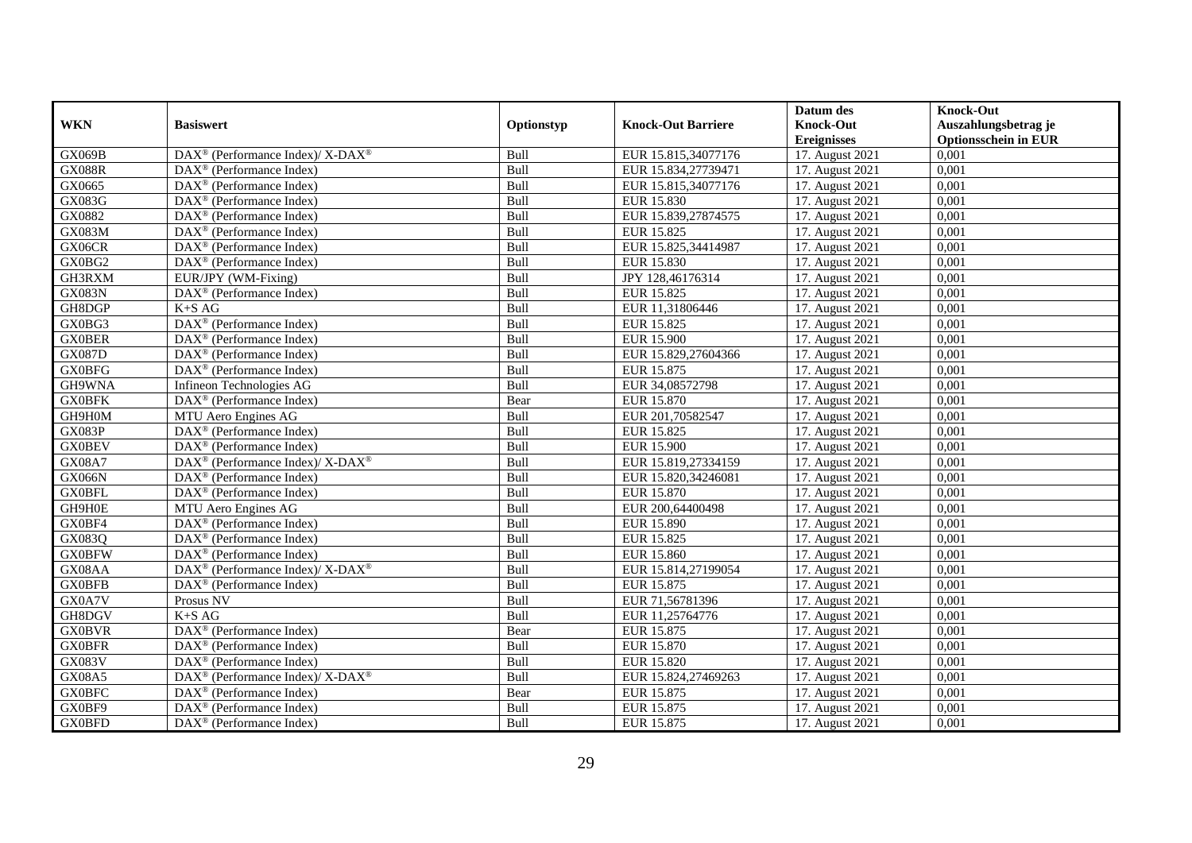|               |                                                             |             |                           | Datum des                     | <b>Knock-Out</b>            |
|---------------|-------------------------------------------------------------|-------------|---------------------------|-------------------------------|-----------------------------|
| <b>WKN</b>    | <b>Basiswert</b>                                            | Optionstyp  | <b>Knock-Out Barriere</b> | <b>Knock-Out</b>              | Auszahlungsbetrag je        |
|               |                                                             |             |                           | <b>Ereignisses</b>            | <b>Optionsschein in EUR</b> |
| GX069B        | DAX <sup>®</sup> (Performance Index)/ X-DAX <sup>®</sup>    | Bull        | EUR 15.815,34077176       | 17. August 2021               | 0,001                       |
| <b>GX088R</b> | $DAX^{\circledast}$ (Performance Index)                     | Bull        | EUR 15.834,27739471       | 17. August 2021               | 0,001                       |
| GX0665        | $DAX^{\circledcirc}$ (Performance Index)                    | Bull        | EUR 15.815,34077176       | 17. August 2021               | 0,001                       |
| GX083G        | $\text{DAX}^{\otimes}$ (Performance Index)                  | Bull        | EUR 15.830                | 17. August 2021               | 0,001                       |
| GX0882        | $\text{DAX}^{\circledast}$ (Performance Index)              | <b>Bull</b> | EUR 15.839,27874575       | 17. August 2021               | 0,001                       |
| GX083M        | $DAX^{\circledR}$ (Performance Index)                       | Bull        | <b>EUR 15.825</b>         | 17. August 2021               | 0,001                       |
| GX06CR        | $DAX^{\circledR}$ (Performance Index)                       | <b>Bull</b> | EUR 15.825,34414987       | 17. August 2021               | 0,001                       |
| GX0BG2        | DAX <sup>®</sup> (Performance Index)                        | Bull        | EUR 15.830                | 17. August 2021               | 0,001                       |
| GH3RXM        | EUR/JPY (WM-Fixing)                                         | Bull        | JPY 128,46176314          | 17. August 2021               | 0,001                       |
| <b>GX083N</b> | DAX <sup>®</sup> (Performance Index)                        | Bull        | EUR 15.825                | 17. August 2021               | 0,001                       |
| GH8DGP        | $K+SAG$                                                     | Bull        | EUR 11,31806446           | 17. August 2021               | 0,001                       |
| GX0BG3        | DAX <sup>®</sup> (Performance Index)                        | <b>Bull</b> | EUR 15.825                | 17. August 2021               | 0,001                       |
| <b>GX0BER</b> | $\text{DAX}^{\otimes}$ (Performance Index)                  | <b>Bull</b> | <b>EUR 15.900</b>         | 17. August 2021               | 0,001                       |
| <b>GX087D</b> | $\text{DAX}^{\otimes}$ (Performance Index)                  | <b>Bull</b> | EUR 15.829.27604366       | 17. August 2021               | 0.001                       |
| <b>GX0BFG</b> | $DAX^{\circledR}$ (Performance Index)                       | Bull        | EUR 15.875                | 17. August 2021               | 0,001                       |
| GH9WNA        | Infineon Technologies AG                                    | Bull        | EUR 34,08572798           | 17. August 2021               | 0,001                       |
| <b>GX0BFK</b> | DAX <sup>®</sup> (Performance Index)                        | Bear        | <b>EUR 15.870</b>         | 17. August 2021               | 0,001                       |
| GH9H0M        | MTU Aero Engines AG                                         | Bull        | EUR 201,70582547          | 17. August 2021               | 0,001                       |
| GX083P        | $DAX^{\circledast}$ (Performance Index)                     | Bull        | EUR 15.825                | 17. August 2021               | 0,001                       |
| <b>GX0BEV</b> | $DAX^{\circledast}$ (Performance Index)                     | Bull        | EUR 15.900                | 17. August 2021               | 0,001                       |
| <b>GX08A7</b> | DAX <sup>®</sup> (Performance Index)/ X-DAX <sup>®</sup>    | Bull        | EUR 15.819,27334159       | 17. August 2021               | 0,001                       |
| <b>GX066N</b> | $DAX^{\circledR}$ (Performance Index)                       | Bull        | EUR 15.820.34246081       | 17. August 2021               | 0,001                       |
| <b>GX0BFL</b> | $\overline{\text{DAX}^{\otimes}}$ (Performance Index)       | Bull        | EUR 15.870                | 17. August 2021               | 0,001                       |
| GH9H0E        | MTU Aero Engines AG                                         | Bull        | EUR 200,64400498          | 17. August 2021               | 0,001                       |
| GX0BF4        | $DAX^{\circledcirc}$ (Performance Index)                    | Bull        | <b>EUR 15.890</b>         | 17. August 2021               | 0,001                       |
| GX083Q        | DAX <sup>®</sup> (Performance Index)                        | Bull        | EUR 15.825                | 17. August 2021               | 0,001                       |
| <b>GX0BFW</b> | $\overline{\text{DAX}^{\otimes}}$ (Performance Index)       | Bull        | <b>EUR 15.860</b>         | 17. August 2021               | 0,001                       |
| GX08AA        | DAX <sup>®</sup> (Performance Index)/ X-DAX <sup>®</sup>    | Bull        | EUR 15.814,27199054       | 17. August 2021               | 0,001                       |
| <b>GX0BFB</b> | $DAX^{\circledast}$ (Performance Index)                     | Bull        | EUR 15.875                | $\overline{17}$ . August 2021 | 0,001                       |
| GX0A7V        | Prosus NV                                                   | <b>Bull</b> | EUR 71,56781396           | 17. August 2021               | 0,001                       |
| GH8DGV        | $K+SAG$                                                     | Bull        | EUR 11,25764776           | 17. August 2021               | 0,001                       |
| <b>GX0BVR</b> | DAX <sup>®</sup> (Performance Index)                        | Bear        | EUR 15.875                | 17. August 2021               | 0,001                       |
| <b>GX0BFR</b> | $DAX^{\circledR}$ (Performance Index)                       | Bull        | <b>EUR 15.870</b>         | 17. August 2021               | 0,001                       |
| <b>GX083V</b> | DAX <sup>®</sup> (Performance Index)                        | Bull        | <b>EUR 15.820</b>         | 17. August 2021               | 0,001                       |
| <b>GX08A5</b> | $DAX^{\circledast}$ (Performance Index)/ X-DAX <sup>®</sup> | <b>Bull</b> | EUR 15.824,27469263       | 17. August 2021               | 0,001                       |
| <b>GX0BFC</b> | DAX <sup>®</sup> (Performance Index)                        | Bear        | EUR 15.875                | 17. August 2021               | 0,001                       |
| GX0BF9        | $DAX^{\circledast}$ (Performance Index)                     | Bull        | EUR 15.875                | 17. August 2021               | 0,001                       |
| <b>GX0BFD</b> | $\text{DAX}^{\circledast}$ (Performance Index)              | Bull        | EUR 15.875                | 17. August 2021               | 0,001                       |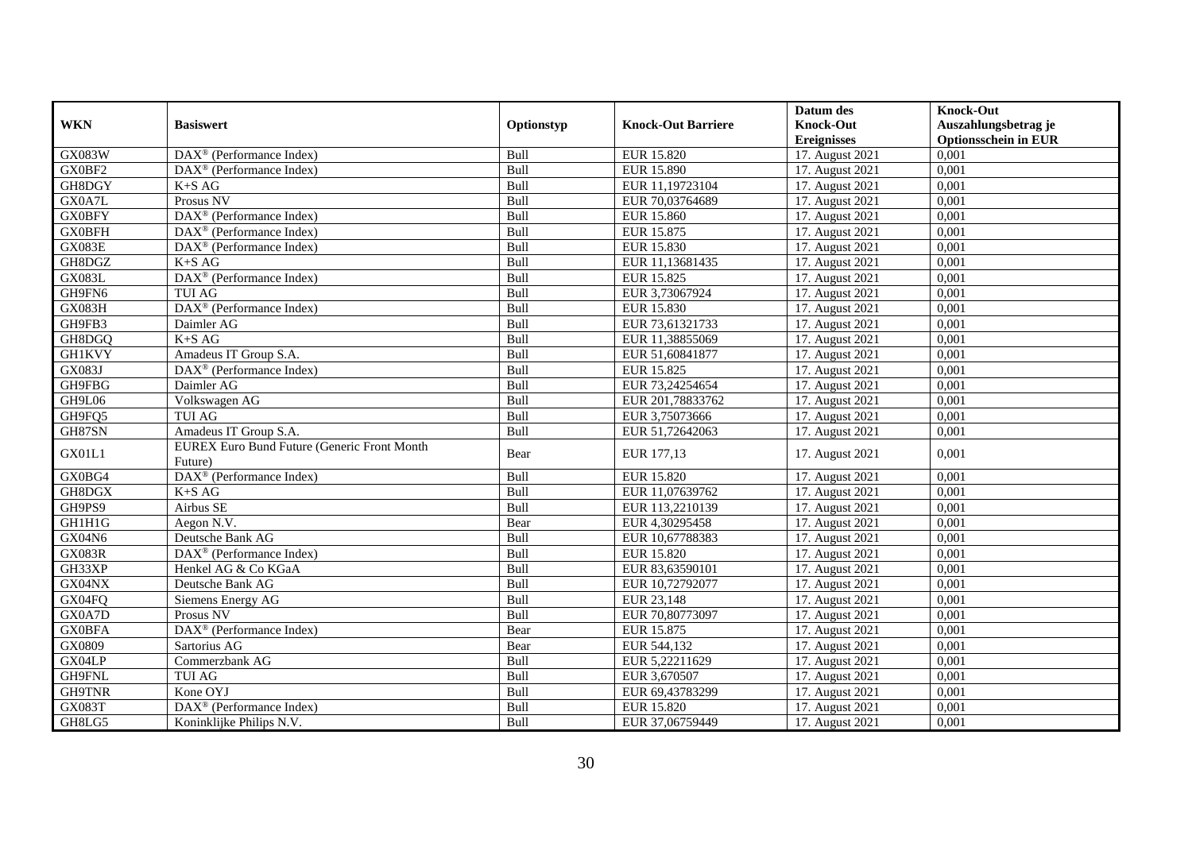|               |                                                               |             |                           | Datum des          | <b>Knock-Out</b>            |
|---------------|---------------------------------------------------------------|-------------|---------------------------|--------------------|-----------------------------|
| <b>WKN</b>    | <b>Basiswert</b>                                              | Optionstyp  | <b>Knock-Out Barriere</b> | <b>Knock-Out</b>   | Auszahlungsbetrag je        |
|               |                                                               |             |                           | <b>Ereignisses</b> | <b>Optionsschein in EUR</b> |
| GX083W        | DAX <sup>®</sup> (Performance Index)                          | Bull        | EUR 15.820                | 17. August 2021    | 0,001                       |
| GX0BF2        | $DAX^{\circledast}$ (Performance Index)                       | Bull        | EUR 15.890                | 17. August 2021    | 0,001                       |
| GH8DGY        | $K+SAG$                                                       | <b>Bull</b> | EUR 11,19723104           | 17. August 2021    | 0,001                       |
| GX0A7L        | Prosus NV                                                     | Bull        | EUR 70,03764689           | 17. August 2021    | 0,001                       |
| <b>GX0BFY</b> | DAX <sup>®</sup> (Performance Index)                          | Bull        | <b>EUR 15.860</b>         | 17. August 2021    | 0,001                       |
| <b>GX0BFH</b> | $DAX^{\circledR}$ (Performance Index)                         | Bull        | EUR 15.875                | 17. August 2021    | 0,001                       |
| GX083E        | $\overline{\text{DAX}^{\otimes}}$ (Performance Index)         | Bull        | EUR 15.830                | 17. August 2021    | 0,001                       |
| GH8DGZ        | $K+SAG$                                                       | <b>Bull</b> | EUR 11,13681435           | 17. August 2021    | 0,001                       |
| <b>GX083L</b> | DAX <sup>®</sup> (Performance Index)                          | Bull        | EUR 15.825                | 17. August 2021    | 0,001                       |
| GH9FN6        | <b>TUI AG</b>                                                 | <b>Bull</b> | EUR 3,73067924            | 17. August 2021    | 0,001                       |
| GX083H        | DAX <sup>®</sup> (Performance Index)                          | Bull        | EUR 15.830                | 17. August 2021    | 0,001                       |
| GH9FB3        | Daimler AG                                                    | Bull        | EUR 73,61321733           | 17. August 2021    | 0,001                       |
| GH8DGQ        | $K+SAG$                                                       | Bull        | EUR 11,38855069           | 17. August 2021    | 0,001                       |
| <b>GH1KVY</b> | Amadeus IT Group S.A.                                         | Bull        | EUR 51,60841877           | 17. August 2021    | 0,001                       |
| <b>GX083J</b> | $DAX^{\circledast}$ (Performance Index)                       | Bull        | EUR 15.825                | 17. August 2021    | 0,001                       |
| GH9FBG        | Daimler AG                                                    | Bull        | EUR 73,24254654           | 17. August 2021    | 0,001                       |
| GH9L06        | Volkswagen AG                                                 | <b>Bull</b> | EUR 201,78833762          | 17. August 2021    | 0,001                       |
| GH9FQ5        | <b>TUI AG</b>                                                 | Bull        | EUR 3,75073666            | 17. August 2021    | 0,001                       |
| GH87SN        | Amadeus IT Group S.A.                                         | Bull        | EUR 51,72642063           | 17. August 2021    | 0,001                       |
| GX01L1        | <b>EUREX Euro Bund Future (Generic Front Month</b><br>Future) | Bear        | EUR 177,13                | 17. August 2021    | 0,001                       |
| GX0BG4        | DAX <sup>®</sup> (Performance Index)                          | <b>Bull</b> | EUR 15.820                | 17. August 2021    | 0,001                       |
| GH8DGX        | $K+SAG$                                                       | Bull        | EUR 11,07639762           | 17. August 2021    | 0,001                       |
| GH9PS9        | Airbus SE                                                     | Bull        | EUR 113,2210139           | 17. August 2021    | 0,001                       |
| GH1H1G        | Aegon $N.V.$                                                  | Bear        | EUR 4,30295458            | 17. August 2021    | 0,001                       |
| GX04N6        | Deutsche Bank AG                                              | Bull        | EUR 10,67788383           | 17. August 2021    | 0,001                       |
| <b>GX083R</b> | $DAX^{\circledast}$ (Performance Index)                       | Bull        | EUR 15.820                | 17. August 2021    | 0,001                       |
| GH33XP        | Henkel AG & Co KGaA                                           | Bull        | EUR 83,63590101           | 17. August 2021    | 0,001                       |
| GX04NX        | Deutsche Bank AG                                              | Bull        | EUR 10,72792077           | 17. August 2021    | 0,001                       |
| GX04FQ        | Siemens Energy AG                                             | Bull        | EUR 23,148                | 17. August 2021    | 0,001                       |
| GX0A7D        | Prosus NV                                                     | Bull        | EUR 70,80773097           | 17. August 2021    | 0,001                       |
| <b>GX0BFA</b> | DAX <sup>®</sup> (Performance Index)                          | Bear        | EUR 15.875                | 17. August 2021    | 0,001                       |
| GX0809        | Sartorius AG                                                  | Bear        | EUR 544,132               | 17. August 2021    | 0,001                       |
| GX04LP        | Commerzbank AG                                                | Bull        | EUR 5,22211629            | 17. August 2021    | 0,001                       |
| GH9FNL        | <b>TUI AG</b>                                                 | Bull        | EUR 3,670507              | 17. August 2021    | 0,001                       |
| <b>GH9TNR</b> | Kone OYJ                                                      | Bull        | EUR 69,43783299           | 17. August 2021    | 0,001                       |
| GX083T        | DAX <sup>®</sup> (Performance Index)                          | Bull        | EUR 15.820                | 17. August 2021    | 0,001                       |
| GH8LG5        | Koninklijke Philips N.V.                                      | <b>Bull</b> | EUR 37,06759449           | 17. August 2021    | 0,001                       |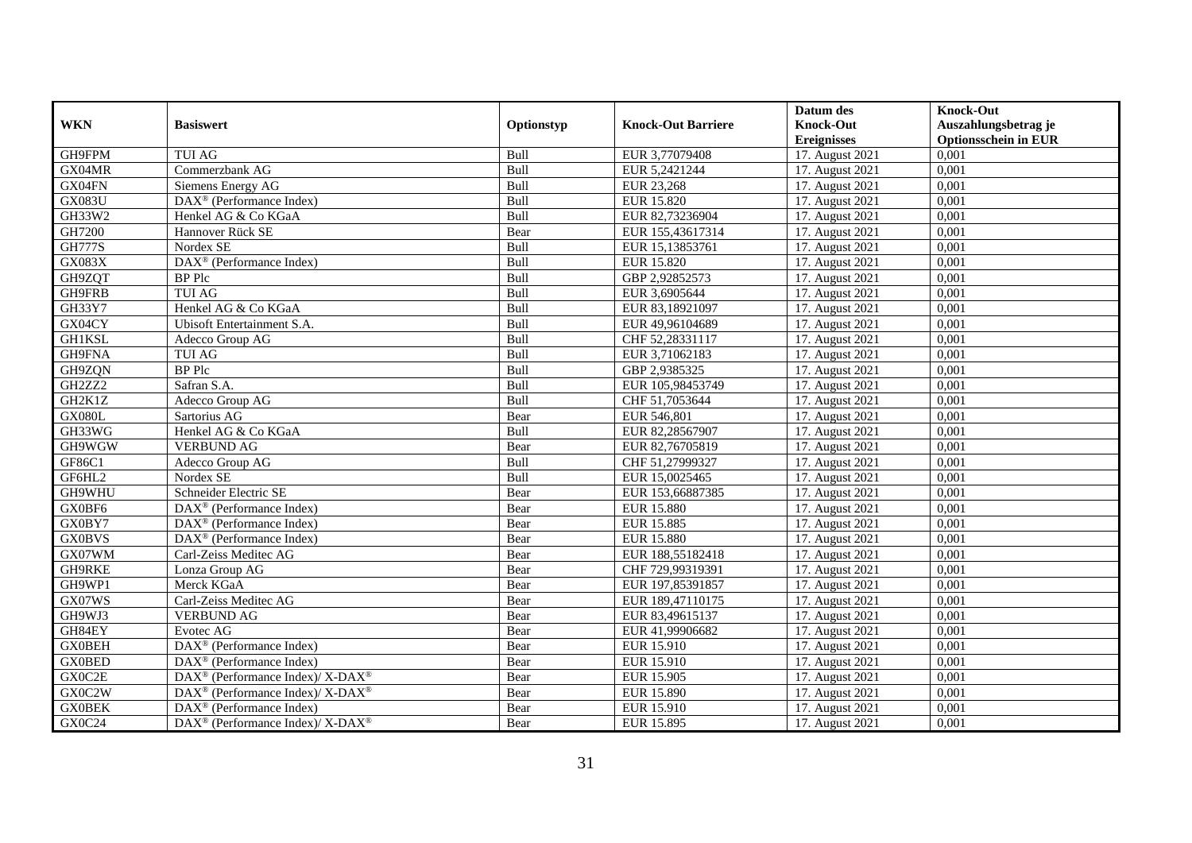|               |                                                                          |             |                           | Datum des                     | <b>Knock-Out</b>            |
|---------------|--------------------------------------------------------------------------|-------------|---------------------------|-------------------------------|-----------------------------|
| <b>WKN</b>    | <b>Basiswert</b>                                                         | Optionstyp  | <b>Knock-Out Barriere</b> | <b>Knock-Out</b>              | Auszahlungsbetrag je        |
|               |                                                                          |             |                           | <b>Ereignisses</b>            | <b>Optionsschein in EUR</b> |
| GH9FPM        | <b>TUI AG</b>                                                            | Bull        | EUR 3,77079408            | 17. August 2021               | 0,001                       |
| GX04MR        | Commerzbank AG                                                           | Bull        | EUR 5,2421244             | 17. August 2021               | 0,001                       |
| GX04FN        | Siemens Energy AG                                                        | Bull        | EUR 23,268                | 17. August 2021               | 0,001                       |
| <b>GX083U</b> | $\text{DAX}^{\otimes}$ (Performance Index)                               | Bull        | EUR 15.820                | 17. August 2021               | 0,001                       |
| GH33W2        | Henkel AG & Co KGaA                                                      | Bull        | EUR 82,73236904           | 17. August 2021               | 0,001                       |
| GH7200        | Hannover Rück SE                                                         | Bear        | EUR 155,43617314          | 17. August 2021               | 0,001                       |
| <b>GH777S</b> | Nordex SE                                                                | Bull        | EUR 15,13853761           | 17. August 2021               | 0,001                       |
| <b>GX083X</b> | DAX <sup>®</sup> (Performance Index)                                     | Bull        | EUR 15.820                | 17. August 2021               | 0,001                       |
| GH9ZQT        | <b>BP</b> Plc                                                            | Bull        | GBP 2,92852573            | 17. August 2021               | 0,001                       |
| GH9FRB        | <b>TUI AG</b>                                                            | Bull        | EUR 3,6905644             | 17. August 2021               | 0,001                       |
| GH33Y7        | Henkel AG & Co KGaA                                                      | Bull        | EUR 83,18921097           | 17. August 2021               | 0,001                       |
| GX04CY        | Ubisoft Entertainment S.A.                                               | Bull        | EUR 49,96104689           | 17. August 2021               | 0,001                       |
| GH1KSL        | Adecco Group AG                                                          | Bull        | CHF 52,28331117           | 17. August 2021               | 0,001                       |
| GH9FNA        | <b>TUI AG</b>                                                            | <b>Bull</b> | EUR 3,71062183            | 17. August 2021               | 0.001                       |
| GH9ZQN        | <b>BP</b> Plc                                                            | Bull        | GBP 2,9385325             | 17. August 2021               | 0,001                       |
| GH2ZZ2        | Safran S.A.                                                              | Bull        | EUR 105,98453749          | 17. August 2021               | 0,001                       |
| GH2K1Z        | Adecco Group AG                                                          | Bull        | CHF 51,7053644            | 17. August 2021               | 0,001                       |
| <b>GX080L</b> | Sartorius AG                                                             | Bear        | EUR 546,801               | 17. August 2021               | 0,001                       |
| GH33WG        | Henkel AG & Co KGaA                                                      | Bull        | EUR 82,28567907           | 17. August 2021               | 0,001                       |
| GH9WGW        | <b>VERBUND AG</b>                                                        | Bear        | EUR 82,76705819           | 17. August 2021               | 0,001                       |
| GF86C1        | Adecco Group AG                                                          | Bull        | CHF 51,27999327           | 17. August 2021               | 0,001                       |
| GF6HL2        | Nordex SE                                                                | Bull        | EUR 15,0025465            | 17. August 2021               | 0,001                       |
| GH9WHU        | Schneider Electric SE                                                    | Bear        | EUR 153,66887385          | 17. August 2021               | 0,001                       |
| GX0BF6        | DAX <sup>®</sup> (Performance Index)                                     | Bear        | <b>EUR 15.880</b>         | 17. August 2021               | 0,001                       |
| GX0BY7        | $DAX^{\circledR}$ (Performance Index)                                    | Bear        | <b>EUR 15.885</b>         | 17. August 2021               | 0,001                       |
| <b>GX0BVS</b> | $DAX^{\otimes}$ (Performance Index)                                      | Bear        | EUR 15.880                | 17. August 2021               | 0,001                       |
| GX07WM        | Carl-Zeiss Meditec AG                                                    | Bear        | EUR 188,55182418          | 17. August 2021               | 0,001                       |
| GH9RKE        | Lonza Group AG                                                           | Bear        | CHF 729,99319391          | 17. August 2021               | 0,001                       |
| GH9WP1        | Merck KGaA                                                               | Bear        | EUR 197,85391857          | $\overline{17}$ . August 2021 | 0,001                       |
| GX07WS        | Carl-Zeiss Meditec AG                                                    | Bear        | EUR 189,47110175          | 17. August 2021               | 0,001                       |
| GH9WJ3        | <b>VERBUND AG</b>                                                        | Bear        | EUR 83,49615137           | 17. August 2021               | 0,001                       |
| GH84EY        | Evotec AG                                                                | Bear        | EUR 41,99906682           | 17. August 2021               | 0,001                       |
| <b>GX0BEH</b> | DAX <sup>®</sup> (Performance Index)                                     | Bear        | EUR 15.910                | 17. August 2021               | 0,001                       |
| <b>GX0BED</b> | $\overline{\text{DAX}^{\otimes}}$ (Performance Index)                    | Bear        | EUR 15.910                | 17. August 2021               | 0,001                       |
| GX0C2E        | $DAX^{\circledast}$ (Performance Index)/ X-DAX <sup>®</sup>              | Bear        | EUR 15.905                | 17. August 2021               | 0,001                       |
| GX0C2W        | $DAX^{\circledast}$ (Performance Index)/ X-DAX <sup>®</sup>              | Bear        | EUR 15.890                | 17. August 2021               | 0,001                       |
| <b>GX0BEK</b> | $\text{DAX}^{\circledast}$ (Performance Index)                           | Bear        | EUR 15.910                | 17. August 2021               | 0,001                       |
| GX0C24        | $\overline{\text{DAX}^{\otimes}}$ (Performance Index)/X-DAX <sup>®</sup> | Bear        | EUR 15.895                | 17. August 2021               | 0,001                       |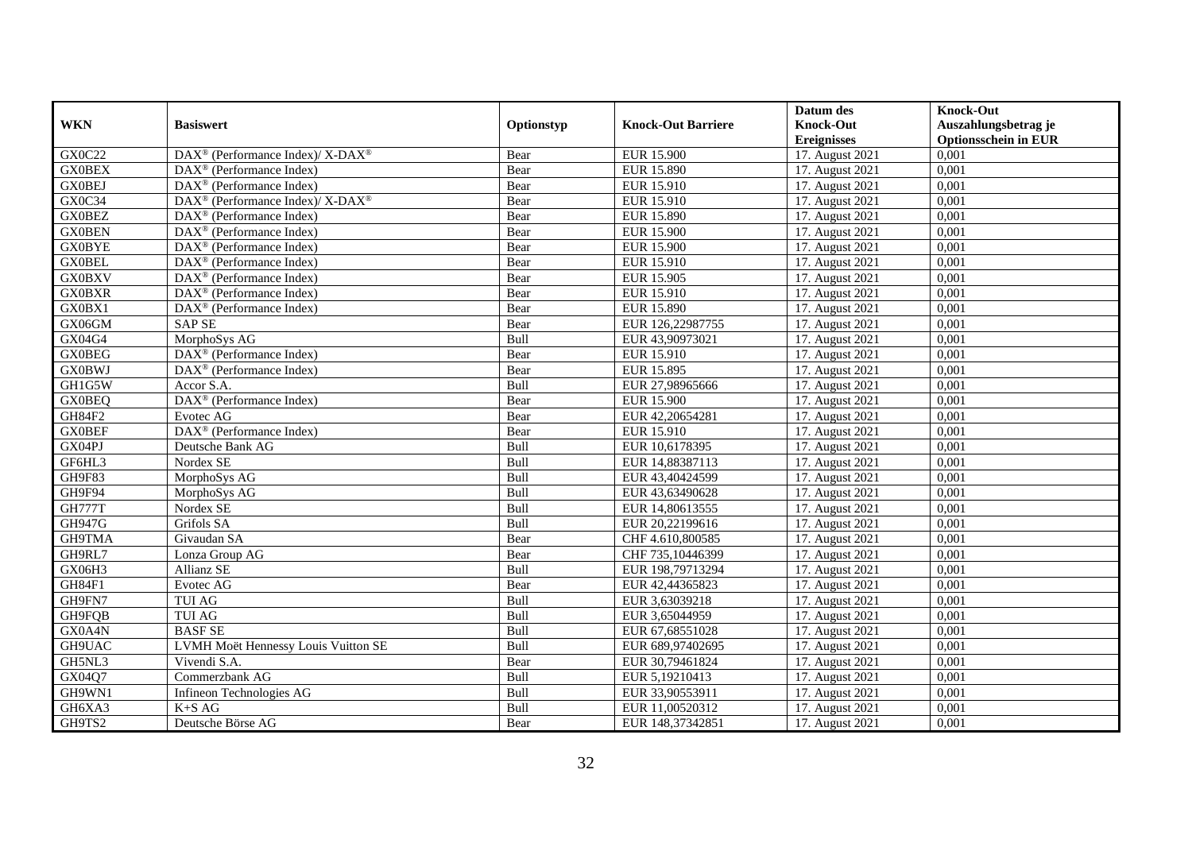|               |                                                          |             |                           | Datum des          | <b>Knock-Out</b>            |
|---------------|----------------------------------------------------------|-------------|---------------------------|--------------------|-----------------------------|
| <b>WKN</b>    | <b>Basiswert</b>                                         | Optionstyp  | <b>Knock-Out Barriere</b> | <b>Knock-Out</b>   | Auszahlungsbetrag je        |
|               |                                                          |             |                           | <b>Ereignisses</b> | <b>Optionsschein in EUR</b> |
| GX0C22        | DAX <sup>®</sup> (Performance Index)/ X-DAX <sup>®</sup> | Bear        | <b>EUR 15.900</b>         | 17. August 2021    | 0,001                       |
| <b>GX0BEX</b> | $DAX^{\circledast}$ (Performance Index)                  | Bear        | EUR 15.890                | 17. August 2021    | 0,001                       |
| <b>GX0BEJ</b> | $DAX^{\circledcirc}$ (Performance Index)                 | Bear        | EUR 15.910                | 17. August 2021    | 0,001                       |
| GX0C34        | DAX <sup>®</sup> (Performance Index)/ X-DAX <sup>®</sup> | Bear        | EUR 15.910                | 17. August 2021    | 0,001                       |
| <b>GX0BEZ</b> | $\text{DAX}^{\circledast}$ (Performance Index)           | Bear        | <b>EUR 15.890</b>         | 17. August 2021    | 0,001                       |
| <b>GX0BEN</b> | $DAX^{\circledR}$ (Performance Index)                    | Bear        | <b>EUR 15.900</b>         | 17. August 2021    | 0,001                       |
| <b>GX0BYE</b> | $DAX^{\circledR}$ (Performance Index)                    | Bear        | <b>EUR 15.900</b>         | 17. August 2021    | 0,001                       |
| <b>GX0BEL</b> | $\overline{\text{DAX}}^{\textcirc}$ (Performance Index)  | Bear        | EUR 15.910                | 17. August 2021    | 0,001                       |
| <b>GX0BXV</b> | $DAX^{\circledast}$ (Performance Index)                  | Bear        | EUR 15.905                | 17. August 2021    | 0,001                       |
| <b>GX0BXR</b> | $DAX^{\circledR}$ (Performance Index)                    | Bear        | EUR 15.910                | 17. August 2021    | 0,001                       |
| GX0BX1        | $\overline{\text{DAX}}^{\textcirc}$ (Performance Index)  | Bear        | <b>EUR 15.890</b>         | 17. August 2021    | 0,001                       |
| GX06GM        | <b>SAP SE</b>                                            | Bear        | EUR 126,22987755          | 17. August 2021    | 0,001                       |
| GX04G4        | MorphoSys AG                                             | <b>Bull</b> | EUR 43,90973021           | 17. August 2021    | 0,001                       |
| <b>GX0BEG</b> | $DAX^{\circledcirc}$ (Performance Index)                 | Bear        | EUR 15.910                | 17. August 2021    | 0.001                       |
| <b>GX0BWJ</b> | $DAX^{\circledR}$ (Performance Index)                    | Bear        | EUR 15.895                | 17. August 2021    | 0,001                       |
| GH1G5W        | Accor S.A.                                               | Bull        | EUR 27,98965666           | 17. August 2021    | 0,001                       |
| <b>GX0BEQ</b> | $\overline{\text{DAX}^{\otimes}}$ (Performance Index)    | Bear        | <b>EUR 15.900</b>         | 17. August 2021    | 0,001                       |
| <b>GH84F2</b> | Evotec AG                                                | Bear        | EUR 42,20654281           | 17. August 2021    | 0,001                       |
| <b>GX0BEF</b> | DAX <sup>®</sup> (Performance Index)                     | Bear        | EUR 15.910                | 17. August 2021    | 0,001                       |
| GX04PJ        | Deutsche Bank AG                                         | Bull        | EUR 10,6178395            | 17. August 2021    | 0,001                       |
| GF6HL3        | Nordex SE                                                | Bull        | EUR 14,88387113           | 17. August 2021    | 0,001                       |
| GH9F83        | MorphoSys AG                                             | Bull        | EUR 43,40424599           | 17. August 2021    | 0,001                       |
| GH9F94        | MorphoSys AG                                             | Bull        | EUR 43,63490628           | 17. August 2021    | 0,001                       |
| <b>GH777T</b> | Nordex SE                                                | Bull        | EUR 14,80613555           | 17. August 2021    | 0,001                       |
| GH947G        | Grifols SA                                               | Bull        | EUR 20,22199616           | 17. August 2021    | 0,001                       |
| GH9TMA        | Givaudan SA                                              | Bear        | CHF 4.610,800585          | 17. August 2021    | 0,001                       |
| GH9RL7        | Lonza Group AG                                           | Bear        | CHF 735,10446399          | 17. August 2021    | 0,001                       |
| GX06H3        | Allianz SE                                               | Bull        | EUR 198,79713294          | 17. August 2021    | 0,001                       |
| GH84F1        | Evotec AG                                                | Bear        | EUR 42,44365823           | 17. August 2021    | 0,001                       |
| GH9FN7        | TUI AG                                                   | Bull        | EUR 3,63039218            | 17. August 2021    | 0,001                       |
| GH9FQB        | TUI AG                                                   | Bull        | EUR 3,65044959            | 17. August 2021    | 0,001                       |
| GX0A4N        | <b>BASFSE</b>                                            | Bull        | EUR 67,68551028           | 17. August 2021    | 0,001                       |
| GH9UAC        | LVMH Moët Hennessy Louis Vuitton SE                      | Bull        | EUR 689,97402695          | 17. August 2021    | 0,001                       |
| GH5NL3        | Vivendi S.A.                                             | Bear        | EUR 30,79461824           | 17. August 2021    | 0,001                       |
| GX04Q7        | Commerzbank AG                                           | <b>Bull</b> | EUR 5,19210413            | 17. August 2021    | 0,001                       |
| GH9WN1        | Infineon Technologies AG                                 | Bull        | EUR 33,90553911           | 17. August 2021    | 0,001                       |
| GH6XA3        | $K+SAG$                                                  | Bull        | EUR 11,00520312           | 17. August 2021    | 0,001                       |
| GH9TS2        | Deutsche Börse AG                                        | Bear        | EUR 148,37342851          | 17. August 2021    | 0,001                       |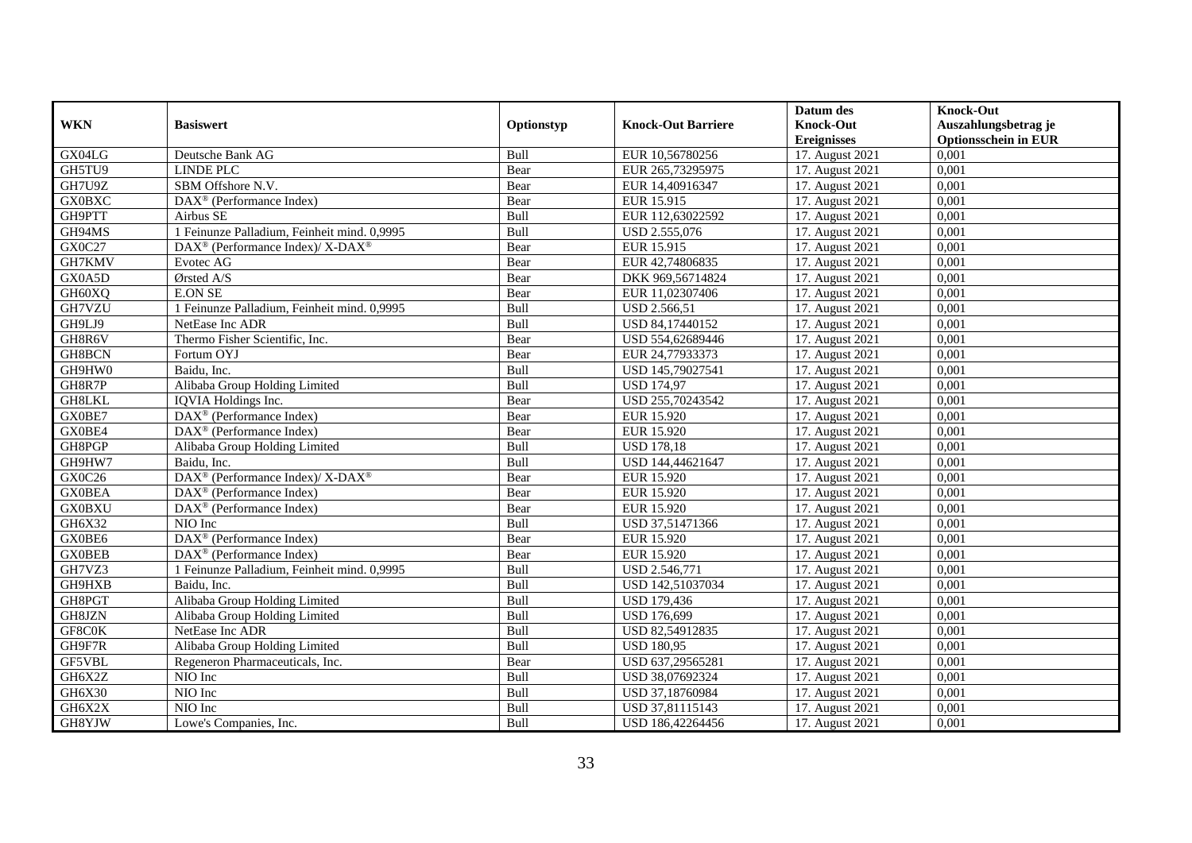|               |                                                          |             |                           | Datum des          | <b>Knock-Out</b>            |
|---------------|----------------------------------------------------------|-------------|---------------------------|--------------------|-----------------------------|
| <b>WKN</b>    | <b>Basiswert</b>                                         | Optionstyp  | <b>Knock-Out Barriere</b> | <b>Knock-Out</b>   | Auszahlungsbetrag je        |
|               |                                                          |             |                           | <b>Ereignisses</b> | <b>Optionsschein in EUR</b> |
| GX04LG        | Deutsche Bank AG                                         | Bull        | EUR 10,56780256           | 17. August 2021    | 0,001                       |
| GH5TU9        | <b>LINDE PLC</b>                                         | Bear        | EUR 265,73295975          | 17. August 2021    | 0,001                       |
| GH7U9Z        | SBM Offshore N.V.                                        | Bear        | EUR 14,40916347           | 17. August 2021    | 0,001                       |
| <b>GX0BXC</b> | $DAX^{\circledcirc}$ (Performance Index)                 | Bear        | EUR 15.915                | 17. August 2021    | 0.001                       |
| GH9PTT        | Airbus SE                                                | Bull        | EUR 112,63022592          | 17. August 2021    | 0,001                       |
| GH94MS        | 1 Feinunze Palladium, Feinheit mind. 0,9995              | Bull        | USD 2.555,076             | 17. August 2021    | 0,001                       |
| GX0C27        | DAX <sup>®</sup> (Performance Index)/ X-DAX <sup>®</sup> | Bear        | EUR 15.915                | 17. August 2021    | 0,001                       |
| GH7KMV        | Evotec AG                                                | Bear        | EUR 42,74806835           | 17. August 2021    | 0,001                       |
| GX0A5D        | Ørsted A/S                                               | Bear        | DKK 969,56714824          | 17. August 2021    | 0,001                       |
| GH60XQ        | <b>E.ON SE</b>                                           | Bear        | EUR 11,02307406           | 17. August 2021    | 0.001                       |
| GH7VZU        | 1 Feinunze Palladium, Feinheit mind. 0,9995              | Bull        | USD 2.566,51              | 17. August 2021    | 0,001                       |
| GH9LJ9        | NetEase Inc ADR                                          | Bull        | USD 84,17440152           | 17. August 2021    | 0,001                       |
| GH8R6V        | Thermo Fisher Scientific, Inc.                           | Bear        | USD 554,62689446          | 17. August 2021    | 0,001                       |
| GH8BCN        | Fortum OYJ                                               | Bear        | EUR 24,77933373           | 17. August 2021    | 0,001                       |
| GH9HW0        | Baidu, Inc.                                              | Bull        | USD 145,79027541          | 17. August 2021    | 0,001                       |
| GH8R7P        | Alibaba Group Holding Limited                            | Bull        | <b>USD 174,97</b>         | 17. August 2021    | 0,001                       |
| GH8LKL        | IQVIA Holdings Inc.                                      | Bear        | USD 255,70243542          | 17. August 2021    | 0,001                       |
| GX0BE7        | $DAX^{\circledR}$ (Performance Index)                    | Bear        | EUR 15.920                | 17. August 2021    | 0.001                       |
| GX0BE4        | $DAX^{\circledR}$ (Performance Index)                    | Bear        | EUR 15.920                | 17. August 2021    | 0,001                       |
| GH8PGP        | Alibaba Group Holding Limited                            | Bull        | <b>USD 178,18</b>         | 17. August 2021    | 0,001                       |
| GH9HW7        | Baidu, Inc.                                              | Bull        | USD 144,44621647          | 17. August 2021    | 0,001                       |
| GX0C26        | DAX <sup>®</sup> (Performance Index)/ X-DAX <sup>®</sup> | Bear        | EUR 15.920                | 17. August 2021    | 0,001                       |
| <b>GX0BEA</b> | DAX <sup>®</sup> (Performance Index)                     | Bear        | EUR 15.920                | 17. August 2021    | 0,001                       |
| <b>GX0BXU</b> | DAX <sup>®</sup> (Performance Index)                     | Bear        | EUR 15.920                | 17. August 2021    | 0,001                       |
| GH6X32        | NIO Inc                                                  | <b>Bull</b> | USD 37,51471366           | 17. August 2021    | 0.001                       |
| GX0BE6        | DAX <sup>®</sup> (Performance Index)                     | Bear        | EUR 15.920                | 17. August 2021    | 0,001                       |
| <b>GX0BEB</b> | DAX <sup>®</sup> (Performance Index)                     | Bear        | <b>EUR 15.920</b>         | 17. August 2021    | 0,001                       |
| GH7VZ3        | 1 Feinunze Palladium, Feinheit mind. 0,9995              | Bull        | USD 2.546,771             | 17. August 2021    | 0,001                       |
| GH9HXB        | Baidu, Inc.                                              | Bull        | USD 142,51037034          | 17. August 2021    | 0,001                       |
| GH8PGT        | Alibaba Group Holding Limited                            | <b>Bull</b> | <b>USD 179,436</b>        | 17. August 2021    | 0,001                       |
| GH8JZN        | Alibaba Group Holding Limited                            | Bull        | <b>USD 176,699</b>        | 17. August 2021    | 0,001                       |
| GF8C0K        | NetEase Inc ADR                                          | <b>Bull</b> | USD 82,54912835           | 17. August 2021    | 0.001                       |
| GH9F7R        | Alibaba Group Holding Limited                            | Bull        | <b>USD 180,95</b>         | 17. August 2021    | 0,001                       |
| GF5VBL        | Regeneron Pharmaceuticals, Inc.                          | Bear        | USD 637,29565281          | 17. August 2021    | 0,001                       |
| GH6X2Z        | NIO Inc                                                  | Bull        | USD 38,07692324           | 17. August 2021    | 0,001                       |
| GH6X30        | NIO Inc                                                  | Bull        | USD 37,18760984           | 17. August 2021    | 0,001                       |
| GH6X2X        | NIO Inc                                                  | Bull        | USD 37,81115143           | 17. August 2021    | 0,001                       |
| GH8YJW        | Lowe's Companies, Inc.                                   | Bull        | USD 186,42264456          | 17. August 2021    | 0,001                       |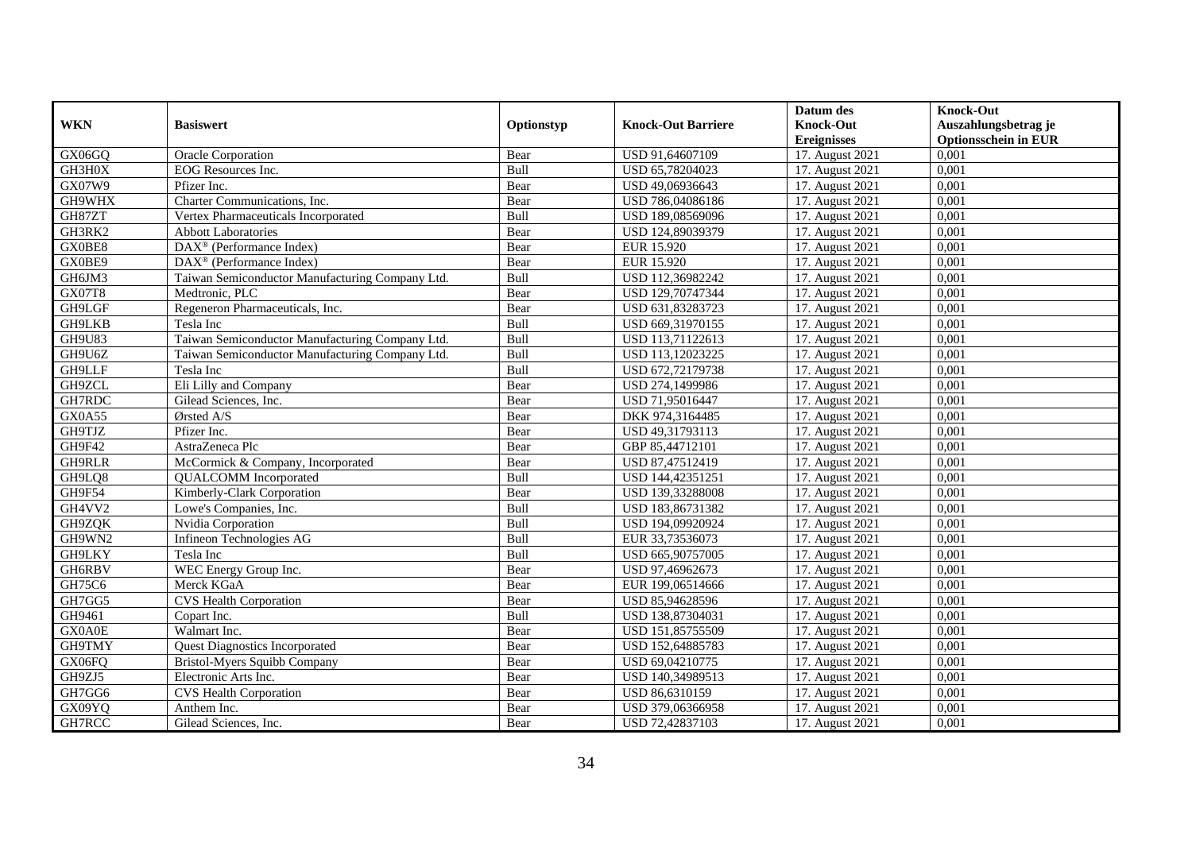|               |                                                 |            |                           | Datum des          | <b>Knock-Out</b>            |
|---------------|-------------------------------------------------|------------|---------------------------|--------------------|-----------------------------|
| <b>WKN</b>    | <b>Basiswert</b>                                | Optionstyp | <b>Knock-Out Barriere</b> | <b>Knock-Out</b>   | Auszahlungsbetrag je        |
|               |                                                 |            |                           | <b>Ereignisses</b> | <b>Optionsschein in EUR</b> |
| GX06GQ        | Oracle Corporation                              | Bear       | USD 91,64607109           | 17. August 2021    | 0,001                       |
| GH3H0X        | <b>EOG</b> Resources Inc.                       | Bull       | USD 65,78204023           | 17. August 2021    | 0,001                       |
| GX07W9        | Pfizer Inc.                                     | Bear       | USD 49,06936643           | 17. August 2021    | 0,001                       |
| GH9WHX        | Charter Communications, Inc.                    | Bear       | USD 786,04086186          | 17. August 2021    | 0,001                       |
| GH87ZT        | Vertex Pharmaceuticals Incorporated             | Bull       | USD 189,08569096          | 17. August 2021    | 0,001                       |
| GH3RK2        | <b>Abbott Laboratories</b>                      | Bear       | USD 124,89039379          | 17. August 2021    | 0,001                       |
| GX0BE8        | DAX <sup>®</sup> (Performance Index)            | Bear       | EUR 15.920                | 17. August 2021    | 0,001                       |
| GX0BE9        | $DAX^{\circledR}$ (Performance Index)           | Bear       | EUR 15.920                | 17. August 2021    | 0,001                       |
| GH6JM3        | Taiwan Semiconductor Manufacturing Company Ltd. | Bull       | USD 112,36982242          | 17. August 2021    | 0,001                       |
| GX07T8        | Medtronic, PLC                                  | Bear       | USD 129,70747344          | 17. August 2021    | 0,001                       |
| GH9LGF        | Regeneron Pharmaceuticals, Inc.                 | Bear       | USD 631,83283723          | 17. August 2021    | 0,001                       |
| <b>GH9LKB</b> | Tesla Inc                                       | Bull       | USD 669,31970155          | 17. August 2021    | 0,001                       |
| GH9U83        | Taiwan Semiconductor Manufacturing Company Ltd. | Bull       | USD 113,71122613          | 17. August 2021    | 0,001                       |
| GH9U6Z        | Taiwan Semiconductor Manufacturing Company Ltd. | Bull       | USD 113,12023225          | 17. August 2021    | 0,001                       |
| GH9LLF        | Tesla Inc                                       | Bull       | USD 672,72179738          | 17. August 2021    | 0,001                       |
| GH9ZCL        | Eli Lilly and Company                           | Bear       | USD 274,1499986           | 17. August 2021    | 0,001                       |
| GH7RDC        | Gilead Sciences, Inc.                           | Bear       | USD 71,95016447           | 17. August 2021    | 0,001                       |
| GX0A55        | $\mathcal{O}$ rsted A/S                         | Bear       | DKK 974,3164485           | 17. August 2021    | 0,001                       |
| GH9TJZ        | Pfizer Inc.                                     | Bear       | USD 49,31793113           | 17. August 2021    | 0,001                       |
| GH9F42        | AstraZeneca Plc                                 | Bear       | GBP 85,44712101           | 17. August 2021    | 0,001                       |
| <b>GH9RLR</b> | McCormick & Company, Incorporated               | Bear       | USD 87,47512419           | 17. August 2021    | 0,001                       |
| GH9LQ8        | <b>QUALCOMM</b> Incorporated                    | Bull       | USD 144,42351251          | 17. August 2021    | 0,001                       |
| GH9F54        | Kimberly-Clark Corporation                      | Bear       | USD 139,33288008          | 17. August 2021    | 0,001                       |
| GH4VV2        | Lowe's Companies, Inc.                          | Bull       | USD 183,86731382          | 17. August 2021    | 0,001                       |
| GH9ZQK        | Nvidia Corporation                              | Bull       | USD 194,09920924          | 17. August 2021    | 0,001                       |
| GH9WN2        | Infineon Technologies AG                        | Bull       | EUR 33,73536073           | 17. August 2021    | 0,001                       |
| GH9LKY        | Tesla Inc                                       | Bull       | USD 665,90757005          | 17. August 2021    | 0,001                       |
| GH6RBV        | WEC Energy Group Inc.                           | Bear       | USD 97,46962673           | 17. August 2021    | 0,001                       |
| GH75C6        | Merck KGaA                                      | Bear       | EUR 199,06514666          | 17. August 2021    | 0,001                       |
| GH7GG5        | <b>CVS Health Corporation</b>                   | Bear       | USD 85,94628596           | 17. August 2021    | 0,001                       |
| GH9461        | Copart Inc.                                     | Bull       | USD 138,87304031          | 17. August 2021    | 0,001                       |
| GX0A0E        | Walmart Inc.                                    | Bear       | USD 151,85755509          | 17. August 2021    | 0,001                       |
| GH9TMY        | <b>Quest Diagnostics Incorporated</b>           | Bear       | USD 152,64885783          | 17. August 2021    | 0,001                       |
| GX06FQ        | Bristol-Myers Squibb Company                    | Bear       | USD 69,04210775           | 17. August 2021    | 0,001                       |
| GH9ZJ5        | Electronic Arts Inc.                            | Bear       | USD 140,34989513          | 17. August 2021    | 0,001                       |
| GH7GG6        | <b>CVS Health Corporation</b>                   | Bear       | USD 86,6310159            | 17. August 2021    | 0,001                       |
| GX09YQ        | Anthem Inc.                                     | Bear       | USD 379,06366958          | 17. August 2021    | 0,001                       |
| GH7RCC        | Gilead Sciences, Inc.                           | Bear       | USD 72,42837103           | 17. August 2021    | 0,001                       |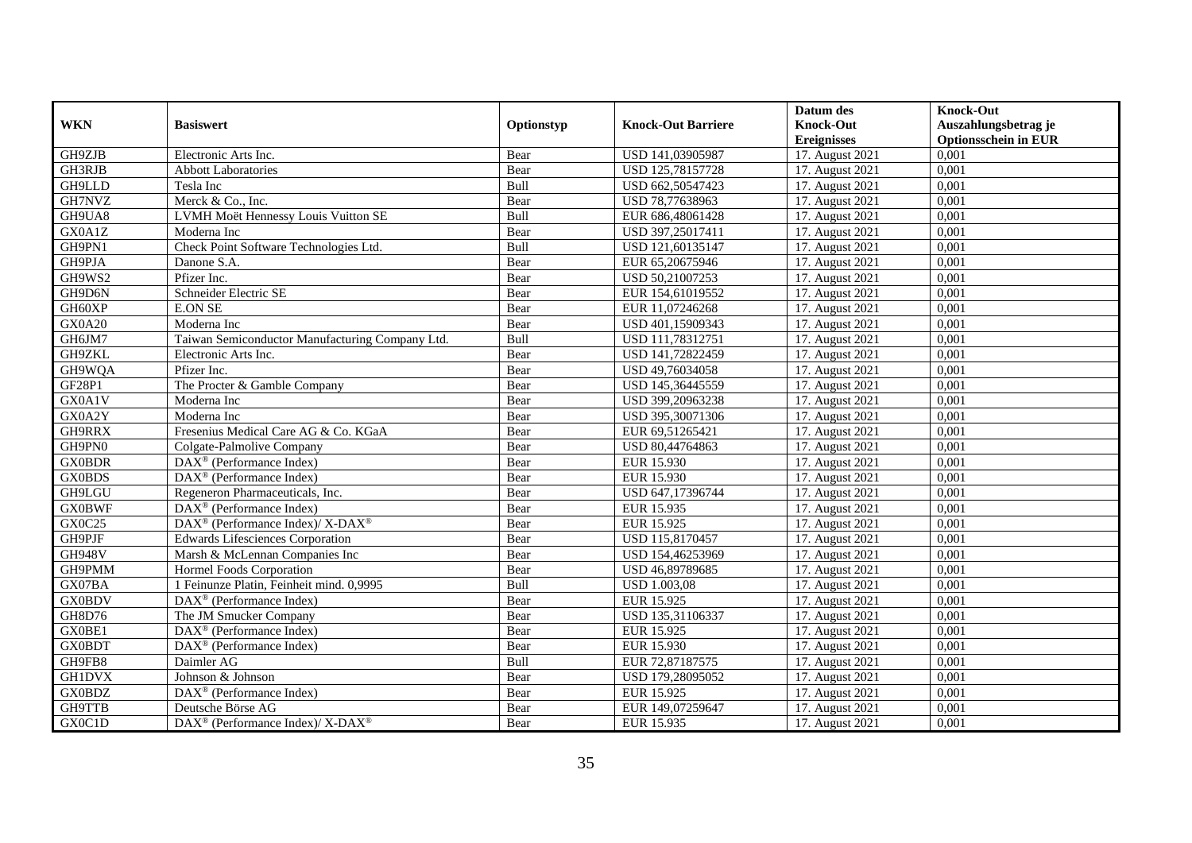|               |                                                          |            |                           | Datum des          | <b>Knock-Out</b>            |
|---------------|----------------------------------------------------------|------------|---------------------------|--------------------|-----------------------------|
| <b>WKN</b>    | <b>Basiswert</b>                                         | Optionstyp | <b>Knock-Out Barriere</b> | <b>Knock-Out</b>   | Auszahlungsbetrag je        |
|               |                                                          |            |                           | <b>Ereignisses</b> | <b>Optionsschein in EUR</b> |
| GH9ZJB        | Electronic Arts Inc.                                     | Bear       | USD 141,03905987          | 17. August 2021    | 0,001                       |
| GH3RJB        | <b>Abbott Laboratories</b>                               | Bear       | USD 125,78157728          | 17. August 2021    | 0,001                       |
| GH9LLD        | Tesla Inc                                                | Bull       | USD 662,50547423          | 17. August 2021    | 0,001                       |
| GH7NVZ        | Merck & Co., Inc.                                        | Bear       | USD 78,77638963           | 17. August 2021    | 0,001                       |
| GH9UA8        | LVMH Moët Hennessy Louis Vuitton SE                      | Bull       | EUR 686,48061428          | 17. August 2021    | 0,001                       |
| GX0A1Z        | Moderna Inc                                              | Bear       | USD 397,25017411          | 17. August 2021    | 0,001                       |
| GH9PN1        | Check Point Software Technologies Ltd.                   | Bull       | USD 121,60135147          | 17. August 2021    | 0,001                       |
| GH9PJA        | Danone S.A.                                              | Bear       | EUR 65,20675946           | 17. August 2021    | 0,001                       |
| GH9WS2        | Pfizer Inc.                                              | Bear       | USD 50,21007253           | 17. August 2021    | 0,001                       |
| GH9D6N        | Schneider Electric SE                                    | Bear       | EUR 154,61019552          | 17. August 2021    | 0,001                       |
| GH60XP        | <b>E.ON SE</b>                                           | Bear       | EUR 11,07246268           | 17. August 2021    | 0,001                       |
| GX0A20        | Moderna Inc                                              | Bear       | USD 401,15909343          | 17. August 2021    | 0,001                       |
| GH6JM7        | Taiwan Semiconductor Manufacturing Company Ltd.          | Bull       | USD 111,78312751          | 17. August 2021    | 0,001                       |
| GH9ZKL        | Electronic Arts Inc.                                     | Bear       | USD 141,72822459          | 17. August 2021    | 0.001                       |
| GH9WQA        | Pfizer Inc.                                              | Bear       | USD 49,76034058           | 17. August 2021    | 0,001                       |
| GF28P1        | The Procter & Gamble Company                             | Bear       | USD 145,36445559          | 17. August 2021    | 0,001                       |
| GX0A1V        | Moderna Inc                                              | Bear       | USD 399,20963238          | 17. August 2021    | 0,001                       |
| GX0A2Y        | Moderna Inc                                              | Bear       | USD 395,30071306          | 17. August 2021    | 0,001                       |
| GH9RRX        | Fresenius Medical Care AG & Co. KGaA                     | Bear       | EUR 69,51265421           | 17. August 2021    | 0,001                       |
| GH9PN0        | Colgate-Palmolive Company                                | Bear       | USD 80,44764863           | 17. August 2021    | 0,001                       |
| <b>GX0BDR</b> | DAX <sup>®</sup> (Performance Index)                     | Bear       | EUR 15.930                | 17. August 2021    | 0,001                       |
| <b>GX0BDS</b> | $\overline{\text{DAX}^{\otimes}}$ (Performance Index)    | Bear       | EUR 15.930                | 17. August 2021    | 0,001                       |
| <b>GH9LGU</b> | Regeneron Pharmaceuticals, Inc.                          | Bear       | USD 647,17396744          | 17. August 2021    | 0,001                       |
| <b>GX0BWF</b> | $DAX^{\circledR}$ (Performance Index)                    | Bear       | EUR 15.935                | 17. August 2021    | 0,001                       |
| GX0C25        | DAX <sup>®</sup> (Performance Index)/ X-DAX <sup>®</sup> | Bear       | EUR 15.925                | 17. August 2021    | 0,001                       |
| GH9PJF        | Edwards Lifesciences Corporation                         | Bear       | USD 115,8170457           | 17. August 2021    | 0,001                       |
| <b>GH948V</b> | Marsh & McLennan Companies Inc                           | Bear       | USD 154,46253969          | 17. August 2021    | 0,001                       |
| GH9PMM        | Hormel Foods Corporation                                 | Bear       | USD 46,89789685           | 17. August 2021    | 0,001                       |
| GX07BA        | 1 Feinunze Platin, Feinheit mind. 0,9995                 | Bull       | <b>USD 1.003,08</b>       | 17. August 2021    | 0,001                       |
| <b>GX0BDV</b> | $DAX^{\circledR}$ (Performance Index)                    | Bear       | EUR 15.925                | 17. August 2021    | 0.001                       |
| GH8D76        | The JM Smucker Company                                   | Bear       | USD 135,31106337          | 17. August 2021    | 0,001                       |
| GX0BE1        | $DAX^{\circledR}$ (Performance Index)                    | Bear       | EUR 15.925                | 17. August 2021    | 0,001                       |
| <b>GX0BDT</b> | DAX <sup>®</sup> (Performance Index)                     | Bear       | EUR 15.930                | 17. August 2021    | 0,001                       |
| GH9FB8        | Daimler AG                                               | Bull       | EUR 72,87187575           | 17. August 2021    | 0,001                       |
| <b>GH1DVX</b> | Johnson & Johnson                                        | Bear       | USD 179,28095052          | 17. August 2021    | 0,001                       |
| <b>GX0BDZ</b> | DAX <sup>®</sup> (Performance Index)                     | Bear       | EUR 15.925                | 17. August 2021    | 0,001                       |
| GH9TTB        | Deutsche Börse AG                                        | Bear       | EUR 149,07259647          | 17. August 2021    | 0,001                       |
| GX0C1D        | DAX <sup>®</sup> (Performance Index)/ X-DAX <sup>®</sup> | Bear       | EUR 15.935                | 17. August 2021    | 0,001                       |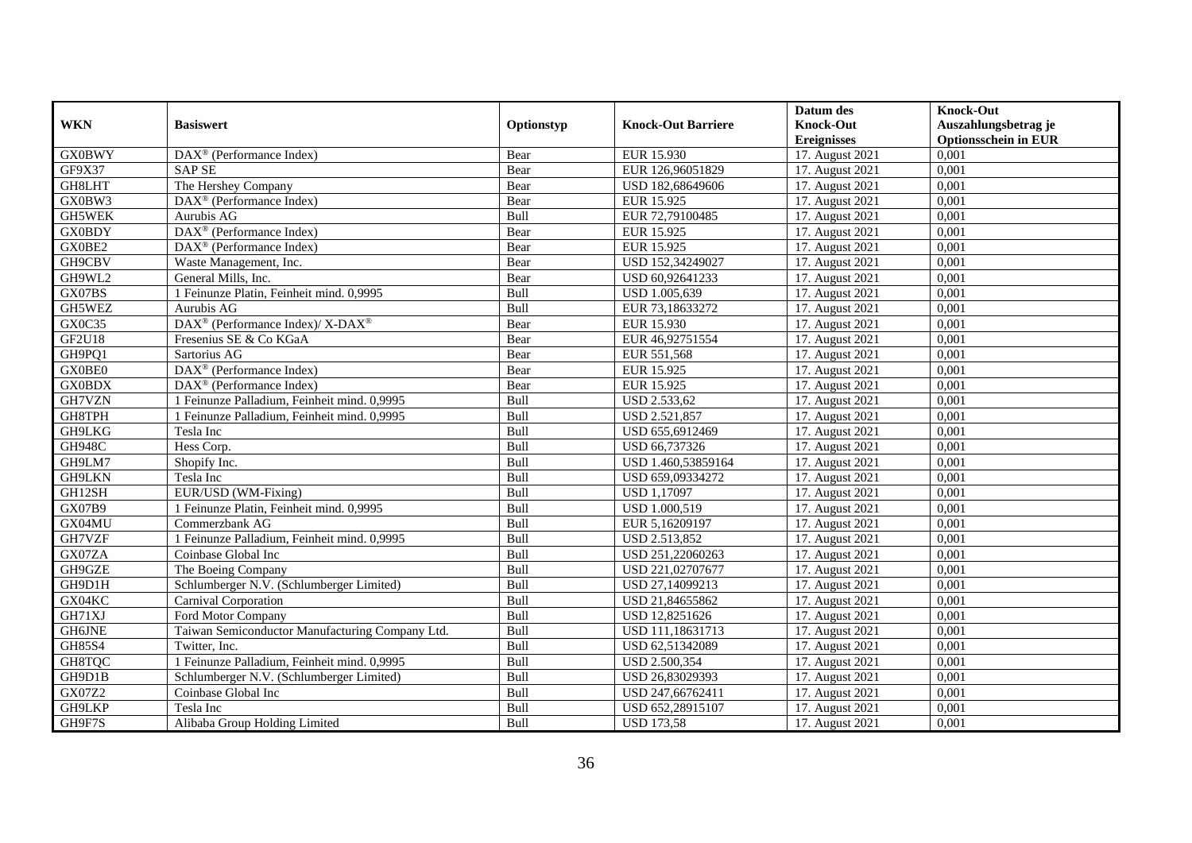|               |                                                              |             |                           | Datum des                     | <b>Knock-Out</b>            |
|---------------|--------------------------------------------------------------|-------------|---------------------------|-------------------------------|-----------------------------|
| <b>WKN</b>    | <b>Basiswert</b>                                             | Optionstyp  | <b>Knock-Out Barriere</b> | <b>Knock-Out</b>              | Auszahlungsbetrag je        |
|               |                                                              |             |                           | <b>Ereignisses</b>            | <b>Optionsschein in EUR</b> |
| <b>GX0BWY</b> | $\overline{\text{DAX}}^{\textcircled{}}$ (Performance Index) | Bear        | EUR 15.930                | 17. August 2021               | 0,001                       |
| GF9X37        | <b>SAP SE</b>                                                | Bear        | EUR 126,96051829          | 17. August 2021               | 0,001                       |
| GH8LHT        | The Hershey Company                                          | Bear        | USD 182,68649606          | 17. August 2021               | 0,001                       |
| GX0BW3        | DAX <sup>®</sup> (Performance Index)                         | Bear        | EUR 15.925                | 17. August 2021               | 0,001                       |
| GH5WEK        | Aurubis AG                                                   | <b>Bull</b> | EUR 72,79100485           | 17. August 2021               | 0,001                       |
| <b>GX0BDY</b> | DAX <sup>®</sup> (Performance Index)                         | Bear        | EUR 15.925                | 17. August 2021               | 0,001                       |
| GX0BE2        | $\overline{\text{DAX}^{\otimes}}$ (Performance Index)        | Bear        | EUR 15.925                | 17. August 2021               | 0,001                       |
| GH9CBV        | Waste Management, Inc.                                       | Bear        | USD 152,34249027          | 17. August 2021               | 0,001                       |
| GH9WL2        | General Mills, Inc.                                          | Bear        | USD 60,92641233           | 17. August 2021               | 0,001                       |
| GX07BS        | 1 Feinunze Platin, Feinheit mind. 0,9995                     | Bull        | USD 1.005,639             | 17. August 2021               | 0,001                       |
| GH5WEZ        | Aurubis AG                                                   | Bull        | EUR 73,18633272           | 17. August 2021               | 0,001                       |
| GX0C35        | DAX <sup>®</sup> (Performance Index)/ X-DAX <sup>®</sup>     | Bear        | EUR 15.930                | 17. August 2021               | 0,001                       |
| <b>GF2U18</b> | Fresenius SE & Co KGaA                                       | Bear        | EUR 46,92751554           | 17. August 2021               | 0,001                       |
| GH9PQ1        | Sartorius AG                                                 | Bear        | EUR 551,568               | 17. August 2021               | 0.001                       |
| GX0BE0        | DAX <sup>®</sup> (Performance Index)                         | Bear        | EUR 15.925                | 17. August 2021               | 0,001                       |
| <b>GX0BDX</b> | DAX <sup>®</sup> (Performance Index)                         | Bear        | EUR 15.925                | 17. August 2021               | 0,001                       |
| GH7VZN        | 1 Feinunze Palladium, Feinheit mind. 0,9995                  | Bull        | USD 2.533,62              | 17. August 2021               | 0,001                       |
| GH8TPH        | 1 Feinunze Palladium, Feinheit mind. 0,9995                  | Bull        | USD 2.521,857             | 17. August 2021               | 0.001                       |
| GH9LKG        | Tesla Inc                                                    | Bull        | USD 655,6912469           | 17. August 2021               | 0,001                       |
| <b>GH948C</b> | Hess Corp.                                                   | Bull        | USD 66,737326             | 17. August 2021               | 0,001                       |
| GH9LM7        | Shopify Inc.                                                 | Bull        | USD 1.460,53859164        | 17. August 2021               | 0,001                       |
| GH9LKN        | Tesla Inc                                                    | Bull        | USD 659,09334272          | 17. August 2021               | 0,001                       |
| GH12SH        | EUR/USD (WM-Fixing)                                          | Bull        | <b>USD 1,17097</b>        | 17. August 2021               | 0,001                       |
| <b>GX07B9</b> | 1 Feinunze Platin, Feinheit mind. 0,9995                     | Bull        | USD 1.000,519             | 17. August 2021               | 0,001                       |
| GX04MU        | Commerzbank AG                                               | Bull        | EUR 5,16209197            | 17. August 2021               | 0,001                       |
| GH7VZF        | 1 Feinunze Palladium, Feinheit mind. 0,9995                  | Bull        | USD 2.513,852             | 17. August 2021               | 0,001                       |
| GX07ZA        | Coinbase Global Inc                                          | Bull        | USD 251,22060263          | 17. August 2021               | 0,001                       |
| GH9GZE        | The Boeing Company                                           | Bull        | USD 221,02707677          | 17. August 2021               | 0,001                       |
| GH9D1H        | Schlumberger N.V. (Schlumberger Limited)                     | Bull        | USD 27,14099213           | $\overline{17}$ . August 2021 | 0.001                       |
| GX04KC        | Carnival Corporation                                         | <b>Bull</b> | USD 21,84655862           | 17. August 2021               | 0,001                       |
| GH71XJ        | Ford Motor Company                                           | Bull        | USD 12,8251626            | 17. August 2021               | 0,001                       |
| GH6JNE        | Taiwan Semiconductor Manufacturing Company Ltd.              | Bull        | USD 111,18631713          | 17. August 2021               | 0,001                       |
| <b>GH85S4</b> | Twitter, Inc.                                                | Bull        | USD 62,51342089           | 17. August 2021               | 0,001                       |
| GH8TQC        | 1 Feinunze Palladium, Feinheit mind. 0,9995                  | Bull        | USD 2.500,354             | 17. August 2021               | 0,001                       |
| GH9D1B        | Schlumberger N.V. (Schlumberger Limited)                     | <b>Bull</b> | USD 26,83029393           | 17. August 2021               | 0,001                       |
| GX07Z2        | Coinbase Global Inc                                          | Bull        | USD 247,66762411          | 17. August 2021               | 0,001                       |
| GH9LKP        | Tesla Inc                                                    | Bull        | USD 652,28915107          | 17. August 2021               | 0,001                       |
| GH9F7S        | Alibaba Group Holding Limited                                | <b>Bull</b> | <b>USD 173,58</b>         | 17. August 2021               | 0,001                       |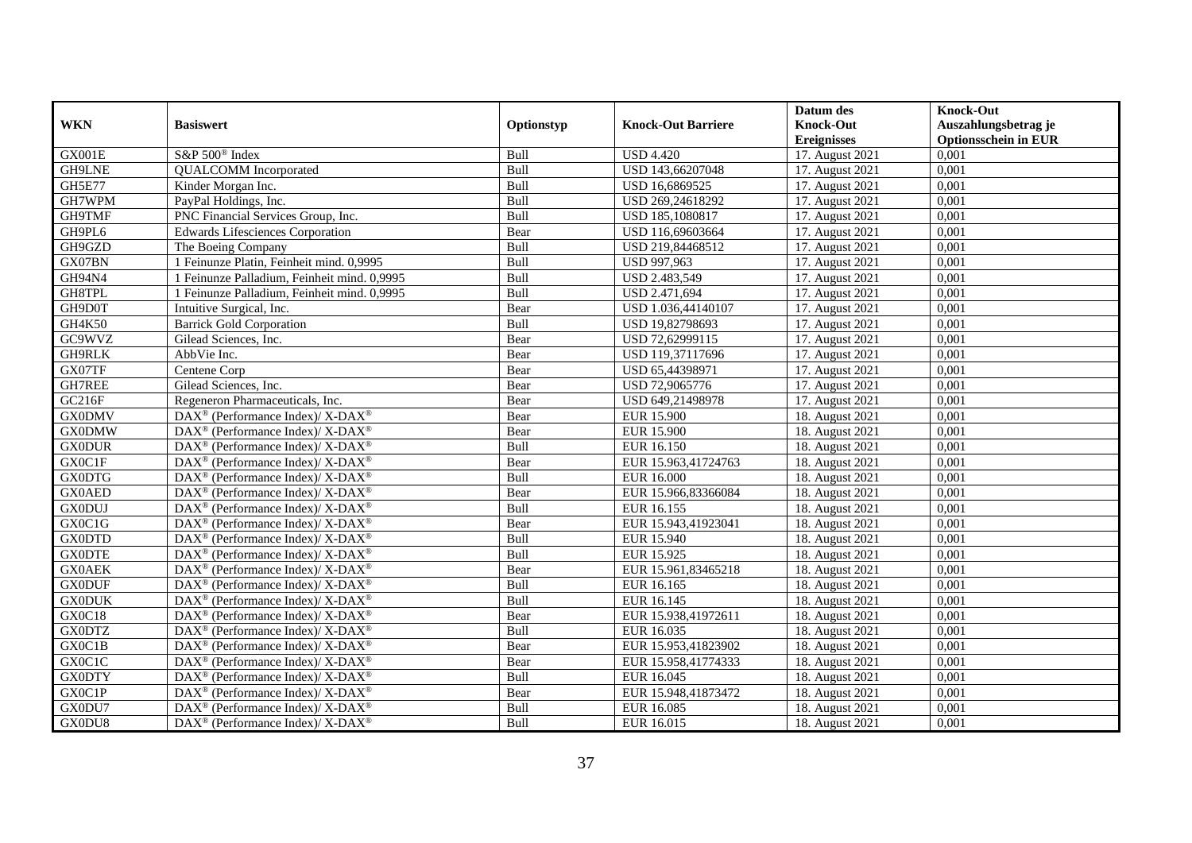|               |                                                                          |             |                           | Datum des          | <b>Knock-Out</b>            |
|---------------|--------------------------------------------------------------------------|-------------|---------------------------|--------------------|-----------------------------|
| <b>WKN</b>    | <b>Basiswert</b>                                                         | Optionstyp  | <b>Knock-Out Barriere</b> | <b>Knock-Out</b>   | Auszahlungsbetrag je        |
|               |                                                                          |             |                           | <b>Ereignisses</b> | <b>Optionsschein in EUR</b> |
| GX001E        | S&P 500 <sup>®</sup> Index                                               | Bull        | <b>USD 4.420</b>          | 17. August 2021    | 0,001                       |
| GH9LNE        | <b>QUALCOMM</b> Incorporated                                             | Bull        | USD 143,66207048          | 17. August 2021    | 0,001                       |
| <b>GH5E77</b> | Kinder Morgan Inc.                                                       | <b>Bull</b> | USD 16,6869525            | 17. August 2021    | 0,001                       |
| GH7WPM        | PayPal Holdings, Inc.                                                    | Bull        | USD 269,24618292          | 17. August 2021    | 0,001                       |
| GH9TMF        | PNC Financial Services Group, Inc.                                       | Bull        | USD 185,1080817           | 17. August 2021    | 0,001                       |
| GH9PL6        | <b>Edwards Lifesciences Corporation</b>                                  | Bear        | USD 116,69603664          | 17. August 2021    | 0,001                       |
| GH9GZD        | The Boeing Company                                                       | Bull        | USD 219,84468512          | 17. August 2021    | 0,001                       |
| GX07BN        | 1 Feinunze Platin, Feinheit mind. 0,9995                                 | Bull        | USD 997,963               | 17. August 2021    | 0,001                       |
| GH94N4        | 1 Feinunze Palladium, Feinheit mind. 0,9995                              | Bull        | USD 2.483,549             | 17. August 2021    | 0,001                       |
| GH8TPL        | 1 Feinunze Palladium, Feinheit mind. 0,9995                              | Bull        | USD 2.471,694             | 17. August 2021    | 0,001                       |
| GH9D0T        | Intuitive Surgical, Inc.                                                 | Bear        | USD 1.036,44140107        | 17. August 2021    | 0,001                       |
| GH4K50        | <b>Barrick Gold Corporation</b>                                          | Bull        | USD 19,82798693           | 17. August 2021    | 0,001                       |
| GC9WVZ        | Gilead Sciences, Inc.                                                    | Bear        | USD 72,62999115           | 17. August 2021    | 0,001                       |
| GH9RLK        | AbbVie Inc.                                                              | Bear        | USD 119,37117696          | 17. August 2021    | 0.001                       |
| GX07TF        | Centene Corp                                                             | Bear        | USD 65,44398971           | 17. August 2021    | 0,001                       |
| GH7REE        | Gilead Sciences, Inc.                                                    | Bear        | USD 72,9065776            | 17. August 2021    | 0,001                       |
| GC216F        | Regeneron Pharmaceuticals, Inc.                                          | Bear        | USD 649,21498978          | 17. August 2021    | 0,001                       |
| <b>GX0DMV</b> | DAX <sup>®</sup> (Performance Index)/ X-DAX <sup>®</sup>                 | Bear        | <b>EUR 15.900</b>         | 18. August 2021    | 0,001                       |
| <b>GX0DMW</b> | $DAX^{\circledast}$ (Performance Index)/ X-DAX <sup>®</sup>              | Bear        | <b>EUR 15.900</b>         | 18. August 2021    | 0,001                       |
| <b>GX0DUR</b> | $DAX^{\circledast}$ (Performance Index)/ X-DAX <sup>®</sup>              | Bull        | EUR 16.150                | 18. August 2021    | 0,001                       |
| GX0C1F        | $DAX^{\circledast}$ (Performance Index)/ X-DAX <sup>®</sup>              | Bear        | EUR 15.963,41724763       | 18. August 2021    | 0,001                       |
| <b>GX0DTG</b> | $DAX^{\circledcirc}$ (Performance Index)/ X-DAX <sup>®</sup>             | Bull        | EUR 16.000                | 18. August 2021    | 0,001                       |
| <b>GX0AED</b> | DAX <sup>®</sup> (Performance Index)/ X-DAX <sup>®</sup>                 | Bear        | EUR 15.966,83366084       | 18. August 2021    | 0,001                       |
| <b>GX0DUJ</b> | DAX <sup>®</sup> (Performance Index)/ X-DAX <sup>®</sup>                 | Bull        | EUR 16.155                | 18. August 2021    | 0,001                       |
| GX0C1G        | $\overline{\text{DAX}^{\otimes}}$ (Performance Index)/X-DAX <sup>®</sup> | Bear        | EUR 15.943,41923041       | 18. August 2021    | 0,001                       |
| <b>GX0DTD</b> | DAX <sup>®</sup> (Performance Index)/ X-DAX <sup>®</sup>                 | Bull        | EUR 15.940                | 18. August 2021    | 0,001                       |
| <b>GX0DTE</b> | $DAX^{\circledast}$ (Performance Index)/ X-DAX <sup>®</sup>              | Bull        | EUR 15.925                | 18. August 2021    | 0,001                       |
| <b>GX0AEK</b> | $DAX^{\circledast}$ (Performance Index)/ X-DAX <sup>®</sup>              | Bear        | EUR 15.961,83465218       | 18. August 2021    | 0,001                       |
| <b>GX0DUF</b> | DAX <sup>®</sup> (Performance Index)/ X-DAX <sup>®</sup>                 | Bull        | EUR 16.165                | 18. August 2021    | 0,001                       |
| <b>GX0DUK</b> | $DAX^{\circledcirc}$ (Performance Index)/ X-DAX <sup>®</sup>             | Bull        | EUR 16.145                | 18. August 2021    | 0.001                       |
| GX0C18        | DAX <sup>®</sup> (Performance Index)/ X-DAX <sup>®</sup>                 | Bear        | EUR 15.938,41972611       | 18. August 2021    | 0,001                       |
| <b>GX0DTZ</b> | DAX <sup>®</sup> (Performance Index)/ X-DAX <sup>®</sup>                 | Bull        | EUR 16.035                | 18. August 2021    | 0,001                       |
| GX0C1B        | $DAX^{\circledast}$ (Performance Index)/ X-DAX <sup>®</sup>              | Bear        | EUR 15.953,41823902       | 18. August 2021    | 0,001                       |
| GX0C1C        | DAX <sup>®</sup> (Performance Index)/ X-DAX <sup>®</sup>                 | Bear        | EUR 15.958,41774333       | 18. August 2021    | 0,001                       |
| <b>GX0DTY</b> | DAX <sup>®</sup> (Performance Index)/ X-DAX <sup>®</sup>                 | Bull        | EUR 16.045                | 18. August 2021    | 0,001                       |
| GX0C1P        | $DAX^{\circledast}$ (Performance Index)/ X-DAX <sup>®</sup>              | Bear        | EUR 15.948,41873472       | 18. August 2021    | 0,001                       |
| GX0DU7        | DAX <sup>®</sup> (Performance Index)/ X-DAX <sup>®</sup>                 | Bull        | EUR 16.085                | 18. August 2021    | 0,001                       |
| GX0DU8        | $DAX^{\circledast}$ (Performance Index)/ X-DAX <sup>®</sup>              | Bull        | EUR 16.015                | 18. August 2021    | 0,001                       |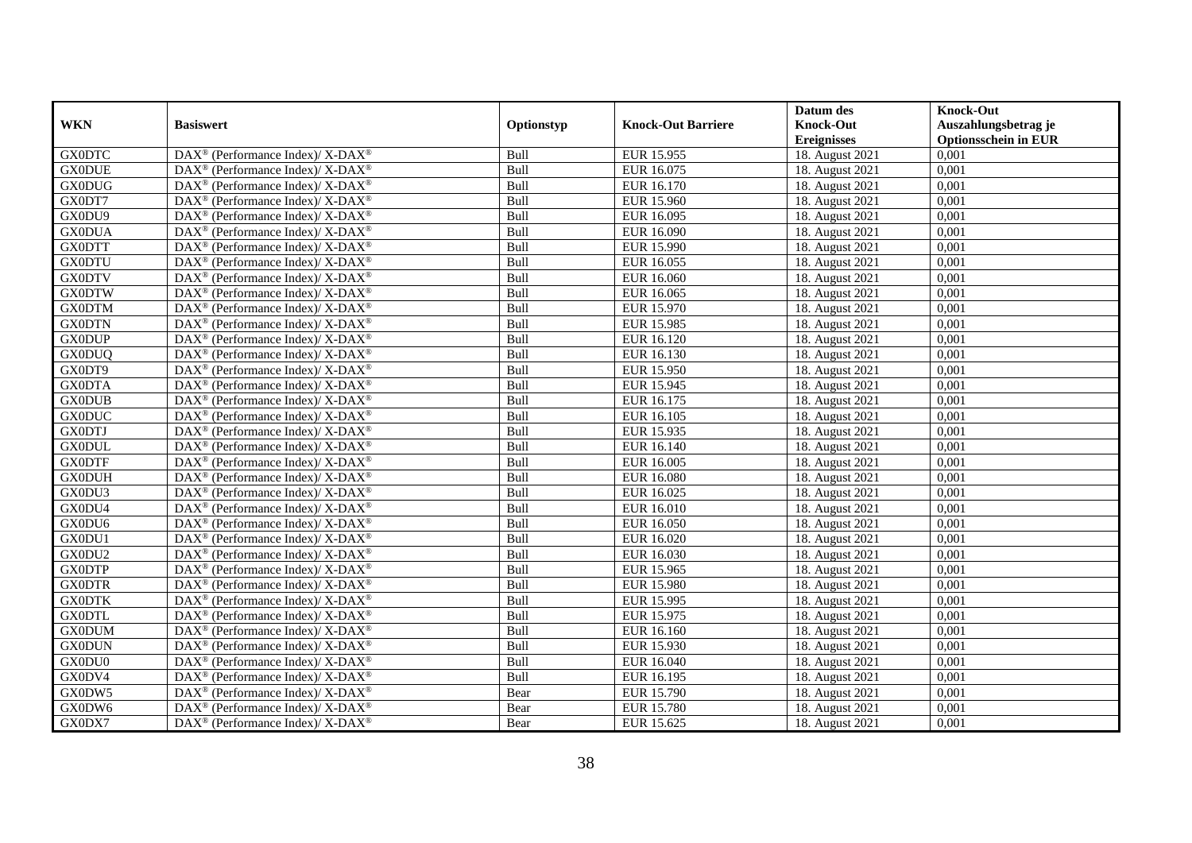|               |                                                              |            |                           | Datum des          | <b>Knock-Out</b>            |
|---------------|--------------------------------------------------------------|------------|---------------------------|--------------------|-----------------------------|
| <b>WKN</b>    | <b>Basiswert</b>                                             | Optionstyp | <b>Knock-Out Barriere</b> | <b>Knock-Out</b>   | Auszahlungsbetrag je        |
|               |                                                              |            |                           | <b>Ereignisses</b> | <b>Optionsschein in EUR</b> |
| <b>GX0DTC</b> | DAX <sup>®</sup> (Performance Index)/ X-DAX <sup>®</sup>     | Bull       | EUR 15.955                | 18. August 2021    | 0,001                       |
| <b>GX0DUE</b> | $DAX^{\circledast}$ (Performance Index)/ X-DAX <sup>®</sup>  | Bull       | EUR 16.075                | 18. August 2021    | 0,001                       |
| <b>GX0DUG</b> | $DAX^{\circledast}$ (Performance Index)/ X-DAX <sup>®</sup>  | Bull       | EUR 16.170                | 18. August 2021    | 0,001                       |
| GX0DT7        | $DAX^{\circledast}$ (Performance Index)/ X-DAX <sup>®</sup>  | Bull       | EUR 15.960                | 18. August 2021    | 0,001                       |
| GX0DU9        | $DAX^{\circledast}$ (Performance Index)/ X-DAX <sup>®</sup>  | Bull       | EUR 16.095                | 18. August 2021    | 0,001                       |
| <b>GX0DUA</b> | DAX <sup>®</sup> (Performance Index)/ X-DAX <sup>®</sup>     | Bull       | EUR 16.090                | 18. August 2021    | 0,001                       |
| <b>GX0DTT</b> | $DAX^{\circledast}$ (Performance Index)/ X-DAX <sup>®</sup>  | Bull       | EUR 15.990                | 18. August 2021    | 0,001                       |
| <b>GX0DTU</b> | $DAX^{\circledast}$ (Performance Index)/ X-DAX <sup>®</sup>  | Bull       | EUR 16.055                | 18. August 2021    | 0,001                       |
| <b>GX0DTV</b> | $DAX^{\circledast}$ (Performance Index)/ X-DAX <sup>®</sup>  | Bull       | EUR 16.060                | 18. August 2021    | 0,001                       |
| <b>GX0DTW</b> | $DAX^{\circledast}$ (Performance Index)/ X-DAX <sup>®</sup>  | Bull       | EUR 16.065                | 18. August 2021    | 0,001                       |
| <b>GX0DTM</b> | $DAX^{\circledcirc}$ (Performance Index)/ X-DAX <sup>®</sup> | Bull       | EUR 15.970                | 18. August 2021    | 0,001                       |
| <b>GX0DTN</b> | DAX <sup>®</sup> (Performance Index)/ X-DAX <sup>®</sup>     | Bull       | EUR 15.985                | 18. August 2021    | 0,001                       |
| <b>GX0DUP</b> | $DAX^{\circledast}$ (Performance Index)/ X-DAX <sup>®</sup>  | Bull       | EUR 16.120                | 18. August 2021    | 0,001                       |
| <b>GX0DUQ</b> | $DAX^{\circledast}$ (Performance Index)/ X-DAX <sup>®</sup>  | Bull       | EUR 16.130                | 18. August 2021    | 0,001                       |
| GX0DT9        | DAX <sup>®</sup> (Performance Index)/ X-DAX <sup>®</sup>     | Bull       | EUR 15.950                | 18. August 2021    | 0,001                       |
| <b>GX0DTA</b> | DAX <sup>®</sup> (Performance Index)/ X-DAX <sup>®</sup>     | Bull       | EUR 15.945                | 18. August 2021    | 0,001                       |
| <b>GX0DUB</b> | $DAX^{\circledast}$ (Performance Index)/ X-DAX <sup>®</sup>  | Bull       | EUR 16.175                | 18. August 2021    | 0,001                       |
| <b>GX0DUC</b> | DAX <sup>®</sup> (Performance Index)/ X-DAX <sup>®</sup>     | Bull       | EUR 16.105                | 18. August 2021    | 0.001                       |
| <b>GX0DTJ</b> | $DAX^{\circledast}$ (Performance Index)/ X-DAX <sup>®</sup>  | Bull       | EUR 15.935                | 18. August 2021    | 0,001                       |
| <b>GX0DUL</b> | DAX <sup>®</sup> (Performance Index)/ X-DAX <sup>®</sup>     | Bull       | EUR 16.140                | 18. August 2021    | 0,001                       |
| <b>GX0DTF</b> | $DAX^{\circledast}$ (Performance Index)/ X-DAX <sup>®</sup>  | Bull       | EUR 16.005                | 18. August 2021    | 0,001                       |
| <b>GX0DUH</b> | $DAX^{\circledast}$ (Performance Index)/ X-DAX <sup>®</sup>  | Bull       | <b>EUR 16.080</b>         | 18. August 2021    | 0,001                       |
| GX0DU3        | DAX <sup>®</sup> (Performance Index)/ X-DAX <sup>®</sup>     | Bull       | EUR 16.025                | 18. August 2021    | 0,001                       |
| GX0DU4        | $DAX^{\circledast}$ (Performance Index)/ X-DAX <sup>®</sup>  | Bull       | <b>EUR 16.010</b>         | 18. August 2021    | 0,001                       |
| GX0DU6        | $DAX^{\circledcirc}$ (Performance Index)/ X-DAX <sup>®</sup> | Bull       | EUR 16.050                | 18. August 2021    | 0,001                       |
| GX0DU1        | $DAX^{\circledast}$ (Performance Index)/ X-DAX <sup>®</sup>  | Bull       | EUR 16.020                | 18. August 2021    | 0,001                       |
| GX0DU2        | DAX <sup>®</sup> (Performance Index)/ X-DAX <sup>®</sup>     | Bull       | EUR 16.030                | 18. August 2021    | 0,001                       |
| <b>GX0DTP</b> | DAX <sup>®</sup> (Performance Index)/ X-DAX <sup>®</sup>     | Bull       | EUR 15.965                | 18. August 2021    | 0,001                       |
| <b>GX0DTR</b> | $DAX^{\circledast}$ (Performance Index)/ X-DAX <sup>®</sup>  | Bull       | <b>EUR 15.980</b>         | 18. August 2021    | 0,001                       |
| <b>GX0DTK</b> | $DAX^{\circledast}$ (Performance Index)/ X-DAX <sup>®</sup>  | Bull       | EUR 15.995                | 18. August 2021    | 0,001                       |
| <b>GX0DTL</b> | $DAX^{\circledast}$ (Performance Index)/ X-DAX <sup>®</sup>  | Bull       | EUR 15.975                | 18. August 2021    | 0,001                       |
| <b>GX0DUM</b> | $DAX^{\circledast}$ (Performance Index)/ X-DAX <sup>®</sup>  | Bull       | EUR 16.160                | 18. August 2021    | 0,001                       |
| <b>GX0DUN</b> | $DAX^{\circledast}$ (Performance Index)/ X-DAX <sup>®</sup>  | Bull       | EUR 15.930                | 18. August 2021    | 0,001                       |
| GX0DU0        | DAX <sup>®</sup> (Performance Index)/ X-DAX <sup>®</sup>     | Bull       | EUR 16.040                | 18. August 2021    | 0,001                       |
| GX0DV4        | DAX <sup>®</sup> (Performance Index)/ X-DAX <sup>®</sup>     | Bull       | EUR 16.195                | 18. August 2021    | 0,001                       |
| GX0DW5        | $DAX^{\circledast}$ (Performance Index)/ X-DAX <sup>®</sup>  | Bear       | <b>EUR 15.790</b>         | 18. August 2021    | 0,001                       |
| GX0DW6        | $DAX^{\circledast}$ (Performance Index)/ X-DAX <sup>®</sup>  | Bear       | EUR 15.780                | 18. August 2021    | 0,001                       |
| GX0DX7        | DAX <sup>®</sup> (Performance Index)/ X-DAX <sup>®</sup>     | Bear       | EUR 15.625                | 18. August 2021    | 0,001                       |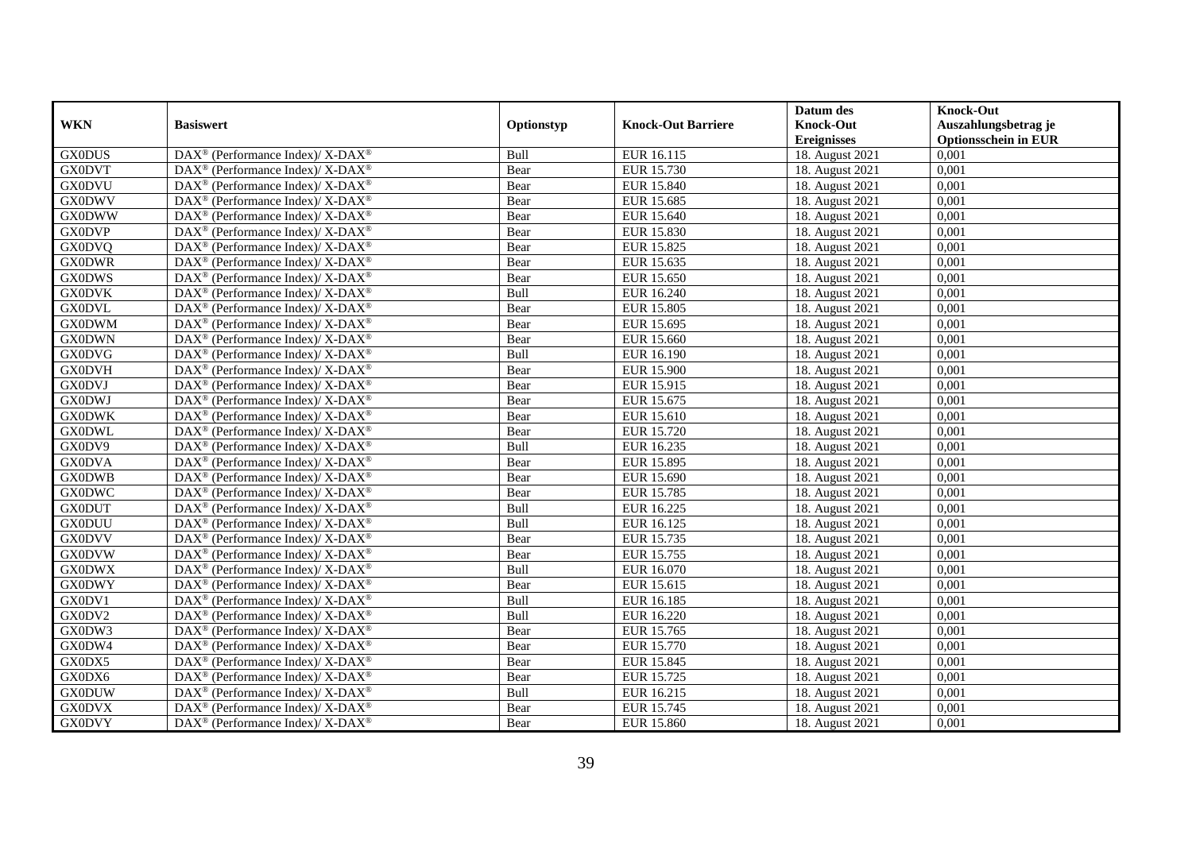|               |                                                              |            |                           | Datum des          | <b>Knock-Out</b>            |
|---------------|--------------------------------------------------------------|------------|---------------------------|--------------------|-----------------------------|
| <b>WKN</b>    | <b>Basiswert</b>                                             | Optionstyp | <b>Knock-Out Barriere</b> | <b>Knock-Out</b>   | Auszahlungsbetrag je        |
|               |                                                              |            |                           | <b>Ereignisses</b> | <b>Optionsschein in EUR</b> |
| <b>GX0DUS</b> | DAX <sup>®</sup> (Performance Index)/ X-DAX <sup>®</sup>     | Bull       | EUR 16.115                | 18. August 2021    | 0,001                       |
| <b>GX0DVT</b> | $DAX^{\circledast}$ (Performance Index)/ X-DAX <sup>®</sup>  | Bear       | EUR 15.730                | 18. August 2021    | 0,001                       |
| <b>GX0DVU</b> | $DAX^{\circledast}$ (Performance Index)/ X-DAX <sup>®</sup>  | Bear       | <b>EUR 15.840</b>         | 18. August 2021    | 0,001                       |
| <b>GX0DWV</b> | $DAX^{\circledast}$ (Performance Index)/ X-DAX <sup>®</sup>  | Bear       | EUR 15.685                | 18. August 2021    | 0,001                       |
| <b>GX0DWW</b> | $DAX^{\circledast}$ (Performance Index)/ X-DAX <sup>®</sup>  | Bear       | EUR 15.640                | 18. August 2021    | 0,001                       |
| <b>GX0DVP</b> | DAX <sup>®</sup> (Performance Index)/ X-DAX <sup>®</sup>     | Bear       | EUR 15.830                | 18. August 2021    | 0,001                       |
| <b>GX0DVQ</b> | $DAX^{\circledcirc}$ (Performance Index)/ X-DAX <sup>®</sup> | Bear       | EUR 15.825                | 18. August 2021    | 0,001                       |
| <b>GX0DWR</b> | $DAX^{\circledast}$ (Performance Index)/ X-DAX <sup>®</sup>  | Bear       | EUR 15.635                | 18. August 2021    | 0,001                       |
| <b>GX0DWS</b> | $DAX^{\circledast}$ (Performance Index)/ X-DAX <sup>®</sup>  | Bear       | EUR 15.650                | 18. August 2021    | 0,001                       |
| <b>GX0DVK</b> | $DAX^{\circledast}$ (Performance Index)/ X-DAX <sup>®</sup>  | Bull       | EUR 16.240                | 18. August 2021    | 0,001                       |
| <b>GX0DVL</b> | DAX <sup>®</sup> (Performance Index)/ X-DAX <sup>®</sup>     | Bear       | EUR 15.805                | 18. August 2021    | 0,001                       |
| <b>GX0DWM</b> | DAX <sup>®</sup> (Performance Index)/ X-DAX <sup>®</sup>     | Bear       | EUR 15.695                | 18. August 2021    | 0,001                       |
| <b>GX0DWN</b> | $DAX^{\circledast}$ (Performance Index)/ X-DAX <sup>®</sup>  | Bear       | EUR 15.660                | 18. August 2021    | 0,001                       |
| <b>GX0DVG</b> | $DAX^{\circledast}$ (Performance Index)/ X-DAX <sup>®</sup>  | Bull       | EUR 16.190                | 18. August 2021    | 0,001                       |
| <b>GX0DVH</b> | DAX <sup>®</sup> (Performance Index)/ X-DAX <sup>®</sup>     | Bear       | EUR 15.900                | 18. August 2021    | 0,001                       |
| <b>GX0DVJ</b> | DAX <sup>®</sup> (Performance Index)/ X-DAX <sup>®</sup>     | Bear       | EUR 15.915                | 18. August 2021    | 0,001                       |
| GX0DWJ        | $DAX^{\circledast}$ (Performance Index)/ X-DAX <sup>®</sup>  | Bear       | EUR 15.675                | 18. August 2021    | 0,001                       |
| <b>GX0DWK</b> | $DAX^{\circledcirc}$ (Performance Index)/ X-DAX <sup>®</sup> | Bear       | EUR 15.610                | 18. August 2021    | 0,001                       |
| <b>GX0DWL</b> | $DAX^{\circledast}$ (Performance Index)/ X-DAX <sup>®</sup>  | Bear       | EUR 15.720                | 18. August 2021    | 0,001                       |
| GX0DV9        | DAX <sup>®</sup> (Performance Index)/ X-DAX <sup>®</sup>     | Bull       | EUR 16.235                | 18. August 2021    | 0,001                       |
| <b>GX0DVA</b> | $DAX^{\circledast}$ (Performance Index)/ X-DAX <sup>®</sup>  | Bear       | EUR 15.895                | 18. August 2021    | 0,001                       |
| <b>GX0DWB</b> | $DAX^{\circledast}$ (Performance Index)/ X-DAX <sup>®</sup>  | Bear       | EUR 15.690                | 18. August 2021    | 0,001                       |
| <b>GX0DWC</b> | DAX <sup>®</sup> (Performance Index)/ X-DAX <sup>®</sup>     | Bear       | EUR 15.785                | 18. August 2021    | 0,001                       |
| <b>GX0DUT</b> | $DAX^{\circledast}$ (Performance Index)/ X-DAX <sup>®</sup>  | Bull       | EUR 16.225                | 18. August 2021    | 0,001                       |
| <b>GX0DUU</b> | $DAX^{\circledcirc}$ (Performance Index)/ X-DAX <sup>®</sup> | Bull       | EUR 16.125                | 18. August 2021    | 0,001                       |
| <b>GX0DVV</b> | $DAX^{\circledast}$ (Performance Index)/ X-DAX <sup>®</sup>  | Bear       | EUR 15.735                | 18. August 2021    | 0,001                       |
| <b>GX0DVW</b> | DAX <sup>®</sup> (Performance Index)/ X-DAX <sup>®</sup>     | Bear       | EUR 15.755                | 18. August 2021    | 0,001                       |
| <b>GX0DWX</b> | DAX <sup>®</sup> (Performance Index)/ X-DAX <sup>®</sup>     | Bull       | EUR 16.070                | 18. August 2021    | 0,001                       |
| <b>GX0DWY</b> | $DAX^{\circledast}$ (Performance Index)/ X-DAX <sup>®</sup>  | Bear       | EUR 15.615                | 18. August 2021    | 0,001                       |
| GX0DV1        | $DAX^{\circledast}$ (Performance Index)/ X-DAX <sup>®</sup>  | Bull       | EUR 16.185                | 18. August 2021    | 0,001                       |
| GX0DV2        | $DAX^{\circledast}$ (Performance Index)/ X-DAX <sup>®</sup>  | Bull       | EUR 16.220                | 18. August 2021    | 0,001                       |
| GX0DW3        | $DAX^{\circledast}$ (Performance Index)/ X-DAX <sup>®</sup>  | Bear       | EUR 15.765                | 18. August 2021    | 0,001                       |
| GX0DW4        | $DAX^{\circledast}$ (Performance Index)/ X-DAX <sup>®</sup>  | Bear       | EUR 15.770                | 18. August 2021    | 0,001                       |
| GX0DX5        | DAX <sup>®</sup> (Performance Index)/ X-DAX <sup>®</sup>     | Bear       | <b>EUR 15.845</b>         | 18. August 2021    | 0,001                       |
| GX0DX6        | DAX <sup>®</sup> (Performance Index)/ X-DAX <sup>®</sup>     | Bear       | EUR 15.725                | 18. August 2021    | 0,001                       |
| <b>GX0DUW</b> | $DAX^{\circledast}$ (Performance Index)/ X-DAX <sup>®</sup>  | Bull       | EUR 16.215                | 18. August 2021    | 0,001                       |
| <b>GX0DVX</b> | $DAX^{\circledast}$ (Performance Index)/ X-DAX <sup>®</sup>  | Bear       | EUR 15.745                | 18. August 2021    | 0,001                       |
| <b>GX0DVY</b> | DAX <sup>®</sup> (Performance Index)/ X-DAX <sup>®</sup>     | Bear       | EUR 15.860                | 18. August 2021    | 0,001                       |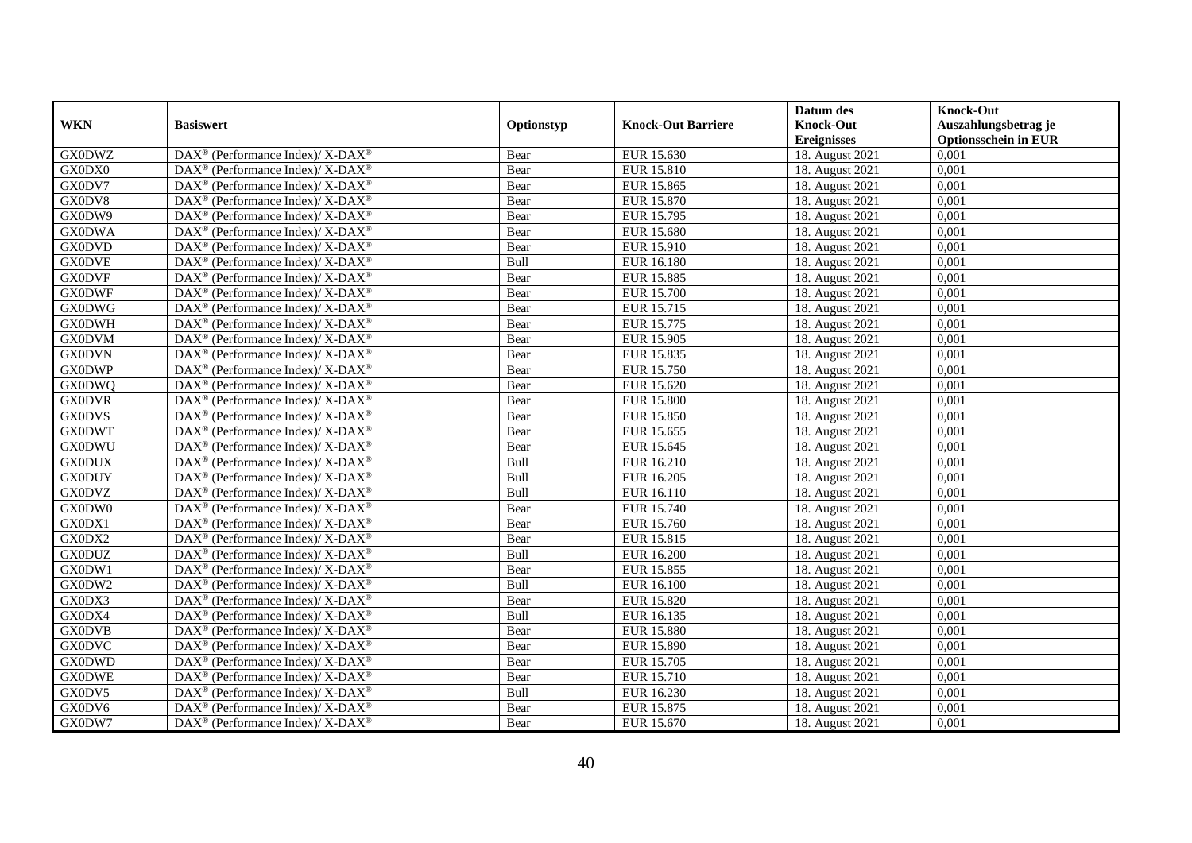|               |                                                              |            |                           | Datum des          | <b>Knock-Out</b>            |
|---------------|--------------------------------------------------------------|------------|---------------------------|--------------------|-----------------------------|
| <b>WKN</b>    | <b>Basiswert</b>                                             | Optionstyp | <b>Knock-Out Barriere</b> | <b>Knock-Out</b>   | Auszahlungsbetrag je        |
|               |                                                              |            |                           | <b>Ereignisses</b> | <b>Optionsschein in EUR</b> |
| <b>GX0DWZ</b> | DAX <sup>®</sup> (Performance Index)/ X-DAX <sup>®</sup>     | Bear       | EUR 15.630                | 18. August 2021    | 0,001                       |
| GX0DX0        | $DAX^{\circledast}$ (Performance Index)/ X-DAX <sup>®</sup>  | Bear       | EUR 15.810                | 18. August 2021    | 0,001                       |
| GX0DV7        | $DAX^{\circledast}$ (Performance Index)/ X-DAX <sup>®</sup>  | Bear       | EUR 15.865                | 18. August 2021    | 0,001                       |
| GX0DV8        | $DAX^{\circledast}$ (Performance Index)/ X-DAX <sup>®</sup>  | Bear       | EUR 15.870                | 18. August 2021    | 0,001                       |
| GX0DW9        | $DAX^{\circledast}$ (Performance Index)/ X-DAX <sup>®</sup>  | Bear       | EUR 15.795                | 18. August 2021    | 0,001                       |
| <b>GX0DWA</b> | DAX <sup>®</sup> (Performance Index)/ X-DAX <sup>®</sup>     | Bear       | EUR 15.680                | 18. August 2021    | 0,001                       |
| <b>GX0DVD</b> | $DAX^{\circledcirc}$ (Performance Index)/ X-DAX <sup>®</sup> | Bear       | EUR 15.910                | 18. August 2021    | 0,001                       |
| <b>GX0DVE</b> | $DAX^{\circledast}$ (Performance Index)/ X-DAX <sup>®</sup>  | Bull       | EUR 16.180                | 18. August 2021    | 0,001                       |
| <b>GX0DVF</b> | $DAX^{\circledast}$ (Performance Index)/ X-DAX <sup>®</sup>  | Bear       | EUR 15.885                | 18. August 2021    | 0,001                       |
| <b>GX0DWF</b> | $DAX^{\circledast}$ (Performance Index)/ X-DAX <sup>®</sup>  | Bear       | <b>EUR 15.700</b>         | 18. August 2021    | 0,001                       |
| <b>GX0DWG</b> | DAX <sup>®</sup> (Performance Index)/ $X$ -DAX <sup>®</sup>  | Bear       | EUR 15.715                | 18. August 2021    | 0,001                       |
| <b>GX0DWH</b> | DAX <sup>®</sup> (Performance Index)/ X-DAX <sup>®</sup>     | Bear       | EUR 15.775                | 18. August 2021    | 0,001                       |
| <b>GX0DVM</b> | $DAX^{\circledast}$ (Performance Index)/ X-DAX <sup>®</sup>  | Bear       | EUR 15.905                | 18. August 2021    | 0,001                       |
| <b>GX0DVN</b> | $DAX^{\circledast}$ (Performance Index)/ X-DAX <sup>®</sup>  | Bear       | EUR 15.835                | 18. August 2021    | 0,001                       |
| <b>GX0DWP</b> | DAX <sup>®</sup> (Performance Index)/ X-DAX <sup>®</sup>     | Bear       | EUR 15.750                | 18. August 2021    | 0,001                       |
| <b>GX0DWQ</b> | DAX <sup>®</sup> (Performance Index)/ X-DAX <sup>®</sup>     | Bear       | EUR 15.620                | 18. August 2021    | 0,001                       |
| <b>GX0DVR</b> | $DAX^{\circledast}$ (Performance Index)/ X-DAX <sup>®</sup>  | Bear       | <b>EUR 15.800</b>         | 18. August 2021    | 0,001                       |
| <b>GX0DVS</b> | $DAX^{\circledcirc}$ (Performance Index)/ X-DAX <sup>®</sup> | Bear       | EUR 15.850                | 18. August 2021    | 0,001                       |
| <b>GX0DWT</b> | $DAX^{\circledast}$ (Performance Index)/ X-DAX <sup>®</sup>  | Bear       | EUR 15.655                | 18. August 2021    | 0,001                       |
| <b>GX0DWU</b> | DAX <sup>®</sup> (Performance Index)/ X-DAX <sup>®</sup>     | Bear       | EUR 15.645                | 18. August 2021    | 0,001                       |
| <b>GX0DUX</b> | $DAX^{\circledast}$ (Performance Index)/ X-DAX <sup>®</sup>  | Bull       | EUR 16.210                | 18. August 2021    | 0,001                       |
| <b>GX0DUY</b> | $DAX^{\circledast}$ (Performance Index)/ X-DAX <sup>®</sup>  | Bull       | EUR 16.205                | 18. August 2021    | 0,001                       |
| <b>GX0DVZ</b> | DAX <sup>®</sup> (Performance Index)/ X-DAX <sup>®</sup>     | Bull       | EUR 16.110                | 18. August 2021    | 0,001                       |
| GX0DW0        | $DAX^{\circledast}$ (Performance Index)/ X-DAX <sup>®</sup>  | Bear       | EUR 15.740                | 18. August 2021    | 0,001                       |
| GX0DX1        | $DAX^{\circledcirc}$ (Performance Index)/ X-DAX <sup>®</sup> | Bear       | EUR 15.760                | 18. August 2021    | 0,001                       |
| GX0DX2        | $DAX^{\circledast}$ (Performance Index)/ X-DAX <sup>®</sup>  | Bear       | EUR 15.815                | 18. August 2021    | 0,001                       |
| <b>GX0DUZ</b> | DAX <sup>®</sup> (Performance Index)/ X-DAX <sup>®</sup>     | Bull       | <b>EUR 16.200</b>         | 18. August 2021    | 0,001                       |
| GX0DW1        | DAX <sup>®</sup> (Performance Index)/ X-DAX <sup>®</sup>     | Bear       | EUR 15.855                | 18. August 2021    | 0,001                       |
| GX0DW2        | $DAX^{\circledast}$ (Performance Index)/ X-DAX <sup>®</sup>  | Bull       | <b>EUR 16.100</b>         | 18. August 2021    | 0,001                       |
| GX0DX3        | $DAX^{\circledast}$ (Performance Index)/ X-DAX <sup>®</sup>  | Bear       | EUR 15.820                | 18. August 2021    | 0,001                       |
| GX0DX4        | DAX <sup>®</sup> (Performance Index)/ X-DAX <sup>®</sup>     | Bull       | EUR 16.135                | 18. August 2021    | 0,001                       |
| <b>GX0DVB</b> | $DAX^{\circledast}$ (Performance Index)/ X-DAX <sup>®</sup>  | Bear       | EUR 15.880                | 18. August 2021    | 0,001                       |
| <b>GX0DVC</b> | $DAX^{\circledast}$ (Performance Index)/ X-DAX <sup>®</sup>  | Bear       | EUR 15.890                | 18. August 2021    | 0,001                       |
| <b>GX0DWD</b> | DAX <sup>®</sup> (Performance Index)/ X-DAX <sup>®</sup>     | Bear       | EUR 15.705                | 18. August 2021    | 0,001                       |
| <b>GX0DWE</b> | DAX <sup>®</sup> (Performance Index)/ X-DAX <sup>®</sup>     | Bear       | EUR 15.710                | 18. August 2021    | 0,001                       |
| GX0DV5        | $DAX^{\circledast}$ (Performance Index)/ X-DAX <sup>®</sup>  | Bull       | EUR 16.230                | 18. August 2021    | 0,001                       |
| GX0DV6        | $DAX^{\circledast}$ (Performance Index)/ X-DAX <sup>®</sup>  | Bear       | EUR 15.875                | 18. August 2021    | 0,001                       |
| GX0DW7        | DAX <sup>®</sup> (Performance Index)/ X-DAX <sup>®</sup>     | Bear       | EUR 15.670                | 18. August 2021    | 0,001                       |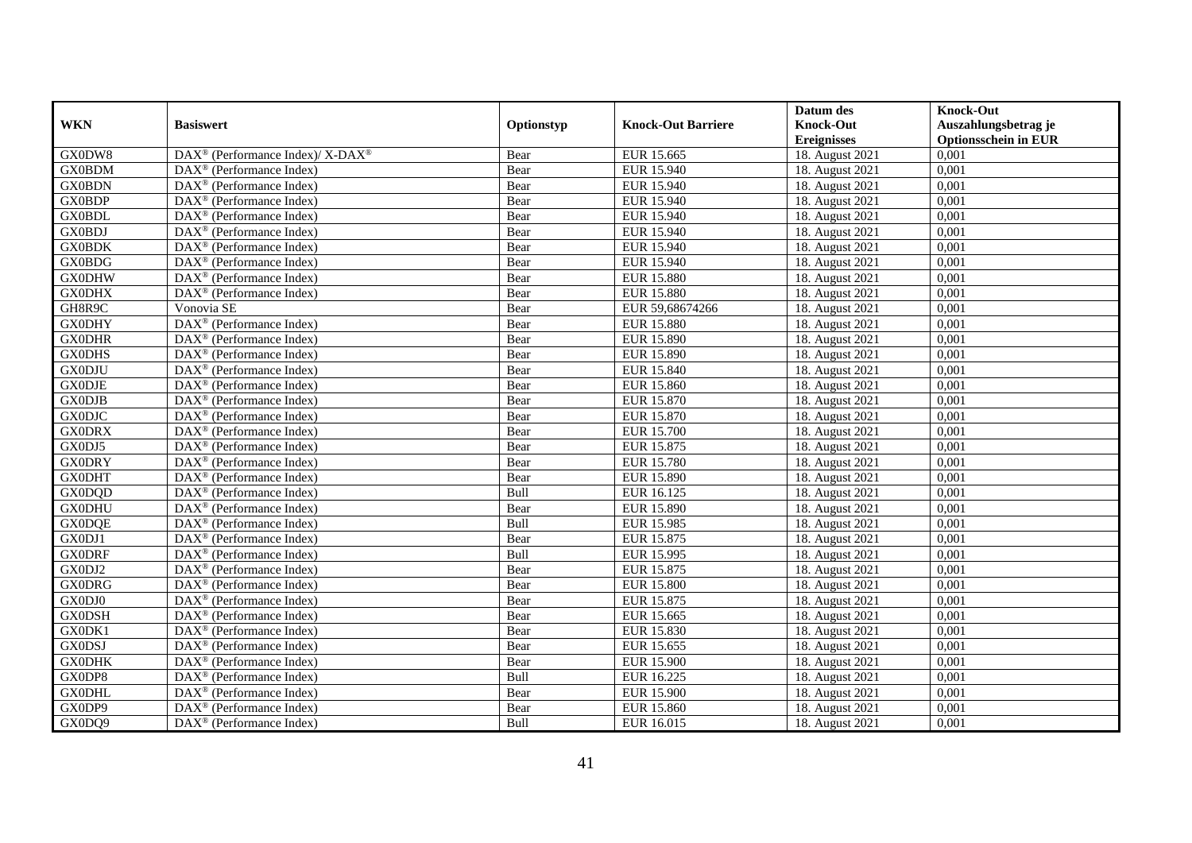|               |                                                          |             |                           | Datum des          | <b>Knock-Out</b>            |
|---------------|----------------------------------------------------------|-------------|---------------------------|--------------------|-----------------------------|
| <b>WKN</b>    | <b>Basiswert</b>                                         | Optionstyp  | <b>Knock-Out Barriere</b> | <b>Knock-Out</b>   | Auszahlungsbetrag je        |
|               |                                                          |             |                           | <b>Ereignisses</b> | <b>Optionsschein in EUR</b> |
| GX0DW8        | DAX <sup>®</sup> (Performance Index)/ X-DAX <sup>®</sup> | Bear        | EUR 15.665                | 18. August 2021    | 0,001                       |
| <b>GX0BDM</b> | $DAX^{\circledast}$ (Performance Index)                  | Bear        | EUR 15.940                | 18. August 2021    | 0,001                       |
| <b>GX0BDN</b> | $DAX^{\circledcirc}$ (Performance Index)                 | Bear        | EUR 15.940                | 18. August 2021    | 0,001                       |
| <b>GX0BDP</b> | $\text{DAX}^{\otimes}$ (Performance Index)               | Bear        | EUR 15.940                | 18. August 2021    | 0,001                       |
| <b>GX0BDL</b> | $\text{DAX}^{\otimes}$ (Performance Index)               | Bear        | EUR 15.940                | 18. August 2021    | 0,001                       |
| <b>GX0BDJ</b> | $DAX^{\circledR}$ (Performance Index)                    | Bear        | <b>EUR 15.940</b>         | 18. August 2021    | 0,001                       |
| <b>GX0BDK</b> | $DAX^{\circledR}$ (Performance Index)                    | Bear        | EUR 15.940                | 18. August 2021    | 0,001                       |
| <b>GX0BDG</b> | DAX <sup>®</sup> (Performance Index)                     | Bear        | EUR 15.940                | 18. August 2021    | 0,001                       |
| <b>GX0DHW</b> | DAX <sup>®</sup> (Performance Index)                     | Bear        | <b>EUR 15.880</b>         | 18. August 2021    | 0,001                       |
| <b>GX0DHX</b> | DAX <sup>®</sup> (Performance Index)                     | Bear        | <b>EUR 15.880</b>         | 18. August 2021    | 0,001                       |
| GH8R9C        | Vonovia SE                                               | Bear        | EUR 59,68674266           | 18. August 2021    | 0,001                       |
| <b>GX0DHY</b> | DAX <sup>®</sup> (Performance Index)                     | Bear        | <b>EUR 15.880</b>         | 18. August 2021    | 0,001                       |
| <b>GX0DHR</b> | $\text{DAX}^{\otimes}$ (Performance Index)               | Bear        | <b>EUR 15.890</b>         | 18. August 2021    | 0,001                       |
| <b>GX0DHS</b> | DAX <sup>®</sup> (Performance Index)                     | Bear        | EUR 15.890                | 18. August 2021    | 0,001                       |
| <b>GX0DJU</b> | $DAX^{\circledR}$ (Performance Index)                    | Bear        | EUR 15.840                | 18. August 2021    | 0,001                       |
| <b>GX0DJE</b> | $\overline{\text{DAX}^{\otimes}}$ (Performance Index)    | Bear        | <b>EUR 15.860</b>         | 18. August 2021    | 0,001                       |
| <b>GX0DJB</b> | DAX <sup>®</sup> (Performance Index)                     | Bear        | EUR 15.870                | 18. August 2021    | 0,001                       |
| <b>GX0DJC</b> | $DAX^{\circledast}$ (Performance Index)                  | Bear        | EUR 15.870                | 18. August 2021    | 0,001                       |
| <b>GX0DRX</b> | DAX <sup>®</sup> (Performance Index)                     | Bear        | <b>EUR 15.700</b>         | 18. August 2021    | 0,001                       |
| GX0DJ5        | $\text{DAX}^{\otimes}$ (Performance Index)               | Bear        | EUR 15.875                | 18. August 2021    | 0,001                       |
| <b>GX0DRY</b> | $DAX^{\circledast}$ (Performance Index)                  | Bear        | <b>EUR 15.780</b>         | 18. August 2021    | 0,001                       |
| <b>GX0DHT</b> | $DAX^{\circledcirc}$ (Performance Index)                 | Bear        | EUR 15.890                | 18. August 2021    | 0,001                       |
| <b>GX0DQD</b> | $DAX^{\circledR}$ (Performance Index)                    | Bull        | EUR 16.125                | 18. August 2021    | 0,001                       |
| <b>GX0DHU</b> | DAX <sup>®</sup> (Performance Index)                     | Bear        | <b>EUR 15.890</b>         | 18. August 2021    | 0,001                       |
| GX0DQE        | $DAX^{\circledcirc}$ (Performance Index)                 | Bull        | EUR 15.985                | 18. August 2021    | 0,001                       |
| GX0DJ1        | $DAX^{\circledast}$ (Performance Index)                  | Bear        | EUR 15.875                | 18. August 2021    | 0,001                       |
| <b>GX0DRF</b> | $\overline{\text{DAX}^{\otimes}}$ (Performance Index)    | Bull        | EUR 15.995                | 18. August 2021    | 0,001                       |
| GX0DJ2        | DAX <sup>®</sup> (Performance Index)                     | Bear        | EUR 15.875                | 18. August 2021    | 0,001                       |
| <b>GX0DRG</b> | $DAX^{\circledast}$ (Performance Index)                  | Bear        | <b>EUR 15.800</b>         | 18. August 2021    | 0,001                       |
| GX0DJ0        | $\text{DAX}^{\textcircled{}}$ (Performance Index)        | Bear        | EUR 15.875                | 18. August 2021    | 0,001                       |
| <b>GX0DSH</b> | $DAX^{\circledR}$ (Performance Index)                    | Bear        | EUR 15.665                | 18. August 2021    | 0,001                       |
| GX0DK1        | DAX <sup>®</sup> (Performance Index)                     | Bear        | EUR 15.830                | 18. August 2021    | 0,001                       |
| <b>GX0DSJ</b> | $DAX^{\circledR}$ (Performance Index)                    | Bear        | EUR 15.655                | 18. August 2021    | 0,001                       |
| <b>GX0DHK</b> | $\overline{\text{DAX}^{\otimes}}$ (Performance Index)    | Bear        | <b>EUR 15.900</b>         | 18. August 2021    | 0,001                       |
| GX0DP8        | $DAX^{\circledast}$ (Performance Index)                  | <b>Bull</b> | EUR 16.225                | 18. August 2021    | 0,001                       |
| <b>GX0DHL</b> | $DAX^{\circledast}$ (Performance Index)                  | Bear        | <b>EUR 15.900</b>         | 18. August 2021    | 0,001                       |
| GX0DP9        | $DAX^{\circledast}$ (Performance Index)                  | Bear        | EUR 15.860                | 18. August 2021    | 0,001                       |
| GX0DQ9        | $\text{DAX}^{\circledast}$ (Performance Index)           | Bull        | EUR 16.015                | 18. August 2021    | 0,001                       |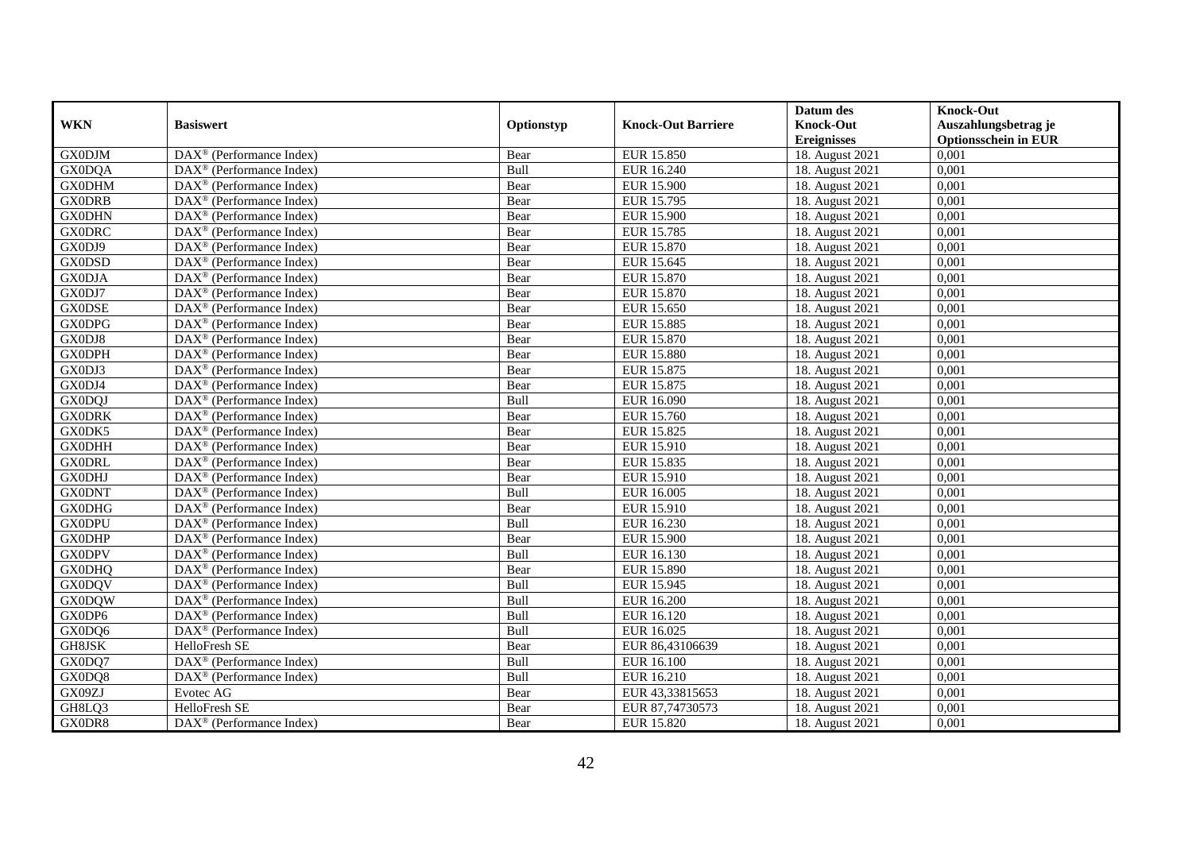|               |                                                              |             |                           | Datum des          | <b>Knock-Out</b>            |
|---------------|--------------------------------------------------------------|-------------|---------------------------|--------------------|-----------------------------|
| <b>WKN</b>    | <b>Basiswert</b>                                             | Optionstyp  | <b>Knock-Out Barriere</b> | <b>Knock-Out</b>   | Auszahlungsbetrag je        |
|               |                                                              |             |                           | <b>Ereignisses</b> | <b>Optionsschein in EUR</b> |
| <b>GX0DJM</b> | $\overline{\text{DAX}}^{\textcircled{}}$ (Performance Index) | Bear        | <b>EUR 15.850</b>         | 18. August 2021    | 0,001                       |
| <b>GX0DQA</b> | $DAX^{\circledast}$ (Performance Index)                      | Bull        | EUR 16.240                | 18. August 2021    | 0,001                       |
| <b>GX0DHM</b> | $DAX^{\circledcirc}$ (Performance Index)                     | Bear        | <b>EUR 15.900</b>         | 18. August 2021    | 0,001                       |
| <b>GX0DRB</b> | $DAX^{\circledast}$ (Performance Index)                      | Bear        | EUR 15.795                | 18. August 2021    | 0,001                       |
| <b>GX0DHN</b> | $\text{DAX}^{\circledast}$ (Performance Index)               | Bear        | <b>EUR 15.900</b>         | 18. August 2021    | 0,001                       |
| <b>GX0DRC</b> | $DAX^{\circledR}$ (Performance Index)                        | Bear        | <b>EUR 15.785</b>         | 18. August 2021    | 0,001                       |
| GX0DJ9        | $DAX^{\circledR}$ (Performance Index)                        | Bear        | EUR 15.870                | 18. August 2021    | 0,001                       |
| <b>GX0DSD</b> | DAX <sup>®</sup> (Performance Index)                         | Bear        | EUR 15.645                | 18. August 2021    | 0,001                       |
| <b>GX0DJA</b> | $DAX^{\circledast}$ (Performance Index)                      | Bear        | EUR 15.870                | 18. August 2021    | 0,001                       |
| GX0DJ7        | $DAX^{\circledR}$ (Performance Index)                        | Bear        | <b>EUR 15.870</b>         | 18. August 2021    | 0,001                       |
| <b>GX0DSE</b> | $\overline{\text{DAX}^{\otimes}}$ (Performance Index)        | Bear        | EUR 15.650                | 18. August 2021    | 0,001                       |
| <b>GX0DPG</b> | DAX <sup>®</sup> (Performance Index)                         | Bear        | EUR 15.885                | 18. August 2021    | 0,001                       |
| GX0DJ8        | $DAX^{\circledast}$ (Performance Index)                      | Bear        | EUR 15.870                | 18. August 2021    | 0,001                       |
| <b>GX0DPH</b> | DAX <sup>®</sup> (Performance Index)                         | Bear        | <b>EUR 15.880</b>         | 18. August 2021    | 0.001                       |
| GX0DJ3        | DAX <sup>®</sup> (Performance Index)                         | Bear        | EUR 15.875                | 18. August 2021    | 0,001                       |
| GX0DJ4        | $\overline{\text{DAX}^{\otimes}}$ (Performance Index)        | Bear        | EUR 15.875                | 18. August 2021    | 0,001                       |
| <b>GX0DQJ</b> | DAX <sup>®</sup> (Performance Index)                         | Bull        | EUR 16.090                | 18. August 2021    | 0,001                       |
| <b>GX0DRK</b> | DAX <sup>®</sup> (Performance Index)                         | Bear        | EUR 15.760                | 18. August 2021    | 0,001                       |
| GX0DK5        | DAX <sup>®</sup> (Performance Index)                         | Bear        | EUR 15.825                | 18. August 2021    | 0,001                       |
| <b>GX0DHH</b> | $DAX^{\circledast}$ (Performance Index)                      | Bear        | EUR 15.910                | 18. August 2021    | 0,001                       |
| <b>GX0DRL</b> | $DAX^{\circledast}$ (Performance Index)                      | Bear        | EUR 15.835                | 18. August 2021    | 0,001                       |
| <b>GX0DHJ</b> | $DAX^{\circledcirc}$ (Performance Index)                     | Bear        | EUR 15.910                | 18. August 2021    | 0,001                       |
| <b>GX0DNT</b> | $DAX^{\circledR}$ (Performance Index)                        | Bull        | EUR 16.005                | 18. August 2021    | 0,001                       |
| <b>GX0DHG</b> | $DAX^{\circledR}$ (Performance Index)                        | Bear        | EUR 15.910                | 18. August 2021    | 0,001                       |
| <b>GX0DPU</b> | $DAX^{\circledcirc}$ (Performance Index)                     | Bull        | EUR 16.230                | 18. August 2021    | 0,001                       |
| <b>GX0DHP</b> | $DAX^{\circledast}$ (Performance Index)                      | Bear        | <b>EUR 15.900</b>         | 18. August 2021    | 0,001                       |
| <b>GX0DPV</b> | $\overline{\text{DAX}^{\otimes}}$ (Performance Index)        | Bull        | EUR 16.130                | 18. August 2021    | 0,001                       |
| <b>GX0DHQ</b> | DAX <sup>®</sup> (Performance Index)                         | Bear        | <b>EUR 15.890</b>         | 18. August 2021    | 0,001                       |
| <b>GX0DQV</b> | $DAX^{\circledast}$ (Performance Index)                      | Bull        | EUR 15.945                | 18. August 2021    | 0,001                       |
| <b>GX0DQW</b> | $\text{DAX}^{\textcircled{}}$ (Performance Index)            | <b>Bull</b> | EUR 16.200                | 18. August 2021    | 0,001                       |
| GX0DP6        | $DAX^{\circledR}$ (Performance Index)                        | Bull        | EUR 16.120                | 18. August 2021    | 0,001                       |
| GX0DQ6        | DAX <sup>®</sup> (Performance Index)                         | Bull        | EUR 16.025                | 18. August 2021    | 0,001                       |
| GH8JSK        | HelloFresh SE                                                | Bear        | EUR 86,43106639           | 18. August 2021    | 0,001                       |
| GX0DQ7        | DAX <sup>®</sup> (Performance Index)                         | Bull        | EUR 16.100                | 18. August 2021    | 0,001                       |
| GX0DQ8        | $DAX^{\circledast}$ (Performance Index)                      | <b>Bull</b> | EUR 16.210                | 18. August 2021    | 0,001                       |
| GX09ZJ        | Evotec AG                                                    | Bear        | EUR 43,33815653           | 18. August 2021    | 0,001                       |
| GH8LQ3        | HelloFresh SE                                                | Bear        | EUR 87,74730573           | 18. August 2021    | 0,001                       |
| GX0DR8        | $\overline{\text{DAX}}^{\textcircled{}}$ (Performance Index) | Bear        | EUR 15.820                | 18. August 2021    | 0,001                       |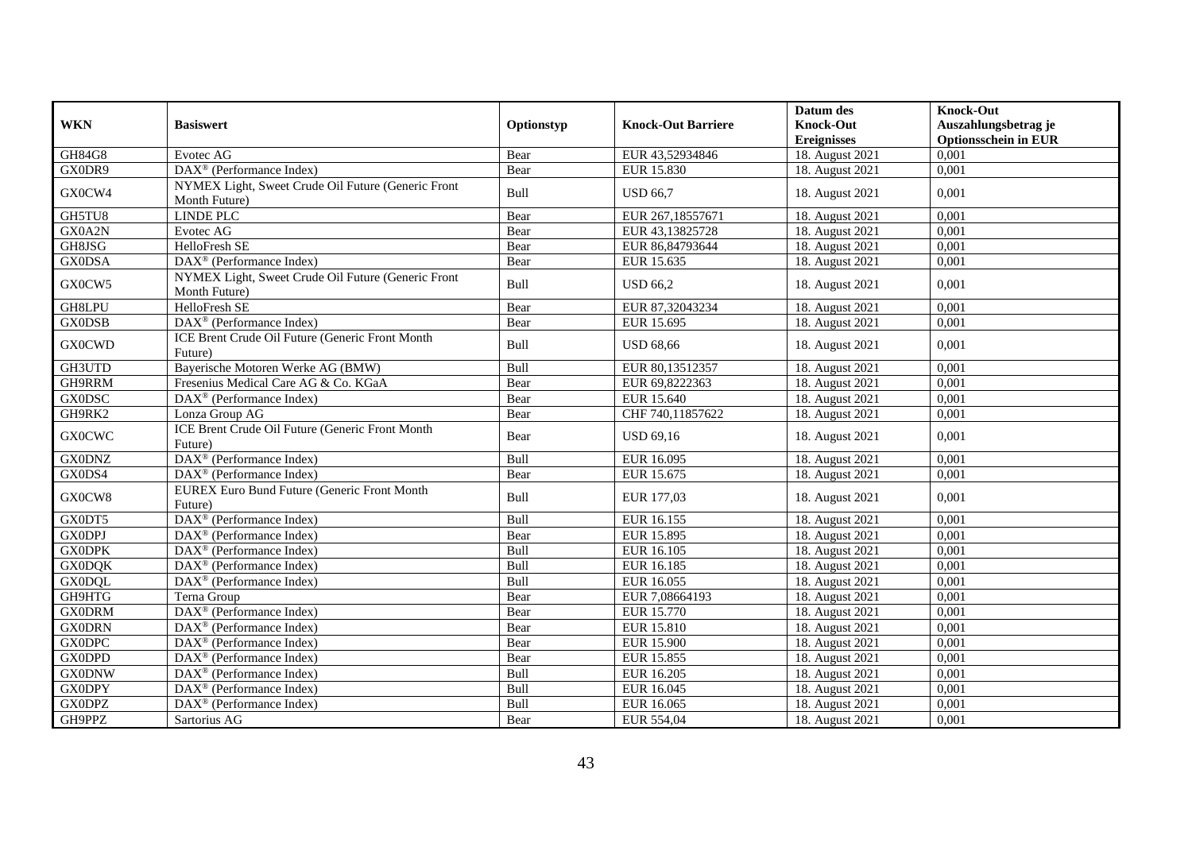|               |                                                                     |            |                           | Datum des          | <b>Knock-Out</b>            |
|---------------|---------------------------------------------------------------------|------------|---------------------------|--------------------|-----------------------------|
| <b>WKN</b>    | <b>Basiswert</b>                                                    | Optionstyp | <b>Knock-Out Barriere</b> | <b>Knock-Out</b>   | Auszahlungsbetrag je        |
|               |                                                                     |            |                           | <b>Ereignisses</b> | <b>Optionsschein in EUR</b> |
| <b>GH84G8</b> | Evotec AG                                                           | Bear       | EUR 43,52934846           | 18. August 2021    | 0.001                       |
| GX0DR9        | $DAX^{\circledR}$ (Performance Index)                               | Bear       | EUR 15.830                | 18. August 2021    | 0,001                       |
| GX0CW4        | NYMEX Light, Sweet Crude Oil Future (Generic Front<br>Month Future) | Bull       | <b>USD 66.7</b>           | 18. August 2021    | 0,001                       |
| GH5TU8        | <b>LINDE PLC</b>                                                    | Bear       | EUR 267,18557671          | 18. August 2021    | 0,001                       |
| GX0A2N        | Evotec AG                                                           | Bear       | EUR 43,13825728           | 18. August 2021    | 0,001                       |
| GH8JSG        | HelloFresh SE                                                       | Bear       | EUR 86,84793644           | 18. August 2021    | 0,001                       |
| <b>GX0DSA</b> | DAX <sup>®</sup> (Performance Index)                                | Bear       | EUR 15.635                | 18. August 2021    | 0,001                       |
| GX0CW5        | NYMEX Light, Sweet Crude Oil Future (Generic Front<br>Month Future) | Bull       | <b>USD 66.2</b>           | 18. August 2021    | 0,001                       |
| GH8LPU        | HelloFresh SE                                                       | Bear       | EUR 87,32043234           | 18. August 2021    | 0,001                       |
| <b>GX0DSB</b> | DAX <sup>®</sup> (Performance Index)                                | Bear       | EUR 15.695                | 18. August 2021    | 0,001                       |
| <b>GX0CWD</b> | ICE Brent Crude Oil Future (Generic Front Month<br>Future)          | Bull       | <b>USD 68,66</b>          | 18. August 2021    | 0,001                       |
| GH3UTD        | Bayerische Motoren Werke AG (BMW)                                   | Bull       | EUR 80,13512357           | 18. August 2021    | 0,001                       |
| GH9RRM        | Fresenius Medical Care AG & Co. KGaA                                | Bear       | EUR 69,8222363            | 18. August 2021    | 0,001                       |
| <b>GX0DSC</b> | $\overline{\text{DAX}^{\otimes}}$ (Performance Index)               | Bear       | EUR 15.640                | 18. August 2021    | 0,001                       |
| GH9RK2        | Lonza Group AG                                                      | Bear       | CHF 740,11857622          | 18. August 2021    | 0,001                       |
| <b>GX0CWC</b> | ICE Brent Crude Oil Future (Generic Front Month<br>Future)          | Bear       | <b>USD 69,16</b>          | 18. August 2021    | 0,001                       |
| <b>GX0DNZ</b> | DAX <sup>®</sup> (Performance Index)                                | Bull       | EUR 16.095                | 18. August 2021    | 0,001                       |
| GX0DS4        | DAX <sup>®</sup> (Performance Index)                                | Bear       | EUR 15.675                | 18. August 2021    | 0,001                       |
| GX0CW8        | <b>EUREX Euro Bund Future (Generic Front Month</b><br>Future)       | Bull       | EUR 177,03                | 18. August 2021    | 0,001                       |
| GX0DT5        | DAX <sup>®</sup> (Performance Index)                                | Bull       | EUR 16.155                | 18. August 2021    | 0,001                       |
| <b>GX0DPJ</b> | DAX <sup>®</sup> (Performance Index)                                | Bear       | <b>EUR 15.895</b>         | 18. August 2021    | 0,001                       |
| <b>GX0DPK</b> | $\overline{\text{DAX}^{\otimes}}$ (Performance Index)               | Bull       | EUR 16.105                | 18. August 2021    | 0,001                       |
| <b>GX0DQK</b> | DAX <sup>®</sup> (Performance Index)                                | Bull       | EUR 16.185                | 18. August 2021    | 0,001                       |
| <b>GX0DQL</b> | $\overline{\text{DAX}^{\otimes}}$ (Performance Index)               | Bull       | EUR 16.055                | 18. August 2021    | 0,001                       |
| GH9HTG        | Terna Group                                                         | Bear       | EUR 7,08664193            | 18. August 2021    | 0,001                       |
| <b>GX0DRM</b> | DAX <sup>®</sup> (Performance Index)                                | Bear       | EUR 15.770                | 18. August 2021    | 0,001                       |
| <b>GX0DRN</b> | $DAX^{\otimes}$ (Performance Index)                                 | Bear       | EUR 15.810                | 18. August 2021    | 0,001                       |
| <b>GX0DPC</b> | DAX <sup>®</sup> (Performance Index)                                | Bear       | <b>EUR 15.900</b>         | 18. August 2021    | 0,001                       |
| <b>GX0DPD</b> | $\overline{\text{DAX}^{\otimes}}$ (Performance Index)               | Bear       | EUR 15.855                | 18. August 2021    | 0,001                       |
| <b>GX0DNW</b> | $DAX^{\circledR}$ (Performance Index)                               | Bull       | EUR 16.205                | 18. August 2021    | 0,001                       |
| <b>GX0DPY</b> | $\text{DAX}^{\otimes}$ (Performance Index)                          | Bull       | EUR 16.045                | 18. August 2021    | 0,001                       |
| <b>GX0DPZ</b> | DAX <sup>®</sup> (Performance Index)                                | Bull       | EUR 16.065                | 18. August 2021    | 0,001                       |
| GH9PPZ        | Sartorius AG                                                        | Bear       | EUR 554,04                | 18. August 2021    | 0,001                       |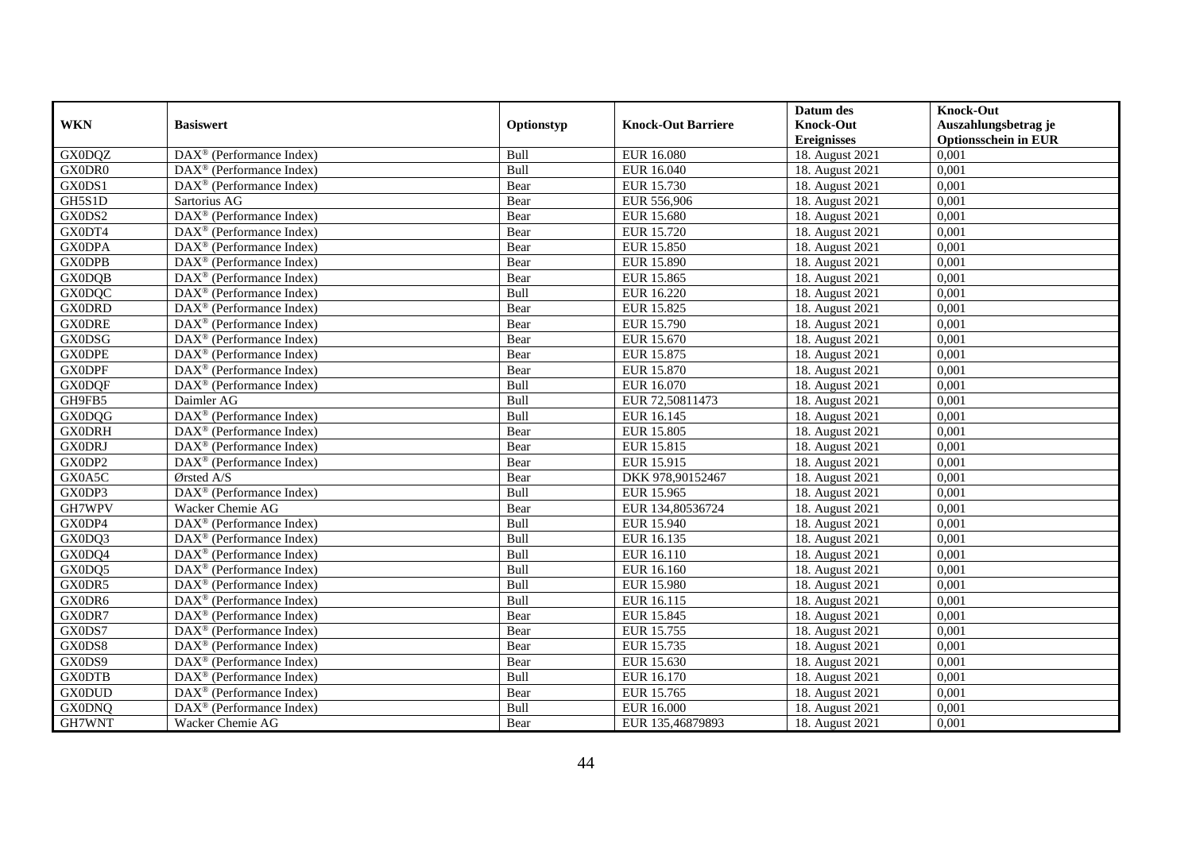|               |                                                         |            |                           | Datum des          | <b>Knock-Out</b>            |
|---------------|---------------------------------------------------------|------------|---------------------------|--------------------|-----------------------------|
| <b>WKN</b>    | <b>Basiswert</b>                                        | Optionstyp | <b>Knock-Out Barriere</b> | <b>Knock-Out</b>   | Auszahlungsbetrag je        |
|               |                                                         |            |                           | <b>Ereignisses</b> | <b>Optionsschein in EUR</b> |
| <b>GX0DQZ</b> | $\overline{\text{DAX}^{\otimes}}$ (Performance Index)   | Bull       | <b>EUR 16.080</b>         | 18. August 2021    | 0,001                       |
| GX0DR0        | $\text{DAX}^{\otimes}$ (Performance Index)              | Bull       | EUR 16.040                | 18. August 2021    | 0,001                       |
| GX0DS1        | $DAX^{\circledcirc}$ (Performance Index)                | Bear       | EUR 15.730                | 18. August 2021    | 0,001                       |
| GH5S1D        | Sartorius AG                                            | Bear       | EUR 556,906               | 18. August 2021    | 0,001                       |
| GX0DS2        | DAX <sup>®</sup> (Performance Index)                    | Bear       | EUR 15.680                | 18. August 2021    | 0,001                       |
| GX0DT4        | DAX <sup>®</sup> (Performance Index)                    | Bear       | <b>EUR 15.720</b>         | 18. August 2021    | 0,001                       |
| <b>GX0DPA</b> | $DAX^{\circledR}$ (Performance Index)                   | Bear       | EUR 15.850                | 18. August 2021    | 0,001                       |
| <b>GX0DPB</b> | $\overline{\text{DAX}}^{\textcirc}$ (Performance Index) | Bear       | EUR 15.890                | 18. August 2021    | 0,001                       |
| <b>GX0DQB</b> | $DAX^{\circledast}$ (Performance Index)                 | Bear       | EUR 15.865                | 18. August 2021    | 0,001                       |
| <b>GX0DQC</b> | $DAX^{\circledast}$ (Performance Index)                 | Bull       | EUR 16.220                | 18. August 2021    | 0,001                       |
| <b>GX0DRD</b> | $\overline{\text{DAX}^{\otimes}}$ (Performance Index)   | Bear       | EUR 15.825                | 18. August 2021    | 0,001                       |
| <b>GX0DRE</b> | DAX <sup>®</sup> (Performance Index)                    | Bear       | EUR 15.790                | 18. August 2021    | 0,001                       |
| <b>GX0DSG</b> | $\text{DAX}^{\otimes}$ (Performance Index)              | Bear       | EUR 15.670                | 18. August 2021    | 0,001                       |
| <b>GX0DPE</b> | DAX <sup>®</sup> (Performance Index)                    | Bear       | EUR 15.875                | 18. August 2021    | 0,001                       |
| <b>GX0DPF</b> | DAX <sup>®</sup> (Performance Index)                    | Bear       | EUR 15.870                | 18. August 2021    | 0,001                       |
| <b>GX0DQF</b> | DAX <sup>®</sup> (Performance Index)                    | Bull       | EUR 16.070                | 18. August 2021    | 0,001                       |
| GH9FB5        | Daimler AG                                              | Bull       | EUR 72,50811473           | 18. August 2021    | 0,001                       |
| <b>GX0DQG</b> | DAX <sup>®</sup> (Performance Index)                    | Bull       | EUR 16.145                | 18. August 2021    | 0,001                       |
| <b>GX0DRH</b> | $\text{DAX}^{\otimes}$ (Performance Index)              | Bear       | EUR 15.805                | 18. August 2021    | 0,001                       |
| <b>GX0DRJ</b> | $DAX^{\circledast}$ (Performance Index)                 | Bear       | EUR 15.815                | 18. August 2021    | 0,001                       |
| GX0DP2        | DAX <sup>®</sup> (Performance Index)                    | Bear       | EUR 15.915                | 18. August 2021    | 0,001                       |
| GX0A5C        | $O$ rsted A/S                                           | Bear       | DKK 978,90152467          | 18. August 2021    | 0,001                       |
| GX0DP3        | $\overline{\text{DAX}}^{\textcirc}$ (Performance Index) | Bull       | EUR 15.965                | 18. August 2021    | 0,001                       |
| GH7WPV        | Wacker Chemie AG                                        | Bear       | EUR 134,80536724          | 18. August 2021    | 0,001                       |
| GX0DP4        | $DAX^{\otimes}$ (Performance Index)                     | Bull       | EUR 15.940                | 18. August 2021    | 0,001                       |
| GX0DQ3        | $DAX^{\circledast}$ (Performance Index)                 | Bull       | EUR 16.135                | 18. August 2021    | 0,001                       |
| GX0DQ4        | $\overline{\text{DAX}^{\otimes}}$ (Performance Index)   | Bull       | EUR 16.110                | 18. August 2021    | 0,001                       |
| GX0DQ5        | DAX <sup>®</sup> (Performance Index)                    | Bull       | EUR 16.160                | 18. August 2021    | 0,001                       |
| GX0DR5        | $\text{DAX}^{\otimes}$ (Performance Index)              | Bull       | EUR 15.980                | 18. August 2021    | 0,001                       |
| GX0DR6        | $\text{DAX}^{\otimes}$ (Performance Index)              | Bull       | EUR 16.115                | 18. August 2021    | 0,001                       |
| GX0DR7        | $DAX^{\circledR}$ (Performance Index)                   | Bear       | EUR 15.845                | 18. August 2021    | 0,001                       |
| GX0DS7        | DAX <sup>®</sup> (Performance Index)                    | Bear       | EUR 15.755                | 18. August 2021    | 0,001                       |
| GX0DS8        | $DAX^{\otimes}$ (Performance Index)                     | Bear       | EUR 15.735                | 18. August 2021    | 0,001                       |
| GX0DS9        | $\overline{\text{DAX}^{\otimes}}$ (Performance Index)   | Bear       | EUR 15.630                | 18. August 2021    | 0,001                       |
| <b>GX0DTB</b> | $\text{DAX}^{\otimes}$ (Performance Index)              | Bull       | EUR 16.170                | 18. August 2021    | 0,001                       |
| <b>GX0DUD</b> | DAX <sup>®</sup> (Performance Index)                    | Bear       | EUR 15.765                | 18. August 2021    | 0,001                       |
| <b>GX0DNQ</b> | $DAX^{\circledast}$ (Performance Index)                 | Bull       | EUR 16.000                | 18. August 2021    | 0,001                       |
| GH7WNT        | Wacker Chemie AG                                        | Bear       | EUR 135,46879893          | 18. August 2021    | 0,001                       |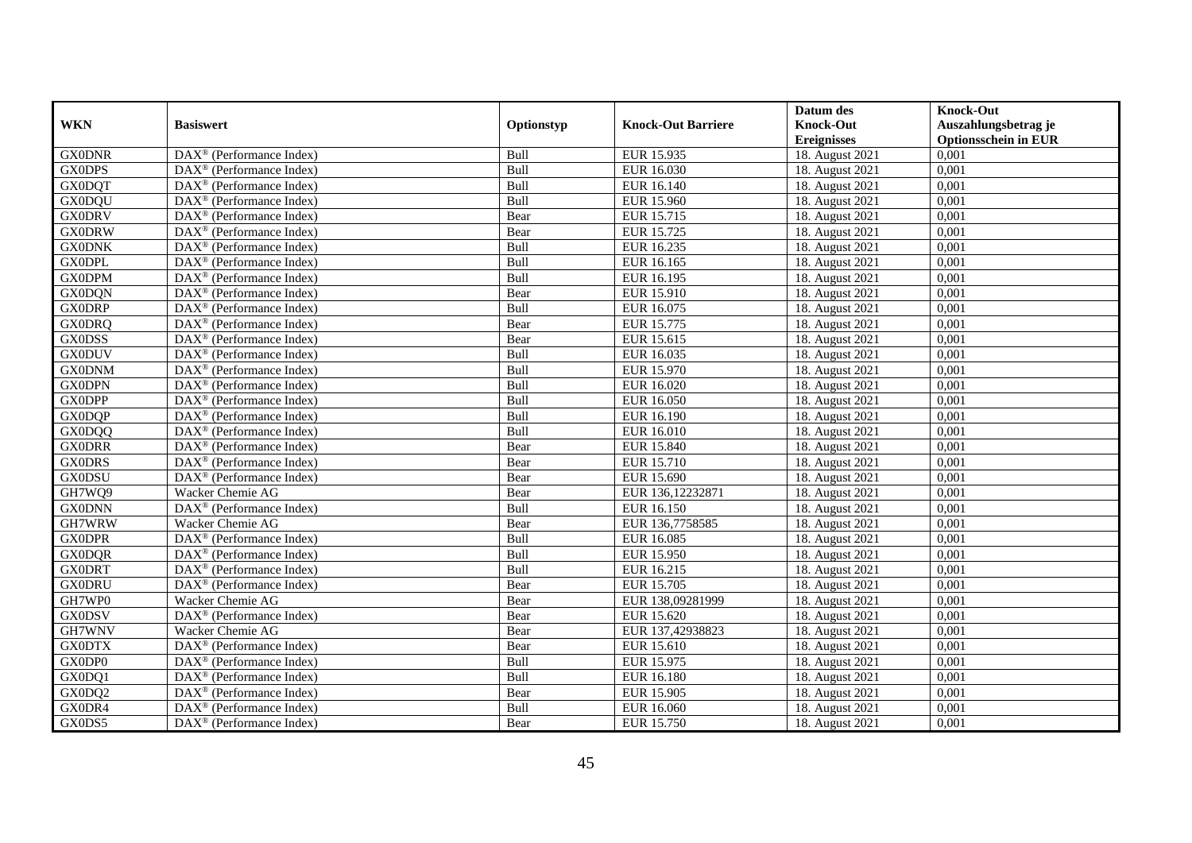|               |                                                         |            |                           | Datum des          | <b>Knock-Out</b>            |
|---------------|---------------------------------------------------------|------------|---------------------------|--------------------|-----------------------------|
| <b>WKN</b>    | <b>Basiswert</b>                                        | Optionstyp | <b>Knock-Out Barriere</b> | <b>Knock-Out</b>   | Auszahlungsbetrag je        |
|               |                                                         |            |                           | <b>Ereignisses</b> | <b>Optionsschein in EUR</b> |
| <b>GX0DNR</b> | $\overline{\text{DAX}^{\otimes}}$ (Performance Index)   | Bull       | <b>EUR 15.935</b>         | 18. August 2021    | 0,001                       |
| <b>GX0DPS</b> | DAX <sup>®</sup> (Performance Index)                    | Bull       | EUR 16.030                | 18. August 2021    | 0,001                       |
| <b>GX0DQT</b> | $DAX^{\circledcirc}$ (Performance Index)                | Bull       | EUR 16.140                | 18. August 2021    | 0,001                       |
| <b>GX0DQU</b> | $\text{DAX}^{\otimes}$ (Performance Index)              | Bull       | EUR 15.960                | 18. August 2021    | 0,001                       |
| <b>GX0DRV</b> | DAX <sup>®</sup> (Performance Index)                    | Bear       | EUR 15.715                | 18. August 2021    | 0,001                       |
| <b>GX0DRW</b> | $DAX^{\otimes}$ (Performance Index)                     | Bear       | <b>EUR 15.725</b>         | 18. August 2021    | 0,001                       |
| <b>GX0DNK</b> | $DAX^{\circledast}$ (Performance Index)                 | Bull       | EUR 16.235                | 18. August 2021    | 0,001                       |
| <b>GX0DPL</b> | DAX <sup>®</sup> (Performance Index)                    | Bull       | EUR 16.165                | 18. August 2021    | 0,001                       |
| <b>GX0DPM</b> | $DAX^{\circledast}$ (Performance Index)                 | Bull       | EUR 16.195                | 18. August 2021    | 0,001                       |
| <b>GX0DQN</b> | $DAX^{\circledast}$ (Performance Index)                 | Bear       | EUR 15.910                | 18. August 2021    | 0,001                       |
| <b>GX0DRP</b> | $\overline{\text{DAX}^{\otimes}}$ (Performance Index)   | Bull       | EUR 16.075                | 18. August 2021    | 0,001                       |
| <b>GX0DRQ</b> | DAX <sup>®</sup> (Performance Index)                    | Bear       | EUR 15.775                | 18. August 2021    | 0,001                       |
| <b>GX0DSS</b> | $\text{DAX}^{\otimes}$ (Performance Index)              | Bear       | EUR 15.615                | 18. August 2021    | 0,001                       |
| <b>GX0DUV</b> | DAX <sup>®</sup> (Performance Index)                    | Bull       | EUR 16.035                | 18. August 2021    | 0,001                       |
| <b>GX0DNM</b> | DAX <sup>®</sup> (Performance Index)                    | Bull       | EUR 15.970                | 18. August 2021    | 0,001                       |
| <b>GX0DPN</b> | DAX <sup>®</sup> (Performance Index)                    | Bull       | EUR 16.020                | 18. August 2021    | 0,001                       |
| <b>GX0DPP</b> | DAX <sup>®</sup> (Performance Index)                    | Bull       | EUR 16.050                | 18. August 2021    | 0,001                       |
| <b>GX0DQP</b> | $\text{DAX}^{\otimes}$ (Performance Index)              | Bull       | <b>EUR 16.190</b>         | 18. August 2021    | 0,001                       |
| <b>GX0DQQ</b> | $\text{DAX}^{\otimes}$ (Performance Index)              | Bull       | EUR 16.010                | 18. August 2021    | 0,001                       |
| <b>GX0DRR</b> | $DAX^{\circledast}$ (Performance Index)                 | Bear       | EUR 15.840                | 18. August 2021    | 0,001                       |
| <b>GX0DRS</b> | $\text{DAX}^{\otimes}$ (Performance Index)              | Bear       | EUR 15.710                | 18. August 2021    | 0,001                       |
| <b>GX0DSU</b> | $DAX^{\circledR}$ (Performance Index)                   | Bear       | EUR 15.690                | 18. August 2021    | 0,001                       |
| GH7WQ9        | Wacker Chemie AG                                        | Bear       | EUR 136,12232871          | 18. August 2021    | 0,001                       |
| <b>GX0DNN</b> | DAX <sup>®</sup> (Performance Index)                    | Bull       | EUR 16.150                | 18. August 2021    | 0,001                       |
| GH7WRW        | Wacker Chemie AG                                        | Bear       | EUR 136,7758585           | 18. August 2021    | 0,001                       |
| <b>GX0DPR</b> | $DAX^{\circledast}$ (Performance Index)                 | Bull       | EUR 16.085                | 18. August 2021    | 0,001                       |
| <b>GX0DQR</b> | DAX <sup>®</sup> (Performance Index)                    | Bull       | EUR 15.950                | 18. August 2021    | 0,001                       |
| <b>GX0DRT</b> | DAX <sup>®</sup> (Performance Index)                    | Bull       | EUR 16.215                | 18. August 2021    | 0,001                       |
| <b>GX0DRU</b> | $\overline{\text{DAX}}^{\textcirc}$ (Performance Index) | Bear       | EUR 15.705                | 18. August 2021    | 0,001                       |
| GH7WP0        | Wacker Chemie AG                                        | Bear       | EUR 138,09281999          | 18. August 2021    | 0,001                       |
| <b>GX0DSV</b> | DAX <sup>®</sup> (Performance Index)                    | Bear       | EUR 15.620                | 18. August 2021    | 0,001                       |
| GH7WNV        | Wacker Chemie AG                                        | Bear       | EUR 137,42938823          | 18. August 2021    | 0,001                       |
| <b>GX0DTX</b> | $\overline{\text{DAX}^{\otimes}}$ (Performance Index)   | Bear       | EUR 15.610                | 18. August 2021    | 0,001                       |
| GX0DP0        | $\overline{\text{DAX}^{\otimes}}$ (Performance Index)   | Bull       | EUR 15.975                | 18. August 2021    | 0,001                       |
| GX0DQ1        | $\text{DAX}^{\otimes}$ (Performance Index)              | Bull       | EUR 16.180                | 18. August 2021    | 0,001                       |
| GX0DQ2        | DAX <sup>®</sup> (Performance Index)                    | Bear       | EUR 15.905                | 18. August 2021    | 0,001                       |
| GX0DR4        | $DAX^{\circledast}$ (Performance Index)                 | Bull       | EUR 16.060                | 18. August 2021    | 0,001                       |
| GX0DS5        | $\text{DAX}^{\otimes}$ (Performance Index)              | Bear       | EUR 15.750                | 18. August 2021    | 0,001                       |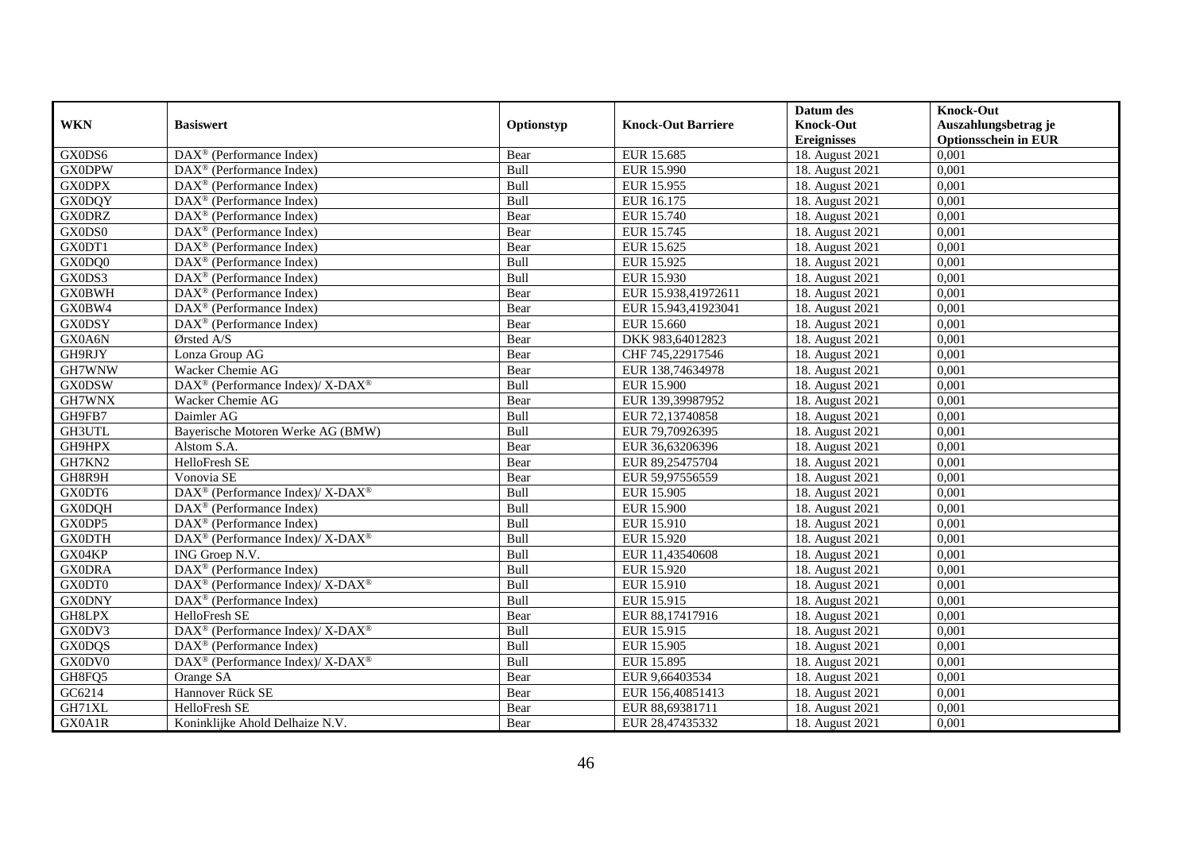|               |                                                          |             |                           | Datum des          | <b>Knock-Out</b>            |
|---------------|----------------------------------------------------------|-------------|---------------------------|--------------------|-----------------------------|
| <b>WKN</b>    | <b>Basiswert</b>                                         | Optionstyp  | <b>Knock-Out Barriere</b> | <b>Knock-Out</b>   | Auszahlungsbetrag je        |
|               |                                                          |             |                           | <b>Ereignisses</b> | <b>Optionsschein in EUR</b> |
| GX0DS6        | DAX <sup>®</sup> (Performance Index)                     | Bear        | EUR 15.685                | 18. August 2021    | 0,001                       |
| <b>GX0DPW</b> | $\text{DAX}^{\textcircled{}}$ (Performance Index)        | Bull        | EUR 15.990                | 18. August 2021    | 0,001                       |
| <b>GX0DPX</b> | $DAX^{\circledcirc}$ (Performance Index)                 | Bull        | EUR 15.955                | 18. August 2021    | 0,001                       |
| <b>GX0DQY</b> | $DAX^{\circledcirc}$ (Performance Index)                 | Bull        | EUR 16.175                | 18. August 2021    | 0.001                       |
| <b>GX0DRZ</b> | $\overline{\text{DAX}}^{\textcirc}$ (Performance Index)  | Bear        | EUR 15.740                | 18. August 2021    | 0,001                       |
| GX0DS0        | $DAX^{\circledR}$ (Performance Index)                    | Bear        | EUR 15.745                | 18. August 2021    | 0,001                       |
| GX0DT1        | $DAX^{\circledR}$ (Performance Index)                    | Bear        | EUR 15.625                | 18. August 2021    | 0,001                       |
| GX0DQ0        | $\text{DAX}^{\circledast}$ (Performance Index)           | Bull        | EUR 15.925                | 18. August 2021    | 0,001                       |
| GX0DS3        | $DAX^{\circledast}$ (Performance Index)                  | Bull        | EUR 15.930                | 18. August 2021    | 0,001                       |
| <b>GX0BWH</b> | $DAX^{\circledast}$ (Performance Index)                  | Bear        | EUR 15.938,41972611       | 18. August 2021    | 0,001                       |
| GX0BW4        | $DAX^{\circledcirc}$ (Performance Index)                 | Bear        | EUR 15.943,41923041       | 18. August 2021    | 0,001                       |
| <b>GX0DSY</b> | $DAX^{\circledR}$ (Performance Index)                    | Bear        | EUR 15.660                | 18. August 2021    | 0,001                       |
| GX0A6N        | Ørsted A/S                                               | Bear        | DKK 983,64012823          | 18. August 2021    | 0,001                       |
| GH9RJY        | Lonza Group AG                                           | Bear        | CHF 745,22917546          | 18. August 2021    | 0,001                       |
| GH7WNW        | Wacker Chemie AG                                         | Bear        | EUR 138,74634978          | 18. August 2021    | 0,001                       |
| <b>GX0DSW</b> | DAX <sup>®</sup> (Performance Index)/ X-DAX <sup>®</sup> | Bull        | EUR 15.900                | 18. August 2021    | 0,001                       |
| GH7WNX        | Wacker Chemie AG                                         | Bear        | EUR 139,39987952          | 18. August 2021    | 0,001                       |
| GH9FB7        | Daimler AG                                               | <b>Bull</b> | EUR 72,13740858           | 18. August 2021    | 0.001                       |
| GH3UTL        | Bayerische Motoren Werke AG (BMW)                        | Bull        | EUR 79,70926395           | 18. August 2021    | 0,001                       |
| GH9HPX        | Alstom S.A.                                              | Bear        | EUR 36,63206396           | 18. August 2021    | 0,001                       |
| GH7KN2        | <b>HelloFresh SE</b>                                     | Bear        | EUR 89,25475704           | 18. August 2021    | 0,001                       |
| GH8R9H        | Vonovia SE                                               | Bear        | EUR 59,97556559           | 18. August 2021    | 0,001                       |
| GX0DT6        | DAX <sup>®</sup> (Performance Index)/ X-DAX <sup>®</sup> | Bull        | EUR 15.905                | 18. August 2021    | 0,001                       |
| <b>GX0DQH</b> | DAX <sup>®</sup> (Performance Index)                     | Bull        | <b>EUR 15.900</b>         | 18. August 2021    | 0,001                       |
| GX0DP5        | $\text{DAX}^{\circledR}$ (Performance Index)             | <b>Bull</b> | EUR 15.910                | 18. August 2021    | 0,001                       |
| <b>GX0DTH</b> | DAX <sup>®</sup> (Performance Index)/ X-DAX <sup>®</sup> | Bull        | EUR 15.920                | 18. August 2021    | 0,001                       |
| GX04KP        | ING Groep N.V.                                           | Bull        | EUR 11,43540608           | 18. August 2021    | 0,001                       |
| <b>GX0DRA</b> | DAX <sup>®</sup> (Performance Index)                     | Bull        | EUR 15.920                | 18. August 2021    | 0,001                       |
| GX0DT0        | DAX <sup>®</sup> (Performance Index)/ X-DAX <sup>®</sup> | Bull        | EUR 15.910                | 18. August 2021    | 0,001                       |
| <b>GX0DNY</b> | DAX <sup>®</sup> (Performance Index)                     | Bull        | EUR 15.915                | 18. August 2021    | 0,001                       |
| GH8LPX        | HelloFresh SE                                            | Bear        | EUR 88,17417916           | 18. August 2021    | 0,001                       |
| GX0DV3        | DAX <sup>®</sup> (Performance Index)/ X-DAX <sup>®</sup> | <b>Bull</b> | EUR 15.915                | 18. August 2021    | 0.001                       |
| <b>GX0DQS</b> | $DAX^{\circledR}$ (Performance Index)                    | Bull        | EUR 15.905                | 18. August 2021    | 0,001                       |
| GX0DV0        | DAX <sup>®</sup> (Performance Index)/ X-DAX <sup>®</sup> | Bull        | EUR 15.895                | 18. August 2021    | 0,001                       |
| GH8FQ5        | Orange SA                                                | Bear        | EUR 9,66403534            | 18. August 2021    | 0,001                       |
| GC6214        | Hannover Rück SE                                         | Bear        | EUR 156,40851413          | 18. August 2021    | 0,001                       |
| GH71XL        | HelloFresh SE                                            | Bear        | EUR 88,69381711           | 18. August 2021    | 0,001                       |
| GX0A1R        | Koninklijke Ahold Delhaize N.V.                          | Bear        | EUR 28,47435332           | 18. August 2021    | 0,001                       |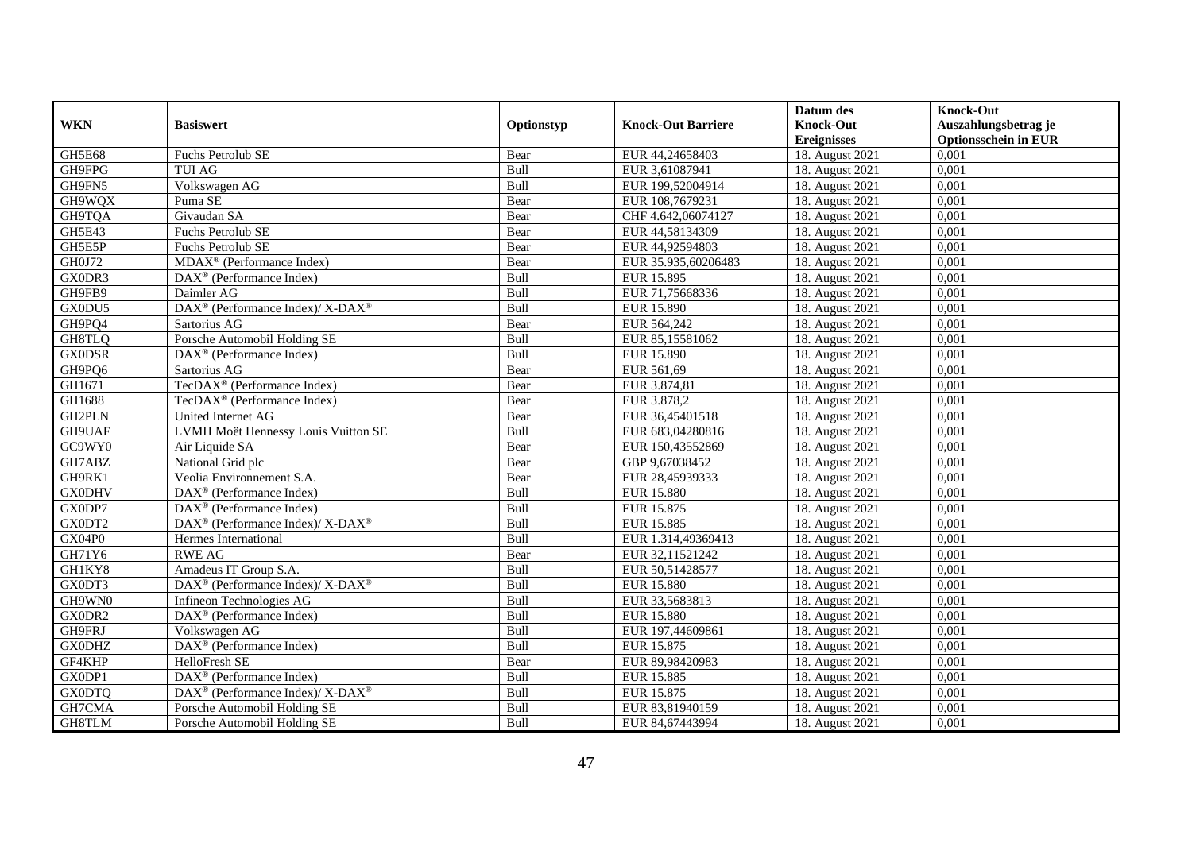|               |                                                          |             |                           | Datum des          | <b>Knock-Out</b>            |
|---------------|----------------------------------------------------------|-------------|---------------------------|--------------------|-----------------------------|
| <b>WKN</b>    | <b>Basiswert</b>                                         | Optionstyp  | <b>Knock-Out Barriere</b> | <b>Knock-Out</b>   | Auszahlungsbetrag je        |
|               |                                                          |             |                           | <b>Ereignisses</b> | <b>Optionsschein in EUR</b> |
| GH5E68        | <b>Fuchs Petrolub SE</b>                                 | Bear        | EUR 44,24658403           | 18. August 2021    | 0,001                       |
| GH9FPG        | <b>TUI AG</b>                                            | Bull        | EUR 3,61087941            | 18. August 2021    | 0,001                       |
| GH9FN5        | Volkswagen AG                                            | Bull        | EUR 199,52004914          | 18. August 2021    | 0,001                       |
| GH9WQX        | Puma SE                                                  | Bear        | EUR 108,7679231           | 18. August 2021    | 0,001                       |
| GH9TQA        | Givaudan SA                                              | Bear        | CHF 4.642,06074127        | 18. August 2021    | 0,001                       |
| GH5E43        | Fuchs Petrolub SE                                        | Bear        | EUR 44,58134309           | 18. August 2021    | 0,001                       |
| GH5E5P        | Fuchs Petrolub SE                                        | Bear        | EUR 44,92594803           | 18. August 2021    | 0,001                       |
| GH0J72        | MDAX <sup>®</sup> (Performance Index)                    | Bear        | EUR 35.935,60206483       | 18. August 2021    | 0,001                       |
| GX0DR3        | $DAX^{\circledR}$ (Performance Index)                    | Bull        | EUR 15.895                | 18. August 2021    | 0,001                       |
| GH9FB9        | Daimler AG                                               | Bull        | EUR 71,75668336           | 18. August 2021    | 0,001                       |
| GX0DU5        | DAX <sup>®</sup> (Performance Index)/ X-DAX <sup>®</sup> | Bull        | <b>EUR 15.890</b>         | 18. August 2021    | 0,001                       |
| GH9PQ4        | Sartorius AG                                             | Bear        | EUR 564,242               | 18. August 2021    | 0,001                       |
| GH8TLQ        | Porsche Automobil Holding SE                             | Bull        | EUR 85,15581062           | 18. August 2021    | 0,001                       |
| <b>GX0DSR</b> | DAX <sup>®</sup> (Performance Index)                     | Bull        | EUR 15.890                | 18. August 2021    | 0,001                       |
| GH9PQ6        | Sartorius AG                                             | Bear        | EUR 561,69                | 18. August 2021    | 0,001                       |
| GH1671        | TecDAX <sup>®</sup> (Performance Index)                  | Bear        | EUR 3.874,81              | 18. August 2021    | 0,001                       |
| GH1688        | TecDAX <sup>®</sup> (Performance Index)                  | Bear        | EUR 3.878,2               | 18. August 2021    | 0,001                       |
| GH2PLN        | United Internet AG                                       | Bear        | EUR 36,45401518           | 18. August 2021    | 0,001                       |
| GH9UAF        | LVMH Moët Hennessy Louis Vuitton SE                      | Bull        | EUR 683,04280816          | 18. August 2021    | 0,001                       |
| GC9WY0        | Air Liquide SA                                           | Bear        | EUR 150,43552869          | 18. August 2021    | 0,001                       |
| GH7ABZ        | National Grid plc                                        | Bear        | GBP 9,67038452            | 18. August 2021    | 0,001                       |
| GH9RK1        | Veolia Environnement S.A.                                | Bear        | EUR 28,45939333           | 18. August 2021    | 0,001                       |
| <b>GX0DHV</b> | DAX <sup>®</sup> (Performance Index)                     | Bull        | <b>EUR 15.880</b>         | 18. August 2021    | 0,001                       |
| GX0DP7        | DAX <sup>®</sup> (Performance Index)                     | Bull        | EUR 15.875                | 18. August 2021    | 0,001                       |
| GX0DT2        | DAX <sup>®</sup> (Performance Index)/ X-DAX <sup>®</sup> | Bull        | <b>EUR 15.885</b>         | 18. August 2021    | 0,001                       |
| GX04P0        | Hermes International                                     | Bull        | EUR 1.314,49369413        | 18. August 2021    | 0,001                       |
| GH71Y6        | <b>RWE AG</b>                                            | Bear        | EUR 32,11521242           | 18. August 2021    | 0,001                       |
| GH1KY8        | Amadeus IT Group S.A.                                    | Bull        | EUR 50,51428577           | 18. August 2021    | 0,001                       |
| GX0DT3        | DAX <sup>®</sup> (Performance Index)/ X-DAX <sup>®</sup> | Bull        | <b>EUR 15.880</b>         | 18. August 2021    | 0,001                       |
| GH9WN0        | Infineon Technologies AG                                 | Bull        | EUR 33,5683813            | 18. August 2021    | 0,001                       |
| GX0DR2        | DAX <sup>®</sup> (Performance Index)                     | Bull        | <b>EUR 15.880</b>         | 18. August 2021    | 0,001                       |
| GH9FRJ        | Volkswagen AG                                            | Bull        | EUR 197,44609861          | 18. August 2021    | 0,001                       |
| <b>GX0DHZ</b> | DAX <sup>®</sup> (Performance Index)                     | Bull        | EUR 15.875                | 18. August 2021    | 0,001                       |
| GF4KHP        | HelloFresh SE                                            | Bear        | EUR 89,98420983           | 18. August 2021    | 0,001                       |
| GX0DP1        | DAX <sup>®</sup> (Performance Index)                     | <b>Bull</b> | <b>EUR 15.885</b>         | 18. August 2021    | 0,001                       |
| <b>GX0DTQ</b> | DAX <sup>®</sup> (Performance Index)/ X-DAX <sup>®</sup> | Bull        | EUR 15.875                | 18. August 2021    | 0,001                       |
| GH7CMA        | Porsche Automobil Holding SE                             | Bull        | EUR 83,81940159           | 18. August 2021    | 0,001                       |
| GH8TLM        | Porsche Automobil Holding SE                             | <b>Bull</b> | EUR 84,67443994           | 18. August 2021    | 0,001                       |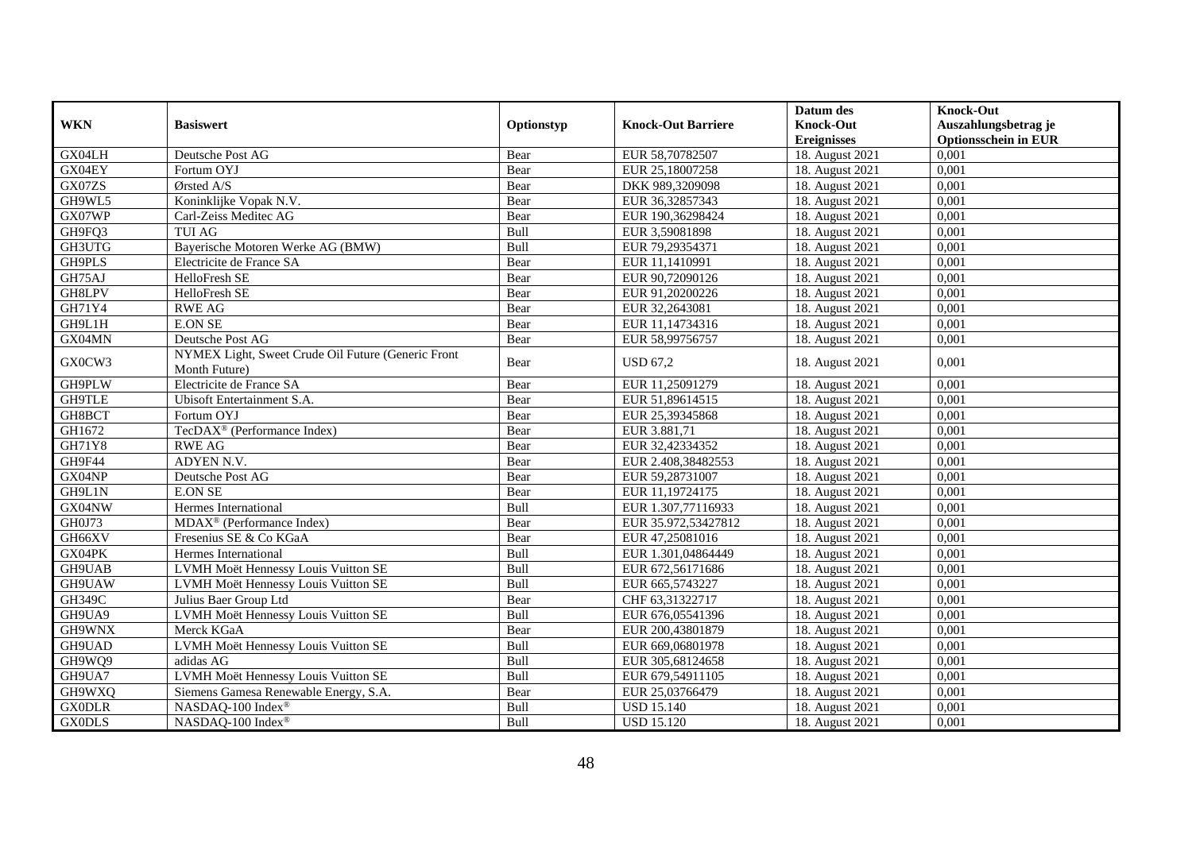|               |                                                                     |            |                           | Datum des          | <b>Knock-Out</b>            |
|---------------|---------------------------------------------------------------------|------------|---------------------------|--------------------|-----------------------------|
| <b>WKN</b>    | <b>Basiswert</b>                                                    | Optionstyp | <b>Knock-Out Barriere</b> | <b>Knock-Out</b>   | Auszahlungsbetrag je        |
|               |                                                                     |            |                           | <b>Ereignisses</b> | <b>Optionsschein in EUR</b> |
| GX04LH        | Deutsche Post AG                                                    | Bear       | EUR 58,70782507           | 18. August 2021    | 0,001                       |
| GX04EY        | Fortum OYJ                                                          | Bear       | EUR 25,18007258           | 18. August 2021    | 0,001                       |
| GX07ZS        | Ørsted A/S                                                          | Bear       | DKK 989,3209098           | 18. August 2021    | 0,001                       |
| GH9WL5        | Koninklijke Vopak N.V.                                              | Bear       | EUR 36,32857343           | 18. August 2021    | 0,001                       |
| GX07WP        | Carl-Zeiss Meditec AG                                               | Bear       | EUR 190,36298424          | 18. August 2021    | 0,001                       |
| GH9FQ3        | <b>TUI AG</b>                                                       | Bull       | EUR 3,59081898            | 18. August 2021    | 0,001                       |
| GH3UTG        | Bayerische Motoren Werke AG (BMW)                                   | Bull       | EUR 79,29354371           | 18. August 2021    | 0,001                       |
| GH9PLS        | Electricite de France SA                                            | Bear       | EUR 11,1410991            | 18. August 2021    | 0,001                       |
| GH75AJ        | HelloFresh SE                                                       | Bear       | EUR 90,72090126           | 18. August 2021    | 0,001                       |
| GH8LPV        | HelloFresh SE                                                       | Bear       | EUR 91,20200226           | 18. August 2021    | 0,001                       |
| GH71Y4        | <b>RWE AG</b>                                                       | Bear       | EUR 32,2643081            | 18. August 2021    | 0,001                       |
| GH9L1H        | <b>E.ON SE</b>                                                      | Bear       | EUR 11,14734316           | 18. August 2021    | 0,001                       |
| GX04MN        | Deutsche Post AG                                                    | Bear       | EUR 58,99756757           | 18. August 2021    | 0,001                       |
| GX0CW3        | NYMEX Light, Sweet Crude Oil Future (Generic Front<br>Month Future) | Bear       | <b>USD 67.2</b>           | 18. August 2021    | 0,001                       |
| GH9PLW        | Electricite de France SA                                            | Bear       | EUR 11,25091279           | 18. August 2021    | 0,001                       |
| <b>GH9TLE</b> | Ubisoft Entertainment S.A.                                          | Bear       | EUR 51,89614515           | 18. August 2021    | 0,001                       |
| GH8BCT        | Fortum OYJ                                                          | Bear       | EUR 25,39345868           | 18. August 2021    | 0,001                       |
| GH1672        | TecDAX <sup>®</sup> (Performance Index)                             | Bear       | EUR 3.881,71              | 18. August 2021    | 0,001                       |
| GH71Y8        | <b>RWE AG</b>                                                       | Bear       | EUR 32,42334352           | 18. August 2021    | 0,001                       |
| GH9F44        | ADYEN N.V.                                                          | Bear       | EUR 2.408,38482553        | 18. August 2021    | 0.001                       |
| GX04NP        | Deutsche Post AG                                                    | Bear       | EUR 59,28731007           | 18. August 2021    | 0,001                       |
| GH9L1N        | <b>E.ON SE</b>                                                      | Bear       | EUR 11,19724175           | 18. August 2021    | 0,001                       |
| GX04NW        | Hermes International                                                | Bull       | EUR 1.307,77116933        | 18. August 2021    | 0,001                       |
| GH0J73        | MDAX <sup>®</sup> (Performance Index)                               | Bear       | EUR 35.972,53427812       | 18. August 2021    | 0,001                       |
| GH66XV        | Fresenius SE & Co KGaA                                              | Bear       | EUR 47,25081016           | 18. August 2021    | 0,001                       |
| GX04PK        | Hermes International                                                | Bull       | EUR 1.301,04864449        | 18. August 2021    | 0.001                       |
| GH9UAB        | LVMH Moët Hennessy Louis Vuitton SE                                 | Bull       | EUR 672,56171686          | 18. August 2021    | 0,001                       |
| GH9UAW        | LVMH Moët Hennessy Louis Vuitton SE                                 | Bull       | EUR 665,5743227           | 18. August 2021    | 0,001                       |
| GH349C        | Julius Baer Group Ltd                                               | Bear       | CHF 63,31322717           | 18. August 2021    | 0,001                       |
| GH9UA9        | LVMH Moët Hennessy Louis Vuitton SE                                 | Bull       | EUR 676,05541396          | 18. August 2021    | 0,001                       |
| GH9WNX        | Merck KGaA                                                          | Bear       | EUR 200,43801879          | 18. August 2021    | 0,001                       |
| GH9UAD        | LVMH Moët Hennessy Louis Vuitton SE                                 | Bull       | EUR 669,06801978          | 18. August 2021    | 0,001                       |
| GH9WQ9        | adidas AG                                                           | Bull       | EUR 305,68124658          | 18. August 2021    | 0,001                       |
| GH9UA7        | LVMH Moët Hennessy Louis Vuitton SE                                 | Bull       | EUR 679,54911105          | 18. August 2021    | 0,001                       |
| GH9WXQ        | Siemens Gamesa Renewable Energy, S.A.                               | Bear       | EUR 25,03766479           | 18. August 2021    | 0,001                       |
| <b>GX0DLR</b> | NASDAQ-100 Index <sup>®</sup>                                       | Bull       | <b>USD 15.140</b>         | 18. August 2021    | 0,001                       |
| <b>GX0DLS</b> | NASDAQ-100 Index®                                                   | Bull       | <b>USD 15.120</b>         | 18. August 2021    | 0,001                       |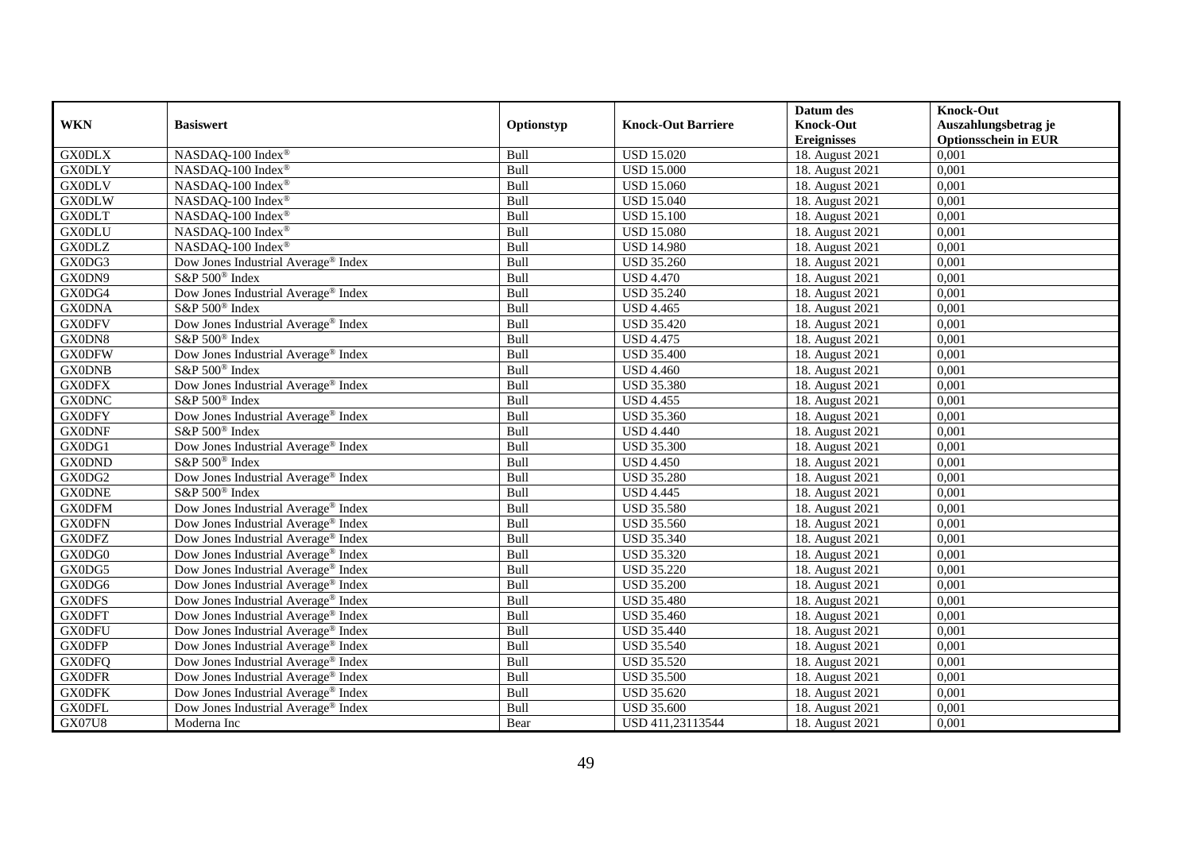|               |                                                 |             |                           | Datum des          | <b>Knock-Out</b>            |
|---------------|-------------------------------------------------|-------------|---------------------------|--------------------|-----------------------------|
| <b>WKN</b>    | <b>Basiswert</b>                                | Optionstyp  | <b>Knock-Out Barriere</b> | <b>Knock-Out</b>   | Auszahlungsbetrag je        |
|               |                                                 |             |                           | <b>Ereignisses</b> | <b>Optionsschein in EUR</b> |
| <b>GX0DLX</b> | NASDAQ-100 Index®                               | Bull        | <b>USD 15.020</b>         | 18. August 2021    | 0,001                       |
| <b>GX0DLY</b> | NASDAQ-100 Index®                               | Bull        | <b>USD 15.000</b>         | 18. August 2021    | 0,001                       |
| <b>GX0DLV</b> | NASDAQ-100 Index®                               | Bull        | <b>USD 15.060</b>         | 18. August 2021    | 0,001                       |
| <b>GX0DLW</b> | NASDAQ-100 Index®                               | Bull        | <b>USD 15.040</b>         | 18. August 2021    | 0,001                       |
| <b>GX0DLT</b> | NASDAQ-100 Index®                               | Bull        | <b>USD 15.100</b>         | 18. August 2021    | 0,001                       |
| <b>GX0DLU</b> | NASDAQ-100 Index®                               | Bull        | <b>USD 15.080</b>         | 18. August 2021    | 0,001                       |
| <b>GX0DLZ</b> | NASDAQ-100 Index®                               | Bull        | <b>USD 14.980</b>         | 18. August 2021    | 0,001                       |
| GX0DG3        | Dow Jones Industrial Average® Index             | Bull        | <b>USD 35.260</b>         | 18. August 2021    | 0,001                       |
| GX0DN9        | S&P 500 <sup>®</sup> Index                      | Bull        | <b>USD 4.470</b>          | 18. August 2021    | 0,001                       |
| GX0DG4        | Dow Jones Industrial Average® Index             | Bull        | <b>USD 35.240</b>         | 18. August 2021    | 0,001                       |
| <b>GX0DNA</b> | S&P 500 <sup>®</sup> Index                      | Bull        | <b>USD 4.465</b>          | 18. August 2021    | 0,001                       |
| <b>GX0DFV</b> | Dow Jones Industrial Average® Index             | Bull        | <b>USD 35.420</b>         | 18. August 2021    | 0,001                       |
| GX0DN8        | S&P 500 <sup>®</sup> Index                      | Bull        | <b>USD 4.475</b>          | 18. August 2021    | 0,001                       |
| <b>GX0DFW</b> | Dow Jones Industrial Average <sup>®</sup> Index | Bull        | <b>USD 35.400</b>         | 18. August 2021    | 0,001                       |
| <b>GX0DNB</b> | S&P 500 <sup>®</sup> Index                      | Bull        | <b>USD 4.460</b>          | 18. August 2021    | 0,001                       |
| <b>GX0DFX</b> | Dow Jones Industrial Average® Index             | Bull        | <b>USD 35.380</b>         | 18. August 2021    | 0,001                       |
| <b>GX0DNC</b> | S&P 500 <sup>®</sup> Index                      | Bull        | <b>USD 4.455</b>          | 18. August 2021    | 0,001                       |
| <b>GX0DFY</b> | Dow Jones Industrial Average <sup>®</sup> Index | Bull        | <b>USD 35.360</b>         | 18. August 2021    | 0,001                       |
| <b>GX0DNF</b> | S&P 500 <sup>®</sup> Index                      | Bull        | <b>USD 4.440</b>          | 18. August 2021    | 0,001                       |
| GX0DG1        | Dow Jones Industrial Average® Index             | Bull        | <b>USD 35.300</b>         | 18. August 2021    | 0,001                       |
| <b>GX0DND</b> | S&P 500 <sup>®</sup> Index                      | Bull        | <b>USD 4.450</b>          | 18. August 2021    | 0,001                       |
| GX0DG2        | Dow Jones Industrial Average® Index             | Bull        | <b>USD 35.280</b>         | 18. August 2021    | 0,001                       |
| <b>GX0DNE</b> | S&P 500 <sup>®</sup> Index                      | Bull        | <b>USD 4.445</b>          | 18. August 2021    | 0,001                       |
| <b>GX0DFM</b> | Dow Jones Industrial Average® Index             | Bull        | <b>USD 35.580</b>         | 18. August 2021    | 0,001                       |
| <b>GX0DFN</b> | Dow Jones Industrial Average® Index             | Bull        | <b>USD 35.560</b>         | 18. August 2021    | 0,001                       |
| <b>GX0DFZ</b> | Dow Jones Industrial Average® Index             | Bull        | <b>USD 35.340</b>         | 18. August 2021    | 0,001                       |
| GX0DG0        | Dow Jones Industrial Average® Index             | Bull        | <b>USD 35.320</b>         | 18. August 2021    | 0,001                       |
| GX0DG5        | Dow Jones Industrial Average <sup>®</sup> Index | Bull        | <b>USD 35.220</b>         | 18. August 2021    | 0,001                       |
| GX0DG6        | Dow Jones Industrial Average® Index             | Bull        | <b>USD 35.200</b>         | 18. August 2021    | 0,001                       |
| <b>GX0DFS</b> | Dow Jones Industrial Average <sup>®</sup> Index | Bull        | <b>USD 35.480</b>         | 18. August 2021    | 0,001                       |
| <b>GX0DFT</b> | Dow Jones Industrial Average <sup>®</sup> Index | Bull        | <b>USD 35.460</b>         | 18. August 2021    | 0,001                       |
| <b>GX0DFU</b> | Dow Jones Industrial Average® Index             | Bull        | <b>USD 35.440</b>         | 18. August 2021    | 0,001                       |
| <b>GX0DFP</b> | Dow Jones Industrial Average® Index             | Bull        | <b>USD 35.540</b>         | 18. August 2021    | 0,001                       |
| <b>GX0DFQ</b> | Dow Jones Industrial Average <sup>®</sup> Index | Bull        | <b>USD 35.520</b>         | 18. August 2021    | 0,001                       |
| <b>GX0DFR</b> | Dow Jones Industrial Average® Index             | <b>Bull</b> | <b>USD 35.500</b>         | 18. August 2021    | 0,001                       |
| <b>GX0DFK</b> | Dow Jones Industrial Average® Index             | Bull        | <b>USD 35.620</b>         | 18. August 2021    | 0,001                       |
| <b>GX0DFL</b> | Dow Jones Industrial Average® Index             | Bull        | <b>USD 35.600</b>         | 18. August 2021    | 0,001                       |
| <b>GX07U8</b> | Moderna Inc                                     | Bear        | USD 411,23113544          | 18. August 2021    | 0,001                       |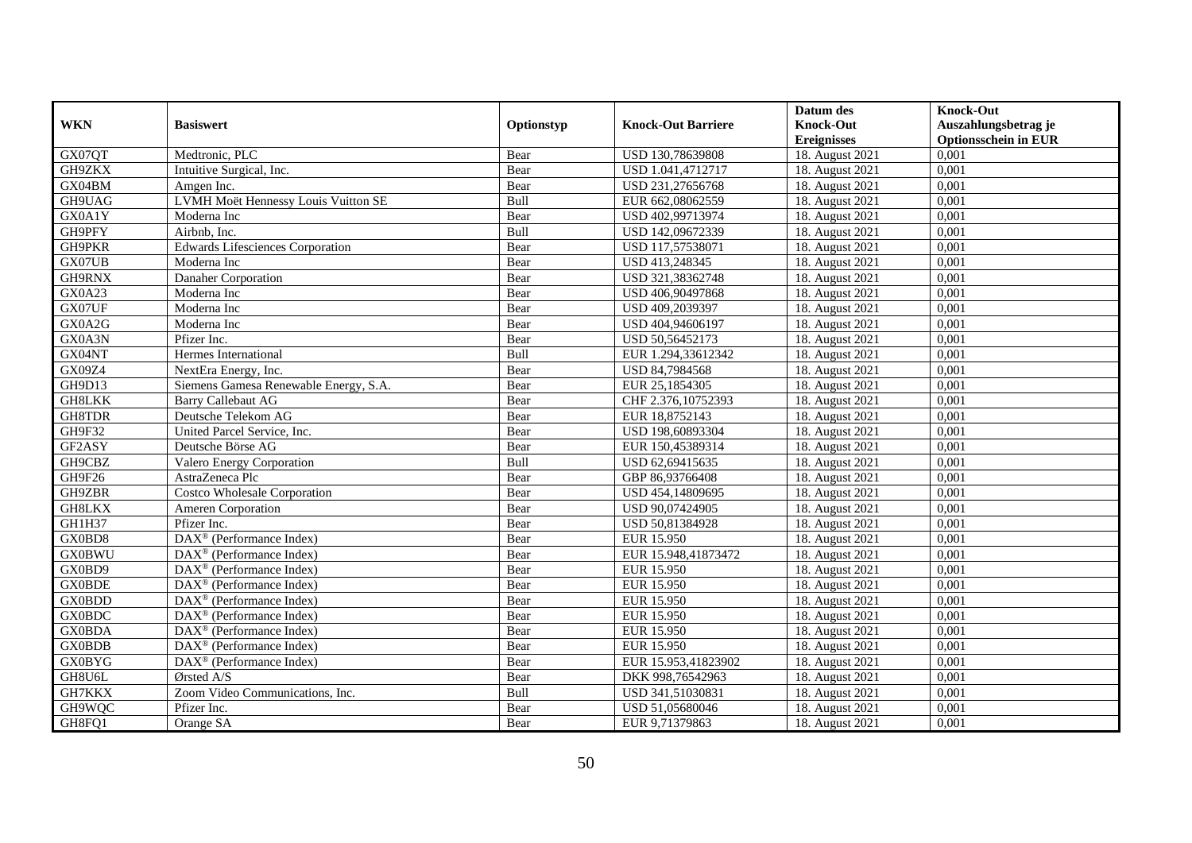|               |                                                   |            |                           | Datum des          | <b>Knock-Out</b>            |
|---------------|---------------------------------------------------|------------|---------------------------|--------------------|-----------------------------|
| <b>WKN</b>    | <b>Basiswert</b>                                  | Optionstyp | <b>Knock-Out Barriere</b> | <b>Knock-Out</b>   | Auszahlungsbetrag je        |
|               |                                                   |            |                           | <b>Ereignisses</b> | <b>Optionsschein in EUR</b> |
| GX07QT        | Medtronic, PLC                                    | Bear       | USD 130,78639808          | 18. August 2021    | 0,001                       |
| GH9ZKX        | Intuitive Surgical, Inc.                          | Bear       | USD 1.041,4712717         | 18. August 2021    | 0,001                       |
| GX04BM        | Amgen Inc.                                        | Bear       | USD 231,27656768          | 18. August 2021    | 0,001                       |
| GH9UAG        | LVMH Moët Hennessy Louis Vuitton SE               | Bull       | EUR 662,08062559          | 18. August 2021    | 0,001                       |
| GX0A1Y        | Moderna Inc                                       | Bear       | USD 402,99713974          | 18. August 2021    | 0,001                       |
| GH9PFY        | Airbnb, Inc.                                      | Bull       | USD 142,09672339          | 18. August 2021    | 0,001                       |
| GH9PKR        | Edwards Lifesciences Corporation                  | Bear       | USD 117,57538071          | 18. August 2021    | 0,001                       |
| GX07UB        | Moderna Inc                                       | Bear       | USD 413,248345            | 18. August 2021    | 0,001                       |
| GH9RNX        | Danaher Corporation                               | Bear       | USD 321,38362748          | 18. August 2021    | 0,001                       |
| GX0A23        | Moderna Inc                                       | Bear       | USD 406,90497868          | 18. August 2021    | 0,001                       |
| GX07UF        | Moderna Inc                                       | Bear       | USD 409,2039397           | 18. August 2021    | 0,001                       |
| GX0A2G        | Moderna Inc                                       | Bear       | USD 404,94606197          | 18. August 2021    | 0,001                       |
| GX0A3N        | Pfizer Inc.                                       | Bear       | USD 50,56452173           | 18. August 2021    | 0,001                       |
| GX04NT        | Hermes International                              | Bull       | EUR 1.294,33612342        | 18. August 2021    | 0,001                       |
| GX09Z4        | NextEra Energy, Inc.                              | Bear       | USD 84,7984568            | 18. August 2021    | 0,001                       |
| GH9D13        | Siemens Gamesa Renewable Energy, S.A.             | Bear       | EUR 25,1854305            | 18. August 2021    | 0,001                       |
| GH8LKK        | <b>Barry Callebaut AG</b>                         | Bear       | CHF 2.376,10752393        | 18. August 2021    | 0,001                       |
| GH8TDR        | Deutsche Telekom AG                               | Bear       | EUR 18,8752143            | 18. August 2021    | 0,001                       |
| GH9F32        | United Parcel Service, Inc.                       | Bear       | USD 198,60893304          | 18. August 2021    | 0,001                       |
| GF2ASY        | Deutsche Börse AG                                 | Bear       | EUR 150,45389314          | 18. August 2021    | 0,001                       |
| GH9CBZ        | Valero Energy Corporation                         | Bull       | USD 62,69415635           | 18. August 2021    | 0,001                       |
| GH9F26        | AstraZeneca Plc                                   | Bear       | GBP 86,93766408           | 18. August 2021    | 0,001                       |
| GH9ZBR        | <b>Costco Wholesale Corporation</b>               | Bear       | USD 454,14809695          | 18. August 2021    | 0,001                       |
| GH8LKX        | Ameren Corporation                                | Bear       | USD 90,07424905           | 18. August 2021    | 0,001                       |
| GH1H37        | Pfizer Inc.                                       | Bear       | USD 50,81384928           | 18. August 2021    | 0,001                       |
| GX0BD8        | DAX <sup>®</sup> (Performance Index)              | Bear       | EUR 15.950                | 18. August 2021    | 0,001                       |
| <b>GX0BWU</b> | DAX <sup>®</sup> (Performance Index)              | Bear       | EUR 15.948,41873472       | 18. August 2021    | 0,001                       |
| GX0BD9        | $DAX^{\circledR}$ (Performance Index)             | Bear       | <b>EUR 15.950</b>         | 18. August 2021    | 0,001                       |
| <b>GX0BDE</b> | $DAX^{\circledR}$ (Performance Index)             | Bear       | EUR 15.950                | 18. August 2021    | 0,001                       |
| <b>GX0BDD</b> | $\text{DAX}^{\textcircled{}}$ (Performance Index) | Bear       | <b>EUR 15.950</b>         | 18. August 2021    | 0,001                       |
| <b>GX0BDC</b> | $DAX^{\circledR}$ (Performance Index)             | Bear       | EUR 15.950                | 18. August 2021    | 0,001                       |
| <b>GX0BDA</b> | DAX <sup>®</sup> (Performance Index)              | Bear       | EUR 15.950                | 18. August 2021    | 0,001                       |
| <b>GX0BDB</b> | $DAX^{\circledR}$ (Performance Index)             | Bear       | <b>EUR 15.950</b>         | 18. August 2021    | 0,001                       |
| <b>GX0BYG</b> | $DAX^{\circledast}$ (Performance Index)           | Bear       | EUR 15.953,41823902       | 18. August 2021    | 0,001                       |
| GH8U6L        | Ørsted A/S                                        | Bear       | DKK 998,76542963          | 18. August 2021    | 0,001                       |
| GH7KKX        | Zoom Video Communications, Inc.                   | Bull       | USD 341,51030831          | 18. August 2021    | 0,001                       |
| GH9WQC        | Pfizer Inc.                                       | Bear       | USD 51,05680046           | 18. August 2021    | 0,001                       |
| GH8FQ1        | Orange SA                                         | Bear       | EUR 9,71379863            | 18. August 2021    | 0,001                       |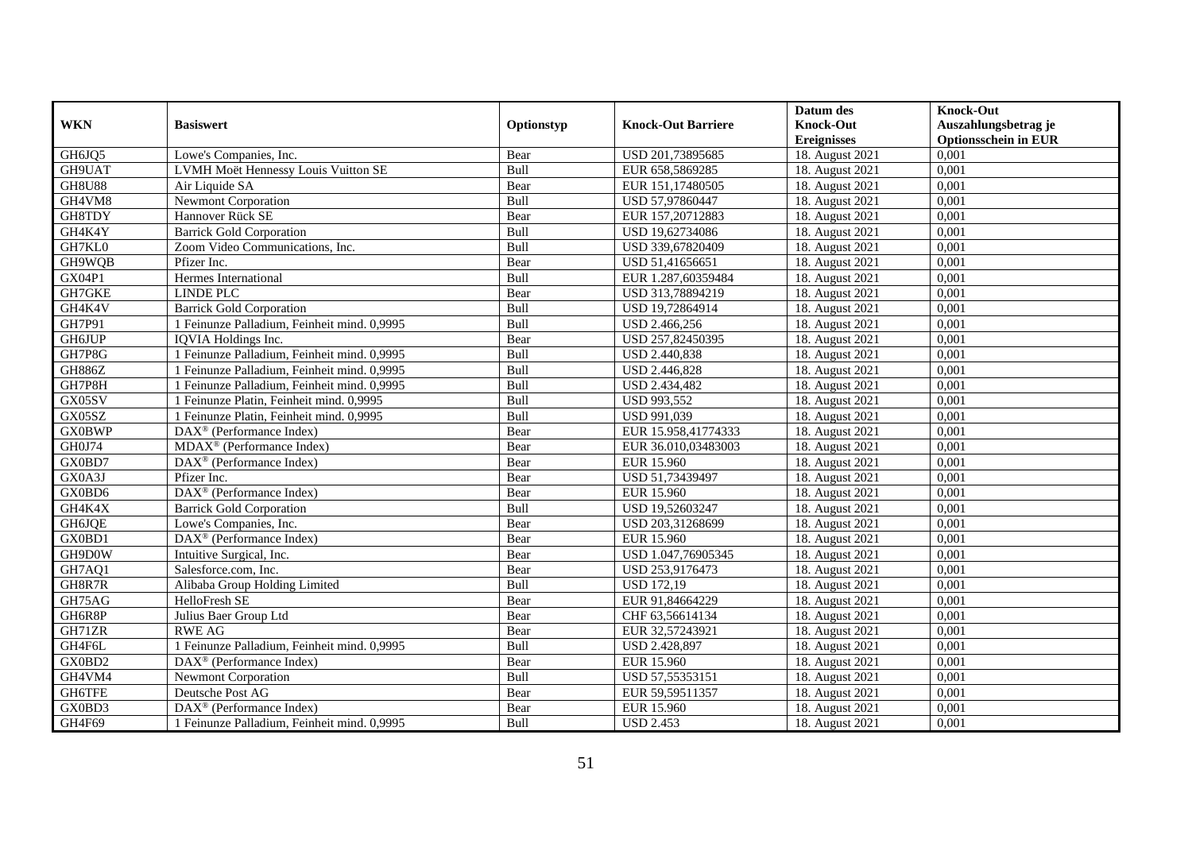|               |                                                       |            |                           | Datum des          | <b>Knock-Out</b>            |
|---------------|-------------------------------------------------------|------------|---------------------------|--------------------|-----------------------------|
| <b>WKN</b>    | <b>Basiswert</b>                                      | Optionstyp | <b>Knock-Out Barriere</b> | <b>Knock-Out</b>   | Auszahlungsbetrag je        |
|               |                                                       |            |                           | <b>Ereignisses</b> | <b>Optionsschein in EUR</b> |
| GH6JQ5        | Lowe's Companies, Inc.                                | Bear       | USD 201,73895685          | 18. August 2021    | 0,001                       |
| GH9UAT        | LVMH Moët Hennessy Louis Vuitton SE                   | Bull       | EUR 658,5869285           | 18. August 2021    | 0,001                       |
| <b>GH8U88</b> | Air Liquide SA                                        | Bear       | EUR 151,17480505          | 18. August 2021    | 0,001                       |
| GH4VM8        | Newmont Corporation                                   | Bull       | USD 57,97860447           | 18. August 2021    | 0,001                       |
| GH8TDY        | Hannover Rück SE                                      | Bear       | EUR 157,20712883          | 18. August 2021    | 0,001                       |
| GH4K4Y        | <b>Barrick Gold Corporation</b>                       | Bull       | USD 19,62734086           | 18. August 2021    | 0,001                       |
| GH7KL0        | Zoom Video Communications, Inc.                       | Bull       | USD 339,67820409          | 18. August 2021    | 0,001                       |
| GH9WQB        | Pfizer Inc.                                           | Bear       | USD 51,41656651           | 18. August 2021    | 0,001                       |
| <b>GX04P1</b> | Hermes International                                  | Bull       | EUR 1.287,60359484        | 18. August 2021    | 0,001                       |
| GH7GKE        | <b>LINDE PLC</b>                                      | Bear       | USD 313,78894219          | 18. August 2021    | 0,001                       |
| GH4K4V        | <b>Barrick Gold Corporation</b>                       | Bull       | USD 19,72864914           | 18. August 2021    | 0,001                       |
| GH7P91        | 1 Feinunze Palladium, Feinheit mind. 0,9995           | Bull       | USD 2.466,256             | 18. August 2021    | 0,001                       |
| <b>GH6JUP</b> | IQVIA Holdings Inc.                                   | Bear       | USD 257,82450395          | 18. August 2021    | 0,001                       |
| GH7P8G        | 1 Feinunze Palladium, Feinheit mind. 0,9995           | Bull       | USD 2.440,838             | 18. August 2021    | 0,001                       |
| <b>GH886Z</b> | 1 Feinunze Palladium, Feinheit mind. 0,9995           | Bull       | USD 2.446,828             | 18. August 2021    | 0,001                       |
| GH7P8H        | 1 Feinunze Palladium, Feinheit mind. 0,9995           | Bull       | USD 2.434,482             | 18. August 2021    | 0,001                       |
| GX05SV        | 1 Feinunze Platin, Feinheit mind. 0,9995              | Bull       | USD 993,552               | 18. August 2021    | 0,001                       |
| GX05SZ        | 1 Feinunze Platin, Feinheit mind. 0,9995              | Bull       | USD 991,039               | 18. August 2021    | 0,001                       |
| <b>GX0BWP</b> | $\overline{\text{DAX}^{\otimes}}$ (Performance Index) | Bear       | EUR 15.958,41774333       | 18. August 2021    | 0,001                       |
| GH0J74        | MDAX <sup>®</sup> (Performance Index)                 | Bear       | EUR 36.010,03483003       | 18. August 2021    | 0,001                       |
| GX0BD7        | DAX <sup>®</sup> (Performance Index)                  | Bear       | <b>EUR 15.960</b>         | 18. August 2021    | 0,001                       |
| GX0A3J        | Pfizer Inc.                                           | Bear       | USD 51,73439497           | 18. August 2021    | 0,001                       |
| GX0BD6        | DAX <sup>®</sup> (Performance Index)                  | Bear       | <b>EUR 15.960</b>         | 18. August 2021    | 0,001                       |
| GH4K4X        | <b>Barrick Gold Corporation</b>                       | Bull       | USD 19,52603247           | 18. August 2021    | 0,001                       |
| GH6JQE        | Lowe's Companies, Inc.                                | Bear       | USD 203,31268699          | 18. August 2021    | 0,001                       |
| GX0BD1        | DAX <sup>®</sup> (Performance Index)                  | Bear       | EUR 15.960                | 18. August 2021    | 0,001                       |
| GH9D0W        | Intuitive Surgical, Inc.                              | Bear       | USD 1.047,76905345        | 18. August 2021    | 0,001                       |
| GH7AQ1        | Salesforce.com, Inc.                                  | Bear       | USD 253,9176473           | 18. August 2021    | 0,001                       |
| GH8R7R        | Alibaba Group Holding Limited                         | Bull       | <b>USD 172,19</b>         | 18. August 2021    | 0,001                       |
| GH75AG        | HelloFresh SE                                         | Bear       | EUR 91,84664229           | 18. August 2021    | 0.001                       |
| GH6R8P        | Julius Baer Group Ltd                                 | Bear       | CHF 63,56614134           | 18. August 2021    | 0,001                       |
| GH71ZR        | <b>RWE AG</b>                                         | Bear       | EUR 32,57243921           | 18. August 2021    | 0,001                       |
| GH4F6L        | 1 Feinunze Palladium, Feinheit mind. 0,9995           | Bull       | USD 2.428,897             | 18. August 2021    | 0,001                       |
| GX0BD2        | $\overline{\text{DAX}^{\otimes}}$ (Performance Index) | Bear       | <b>EUR 15.960</b>         | 18. August 2021    | 0,001                       |
| GH4VM4        | Newmont Corporation                                   | Bull       | USD 57,55353151           | 18. August 2021    | 0,001                       |
| GH6TFE        | Deutsche Post AG                                      | Bear       | EUR 59,59511357           | 18. August 2021    | 0,001                       |
| GX0BD3        | $DAX^{\circledast}$ (Performance Index)               | Bear       | EUR 15.960                | 18. August 2021    | 0,001                       |
| GH4F69        | 1 Feinunze Palladium, Feinheit mind. 0,9995           | Bull       | <b>USD 2.453</b>          | 18. August 2021    | 0,001                       |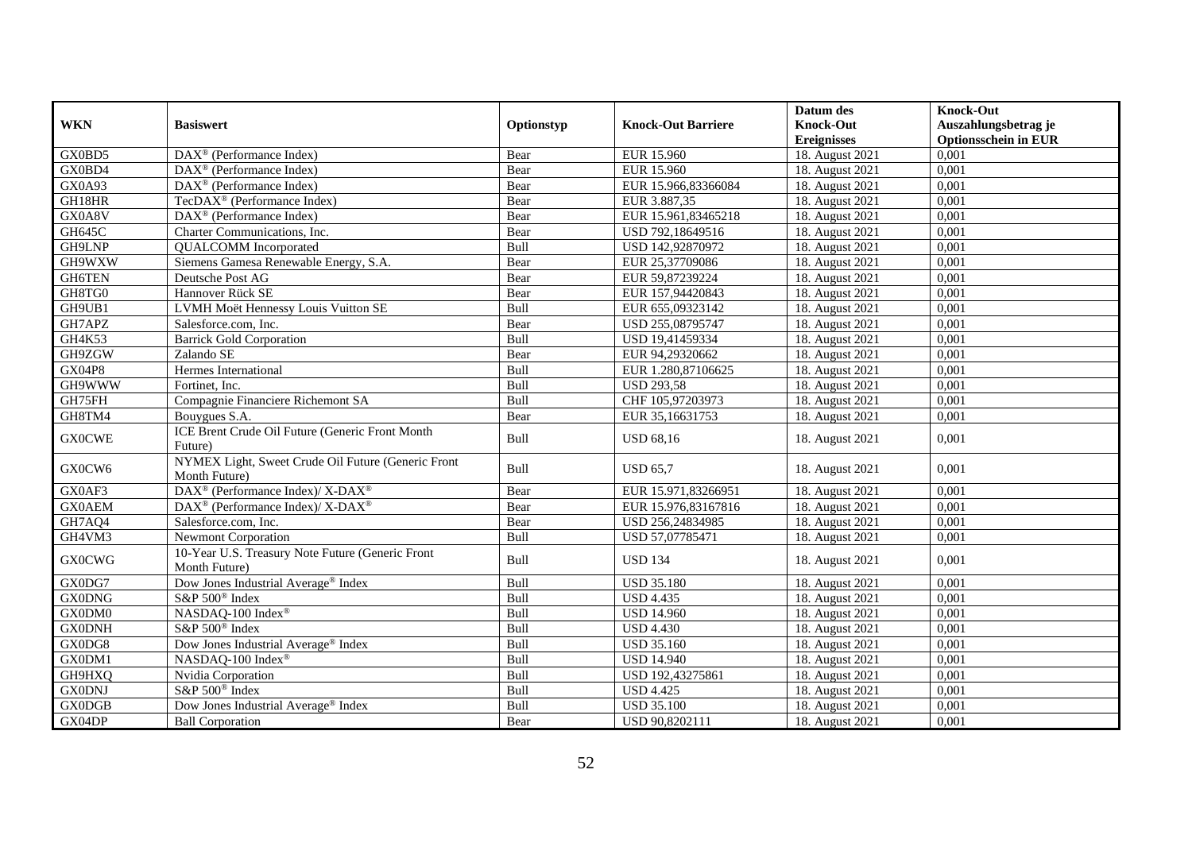|                     |                                                                     |            |                           | Datum des                     | <b>Knock-Out</b>            |
|---------------------|---------------------------------------------------------------------|------------|---------------------------|-------------------------------|-----------------------------|
| <b>WKN</b>          | <b>Basiswert</b>                                                    | Optionstyp | <b>Knock-Out Barriere</b> | <b>Knock-Out</b>              | Auszahlungsbetrag je        |
|                     |                                                                     |            |                           | <b>Ereignisses</b>            | <b>Optionsschein in EUR</b> |
| GX0BD5              | DAX <sup>®</sup> (Performance Index)                                | Bear       | EUR 15.960                | 18. August 2021               | 0,001                       |
| GX0BD4              | $DAX^{\circledR}$ (Performance Index)                               | Bear       | EUR 15.960                | 18. August 2021               | 0,001                       |
| GX0A93              | $DAX^{\circledR}$ (Performance Index)                               | Bear       | EUR 15.966,83366084       | 18. August 2021               | 0,001                       |
| GH18HR              | TecDAX <sup>®</sup> (Performance Index)                             | Bear       | EUR 3.887,35              | $\overline{18}$ . August 2021 | 0,001                       |
| GX0A8V              | DAX <sup>®</sup> (Performance Index)                                | Bear       | EUR 15.961,83465218       | 18. August 2021               | 0,001                       |
| <b>GH645C</b>       | Charter Communications, Inc.                                        | Bear       | USD 792,18649516          | 18. August 2021               | 0,001                       |
| GH9LNP              | <b>QUALCOMM</b> Incorporated                                        | Bull       | USD 142,92870972          | 18. August 2021               | 0,001                       |
| GH9WXW              | Siemens Gamesa Renewable Energy, S.A.                               | Bear       | EUR 25,37709086           | 18. August 2021               | 0,001                       |
| GH6TEN              | Deutsche Post AG                                                    | Bear       | EUR 59,87239224           | 18. August 2021               | 0,001                       |
| GH8TG0              | Hannover Rück SE                                                    | Bear       | EUR 157,94420843          | 18. August 2021               | 0,001                       |
| GH9UB1              | LVMH Moët Hennessy Louis Vuitton SE                                 | Bull       | EUR 655,09323142          | 18. August 2021               | 0,001                       |
| GH7APZ              | Salesforce.com, Inc.                                                | Bear       | USD 255,08795747          | 18. August 2021               | 0,001                       |
| GH4K53              | <b>Barrick Gold Corporation</b>                                     | Bull       | USD 19,41459334           | 18. August 2021               | 0,001                       |
| GH9ZGW              | Zalando SE                                                          | Bear       | EUR 94,29320662           | 18. August 2021               | 0,001                       |
| <b>GX04P8</b>       | Hermes International                                                | Bull       | EUR 1.280,87106625        | 18. August 2021               | 0,001                       |
| GH9WWW              | Fortinet, Inc.                                                      | Bull       | <b>USD 293,58</b>         | 18. August 2021               | 0,001                       |
| GH75FH              | Compagnie Financiere Richemont SA                                   | Bull       | CHF 105,97203973          | 18. August 2021               | 0,001                       |
| GH8TM4              | Bouygues S.A.                                                       | Bear       | EUR 35,16631753           | 18. August 2021               | 0,001                       |
| <b>GX0CWE</b>       | ICE Brent Crude Oil Future (Generic Front Month<br>Future)          | Bull       | <b>USD 68,16</b>          | 18. August 2021               | 0,001                       |
| GX0CW6              | NYMEX Light, Sweet Crude Oil Future (Generic Front<br>Month Future) | Bull       | <b>USD 65,7</b>           | 18. August 2021               | 0,001                       |
| GX0AF3              | DAX <sup>®</sup> (Performance Index)/ X-DAX <sup>®</sup>            | Bear       | EUR 15.971,83266951       | 18. August 2021               | 0,001                       |
| <b>GX0AEM</b>       | DAX <sup>®</sup> (Performance Index)/ X-DAX <sup>®</sup>            | Bear       | EUR 15.976,83167816       | 18. August 2021               | 0,001                       |
| GH7AQ4              | Salesforce.com. Inc.                                                | Bear       | USD 256,24834985          | 18. August 2021               | 0,001                       |
| GH4VM3              | <b>Newmont Corporation</b>                                          | Bull       | USD 57,07785471           | 18. August 2021               | 0,001                       |
| <b>GX0CWG</b>       | 10-Year U.S. Treasury Note Future (Generic Front<br>Month Future)   | Bull       | <b>USD 134</b>            | 18. August 2021               | 0,001                       |
| GX0DG7              | Dow Jones Industrial Average <sup>®</sup> Index                     | Bull       | <b>USD 35.180</b>         | 18. August 2021               | 0,001                       |
| <b>GX0DNG</b>       | S&P 500 <sup>®</sup> Index                                          | Bull       | <b>USD 4.435</b>          | 18. August 2021               | 0,001                       |
| GX0DM0              | NASDAQ-100 Index®                                                   | Bull       | <b>USD 14.960</b>         | 18. August 2021               | 0,001                       |
| <b>GX0DNH</b>       | S&P 500 <sup>®</sup> Index                                          | Bull       | <b>USD 4.430</b>          | 18. August 2021               | 0,001                       |
| $GX0\overline{DG8}$ | Dow Jones Industrial Average® Index                                 | Bull       | <b>USD 35.160</b>         | 18. August 2021               | 0,001                       |
| GX0DM1              | NASDAO-100 Index®                                                   | Bull       | <b>USD 14.940</b>         | 18. August 2021               | 0,001                       |
| GH9HXQ              | Nvidia Corporation                                                  | Bull       | USD 192,43275861          | 18. August 2021               | 0,001                       |
| <b>GX0DNJ</b>       | S&P 500 <sup>®</sup> Index                                          | Bull       | <b>USD 4.425</b>          | 18. August 2021               | 0,001                       |
| <b>GX0DGB</b>       | Dow Jones Industrial Average <sup>®</sup> Index                     | Bull       | <b>USD 35.100</b>         | 18. August 2021               | 0,001                       |
| GX04DP              | <b>Ball Corporation</b>                                             | Bear       | USD 90,8202111            | 18. August 2021               | 0,001                       |